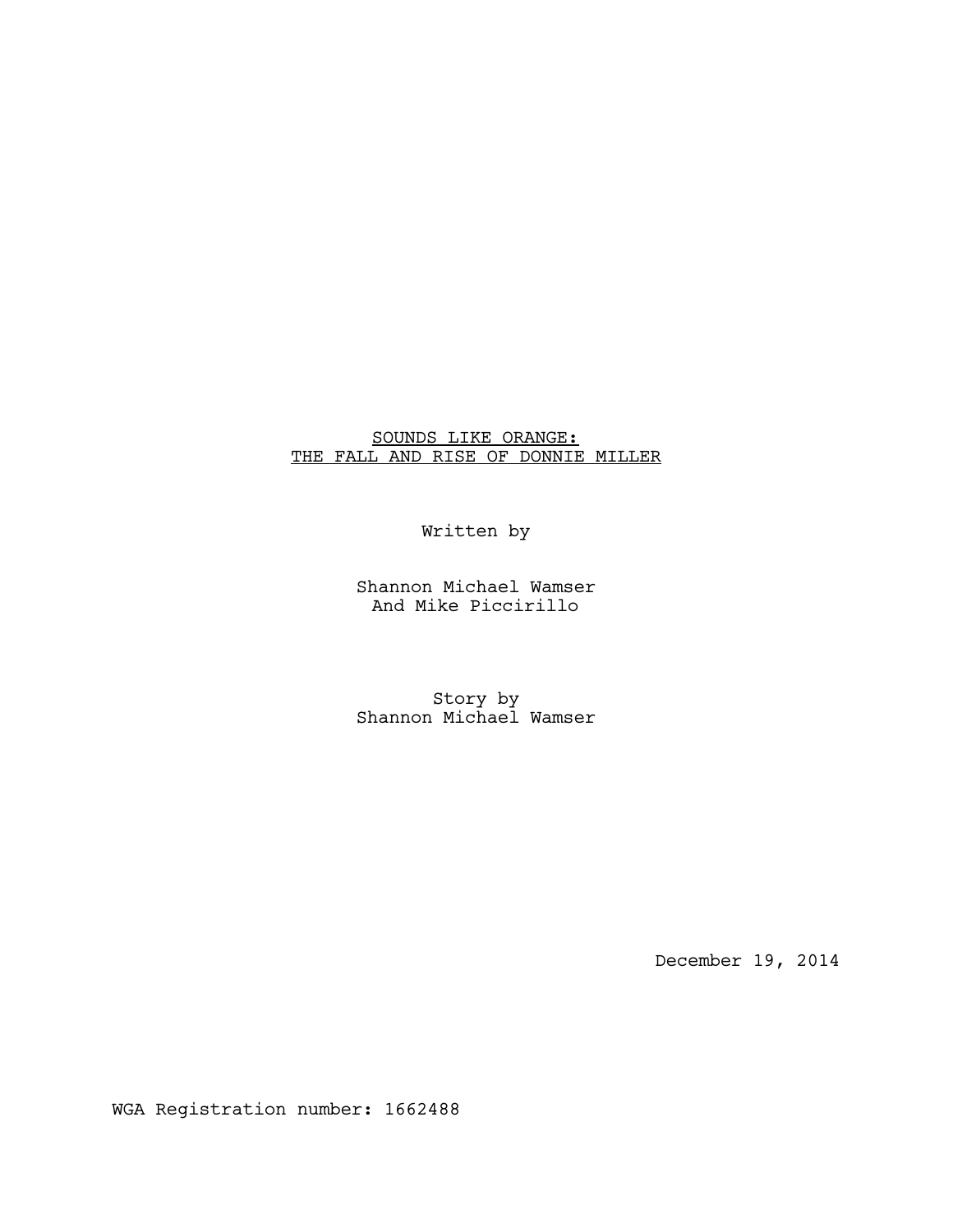# SOUNDS LIKE ORANGE: THE FALL AND RISE OF DONNIE MILLER

# Written by

Shannon Michael Wamser And Mike Piccirillo

Story by Shannon Michael Wamser

December 19, 2014

WGA Registration number: 1662488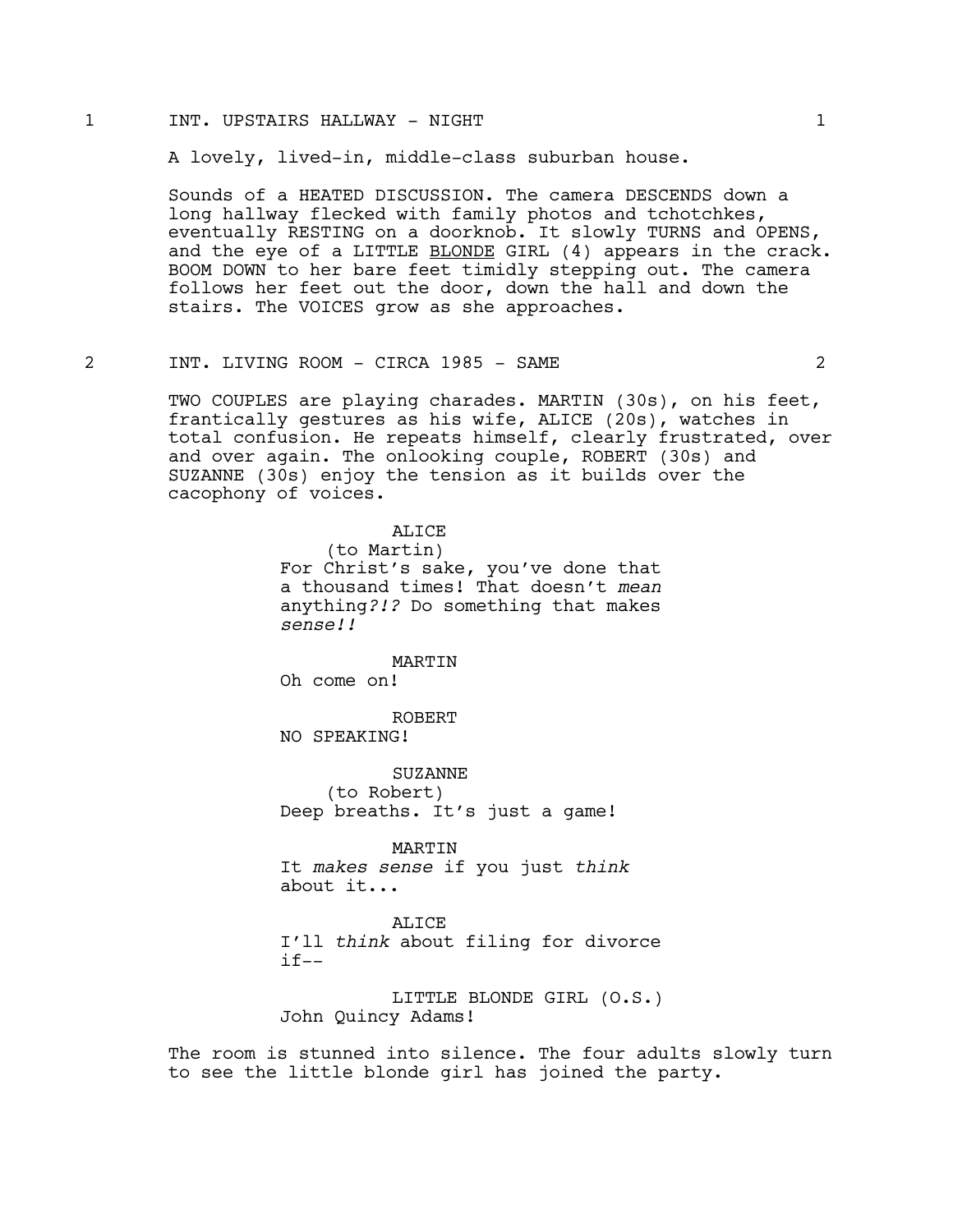#### 1 INT. UPSTAIRS HALLWAY - NIGHT 1

A lovely, lived-in, middle-class suburban house.

Sounds of a HEATED DISCUSSION. The camera DESCENDS down a long hallway flecked with family photos and tchotchkes, eventually RESTING on a doorknob. It slowly TURNS and OPENS, and the eye of a LITTLE BLONDE GIRL (4) appears in the crack. BOOM DOWN to her bare feet timidly stepping out. The camera follows her feet out the door, down the hall and down the stairs. The VOICES grow as she approaches.

## 2 INT. LIVING ROOM - CIRCA 1985 - SAME 2

TWO COUPLES are playing charades. MARTIN (30s), on his feet, frantically gestures as his wife, ALICE (20s), watches in total confusion. He repeats himself, clearly frustrated, over and over again. The onlooking couple, ROBERT (30s) and SUZANNE (30s) enjoy the tension as it builds over the cacophony of voices.

> ALICE (to Martin) For Christ's sake, you've done that a thousand times! That doesn't *mean*  anything*?!?* Do something that makes *sense!!*

MARTIN Oh come on!

ROBERT NO SPEAKING!

**SUZANNE** (to Robert) Deep breaths. It's just a game!

MARTIN It *makes sense* if you just *think* about it...

ALICE I'll *think* about filing for divorce  $if--$ 

LITTLE BLONDE GIRL (O.S.) John Quincy Adams!

The room is stunned into silence. The four adults slowly turn to see the little blonde girl has joined the party.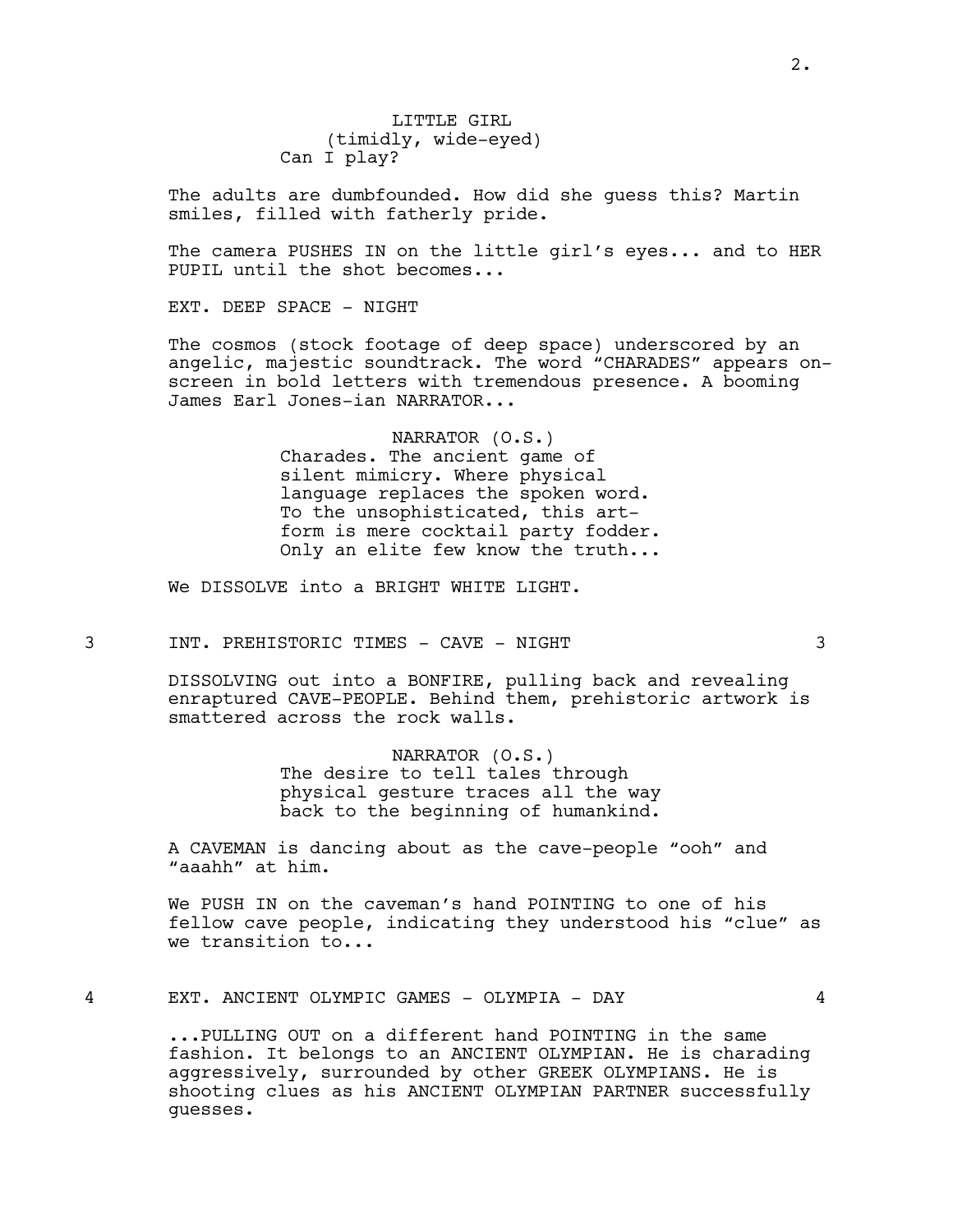LITTLE GIRL (timidly, wide-eyed) Can I play?

The adults are dumbfounded. How did she guess this? Martin smiles, filled with fatherly pride.

The camera PUSHES IN on the little girl's eyes... and to HER PUPIL until the shot becomes...

EXT. DEEP SPACE - NIGHT

The cosmos (stock footage of deep space) underscored by an angelic, majestic soundtrack. The word "CHARADES" appears onscreen in bold letters with tremendous presence. A booming James Earl Jones-ian NARRATOR...

> NARRATOR (O.S.) Charades. The ancient game of silent mimicry. Where physical language replaces the spoken word. To the unsophisticated, this artform is mere cocktail party fodder. Only an elite few know the truth...

We DISSOLVE into a BRIGHT WHITE LIGHT.

3 INT. PREHISTORIC TIMES - CAVE - NIGHT 3

DISSOLVING out into a BONFIRE, pulling back and revealing enraptured CAVE-PEOPLE. Behind them, prehistoric artwork is smattered across the rock walls.

> NARRATOR (O.S.) The desire to tell tales through physical gesture traces all the way back to the beginning of humankind.

A CAVEMAN is dancing about as the cave-people "ooh" and "aaahh" at him.

We PUSH IN on the caveman's hand POINTING to one of his fellow cave people, indicating they understood his "clue" as we transition to...

4 EXT. ANCIENT OLYMPIC GAMES - OLYMPIA - DAY 4

...PULLING OUT on a different hand POINTING in the same fashion. It belongs to an ANCIENT OLYMPIAN. He is charading aggressively, surrounded by other GREEK OLYMPIANS. He is shooting clues as his ANCIENT OLYMPIAN PARTNER successfully guesses.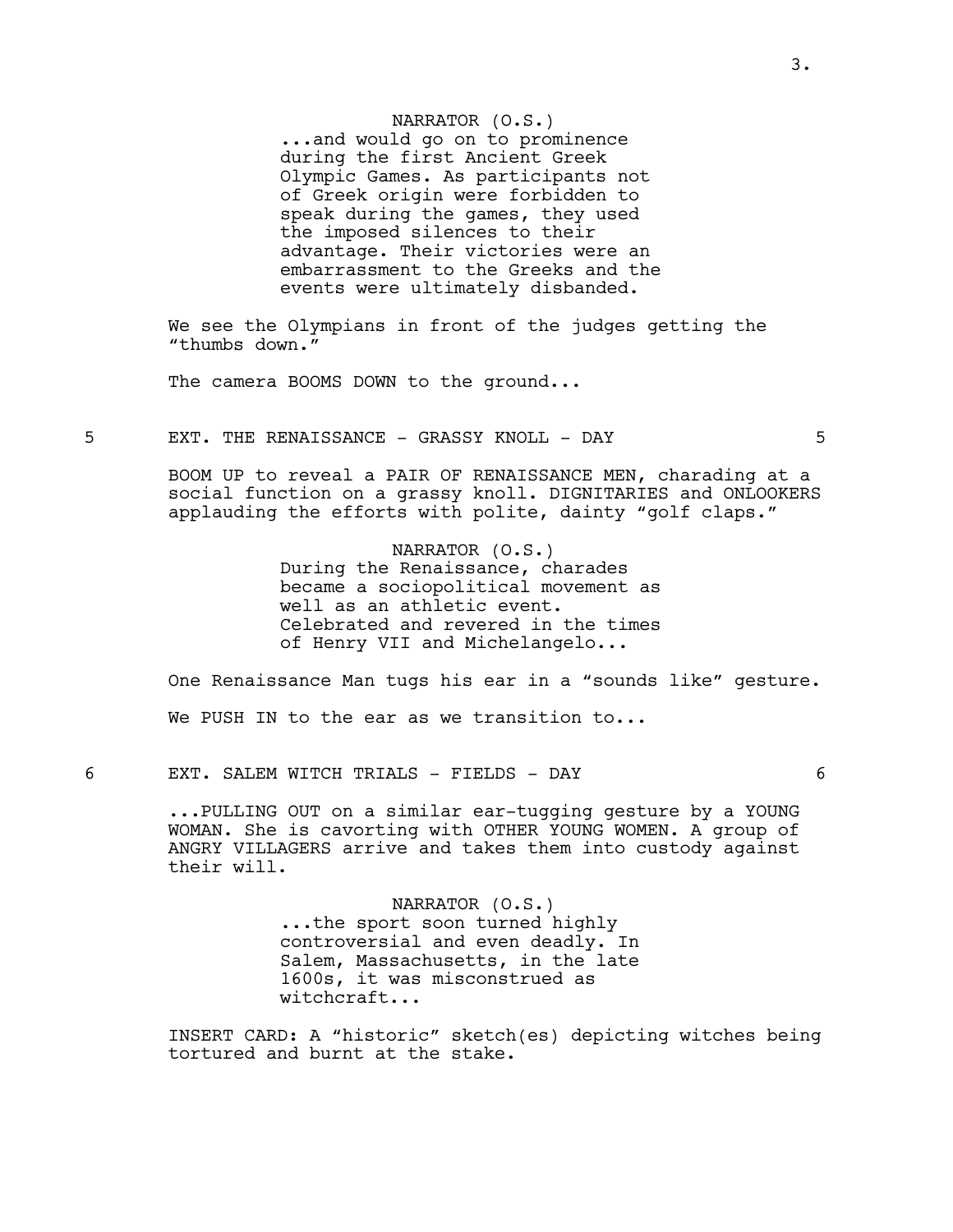## NARRATOR (O.S.)

...and would go on to prominence during the first Ancient Greek Olympic Games. As participants not of Greek origin were forbidden to speak during the games, they used the imposed silences to their advantage. Their victories were an embarrassment to the Greeks and the events were ultimately disbanded.

We see the Olympians in front of the judges getting the "thumbs down."

The camera BOOMS DOWN to the ground...

5 EXT. THE RENAISSANCE - GRASSY KNOLL - DAY 5

BOOM UP to reveal a PAIR OF RENAISSANCE MEN, charading at a social function on a grassy knoll. DIGNITARIES and ONLOOKERS applauding the efforts with polite, dainty "golf claps."

> NARRATOR (O.S.) During the Renaissance, charades became a sociopolitical movement as well as an athletic event. Celebrated and revered in the times of Henry VII and Michelangelo...

One Renaissance Man tugs his ear in a "sounds like" gesture.

We PUSH IN to the ear as we transition to...

6 EXT. SALEM WITCH TRIALS - FIELDS - DAY 6

...PULLING OUT on a similar ear-tugging gesture by a YOUNG WOMAN. She is cavorting with OTHER YOUNG WOMEN. A group of ANGRY VILLAGERS arrive and takes them into custody against their will.

> NARRATOR (O.S.) ...the sport soon turned highly controversial and even deadly. In Salem, Massachusetts, in the late 1600s, it was misconstrued as witchcraft...

INSERT CARD: A "historic" sketch(es) depicting witches being tortured and burnt at the stake.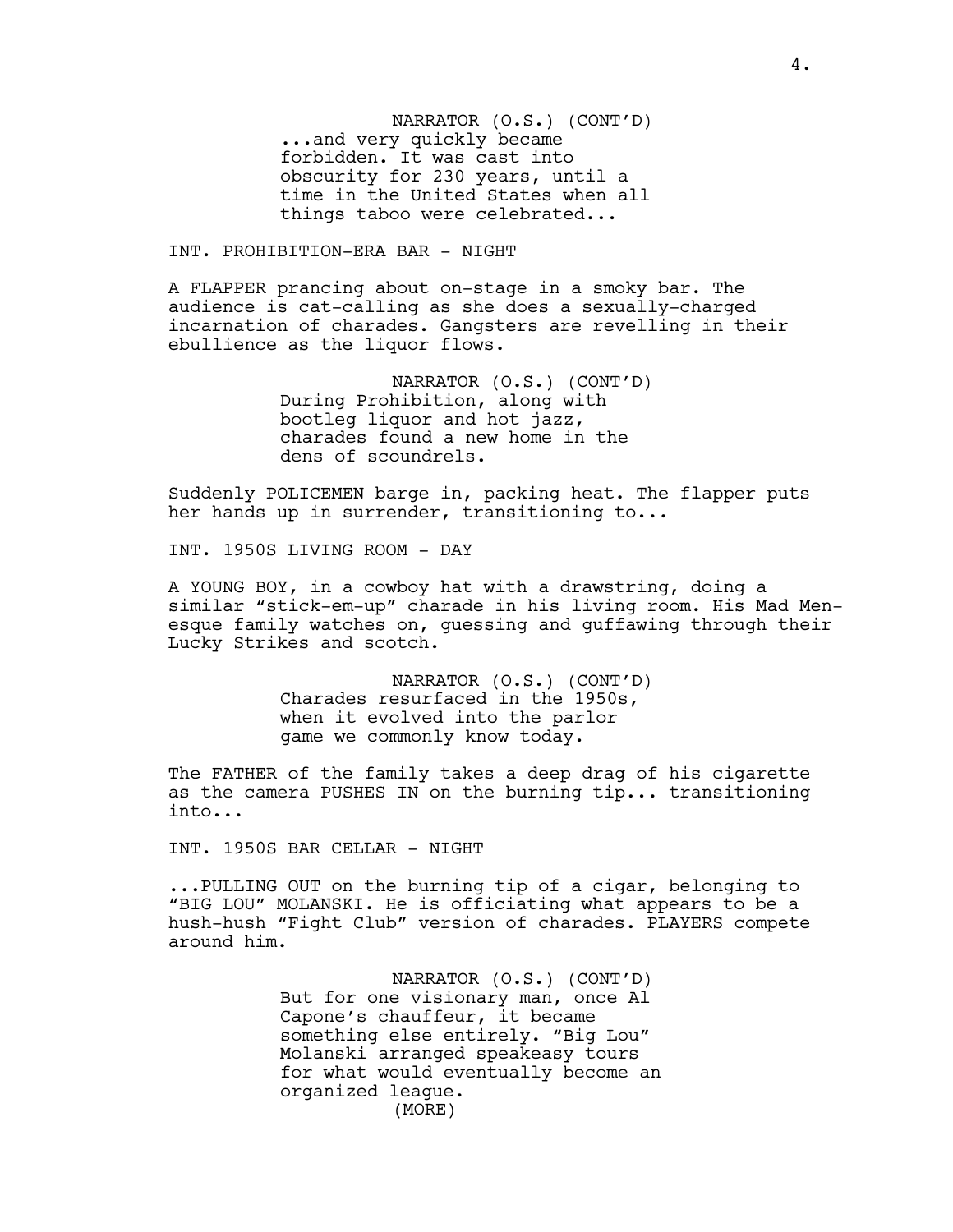NARRATOR (O.S.) (CONT'D) ...and very quickly became forbidden. It was cast into obscurity for 230 years, until a time in the United States when all things taboo were celebrated...

#### INT. PROHIBITION-ERA BAR - NIGHT

A FLAPPER prancing about on-stage in a smoky bar. The audience is cat-calling as she does a sexually-charged incarnation of charades. Gangsters are revelling in their ebullience as the liquor flows.

> NARRATOR (O.S.) (CONT'D) During Prohibition, along with bootleg liquor and hot jazz, charades found a new home in the dens of scoundrels.

Suddenly POLICEMEN barge in, packing heat. The flapper puts her hands up in surrender, transitioning to...

INT. 1950S LIVING ROOM - DAY

A YOUNG BOY, in a cowboy hat with a drawstring, doing a similar "stick-em-up" charade in his living room. His Mad Menesque family watches on, guessing and guffawing through their Lucky Strikes and scotch.

> NARRATOR (O.S.) (CONT'D) Charades resurfaced in the 1950s, when it evolved into the parlor game we commonly know today.

The FATHER of the family takes a deep drag of his cigarette as the camera PUSHES IN on the burning tip... transitioning into...

INT. 1950S BAR CELLAR - NIGHT

...PULLING OUT on the burning tip of a cigar, belonging to "BIG LOU" MOLANSKI. He is officiating what appears to be a hush-hush "Fight Club" version of charades. PLAYERS compete around him.

> NARRATOR (O.S.) (CONT'D) But for one visionary man, once Al Capone's chauffeur, it became something else entirely. "Big Lou" Molanski arranged speakeasy tours for what would eventually become an organized league. (MORE)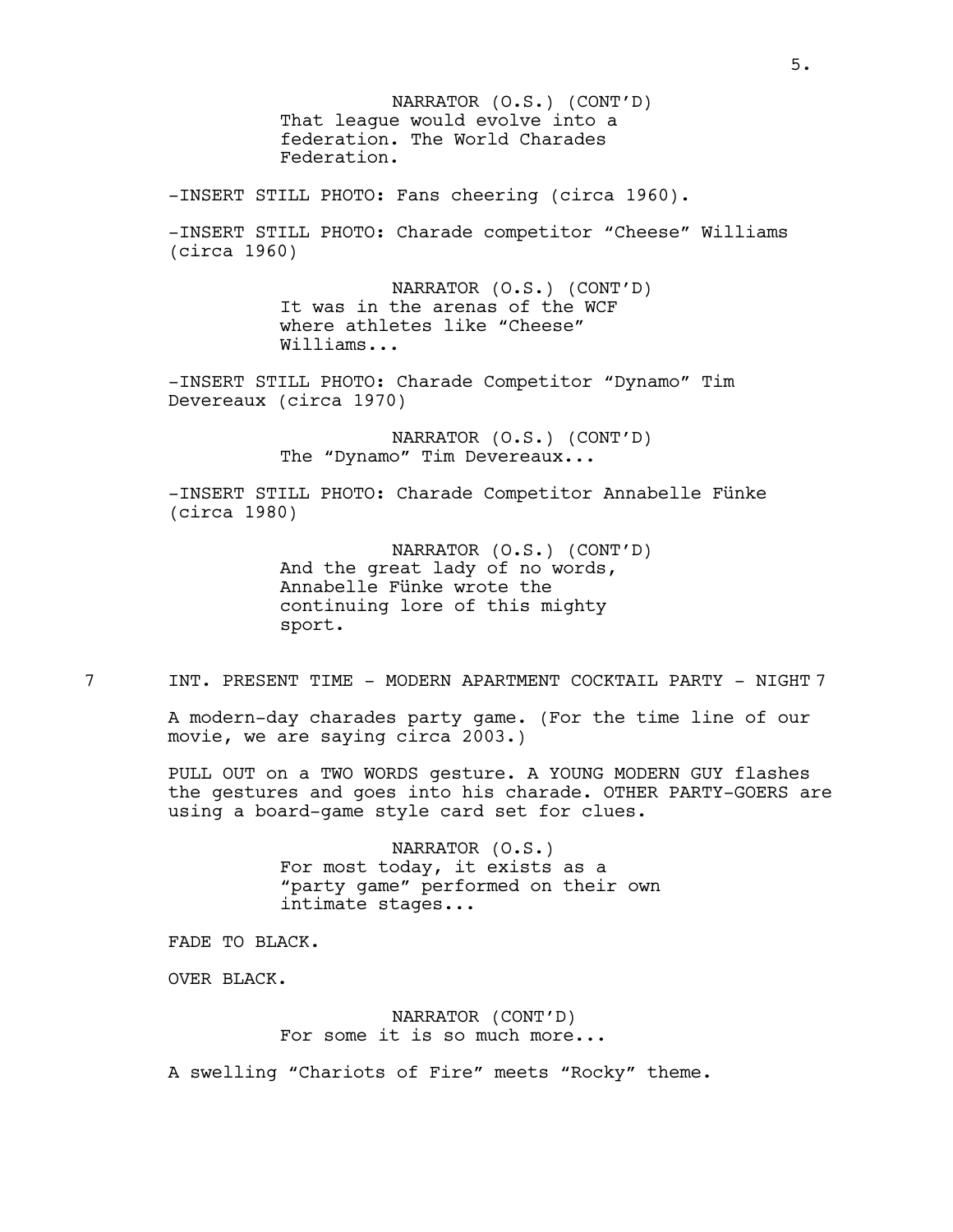That league would evolve into a federation. The World Charades Federation. NARRATOR (O.S.) (CONT'D)

-INSERT STILL PHOTO: Fans cheering (circa 1960).

-INSERT STILL PHOTO: Charade competitor "Cheese" Williams (circa 1960)

> NARRATOR (O.S.) (CONT'D) It was in the arenas of the WCF where athletes like "Cheese" Williams...

-INSERT STILL PHOTO: Charade Competitor "Dynamo" Tim Devereaux (circa 1970)

> NARRATOR (O.S.) (CONT'D) The "Dynamo" Tim Devereaux...

-INSERT STILL PHOTO: Charade Competitor Annabelle Fünke (circa 1980)

> NARRATOR (O.S.) (CONT'D) And the great lady of no words, Annabelle Fünke wrote the continuing lore of this mighty sport.

7 INT. PRESENT TIME - MODERN APARTMENT COCKTAIL PARTY - NIGHT 7

A modern-day charades party game. (For the time line of our movie, we are saying circa 2003.)

PULL OUT on a TWO WORDS gesture. A YOUNG MODERN GUY flashes the gestures and goes into his charade. OTHER PARTY-GOERS are using a board-game style card set for clues.

> NARRATOR (O.S.) For most today, it exists as a "party game" performed on their own intimate stages...

FADE TO BLACK.

OVER BLACK.

NARRATOR (CONT'D) For some it is so much more...

A swelling "Chariots of Fire" meets "Rocky" theme.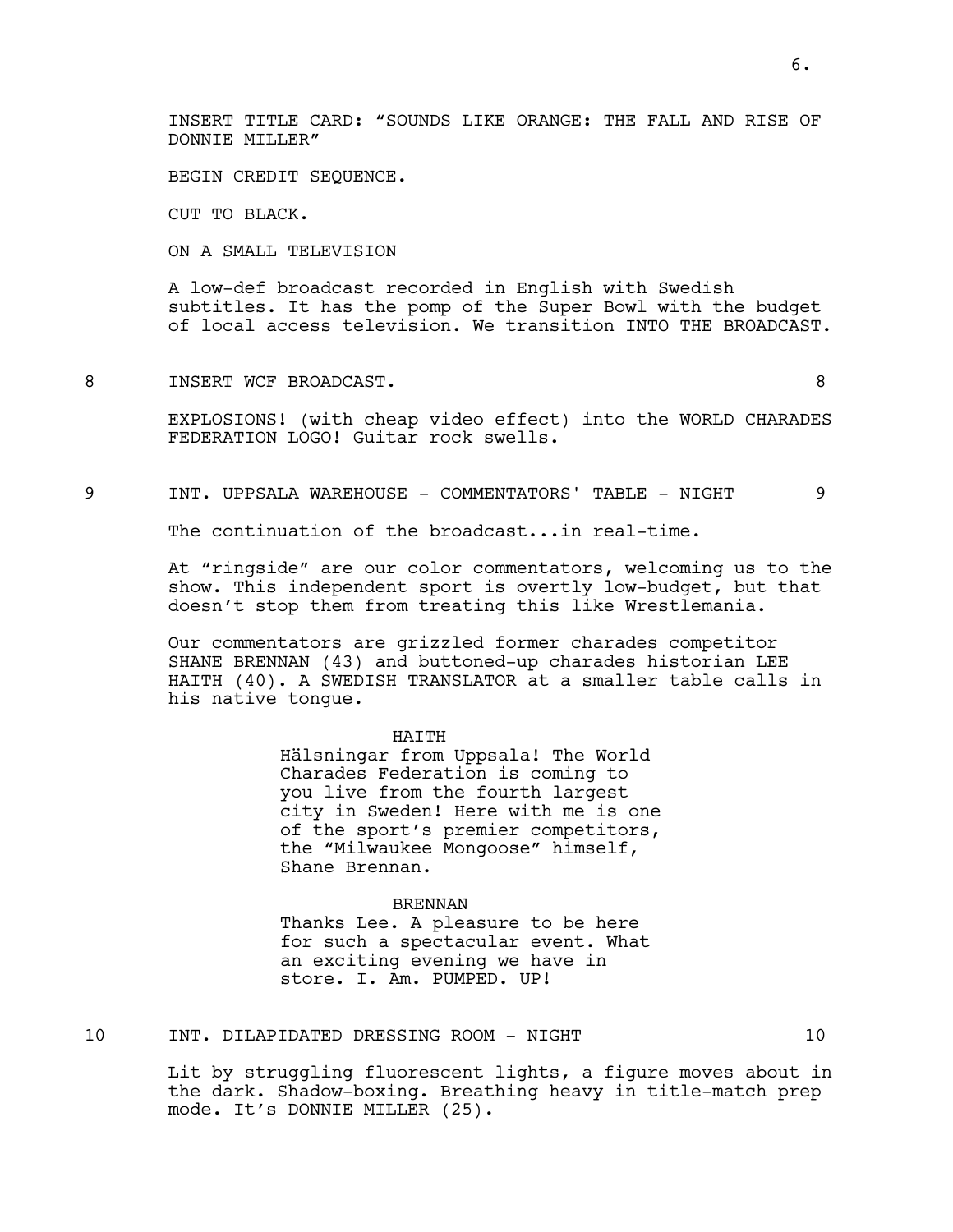INSERT TITLE CARD: "SOUNDS LIKE ORANGE: THE FALL AND RISE OF DONNIE MILLER"

BEGIN CREDIT SEQUENCE.

CUT TO BLACK.

ON A SMALL TELEVISION

A low-def broadcast recorded in English with Swedish subtitles. It has the pomp of the Super Bowl with the budget of local access television. We transition INTO THE BROADCAST.

8 INSERT WCF BROADCAST.

EXPLOSIONS! (with cheap video effect) into the WORLD CHARADES FEDERATION LOGO! Guitar rock swells.

9 INT. UPPSALA WAREHOUSE - COMMENTATORS' TABLE - NIGHT 9

The continuation of the broadcast...in real-time.

At "ringside" are our color commentators, welcoming us to the show. This independent sport is overtly low-budget, but that doesn't stop them from treating this like Wrestlemania.

Our commentators are grizzled former charades competitor SHANE BRENNAN (43) and buttoned-up charades historian LEE HAITH (40). A SWEDISH TRANSLATOR at a smaller table calls in his native tongue.

#### HAITH

Hälsningar from Uppsala! The World Charades Federation is coming to you live from the fourth largest city in Sweden! Here with me is one of the sport's premier competitors, the "Milwaukee Mongoose" himself, Shane Brennan.

#### BRENNAN

Thanks Lee. A pleasure to be here for such a spectacular event. What an exciting evening we have in store. I. Am. PUMPED. UP!

10 INT. DILAPIDATED DRESSING ROOM - NIGHT 10

Lit by struggling fluorescent lights, a figure moves about in the dark. Shadow-boxing. Breathing heavy in title-match prep mode. It's DONNIE MILLER (25).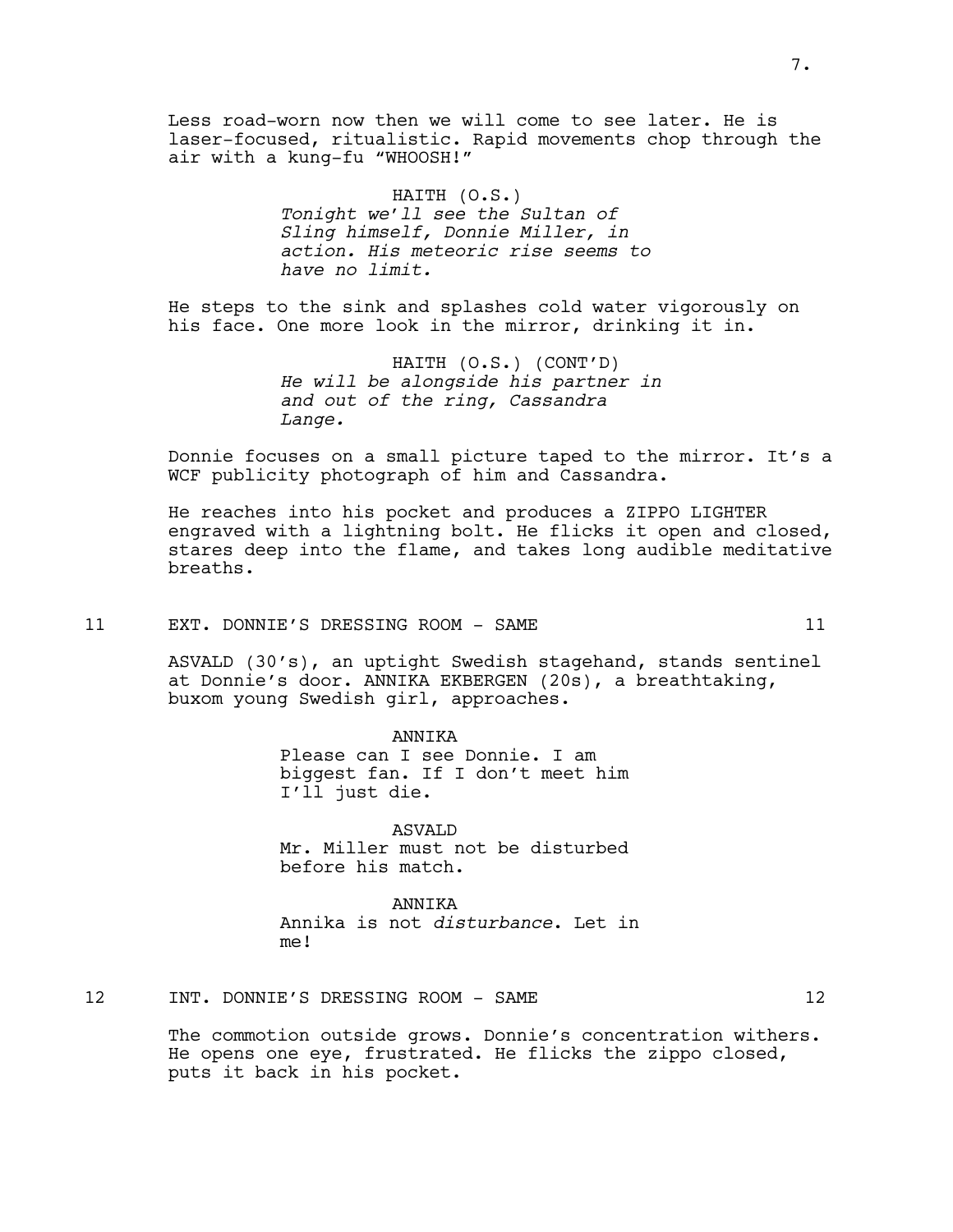Less road-worn now then we will come to see later. He is laser-focused, ritualistic. Rapid movements chop through the air with a kung-fu "WHOOSH!"

> HAITH (O.S.) *Tonight we'll see the Sultan of Sling himself, Donnie Miller, in action. His meteoric rise seems to have no limit.*

He steps to the sink and splashes cold water vigorously on his face. One more look in the mirror, drinking it in.

> HAITH (O.S.) (CONT'D) *He will be alongside his partner in and out of the ring, Cassandra Lange.*

Donnie focuses on a small picture taped to the mirror. It's a WCF publicity photograph of him and Cassandra.

He reaches into his pocket and produces a ZIPPO LIGHTER engraved with a lightning bolt. He flicks it open and closed, stares deep into the flame, and takes long audible meditative breaths.

#### 11 EXT. DONNIE'S DRESSING ROOM - SAME 11

ASVALD (30's), an uptight Swedish stagehand, stands sentinel at Donnie's door. ANNIKA EKBERGEN (20s), a breathtaking, buxom young Swedish girl, approaches.

> ANNIKA Please can I see Donnie. I am biggest fan. If I don't meet him I'll just die.

> ASVALD Mr. Miller must not be disturbed before his match.

ANNIKA Annika is not *disturbance*. Let in me!

12 INT. DONNIE'S DRESSING ROOM - SAME 12

The commotion outside grows. Donnie's concentration withers. He opens one eye, frustrated. He flicks the zippo closed, puts it back in his pocket.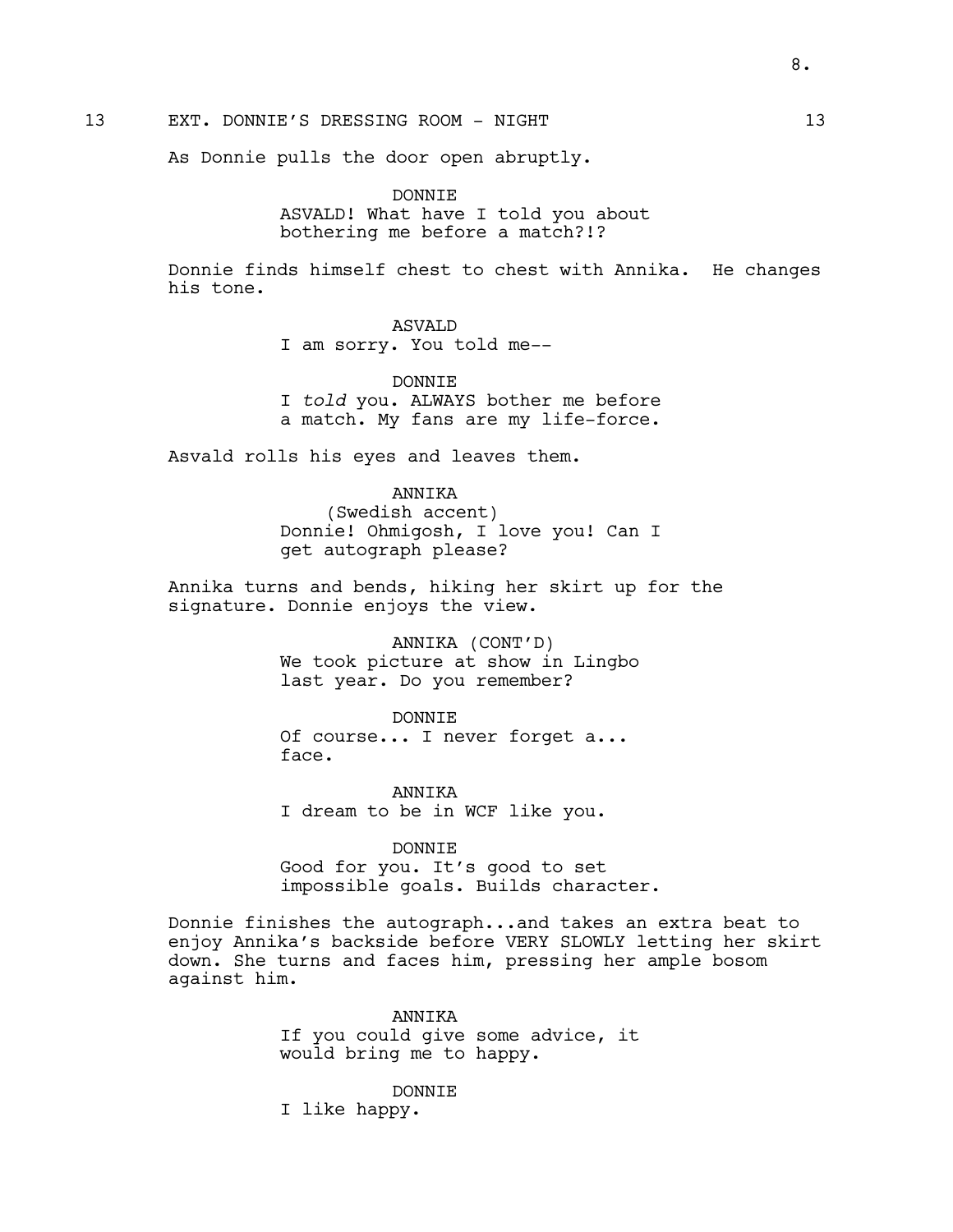13 EXT. DONNIE'S DRESSING ROOM - NIGHT 13

As Donnie pulls the door open abruptly.

DONNIE ASVALD! What have I told you about bothering me before a match?!?

Donnie finds himself chest to chest with Annika. He changes his tone.

## ASVALD

I am sorry. You told me--

## DONNIE

I *told* you. ALWAYS bother me before a match. My fans are my life-force.

Asvald rolls his eyes and leaves them.

# ANNIKA

(Swedish accent) Donnie! Ohmigosh, I love you! Can I get autograph please?

Annika turns and bends, hiking her skirt up for the signature. Donnie enjoys the view.

> ANNIKA (CONT'D) We took picture at show in Lingbo last year. Do you remember?

DONNIE Of course... I never forget a... face.

ANNIKA I dream to be in WCF like you.

#### DONNIE

Good for you. It's good to set impossible goals. Builds character.

Donnie finishes the autograph...and takes an extra beat to enjoy Annika's backside before VERY SLOWLY letting her skirt down. She turns and faces him, pressing her ample bosom against him.

> ANNIKA If you could give some advice, it would bring me to happy.

DONNIE I like happy.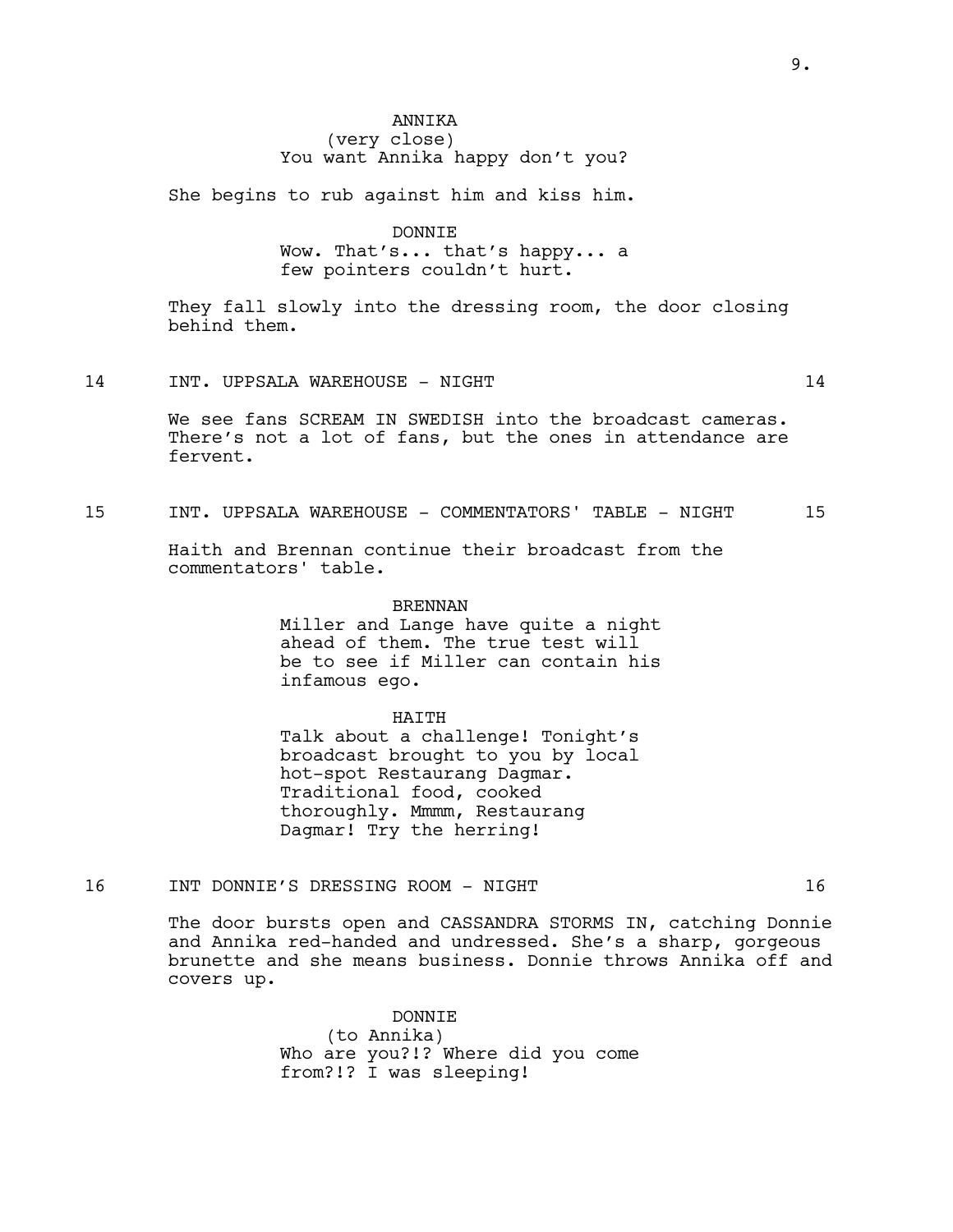# ANNIKA (very close) You want Annika happy don't you?

She begins to rub against him and kiss him.

DONNIE

Wow. That's... that's happy... a few pointers couldn't hurt.

They fall slowly into the dressing room, the door closing behind them.

14 INT. UPPSALA WAREHOUSE - NIGHT 14

We see fans SCREAM IN SWEDISH into the broadcast cameras. There's not a lot of fans, but the ones in attendance are fervent.

15 INT. UPPSALA WAREHOUSE - COMMENTATORS' TABLE - NIGHT 15

Haith and Brennan continue their broadcast from the commentators' table.

> BRENNAN Miller and Lange have quite a night ahead of them. The true test will be to see if Miller can contain his infamous ego.

HAITH Talk about a challenge! Tonight's broadcast brought to you by local hot-spot Restaurang Dagmar. Traditional food, cooked

thoroughly. Mmmm, Restaurang Dagmar! Try the herring!

16 INT DONNIE'S DRESSING ROOM - NIGHT 16

The door bursts open and CASSANDRA STORMS IN, catching Donnie and Annika red-handed and undressed. She's a sharp, gorgeous brunette and she means business. Donnie throws Annika off and covers up.

> DONNIE (to Annika) Who are you?!? Where did you come from?!? I was sleeping!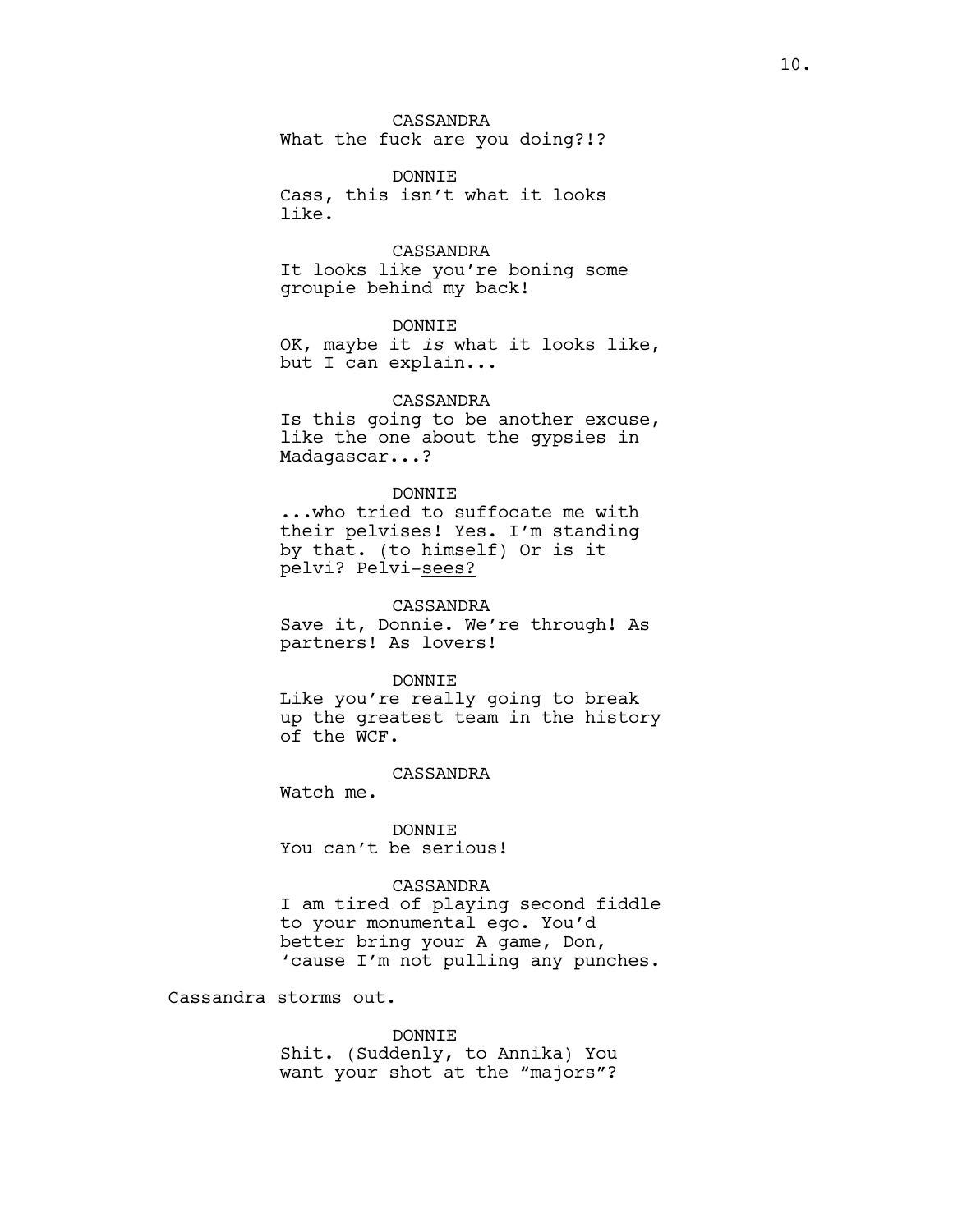CASSANDRA What the fuck are you doing?!?

DONNIE Cass, this isn't what it looks like.

CASSANDRA It looks like you're boning some groupie behind my back!

DONNIE OK, maybe it *is* what it looks like, but I can explain...

## CASSANDRA

Is this going to be another excuse, like the one about the gypsies in Madagascar...?

## DONNIE

...who tried to suffocate me with their pelvises! Yes. I'm standing by that. (to himself) Or is it pelvi? Pelvi-sees?

#### CASSANDRA

Save it, Donnie. We're through! As partners! As lovers!

#### DONNIE

Like you're really going to break up the greatest team in the history of the WCF.

# CASSANDRA

Watch me.

DONNIE You can't be serious!

## CASSANDRA

I am tired of playing second fiddle to your monumental ego. You'd better bring your A game, Don, 'cause I'm not pulling any punches.

Cassandra storms out.

#### DONNIE

Shit. (Suddenly, to Annika) You want your shot at the "majors"?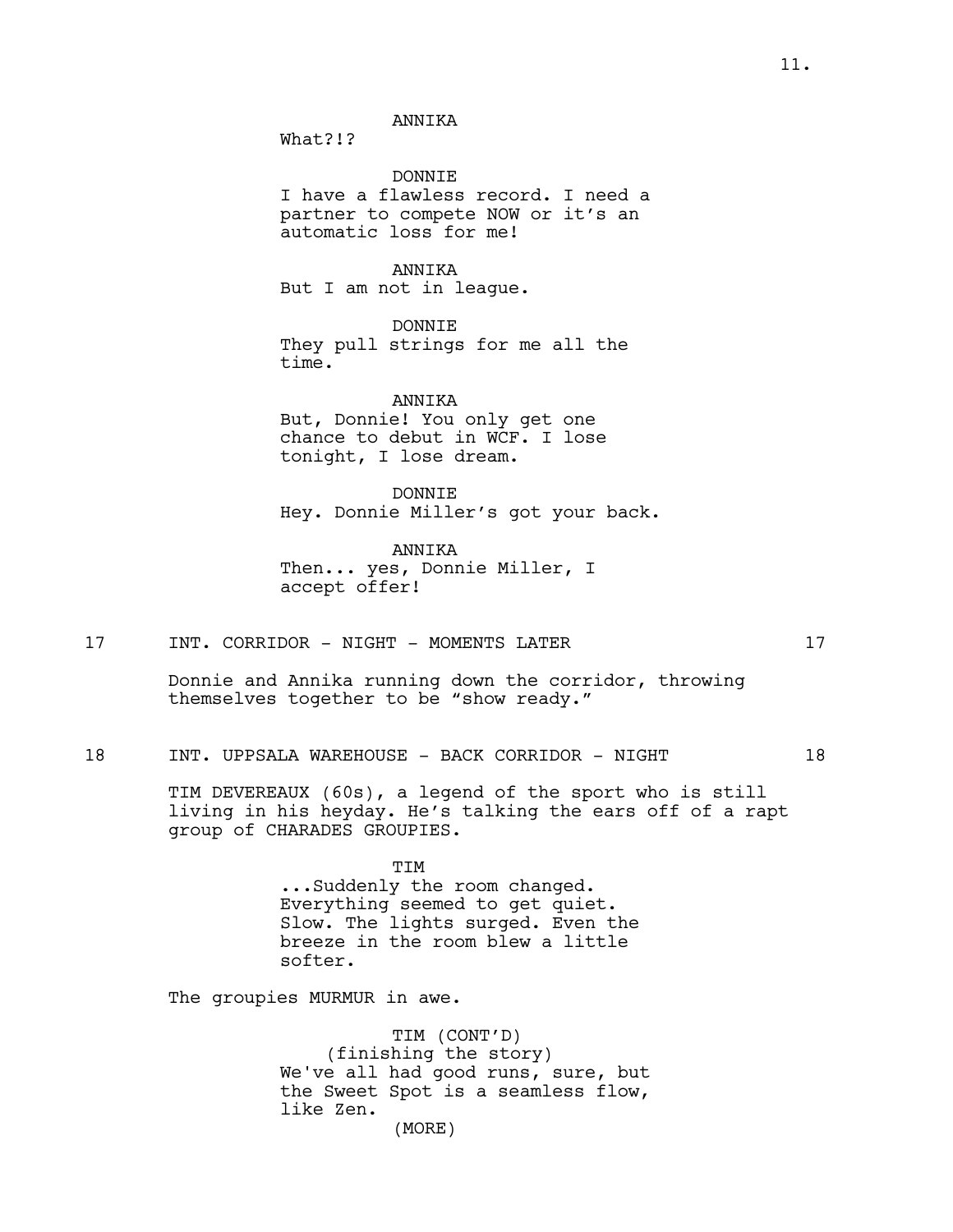What?!?

DONNIE I have a flawless record. I need a partner to compete NOW or it's an automatic loss for me!

ANNIKA But I am not in league.

DONNIE They pull strings for me all the time.

ANNIKA But, Donnie! You only get one chance to debut in WCF. I lose tonight, I lose dream.

DONNIE Hey. Donnie Miller's got your back.

ANNIKA Then... yes, Donnie Miller, I accept offer!

17 INT. CORRIDOR - NIGHT - MOMENTS LATER 17

18 INT. UPPSALA WAREHOUSE - BACK CORRIDOR - NIGHT 18

TIM DEVEREAUX (60s), a legend of the sport who is still living in his heyday. He's talking the ears off of a rapt group of CHARADES GROUPIES.

> TIM ...Suddenly the room changed. Everything seemed to get quiet. Slow. The lights surged. Even the breeze in the room blew a little softer.

The groupies MURMUR in awe.

TIM (CONT'D) (finishing the story) We've all had good runs, sure, but the Sweet Spot is a seamless flow, like Zen. (MORE)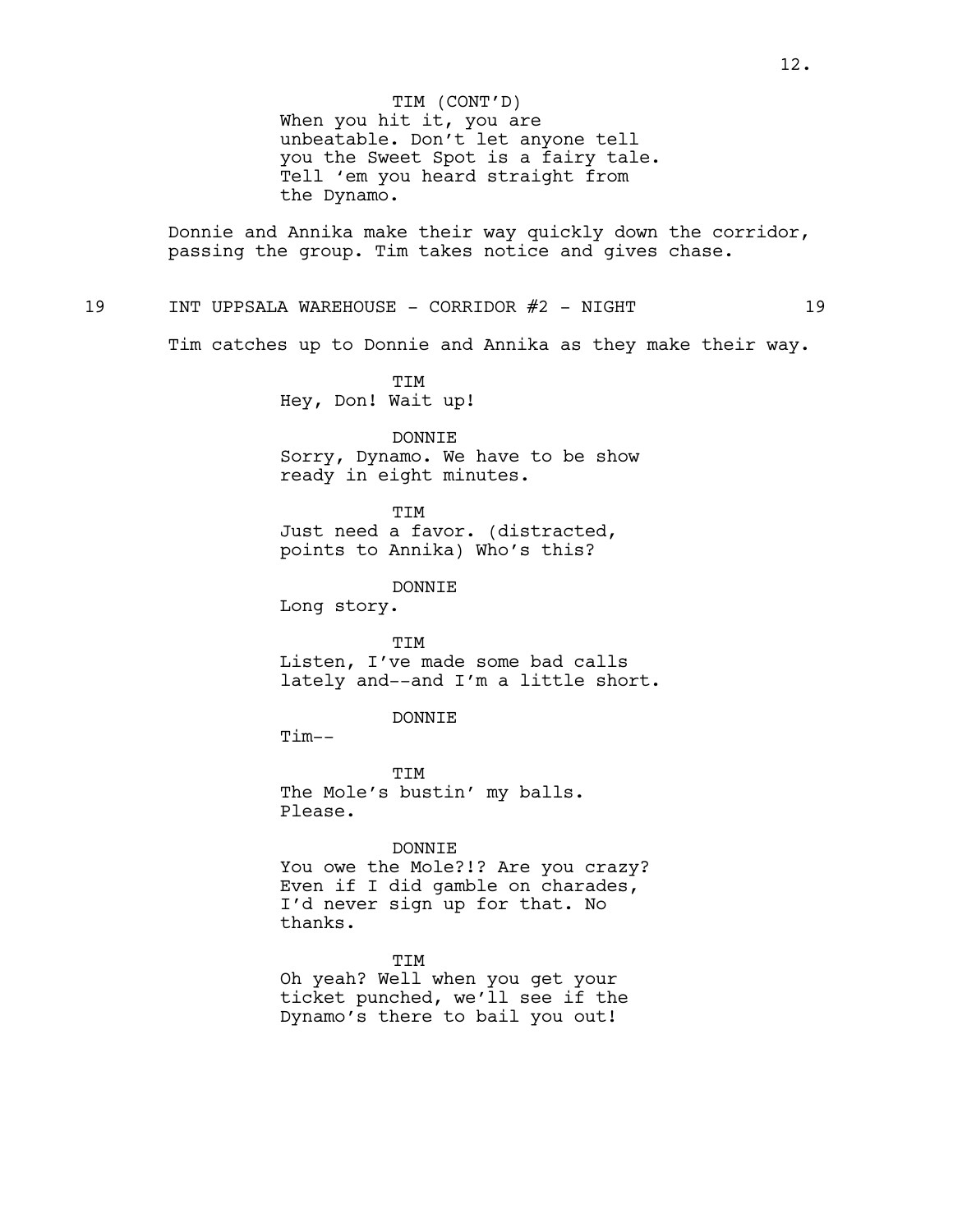Donnie and Annika make their way quickly down the corridor, passing the group. Tim takes notice and gives chase.

# 19 INT UPPSALA WAREHOUSE - CORRIDOR #2 - NIGHT 19

Tim catches up to Donnie and Annika as they make their way.

TIM Hey, Don! Wait up!

DONNIE Sorry, Dynamo. We have to be show ready in eight minutes.

TIM Just need a favor. (distracted, points to Annika) Who's this?

DONNIE

Long story.

TIM Listen, I've made some bad calls lately and--and I'm a little short.

DONNIE

 $Tim--$ 

**TTM** The Mole's bustin' my balls. Please.

#### DONNIE

You owe the Mole?!? Are you crazy? Even if I did gamble on charades, I'd never sign up for that. No thanks.

TIM Oh yeah? Well when you get your ticket punched, we'll see if the Dynamo's there to bail you out!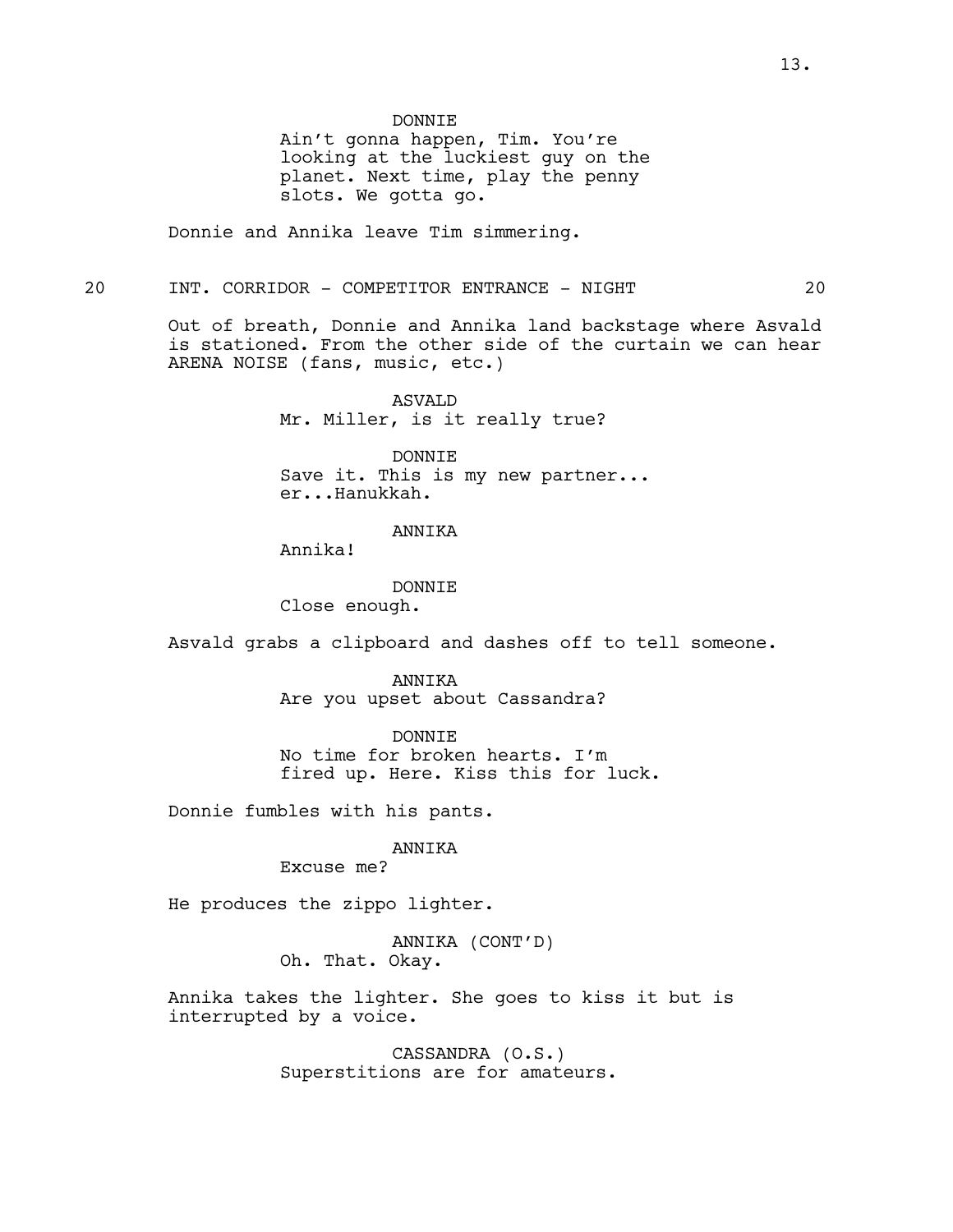Ain't gonna happen, Tim. You're looking at the luckiest guy on the planet. Next time, play the penny slots. We gotta go.

Donnie and Annika leave Tim simmering.

#### 20 INT. CORRIDOR - COMPETITOR ENTRANCE - NIGHT 20

Out of breath, Donnie and Annika land backstage where Asvald is stationed. From the other side of the curtain we can hear ARENA NOISE (fans, music, etc.)

> ASVALD Mr. Miller, is it really true?

DONNIE Save it. This is my new partner... er...Hanukkah.

## ANNIKA

Annika!

DONNIE Close enough.

Asvald grabs a clipboard and dashes off to tell someone.

ANNIKA Are you upset about Cassandra?

DONNIE No time for broken hearts. I'm fired up. Here. Kiss this for luck.

Donnie fumbles with his pants.

## ANNIKA

Excuse me?

He produces the zippo lighter.

ANNIKA (CONT'D) Oh. That. Okay.

Annika takes the lighter. She goes to kiss it but is interrupted by a voice.

> CASSANDRA (O.S.) Superstitions are for amateurs.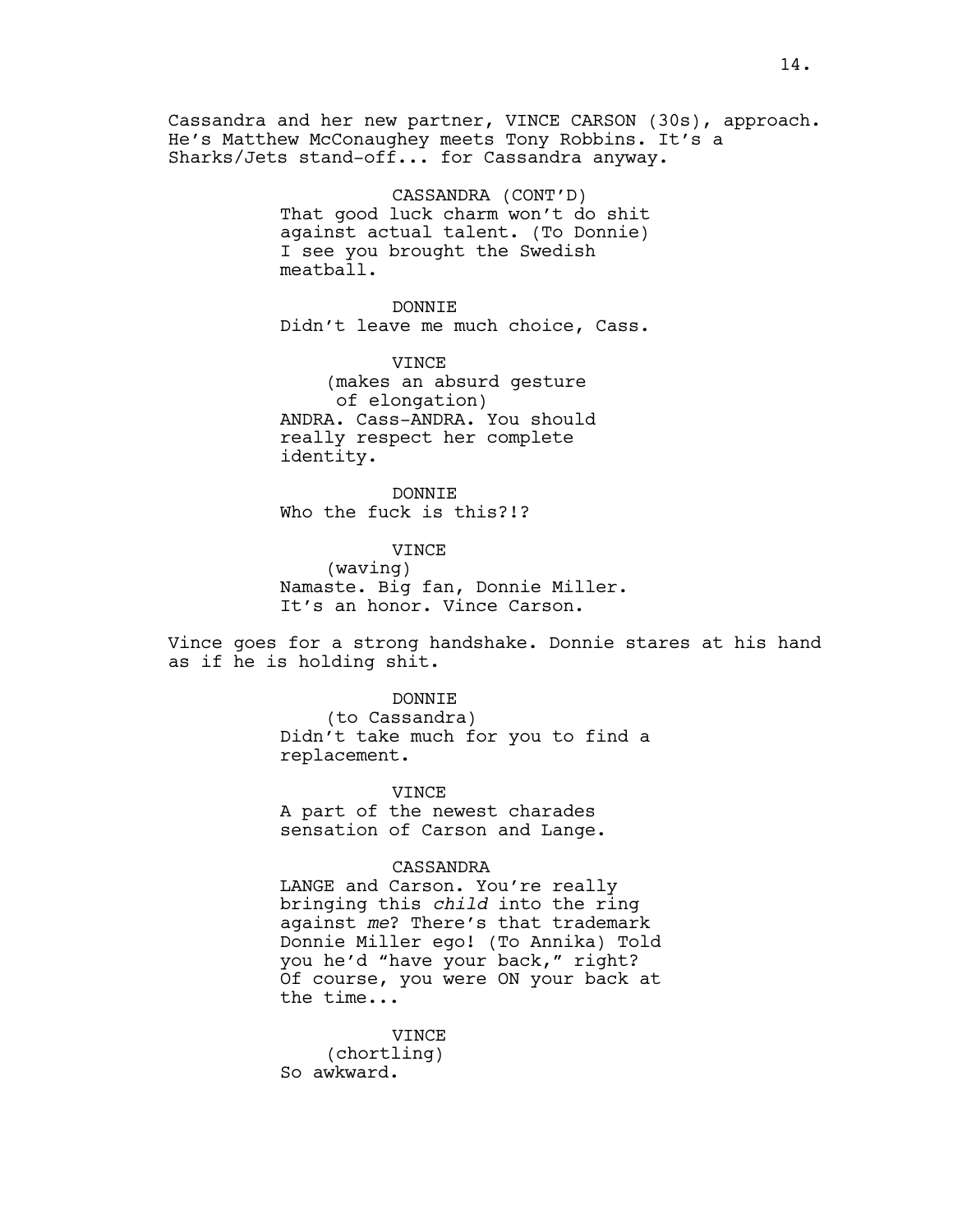Cassandra and her new partner, VINCE CARSON (30s), approach. He's Matthew McConaughey meets Tony Robbins. It's a Sharks/Jets stand-off... for Cassandra anyway.

> CASSANDRA (CONT'D) That good luck charm won't do shit against actual talent. (To Donnie) I see you brought the Swedish meatball.

> DONNIE Didn't leave me much choice, Cass.

VINCE (makes an absurd gesture of elongation) ANDRA. Cass-ANDRA. You should really respect her complete identity.

DONNIE Who the fuck is this?!?

VINCE (waving) Namaste. Big fan, Donnie Miller. It's an honor. Vince Carson.

Vince goes for a strong handshake. Donnie stares at his hand as if he is holding shit.

DONNIE

(to Cassandra) Didn't take much for you to find a replacement.

VINCE

A part of the newest charades sensation of Carson and Lange.

CASSANDRA

LANGE and Carson. You're really bringing this *child* into the ring against *me*? There's that trademark Donnie Miller ego! (To Annika) Told you he'd "have your back," right? Of course, you were ON your back at the time...

VINCE (chortling) So awkward.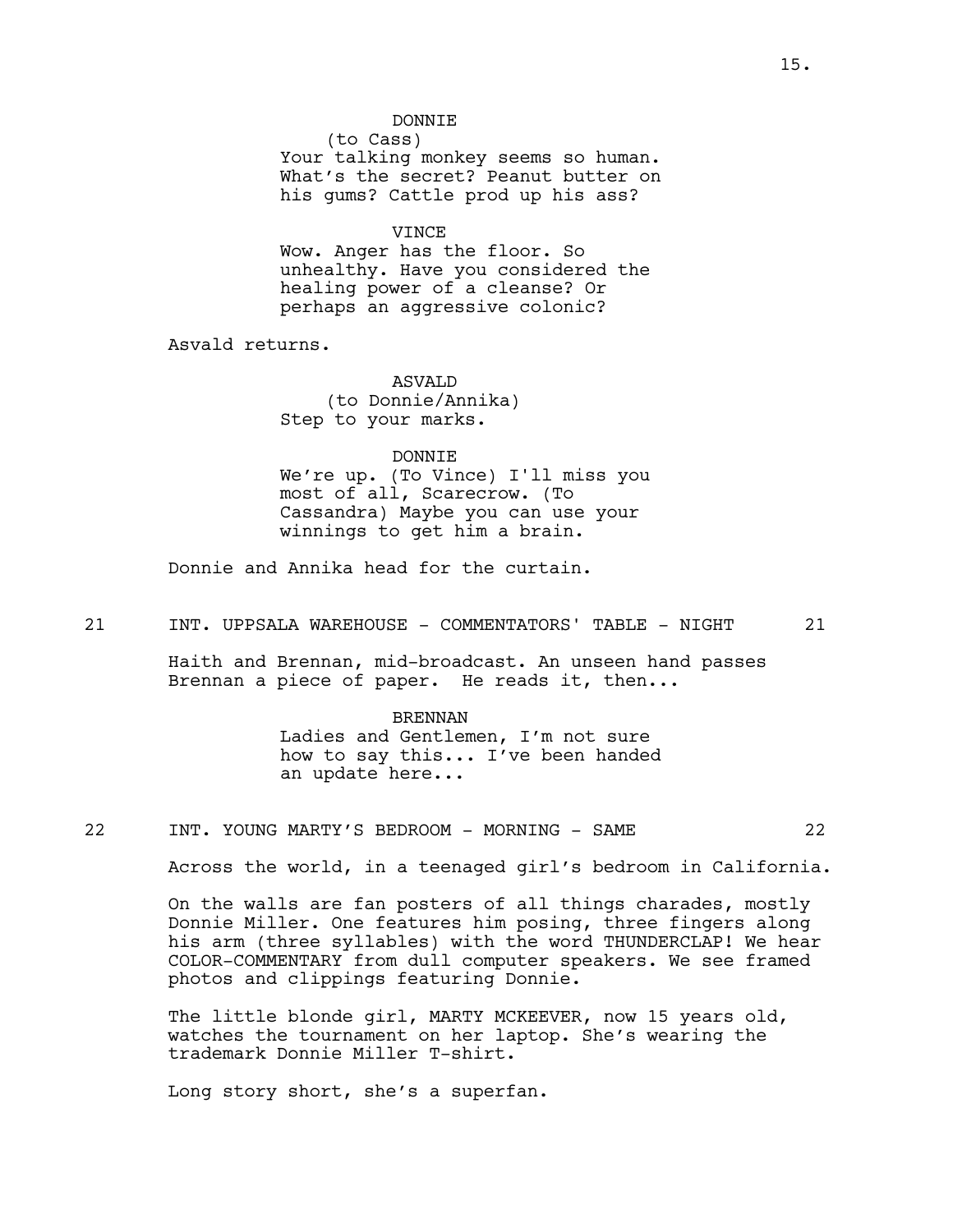## DONNIE

(to Cass) Your talking monkey seems so human. What's the secret? Peanut butter on his gums? Cattle prod up his ass?

VINCE

Wow. Anger has the floor. So unhealthy. Have you considered the healing power of a cleanse? Or perhaps an aggressive colonic?

Asvald returns.

ASVALD (to Donnie/Annika) Step to your marks.

### DONNIE

We're up. (To Vince) I'll miss you most of all, Scarecrow. (To Cassandra) Maybe you can use your winnings to get him a brain.

Donnie and Annika head for the curtain.

21 INT. UPPSALA WAREHOUSE - COMMENTATORS' TABLE - NIGHT 21

Haith and Brennan, mid-broadcast. An unseen hand passes Brennan a piece of paper. He reads it, then...

#### BRENNAN

Ladies and Gentlemen, I'm not sure how to say this... I've been handed an update here...

22 INT. YOUNG MARTY'S BEDROOM - MORNING - SAME 22

Across the world, in a teenaged girl's bedroom in California.

On the walls are fan posters of all things charades, mostly Donnie Miller. One features him posing, three fingers along his arm (three syllables) with the word THUNDERCLAP! We hear COLOR-COMMENTARY from dull computer speakers. We see framed photos and clippings featuring Donnie.

The little blonde girl, MARTY MCKEEVER, now 15 years old, watches the tournament on her laptop. She's wearing the trademark Donnie Miller T-shirt.

Long story short, she's a superfan.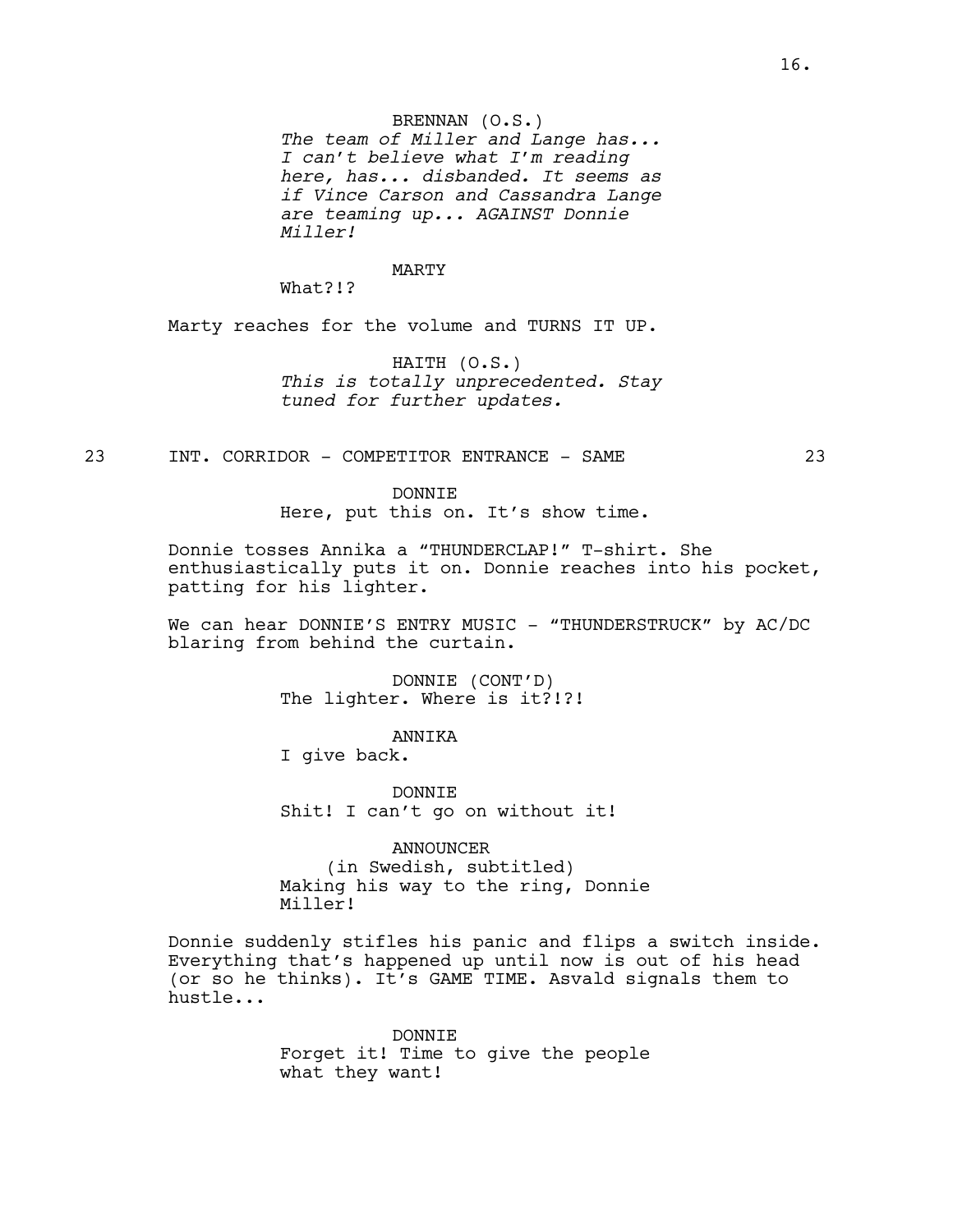# BRENNAN (O.S.)

*The team of Miller and Lange has... I can't believe what I'm reading here, has... disbanded. It seems as if Vince Carson and Cassandra Lange are teaming up... AGAINST Donnie Miller!*

#### MARTY

What?!?

Marty reaches for the volume and TURNS IT UP.

HAITH (O.S.) *This is totally unprecedented. Stay tuned for further updates.*

23 INT. CORRIDOR - COMPETITOR ENTRANCE - SAME 23

DONNIE Here, put this on. It's show time.

Donnie tosses Annika a "THUNDERCLAP!" T-shirt. She enthusiastically puts it on. Donnie reaches into his pocket, patting for his lighter.

We can hear DONNIE'S ENTRY MUSIC - "THUNDERSTRUCK" by AC/DC blaring from behind the curtain.

> DONNIE (CONT'D) The lighter. Where is it?!?!

> > ANNIKA

I give back.

DONNIE Shit! I can't go on without it!

ANNOUNCER (in Swedish, subtitled) Making his way to the ring, Donnie Miller!

Donnie suddenly stifles his panic and flips a switch inside. Everything that's happened up until now is out of his head (or so he thinks). It's GAME TIME. Asvald signals them to hustle...

> DONNIE Forget it! Time to give the people what they want!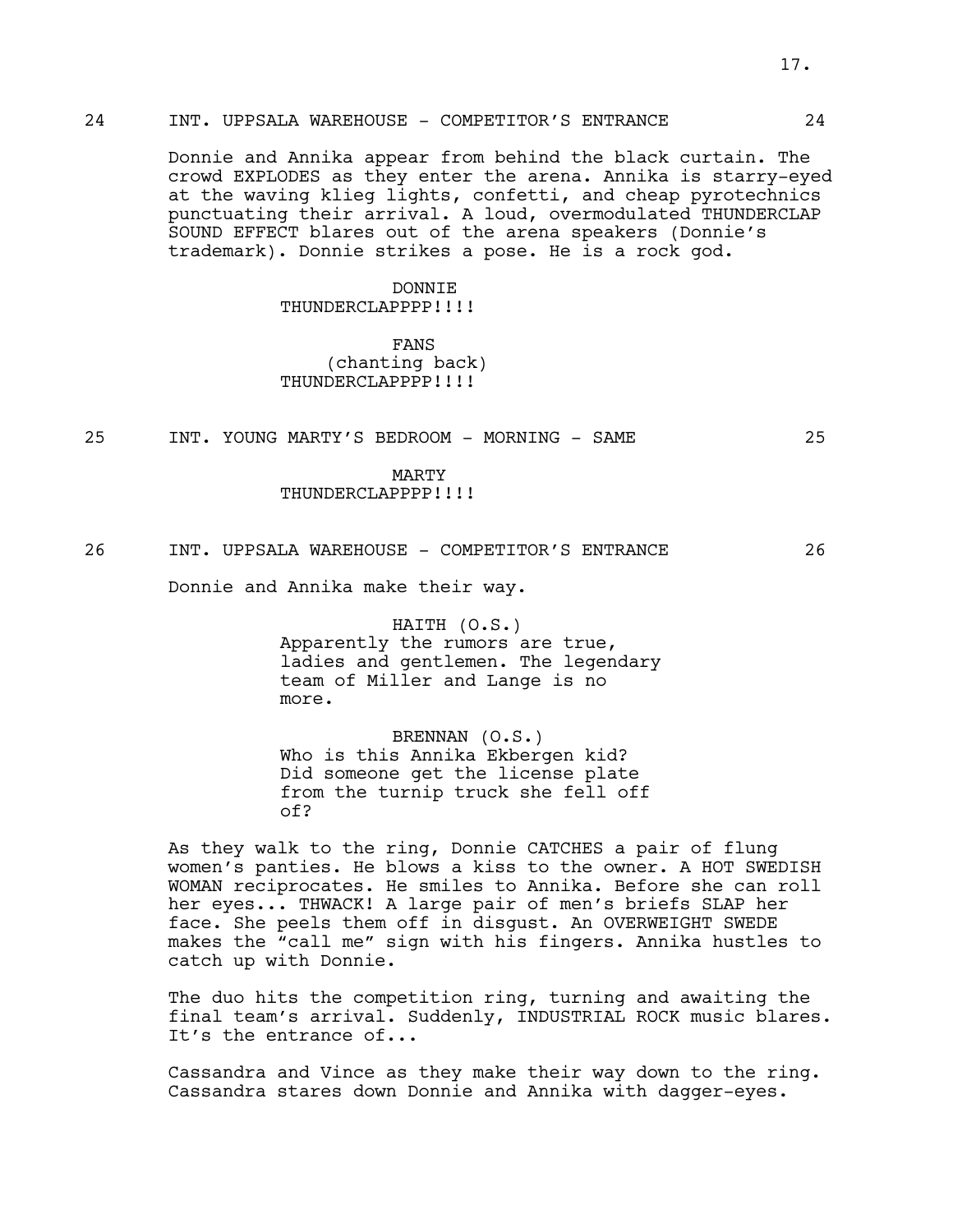# 24 INT. UPPSALA WAREHOUSE - COMPETITOR'S ENTRANCE 24

Donnie and Annika appear from behind the black curtain. The crowd EXPLODES as they enter the arena. Annika is starry-eyed at the waving klieg lights, confetti, and cheap pyrotechnics punctuating their arrival. A loud, overmodulated THUNDERCLAP SOUND EFFECT blares out of the arena speakers (Donnie's trademark). Donnie strikes a pose. He is a rock god.

## DONNIE

# THUNDERCLAPPPP!!!!

FANS (chanting back) THUNDERCLAPPPP!!!!

25 INT. YOUNG MARTY'S BEDROOM - MORNING - SAME 25

MARTY

## THUNDERCLAPPPP!!!!

## 26 INT. UPPSALA WAREHOUSE - COMPETITOR'S ENTRANCE 26

Donnie and Annika make their way.

HAITH (O.S.) Apparently the rumors are true, ladies and gentlemen. The legendary team of Miller and Lange is no more.

BRENNAN (O.S.) Who is this Annika Ekbergen kid? Did someone get the license plate from the turnip truck she fell off of?

As they walk to the ring, Donnie CATCHES a pair of flung women's panties. He blows a kiss to the owner. A HOT SWEDISH WOMAN reciprocates. He smiles to Annika. Before she can roll her eyes... THWACK! A large pair of men's briefs SLAP her face. She peels them off in disgust. An OVERWEIGHT SWEDE makes the "call me" sign with his fingers. Annika hustles to catch up with Donnie.

The duo hits the competition ring, turning and awaiting the final team's arrival. Suddenly, INDUSTRIAL ROCK music blares. It's the entrance of...

Cassandra and Vince as they make their way down to the ring. Cassandra stares down Donnie and Annika with dagger-eyes.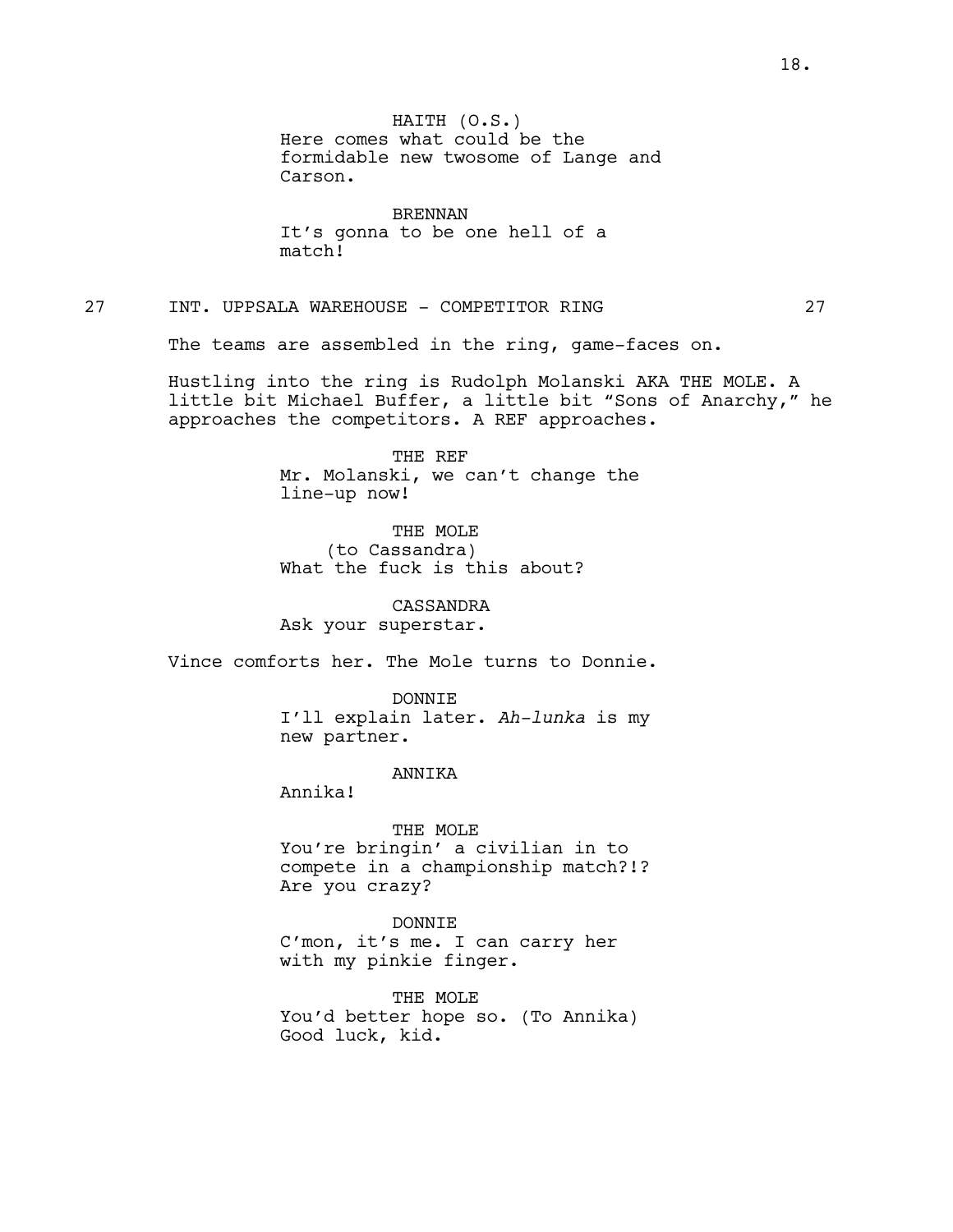BRENNAN It's gonna to be one hell of a match!

# 27 INT. UPPSALA WAREHOUSE - COMPETITOR RING 27

The teams are assembled in the ring, game-faces on.

Hustling into the ring is Rudolph Molanski AKA THE MOLE. A little bit Michael Buffer, a little bit "Sons of Anarchy," he approaches the competitors. A REF approaches.

> THE REF Mr. Molanski, we can't change the line-up now!

THE MOLE (to Cassandra) What the fuck is this about?

CASSANDRA Ask your superstar.

Vince comforts her. The Mole turns to Donnie.

DONNIE I'll explain later. *Ah-lunka* is my new partner.

ANNIKA

Annika!

#### THE MOLE

You're bringin' a civilian in to compete in a championship match?!? Are you crazy?

## DONNIE

C'mon, it's me. I can carry her with my pinkie finger.

THE MOLE You'd better hope so. (To Annika) Good luck, kid.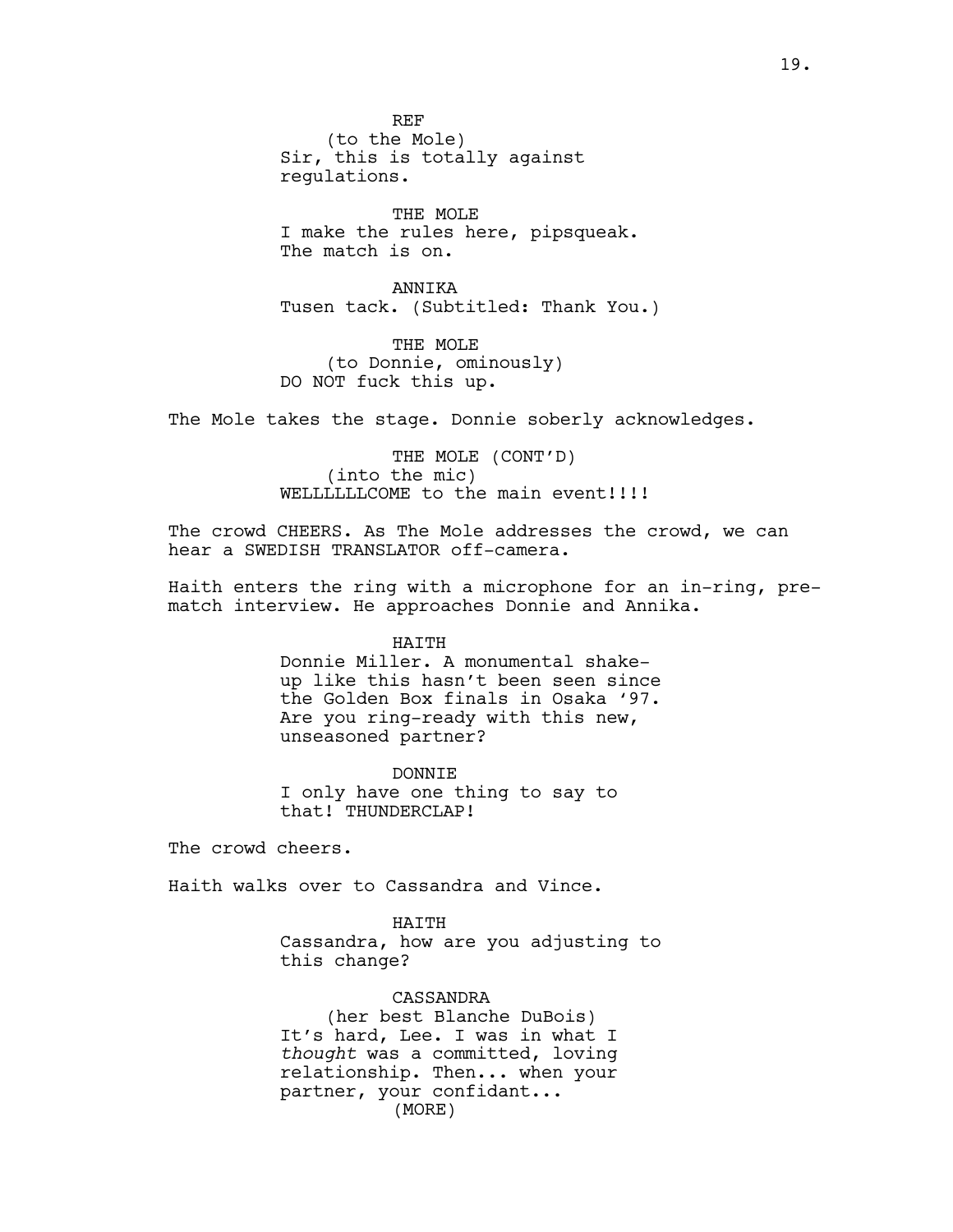THE MOLE I make the rules here, pipsqueak. The match is on.

ANNIKA Tusen tack. (Subtitled: Thank You.)

THE MOLE (to Donnie, ominously) DO NOT fuck this up.

The Mole takes the stage. Donnie soberly acknowledges.

THE MOLE (CONT'D) (into the mic) WELLLLLLCOME to the main event!!!!

The crowd CHEERS. As The Mole addresses the crowd, we can hear a SWEDISH TRANSLATOR off-camera.

Haith enters the ring with a microphone for an in-ring, prematch interview. He approaches Donnie and Annika.

HAITH

Donnie Miller. A monumental shakeup like this hasn't been seen since the Golden Box finals in Osaka '97. Are you ring-ready with this new, unseasoned partner?

DONNIE I only have one thing to say to that! THUNDERCLAP!

The crowd cheers.

Haith walks over to Cassandra and Vince.

#### HAITH

Cassandra, how are you adjusting to this change?

CASSANDRA

(her best Blanche DuBois) It's hard, Lee. I was in what I *thought* was a committed, loving relationship. Then... when your partner, your confidant... (MORE)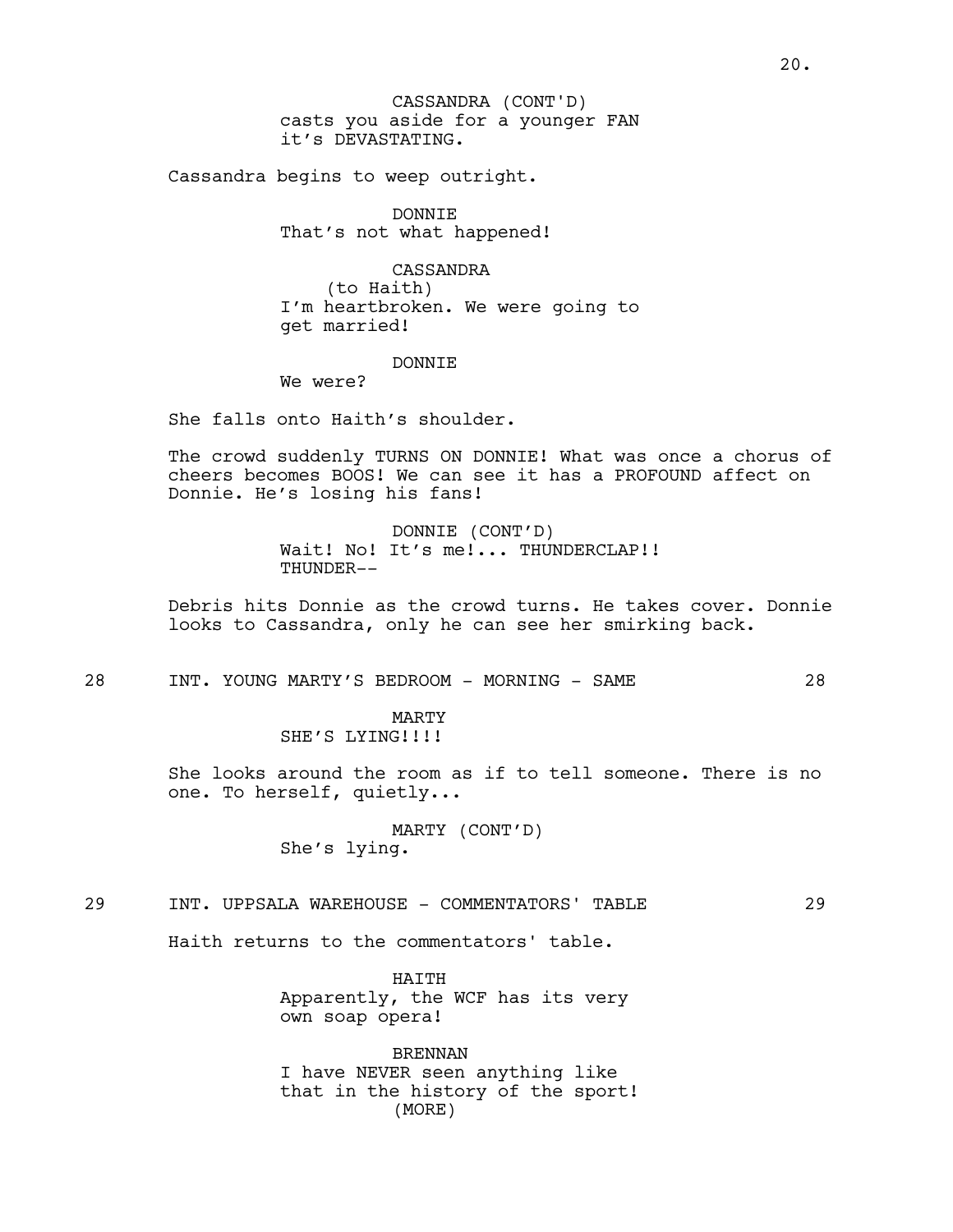casts you aside for a younger FAN it's DEVASTATING. CASSANDRA (CONT'D)

Cassandra begins to weep outright.

DONNIE That's not what happened!

CASSANDRA (to Haith) I'm heartbroken. We were going to get married!

## DONNIE

We were?

She falls onto Haith's shoulder.

The crowd suddenly TURNS ON DONNIE! What was once a chorus of cheers becomes BOOS! We can see it has a PROFOUND affect on Donnie. He's losing his fans!

> DONNIE (CONT'D) Wait! No! It's me!... THUNDERCLAP!! THUNDER--

Debris hits Donnie as the crowd turns. He takes cover. Donnie looks to Cassandra, only he can see her smirking back.

28 INT. YOUNG MARTY'S BEDROOM - MORNING - SAME 28

MARTY SHE'S LYING!!!!

She looks around the room as if to tell someone. There is no one. To herself, quietly...

> MARTY (CONT'D) She's lying.

## 29 INT. UPPSALA WAREHOUSE - COMMENTATORS' TABLE 29

Haith returns to the commentators' table.

HATTH Apparently, the WCF has its very own soap opera!

BRENNAN I have NEVER seen anything like that in the history of the sport! (MORE)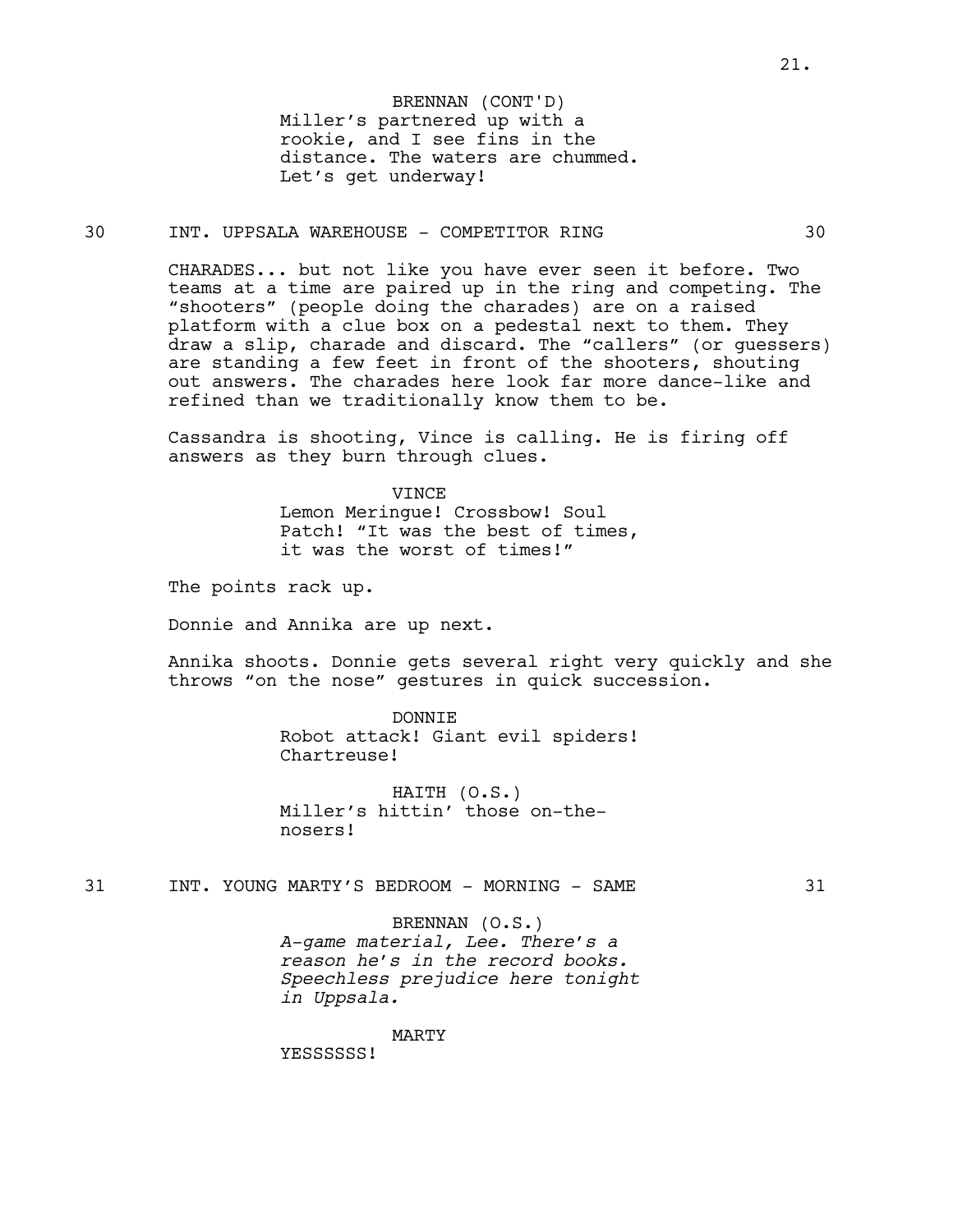Miller's partnered up with a rookie, and I see fins in the distance. The waters are chummed. Let's get underway! BRENNAN (CONT'D)

## 30 INT. UPPSALA WAREHOUSE - COMPETITOR RING 30

CHARADES... but not like you have ever seen it before. Two teams at a time are paired up in the ring and competing. The "shooters" (people doing the charades) are on a raised platform with a clue box on a pedestal next to them. They draw a slip, charade and discard. The "callers" (or guessers) are standing a few feet in front of the shooters, shouting out answers. The charades here look far more dance-like and refined than we traditionally know them to be.

Cassandra is shooting, Vince is calling. He is firing off answers as they burn through clues.

> **VINCE** Lemon Meringue! Crossbow! Soul Patch! "It was the best of times, it was the worst of times!"

The points rack up.

Donnie and Annika are up next.

Annika shoots. Donnie gets several right very quickly and she throws "on the nose" gestures in quick succession.

> DONNIE Robot attack! Giant evil spiders! Chartreuse!

HAITH (O.S.) Miller's hittin' those on-thenosers!

31 INT. YOUNG MARTY'S BEDROOM - MORNING - SAME 31

# BRENNAN (O.S.)

*A-game material, Lee. There's a reason he's in the record books. Speechless prejudice here tonight in Uppsala.*

MARTY

YESSSSSS!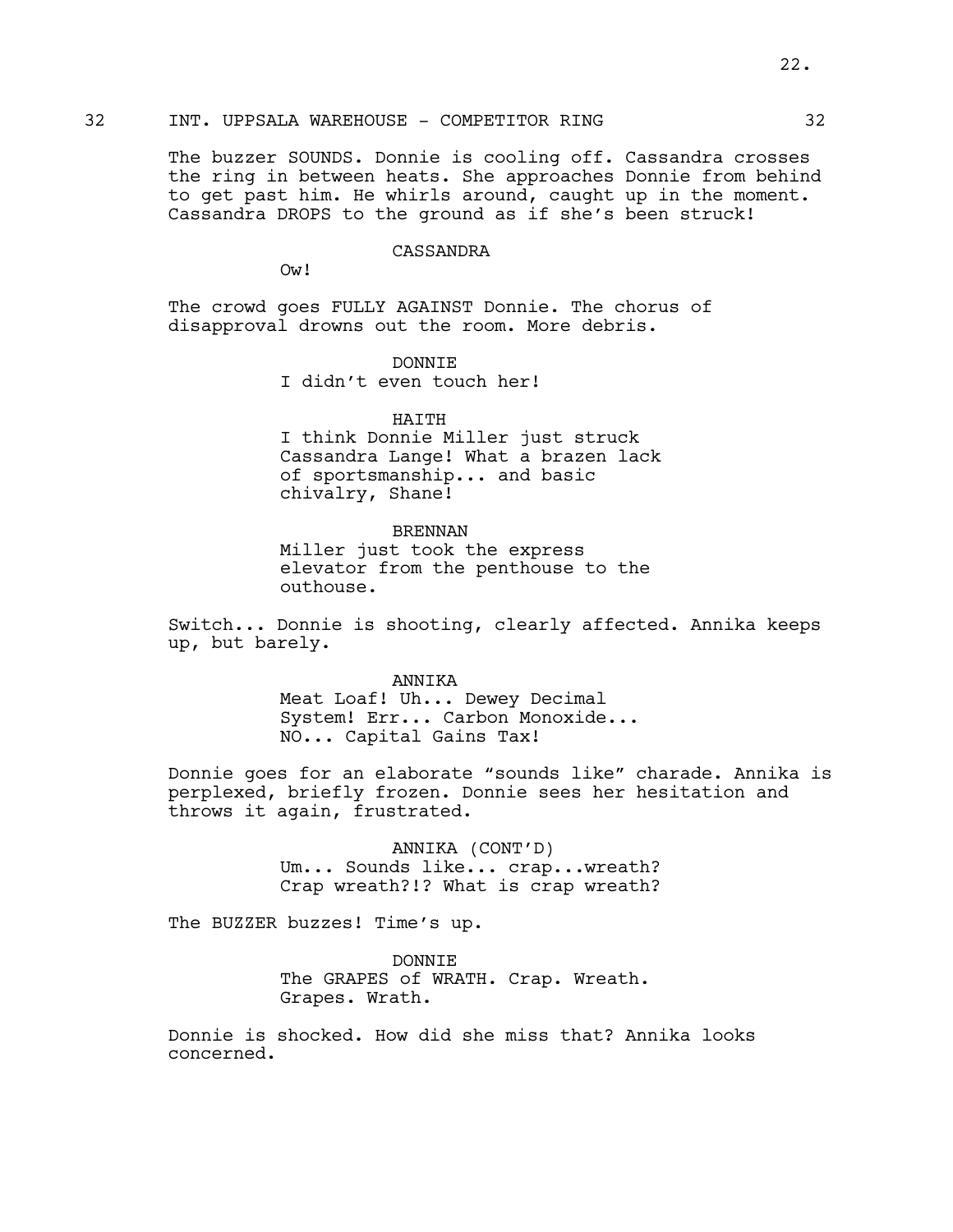# 32 INT. UPPSALA WAREHOUSE - COMPETITOR RING 32

The buzzer SOUNDS. Donnie is cooling off. Cassandra crosses the ring in between heats. She approaches Donnie from behind to get past him. He whirls around, caught up in the moment. Cassandra DROPS to the ground as if she's been struck!

#### CASSANDRA

Ow!

The crowd goes FULLY AGAINST Donnie. The chorus of disapproval drowns out the room. More debris.

> DONNIE I didn't even touch her!

#### HAITH

I think Donnie Miller just struck Cassandra Lange! What a brazen lack of sportsmanship... and basic chivalry, Shane!

## BRENNAN

Miller just took the express elevator from the penthouse to the outhouse.

Switch... Donnie is shooting, clearly affected. Annika keeps up, but barely.

#### ANNIKA

Meat Loaf! Uh... Dewey Decimal System! Err... Carbon Monoxide... NO... Capital Gains Tax!

Donnie goes for an elaborate "sounds like" charade. Annika is perplexed, briefly frozen. Donnie sees her hesitation and throws it again, frustrated.

> ANNIKA (CONT'D) Um... Sounds like... crap...wreath? Crap wreath?!? What is crap wreath?

The BUZZER buzzes! Time's up.

DONNIE The GRAPES of WRATH. Crap. Wreath. Grapes. Wrath.

Donnie is shocked. How did she miss that? Annika looks concerned.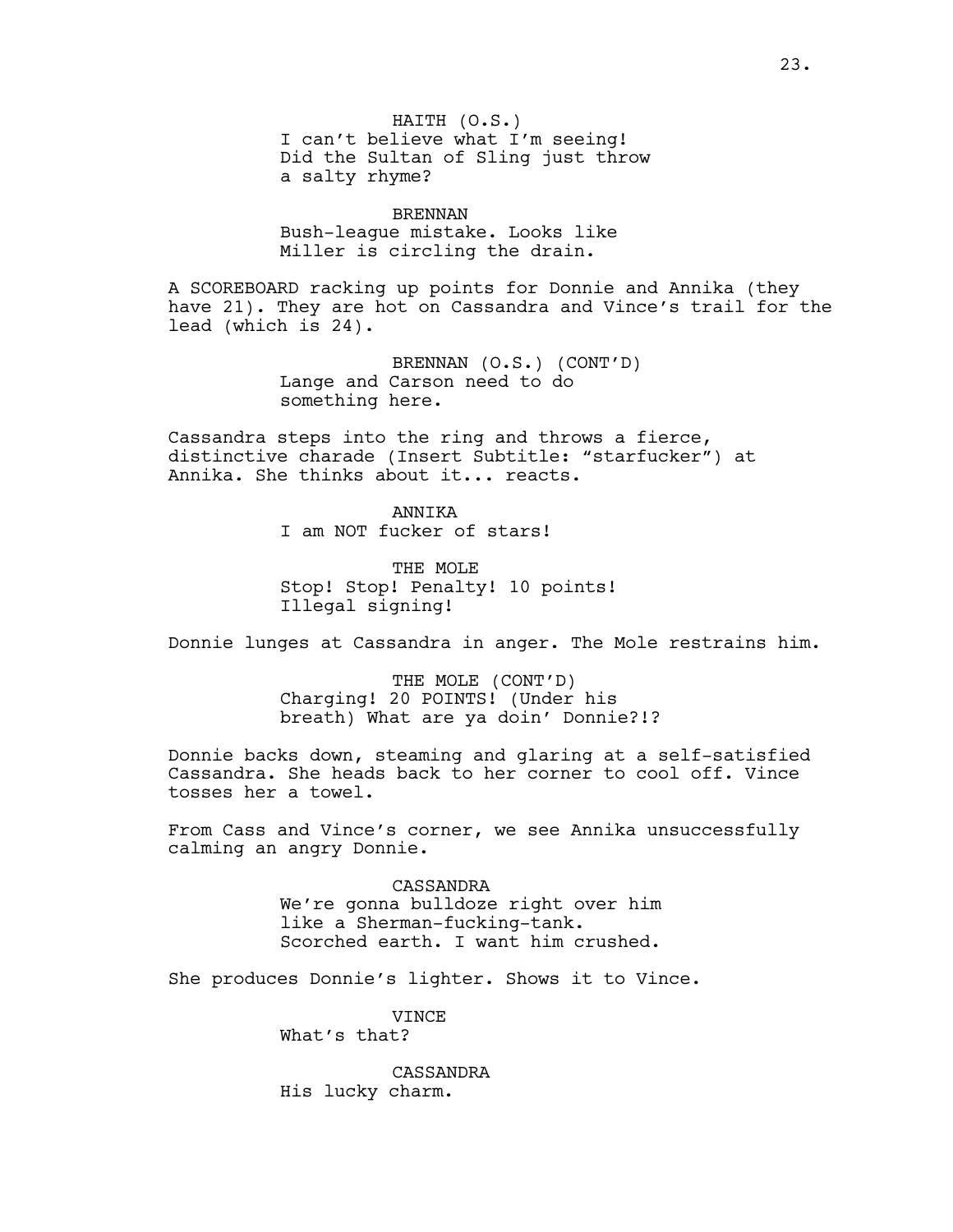BRENNAN Bush-league mistake. Looks like Miller is circling the drain.

A SCOREBOARD racking up points for Donnie and Annika (they have 21). They are hot on Cassandra and Vince's trail for the lead (which is 24).

> BRENNAN (O.S.) (CONT'D) Lange and Carson need to do something here.

Cassandra steps into the ring and throws a fierce, distinctive charade (Insert Subtitle: "starfucker") at Annika. She thinks about it... reacts.

> ANNIKA I am NOT fucker of stars!

THE MOLE Stop! Stop! Penalty! 10 points! Illegal signing!

Donnie lunges at Cassandra in anger. The Mole restrains him.

THE MOLE (CONT'D) Charging! 20 POINTS! (Under his breath) What are ya doin' Donnie?!?

Donnie backs down, steaming and glaring at a self-satisfied Cassandra. She heads back to her corner to cool off. Vince tosses her a towel.

From Cass and Vince's corner, we see Annika unsuccessfully calming an angry Donnie.

> CASSANDRA We're gonna bulldoze right over him like a Sherman-fucking-tank. Scorched earth. I want him crushed.

She produces Donnie's lighter. Shows it to Vince.

VINCE What's that?

CASSANDRA His lucky charm.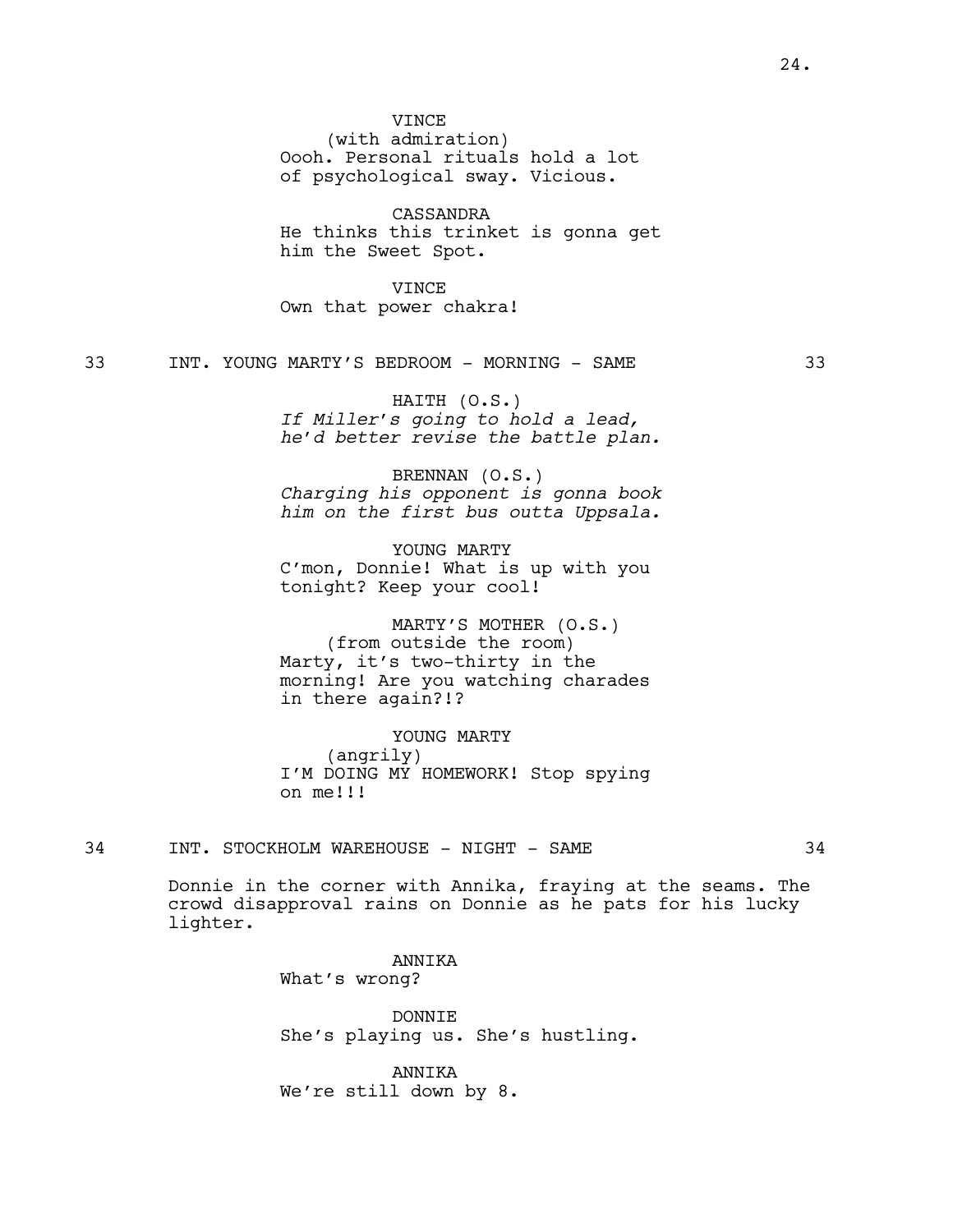**VINCE** 

(with admiration) Oooh. Personal rituals hold a lot of psychological sway. Vicious.

CASSANDRA He thinks this trinket is gonna get him the Sweet Spot.

VINCE Own that power chakra!

33 INT. YOUNG MARTY'S BEDROOM - MORNING - SAME 33

HAITH (O.S.) *If Miller's going to hold a lead, he'd better revise the battle plan.*

BRENNAN (O.S.) *Charging his opponent is gonna book him on the first bus outta Uppsala.*

YOUNG MARTY C'mon, Donnie! What is up with you tonight? Keep your cool!

MARTY'S MOTHER (O.S.) (from outside the room) Marty, it's two-thirty in the morning! Are you watching charades in there again?!?

YOUNG MARTY (angrily) I'M DOING MY HOMEWORK! Stop spying on me!!!

34 INT. STOCKHOLM WAREHOUSE - NIGHT - SAME 34

Donnie in the corner with Annika, fraying at the seams. The crowd disapproval rains on Donnie as he pats for his lucky lighter.

> ANNIKA What's wrong?

DONNIE She's playing us. She's hustling.

ANNIKA We're still down by 8.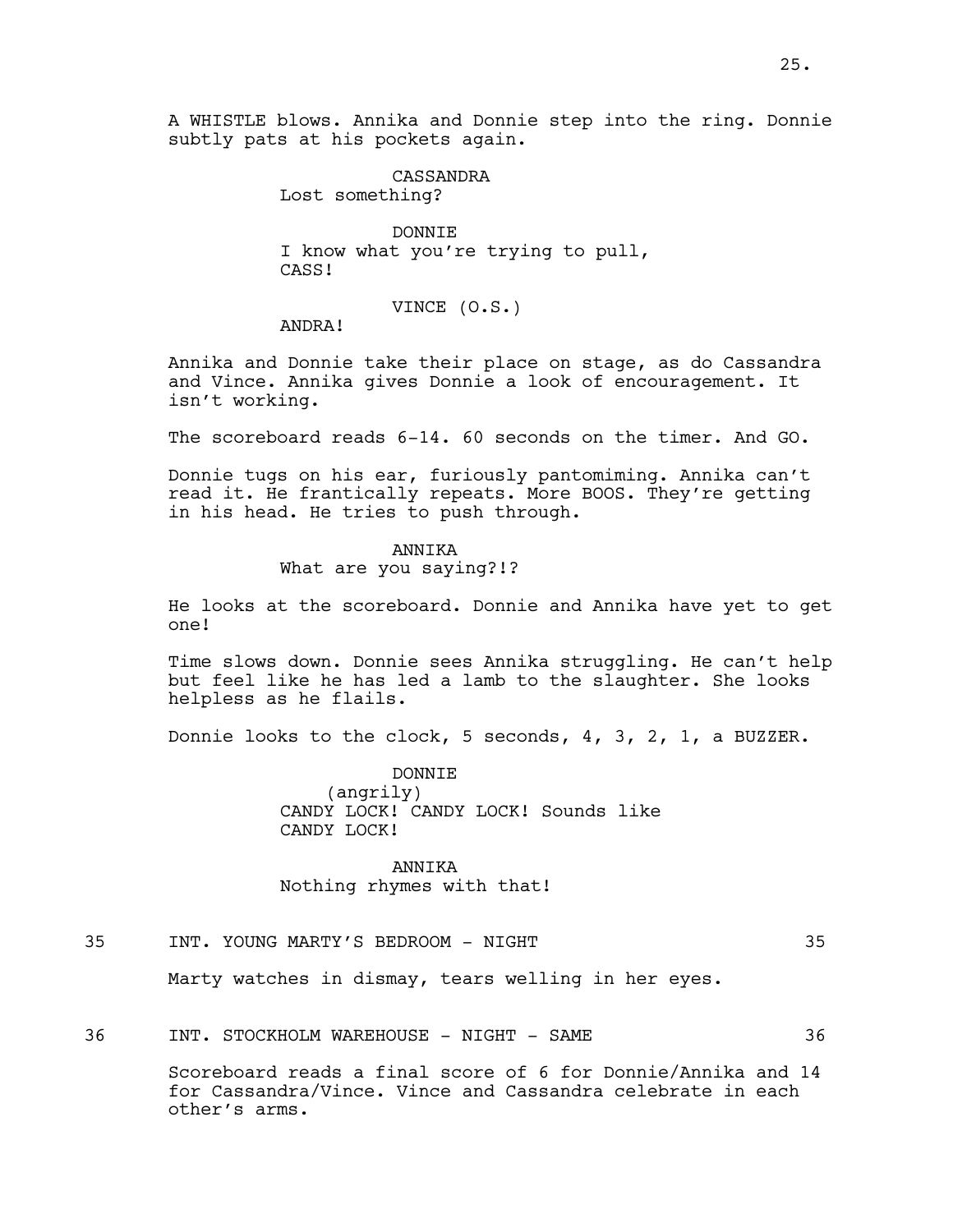A WHISTLE blows. Annika and Donnie step into the ring. Donnie subtly pats at his pockets again.

> CASSANDRA Lost something?

DONNIE I know what you're trying to pull, CASS!

VINCE (O.S.)

ANDRA!

Annika and Donnie take their place on stage, as do Cassandra and Vince. Annika gives Donnie a look of encouragement. It isn't working.

The scoreboard reads 6-14. 60 seconds on the timer. And GO.

Donnie tugs on his ear, furiously pantomiming. Annika can't read it. He frantically repeats. More BOOS. They're getting in his head. He tries to push through.

#### ANNIKA

What are you saying?!?

He looks at the scoreboard. Donnie and Annika have yet to get one!

Time slows down. Donnie sees Annika struggling. He can't help but feel like he has led a lamb to the slaughter. She looks helpless as he flails.

Donnie looks to the clock, 5 seconds, 4, 3, 2, 1, a BUZZER.

DONNIE (angrily) CANDY LOCK! CANDY LOCK! Sounds like CANDY LOCK!

ANNIKA Nothing rhymes with that!

# 35 INT. YOUNG MARTY'S BEDROOM - NIGHT 35

Marty watches in dismay, tears welling in her eyes.

36 INT. STOCKHOLM WAREHOUSE - NIGHT - SAME 36

Scoreboard reads a final score of 6 for Donnie/Annika and 14 for Cassandra/Vince. Vince and Cassandra celebrate in each other's arms.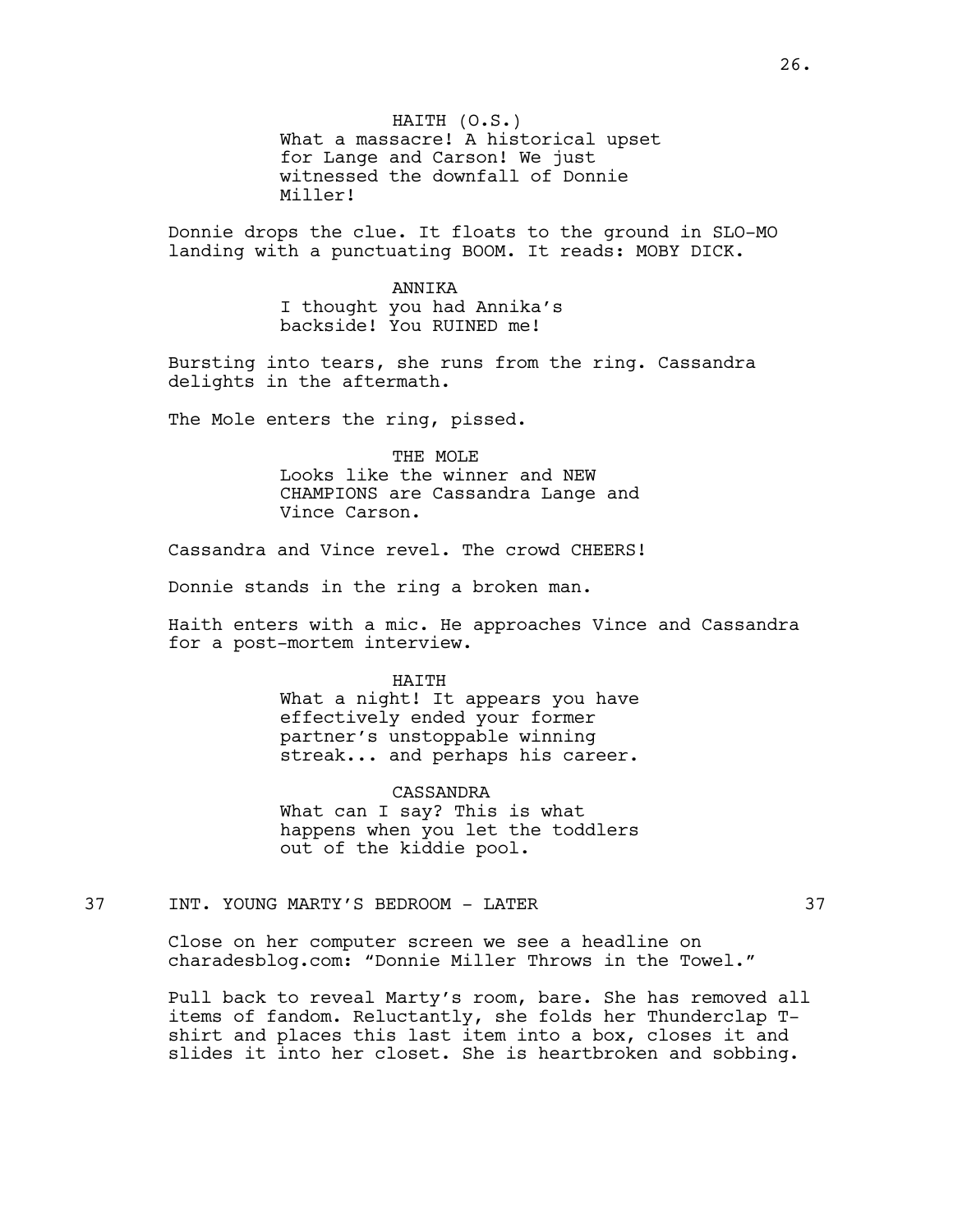HAITH (O.S.) What a massacre! A historical upset for Lange and Carson! We just witnessed the downfall of Donnie Miller!

Donnie drops the clue. It floats to the ground in SLO-MO landing with a punctuating BOOM. It reads: MOBY DICK.

> ANNIKA I thought you had Annika's backside! You RUINED me!

Bursting into tears, she runs from the ring. Cassandra delights in the aftermath.

The Mole enters the ring, pissed.

THE MOLE Looks like the winner and NEW CHAMPIONS are Cassandra Lange and Vince Carson.

Cassandra and Vince revel. The crowd CHEERS!

Donnie stands in the ring a broken man.

Haith enters with a mic. He approaches Vince and Cassandra for a post-mortem interview.

#### HAITH

What a night! It appears you have effectively ended your former partner's unstoppable winning streak... and perhaps his career.

CASSANDRA

What can I say? This is what happens when you let the toddlers out of the kiddie pool.

37 INT. YOUNG MARTY'S BEDROOM - LATER 37

Close on her computer screen we see a headline on charadesblog.com: "Donnie Miller Throws in the Towel."

Pull back to reveal Marty's room, bare. She has removed all items of fandom. Reluctantly, she folds her Thunderclap Tshirt and places this last item into a box, closes it and slides it into her closet. She is heartbroken and sobbing.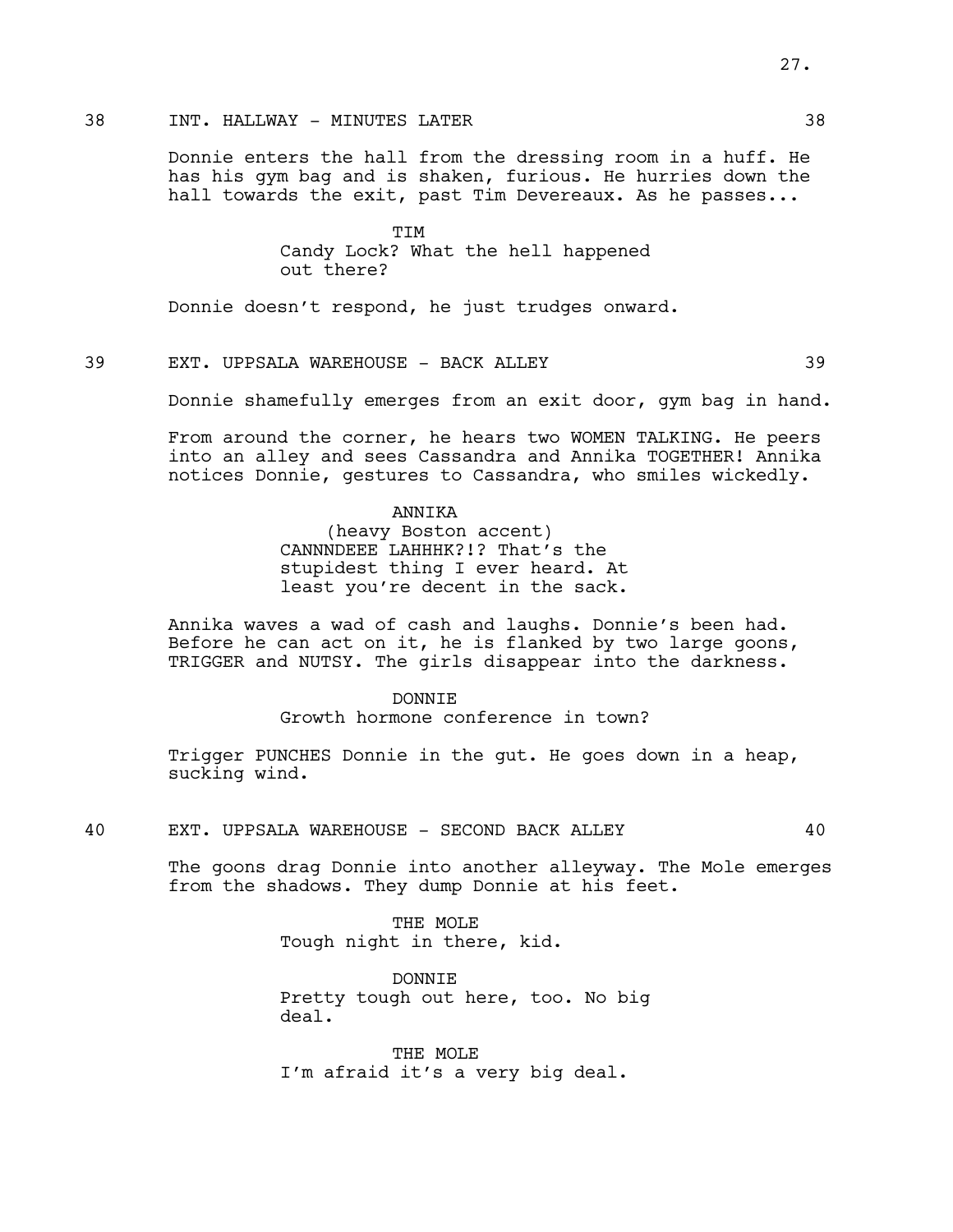# 38 INT. HALLWAY - MINUTES LATER 38

Donnie enters the hall from the dressing room in a huff. He has his gym bag and is shaken, furious. He hurries down the hall towards the exit, past Tim Devereaux. As he passes...

> TIM Candy Lock? What the hell happened out there?

Donnie doesn't respond, he just trudges onward.

# 39 EXT. UPPSALA WAREHOUSE - BACK ALLEY 39

Donnie shamefully emerges from an exit door, gym bag in hand.

From around the corner, he hears two WOMEN TALKING. He peers into an alley and sees Cassandra and Annika TOGETHER! Annika notices Donnie, gestures to Cassandra, who smiles wickedly.

#### ANNIKA

(heavy Boston accent) CANNNDEEE LAHHHK?!? That's the stupidest thing I ever heard. At least you're decent in the sack.

Annika waves a wad of cash and laughs. Donnie's been had. Before he can act on it, he is flanked by two large goons, TRIGGER and NUTSY. The girls disappear into the darkness.

> DONNTE. Growth hormone conference in town?

Trigger PUNCHES Donnie in the gut. He goes down in a heap, sucking wind.

40 EXT. UPPSALA WAREHOUSE - SECOND BACK ALLEY 40

The goons drag Donnie into another alleyway. The Mole emerges from the shadows. They dump Donnie at his feet.

> THE MOLE Tough night in there, kid.

DONNIE Pretty tough out here, too. No big deal.

THE MOLE I'm afraid it's a very big deal. 27.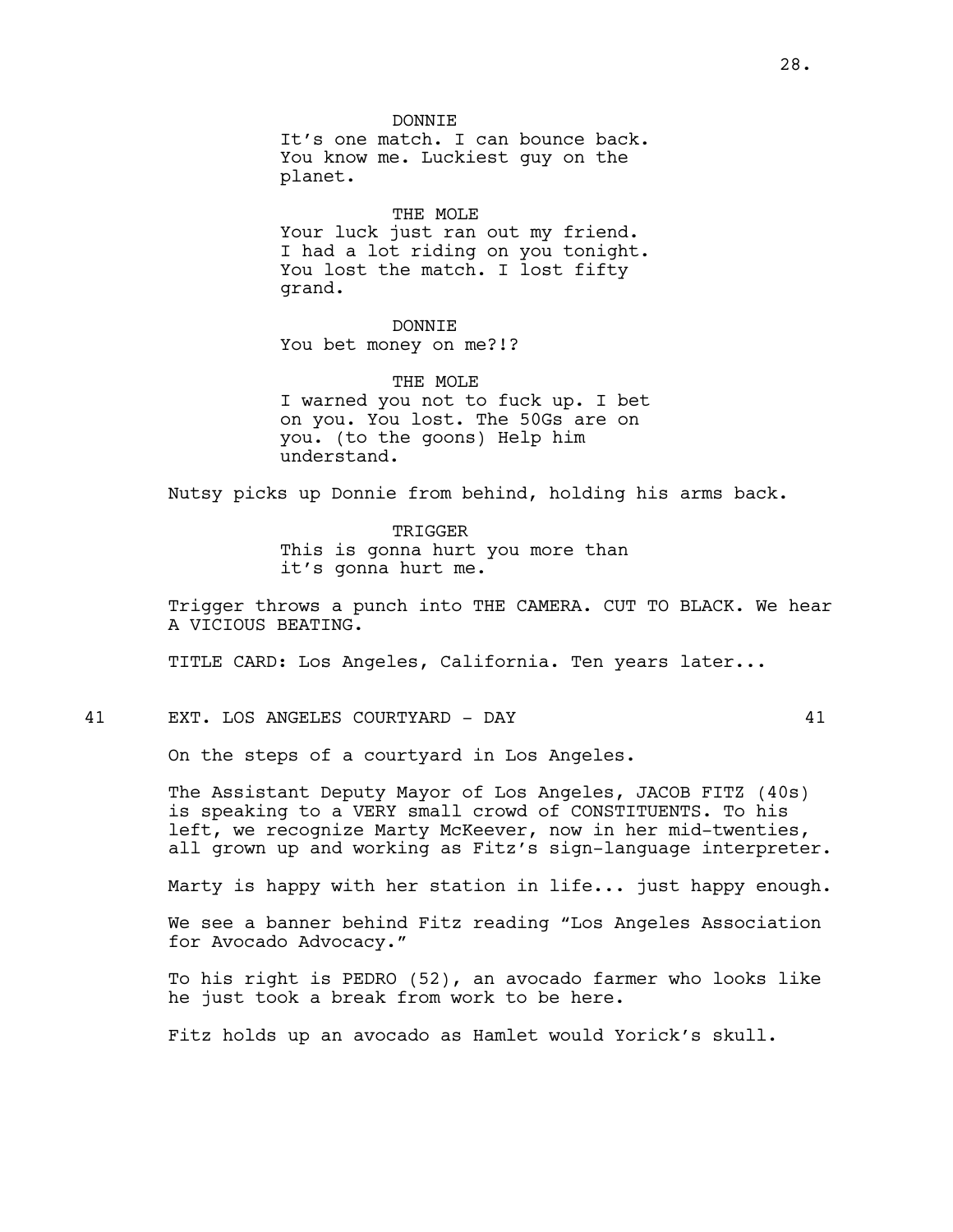DONNIE It's one match. I can bounce back. You know me. Luckiest guy on the planet.

THE MOLE Your luck just ran out my friend. I had a lot riding on you tonight. You lost the match. I lost fifty grand.

DONNIE You bet money on me?!?

THE MOLE I warned you not to fuck up. I bet on you. You lost. The 50Gs are on you. (to the goons) Help him understand.

Nutsy picks up Donnie from behind, holding his arms back.

TRIGGER This is gonna hurt you more than it's gonna hurt me.

Trigger throws a punch into THE CAMERA. CUT TO BLACK. We hear A VICIOUS BEATING.

TITLE CARD: Los Angeles, California. Ten years later...

41 EXT. LOS ANGELES COURTYARD - DAY 41

On the steps of a courtyard in Los Angeles.

The Assistant Deputy Mayor of Los Angeles, JACOB FITZ (40s) is speaking to a VERY small crowd of CONSTITUENTS. To his left, we recognize Marty McKeever, now in her mid-twenties, all grown up and working as Fitz's sign-language interpreter.

Marty is happy with her station in life... just happy enough.

We see a banner behind Fitz reading "Los Angeles Association for Avocado Advocacy."

To his right is PEDRO (52), an avocado farmer who looks like he just took a break from work to be here.

Fitz holds up an avocado as Hamlet would Yorick's skull.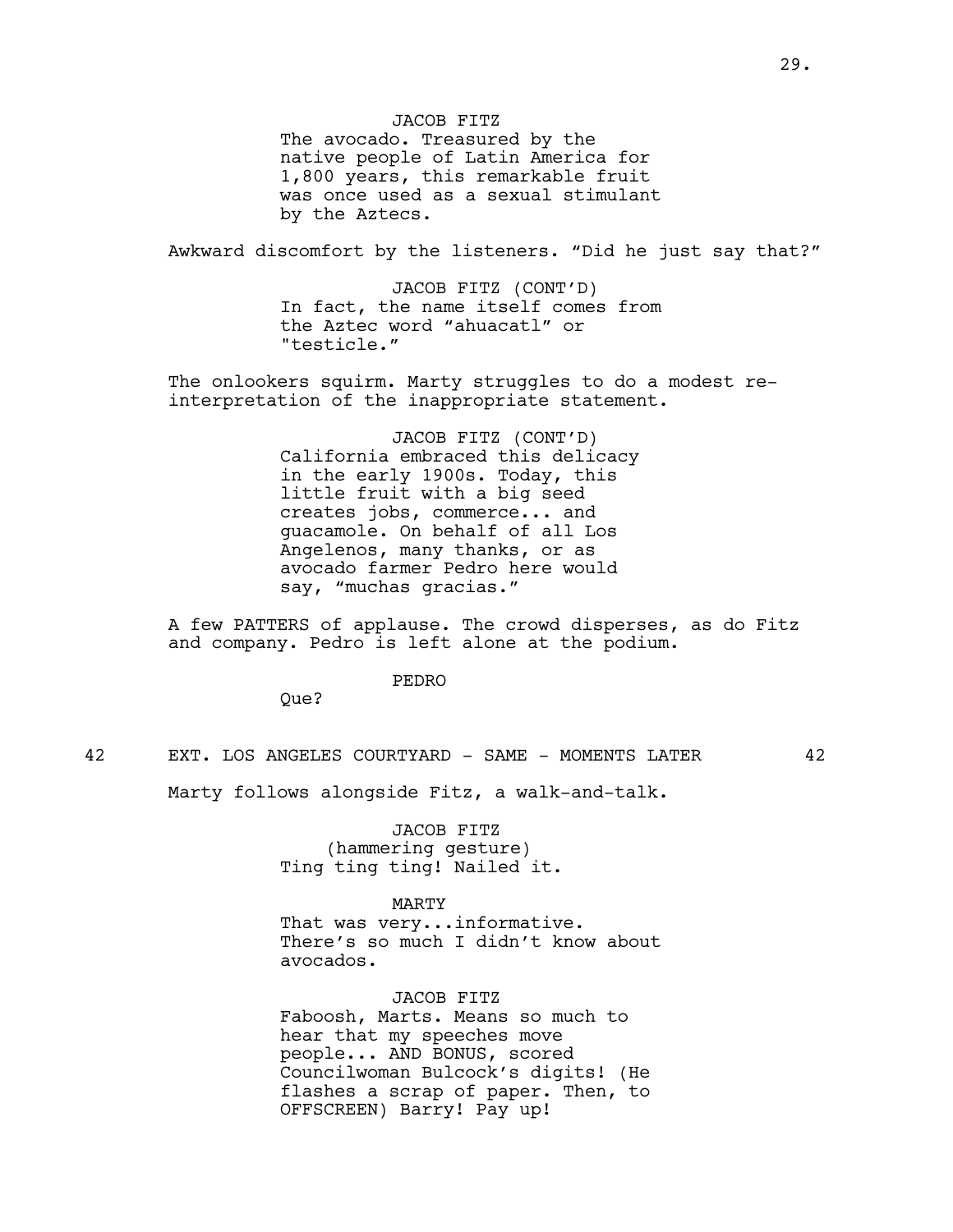JACOB FITZ The avocado. Treasured by the native people of Latin America for 1,800 years, this remarkable fruit was once used as a sexual stimulant by the Aztecs.

Awkward discomfort by the listeners. "Did he just say that?"

JACOB FITZ (CONT'D) In fact, the name itself comes from the Aztec word "ahuacatl" or "testicle."

The onlookers squirm. Marty struggles to do a modest reinterpretation of the inappropriate statement.

> JACOB FITZ (CONT'D) California embraced this delicacy in the early 1900s. Today, this little fruit with a big seed creates jobs, commerce... and guacamole. On behalf of all Los Angelenos, many thanks, or as avocado farmer Pedro here would say, "muchas gracias."

A few PATTERS of applause. The crowd disperses, as do Fitz and company. Pedro is left alone at the podium.

#### PEDRO

Que?

42 EXT. LOS ANGELES COURTYARD - SAME - MOMENTS LATER 42

Marty follows alongside Fitz, a walk-and-talk.

JACOB FITZ (hammering gesture) Ting ting ting! Nailed it.

#### MARTY

That was very...informative. There's so much I didn't know about avocados.

JACOB FITZ Faboosh, Marts. Means so much to hear that my speeches move people... AND BONUS, scored Councilwoman Bulcock's digits! (He flashes a scrap of paper. Then, to OFFSCREEN) Barry! Pay up!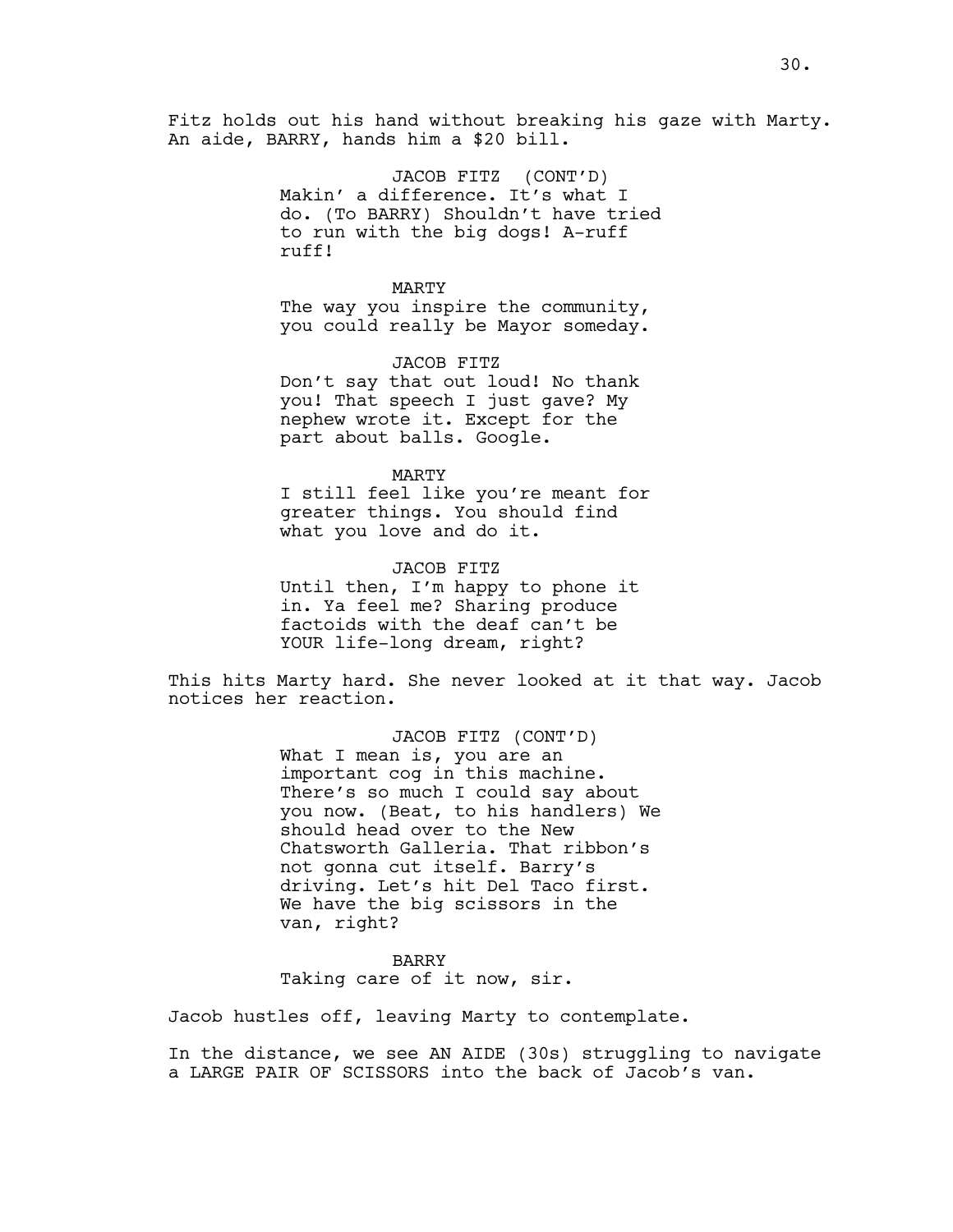Fitz holds out his hand without breaking his gaze with Marty. An aide, BARRY, hands him a \$20 bill.

> JACOB FITZ (CONT'D) Makin' a difference. It's what I do. (To BARRY) Shouldn't have tried to run with the big dogs! A-ruff ruff!

MARTY The way you inspire the community, you could really be Mayor someday.

JACOB FITZ Don't say that out loud! No thank you! That speech I just gave? My nephew wrote it. Except for the part about balls. Google.

MARTY I still feel like you're meant for greater things. You should find what you love and do it.

JACOB FITZ Until then, I'm happy to phone it in. Ya feel me? Sharing produce factoids with the deaf can't be YOUR life-long dream, right?

This hits Marty hard. She never looked at it that way. Jacob notices her reaction.

> JACOB FITZ (CONT'D) What I mean is, you are an important cog in this machine. There's so much I could say about you now. (Beat, to his handlers) We should head over to the New Chatsworth Galleria. That ribbon's not gonna cut itself. Barry's driving. Let's hit Del Taco first. We have the big scissors in the van, right?

BARRY Taking care of it now, sir.

Jacob hustles off, leaving Marty to contemplate.

In the distance, we see AN AIDE (30s) struggling to navigate a LARGE PAIR OF SCISSORS into the back of Jacob's van.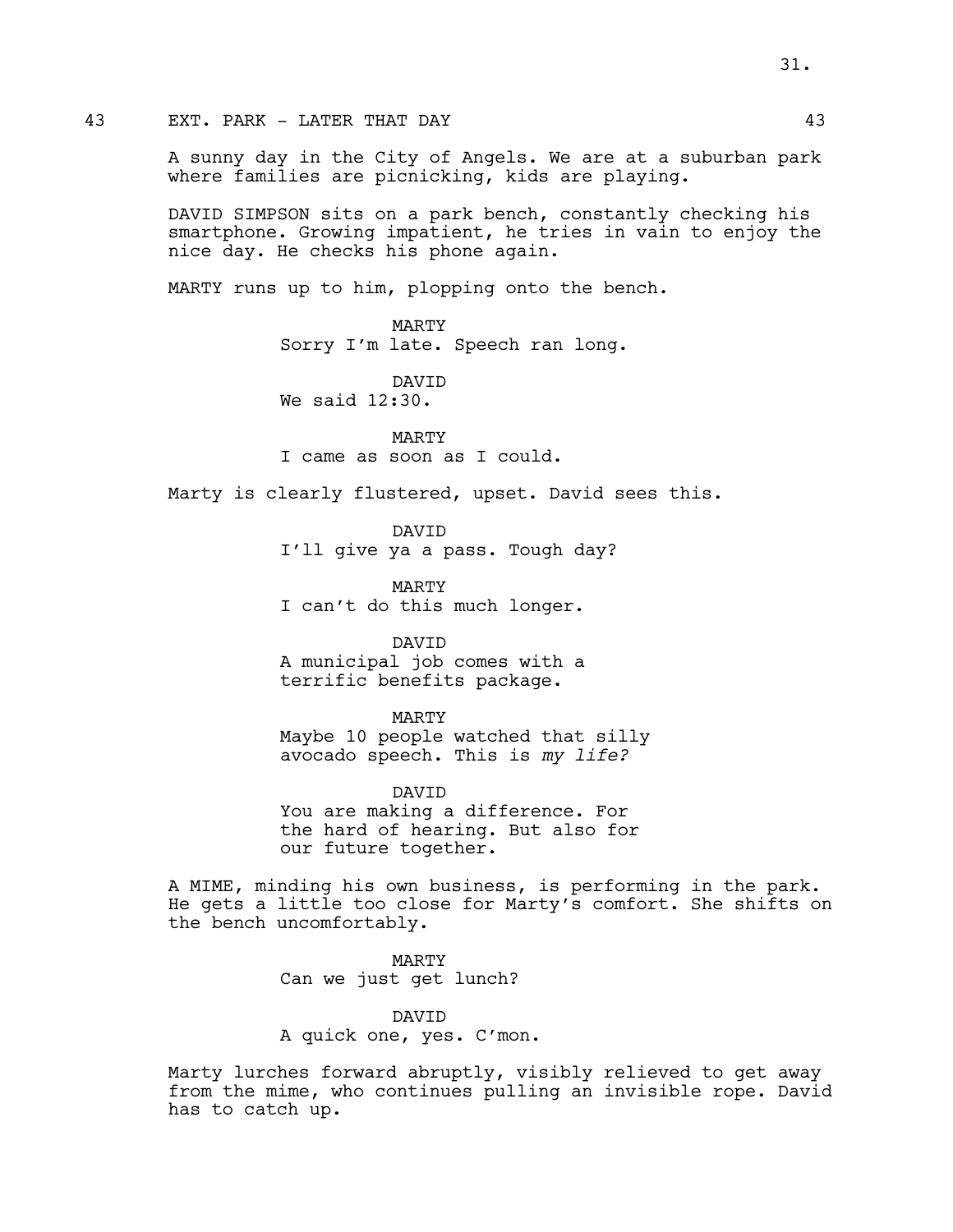A sunny day in the City of Angels. We are at a suburban park where families are picnicking, kids are playing.

DAVID SIMPSON sits on a park bench, constantly checking his smartphone. Growing impatient, he tries in vain to enjoy the nice day. He checks his phone again.

MARTY runs up to him, plopping onto the bench.

MARTY Sorry I'm late. Speech ran long.

DAVID We said 12:30.

MARTY I came as soon as I could.

Marty is clearly flustered, upset. David sees this.

DAVID I'll give ya a pass. Tough day?

MARTY I can't do this much longer.

DAVID A municipal job comes with a terrific benefits package.

MARTY

Maybe 10 people watched that silly avocado speech. This is *my life?*

DAVID You are making a difference. For the hard of hearing. But also for our future together.

A MIME, minding his own business, is performing in the park. He gets a little too close for Marty's comfort. She shifts on the bench uncomfortably.

> MARTY Can we just get lunch?

DAVID A quick one, yes. C'mon.

Marty lurches forward abruptly, visibly relieved to get away from the mime, who continues pulling an invisible rope. David has to catch up.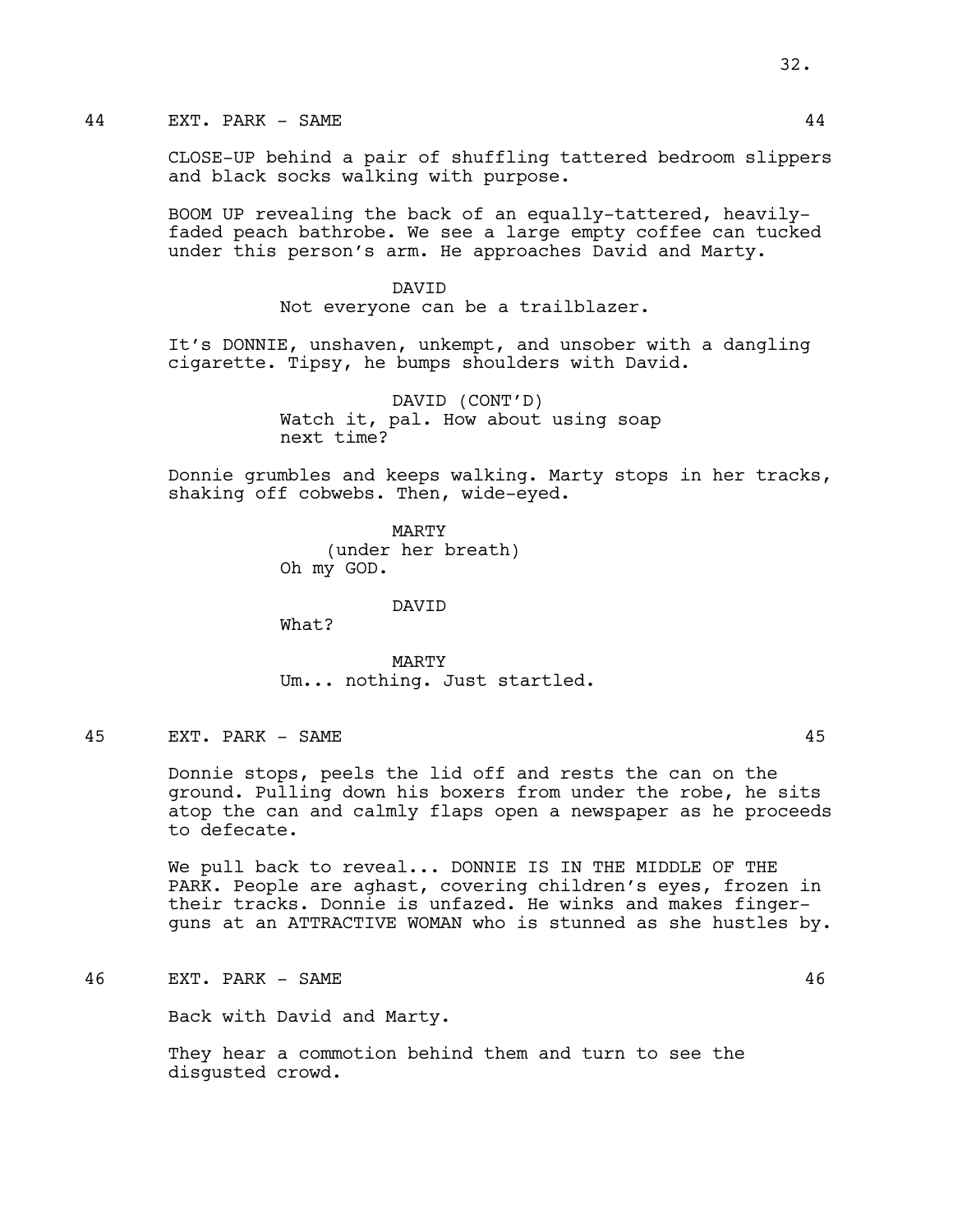CLOSE-UP behind a pair of shuffling tattered bedroom slippers and black socks walking with purpose.

BOOM UP revealing the back of an equally-tattered, heavilyfaded peach bathrobe. We see a large empty coffee can tucked under this person's arm. He approaches David and Marty.

> DAVID Not everyone can be a trailblazer.

It's DONNIE, unshaven, unkempt, and unsober with a dangling cigarette. Tipsy, he bumps shoulders with David.

> DAVID (CONT'D) Watch it, pal. How about using soap next time?

Donnie grumbles and keeps walking. Marty stops in her tracks, shaking off cobwebs. Then, wide-eyed.

> MARTY (under her breath) Oh my GOD.

> > DAVID

What?

MARTY Um... nothing. Just startled.

45 EXT. PARK - SAME 45

Donnie stops, peels the lid off and rests the can on the ground. Pulling down his boxers from under the robe, he sits atop the can and calmly flaps open a newspaper as he proceeds to defecate.

We pull back to reveal... DONNIE IS IN THE MIDDLE OF THE PARK. People are aghast, covering children's eyes, frozen in their tracks. Donnie is unfazed. He winks and makes fingerguns at an ATTRACTIVE WOMAN who is stunned as she hustles by.

46 EXT. PARK - SAME 46

Back with David and Marty.

They hear a commotion behind them and turn to see the disgusted crowd.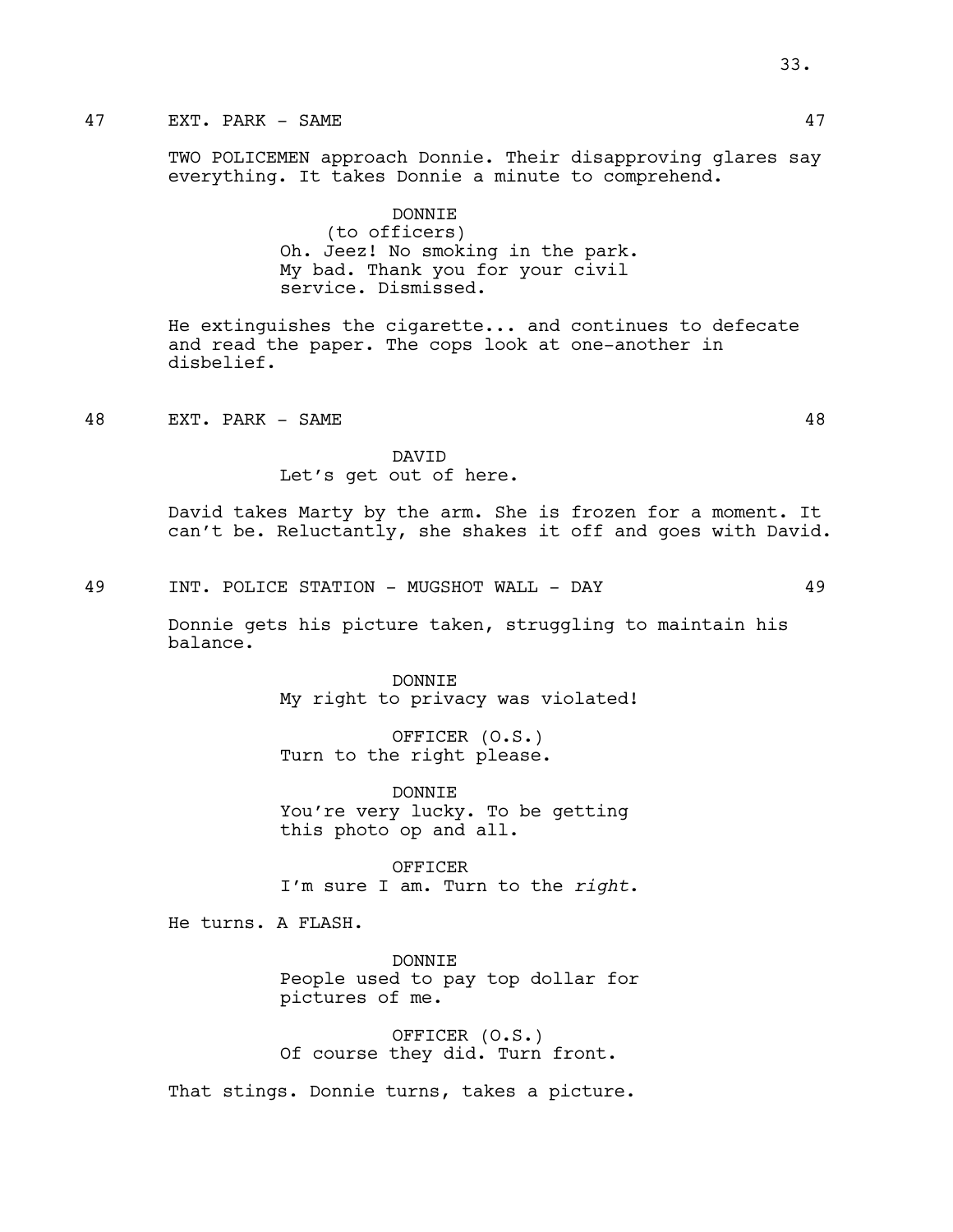# 47 EXT. PARK – SAME 47 and 47 and 47 and 47 and 47 and 47 and 47 and 47 and 47 and 47 and 47 and 47 and 47 and 47 and 47 and 47 and 47 and 47 and 47 and 47 and 47 and 47 and 47 and 47 and 47 and 47 and 47 and 47 and 47 and

TWO POLICEMEN approach Donnie. Their disapproving glares say everything. It takes Donnie a minute to comprehend.

> DONNIE (to officers) Oh. Jeez! No smoking in the park. My bad. Thank you for your civil service. Dismissed.

He extinguishes the cigarette... and continues to defecate and read the paper. The cops look at one-another in disbelief.

48 EXT. PARK - SAME 48

Let's get out of here.

DAVID

David takes Marty by the arm. She is frozen for a moment. It can't be. Reluctantly, she shakes it off and goes with David.

49 INT. POLICE STATION - MUGSHOT WALL - DAY 49

Donnie gets his picture taken, struggling to maintain his balance.

> DONNIE My right to privacy was violated!

OFFICER (O.S.) Turn to the right please.

DONNIE You're very lucky. To be getting this photo op and all.

OFFICER I'm sure I am. Turn to the *right*.

He turns. A FLASH.

DONNIE People used to pay top dollar for pictures of me.

OFFICER (O.S.) Of course they did. Turn front.

That stings. Donnie turns, takes a picture.

33.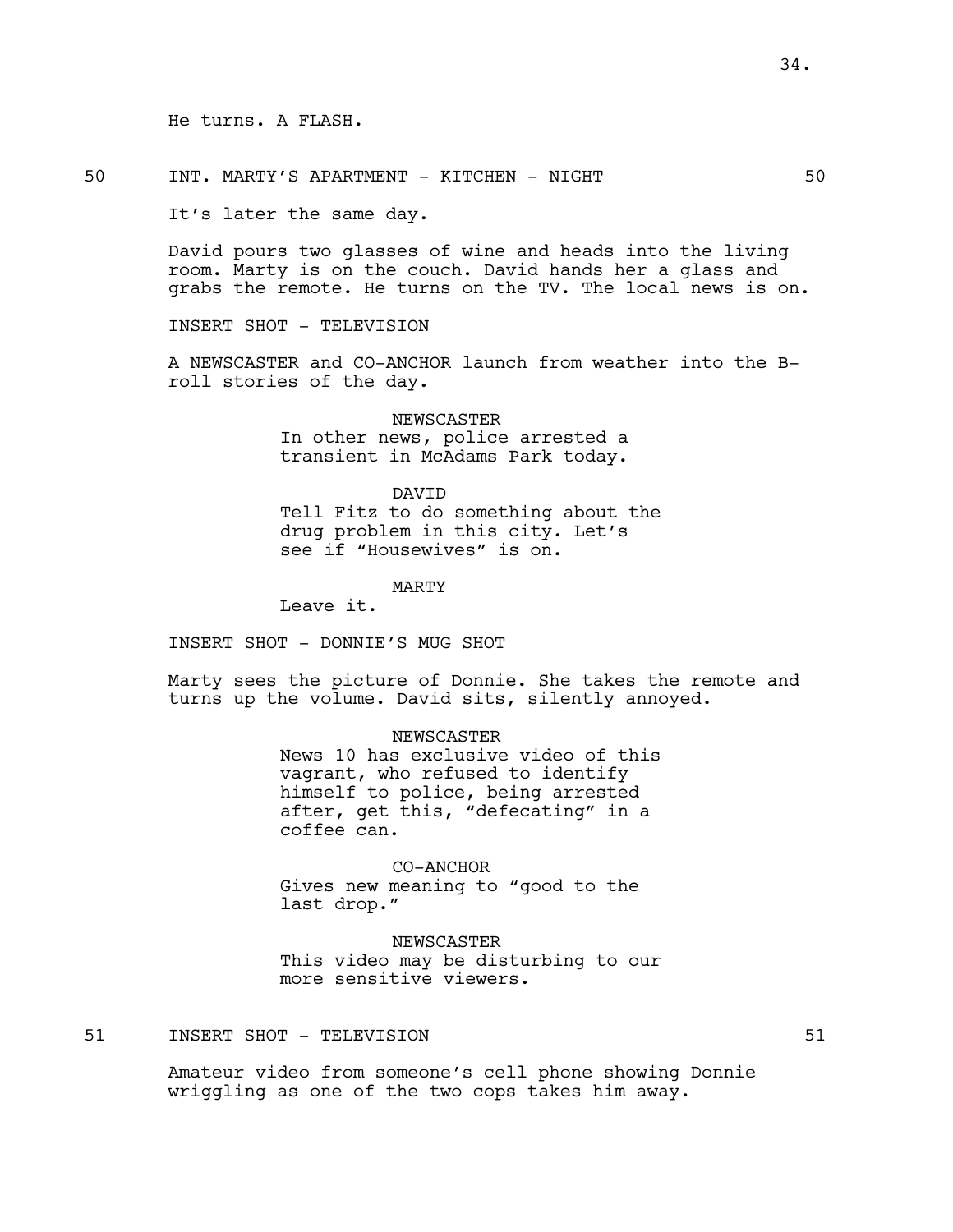He turns. A FLASH.

50 INT. MARTY'S APARTMENT - KITCHEN - NIGHT 50

It's later the same day.

David pours two glasses of wine and heads into the living room. Marty is on the couch. David hands her a glass and grabs the remote. He turns on the TV. The local news is on.

INSERT SHOT - TELEVISION

A NEWSCASTER and CO-ANCHOR launch from weather into the Broll stories of the day.

> NEWSCASTER In other news, police arrested a transient in McAdams Park today.

> > DAVID

Tell Fitz to do something about the drug problem in this city. Let's see if "Housewives" is on.

MARTY

Leave it.

INSERT SHOT - DONNIE'S MUG SHOT

Marty sees the picture of Donnie. She takes the remote and turns up the volume. David sits, silently annoyed.

> NEWSCASTER News 10 has exclusive video of this vagrant, who refused to identify himself to police, being arrested after, get this, "defecating" in a coffee can.

CO-ANCHOR Gives new meaning to "good to the last drop."

NEWSCASTER This video may be disturbing to our more sensitive viewers.

51 INSERT SHOT - TELEVISION 51

Amateur video from someone's cell phone showing Donnie wriggling as one of the two cops takes him away.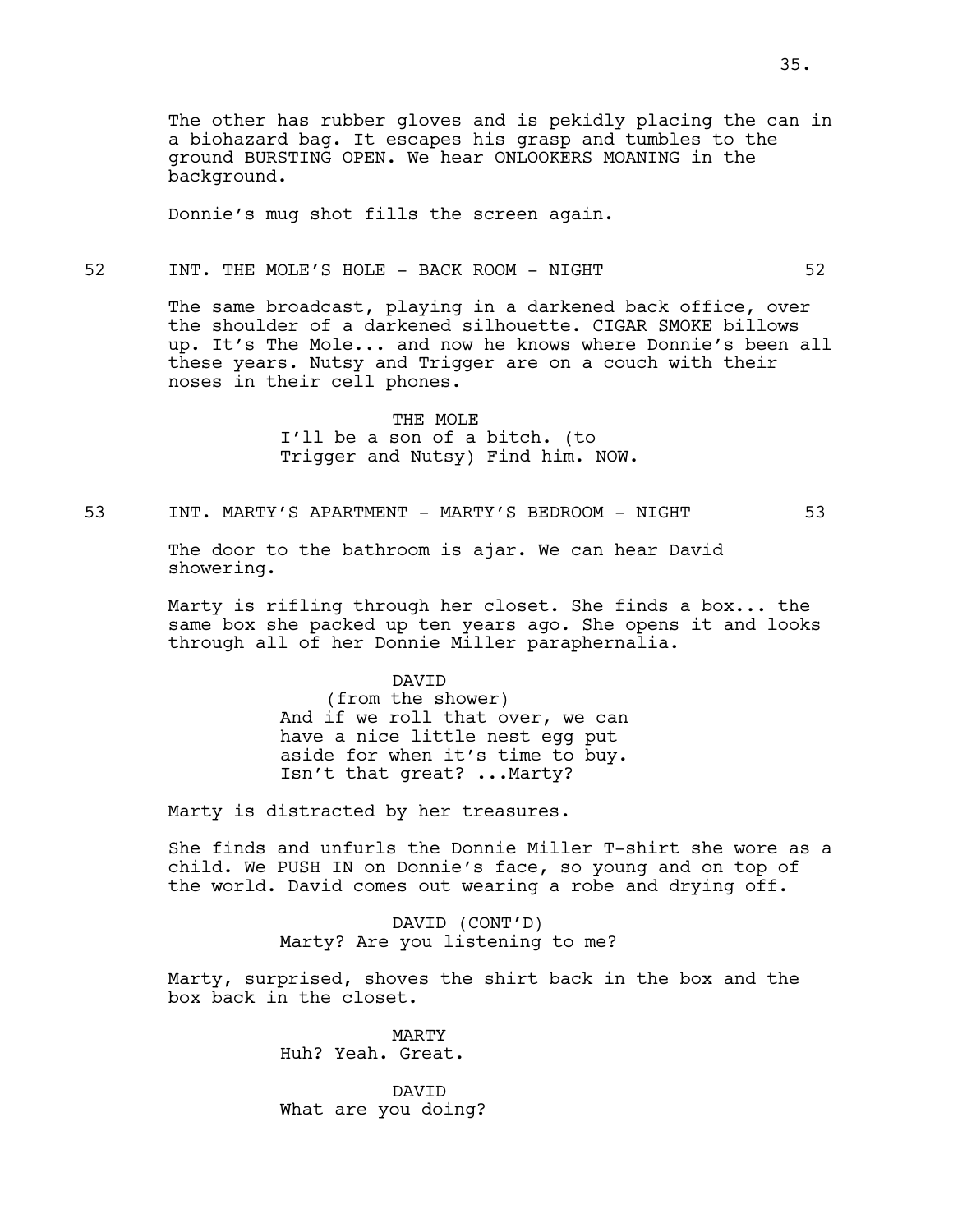The other has rubber gloves and is pekidly placing the can in a biohazard bag. It escapes his grasp and tumbles to the ground BURSTING OPEN. We hear ONLOOKERS MOANING in the background.

Donnie's mug shot fills the screen again.

## 52 INT. THE MOLE'S HOLE - BACK ROOM - NIGHT 52

The same broadcast, playing in a darkened back office, over the shoulder of a darkened silhouette. CIGAR SMOKE billows up. It's The Mole... and now he knows where Donnie's been all these years. Nutsy and Trigger are on a couch with their noses in their cell phones.

> THE MOLE I'll be a son of a bitch. (to Trigger and Nutsy) Find him. NOW.

53 INT. MARTY'S APARTMENT - MARTY'S BEDROOM - NIGHT 53

The door to the bathroom is ajar. We can hear David showering.

Marty is rifling through her closet. She finds a box... the same box she packed up ten years ago. She opens it and looks through all of her Donnie Miller paraphernalia.

> DAVID (from the shower) And if we roll that over, we can have a nice little nest egg put aside for when it's time to buy. Isn't that great? ...Marty?

Marty is distracted by her treasures.

She finds and unfurls the Donnie Miller T-shirt she wore as a child. We PUSH IN on Donnie's face, so young and on top of the world. David comes out wearing a robe and drying off.

> DAVID (CONT'D) Marty? Are you listening to me?

Marty, surprised, shoves the shirt back in the box and the box back in the closet.

> MARTY Huh? Yeah. Great.

DAVID What are you doing?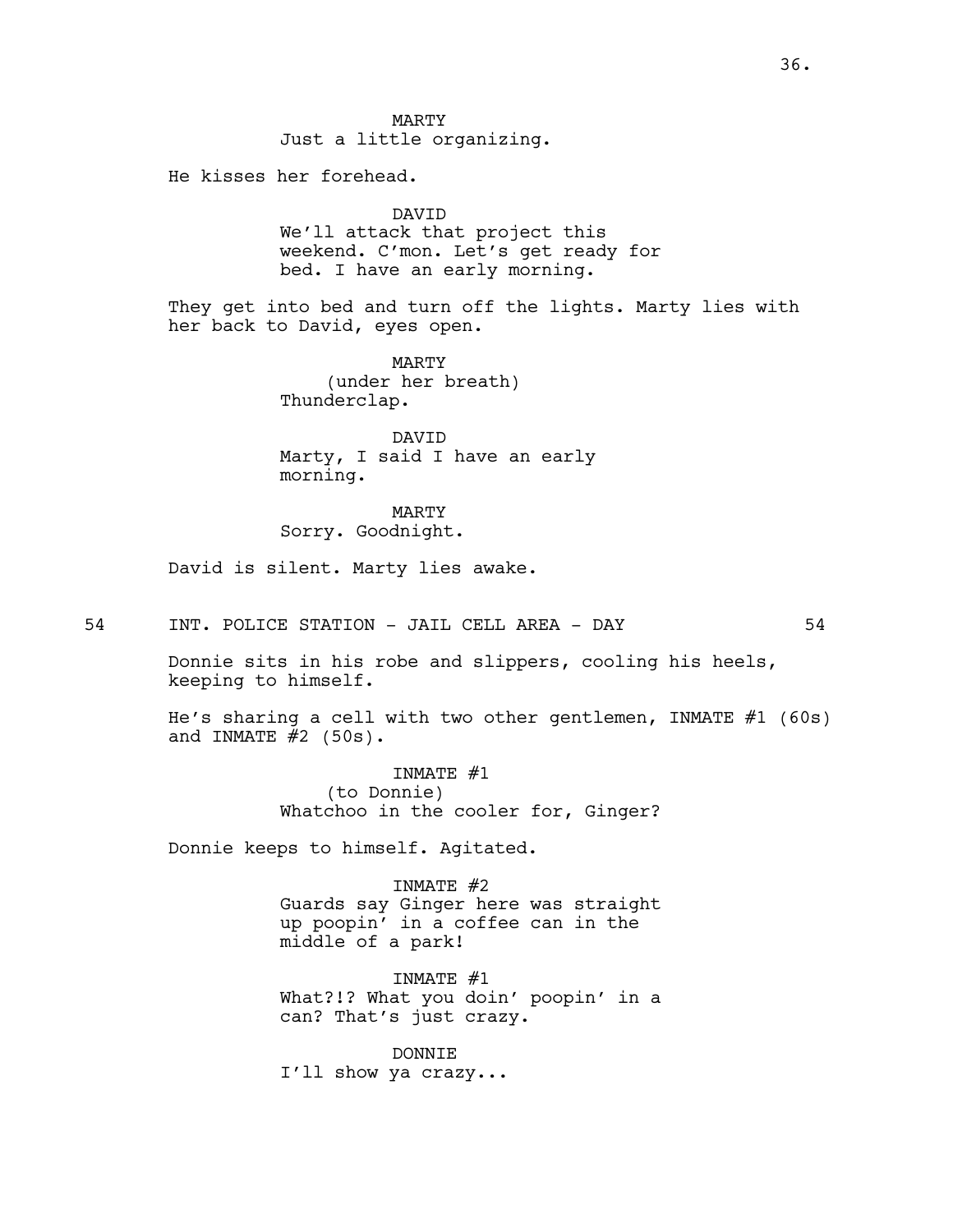MARTY Just a little organizing.

He kisses her forehead.

DAVID We'll attack that project this weekend. C'mon. Let's get ready for bed. I have an early morning.

They get into bed and turn off the lights. Marty lies with her back to David, eyes open.

> MARTY (under her breath) Thunderclap.

DAVID Marty, I said I have an early morning.

MARTY Sorry. Goodnight.

David is silent. Marty lies awake.

54 INT. POLICE STATION - JAIL CELL AREA - DAY 54

Donnie sits in his robe and slippers, cooling his heels, keeping to himself.

He's sharing a cell with two other gentlemen, INMATE #1 (60s) and INMATE  $#2$  (50s).

> INMATE #1 (to Donnie) Whatchoo in the cooler for, Ginger?

Donnie keeps to himself. Agitated.

INMATE #2 Guards say Ginger here was straight up poopin' in a coffee can in the middle of a park!

INMATE #1 What?!? What you doin' poopin' in a can? That's just crazy.

DONNIE I'll show ya crazy...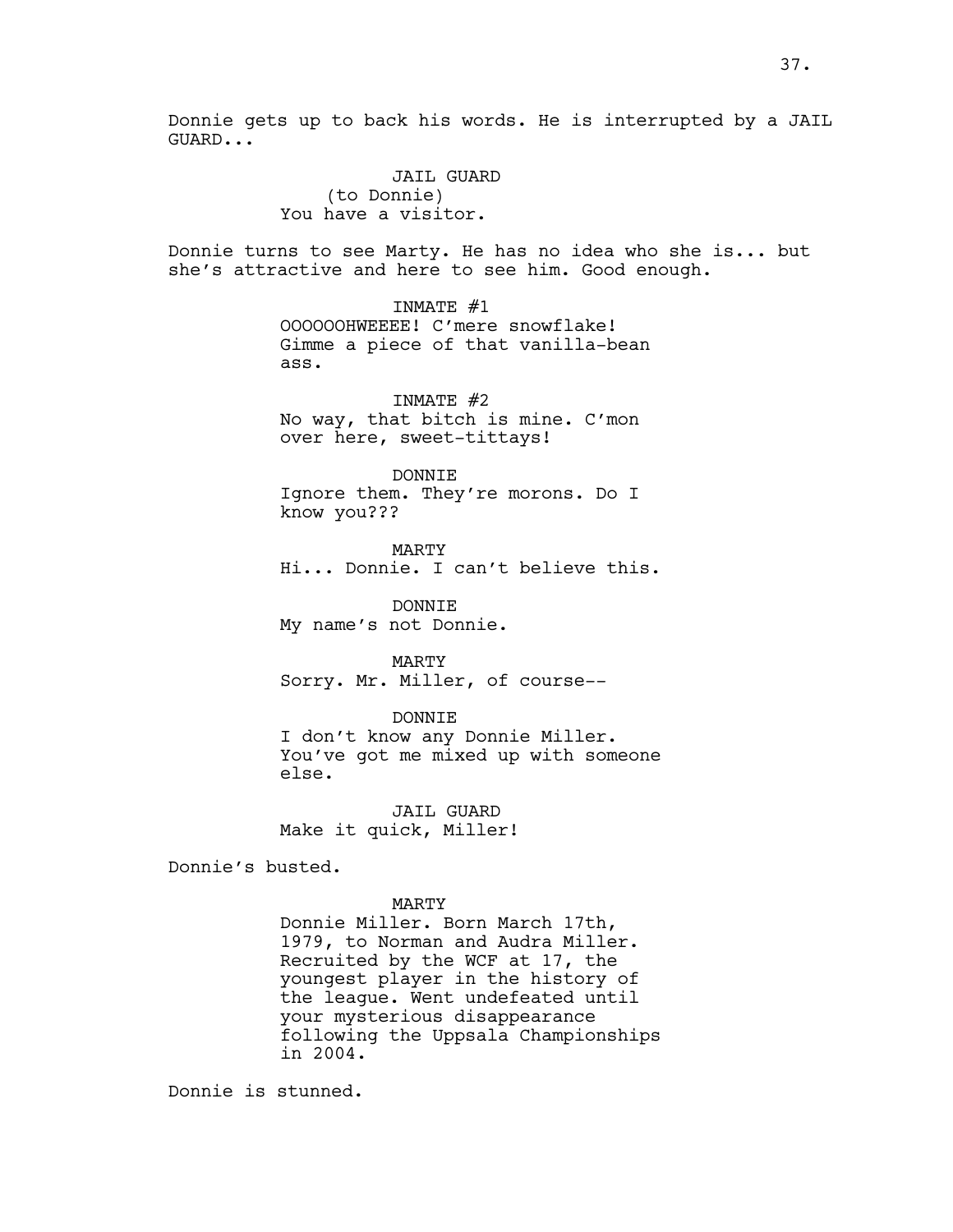JAIL GUARD (to Donnie) You have a visitor.

Donnie turns to see Marty. He has no idea who she is... but she's attractive and here to see him. Good enough.

> INMATE #1 OOOOOOHWEEEE! C'mere snowflake! Gimme a piece of that vanilla-bean ass.

INMATE #2 No way, that bitch is mine. C'mon over here, sweet-tittays!

DONNIE

Ignore them. They're morons. Do I know you???

MARTY Hi... Donnie. I can't believe this.

DONNIE My name's not Donnie.

MARTY Sorry. Mr. Miller, of course--

DONNIE

I don't know any Donnie Miller. You've got me mixed up with someone else.

JAIL GUARD Make it quick, Miller!

Donnie's busted.

MARTY

Donnie Miller. Born March 17th, 1979, to Norman and Audra Miller. Recruited by the WCF at 17, the youngest player in the history of the league. Went undefeated until your mysterious disappearance following the Uppsala Championships in 2004.

Donnie is stunned.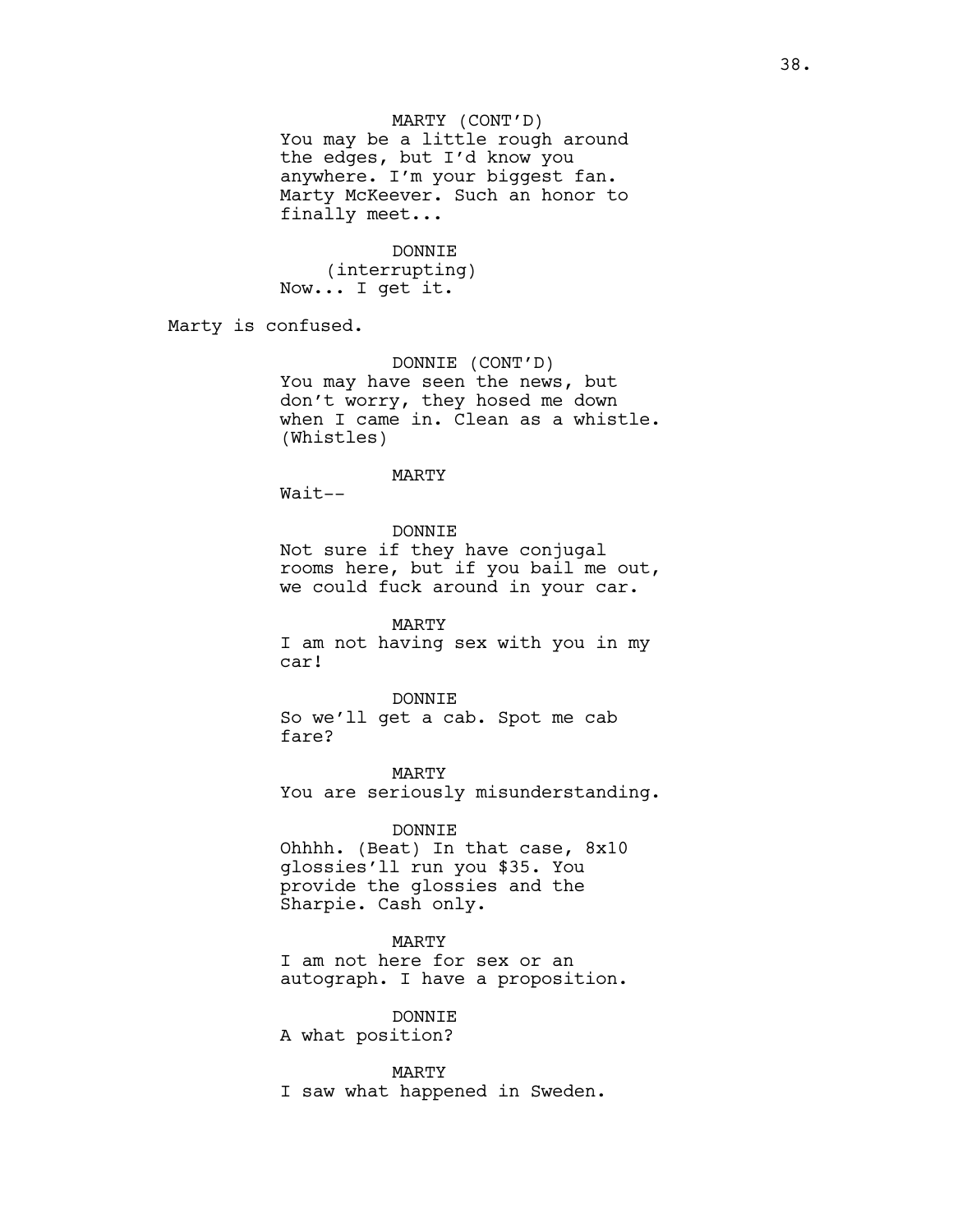You may be a little rough around the edges, but I'd know you anywhere. I'm your biggest fan. Marty McKeever. Such an honor to finally meet...

DONNIE

(interrupting) Now... I get it.

Marty is confused.

DONNIE (CONT'D) You may have seen the news, but don't worry, they hosed me down when I came in. Clean as a whistle. (Whistles)

#### MARTY

Wait--

DONNIE

Not sure if they have conjugal rooms here, but if you bail me out, we could fuck around in your car.

MARTY I am not having sex with you in my car!

DONNIE So we'll get a cab. Spot me cab fare?

MARTY You are seriously misunderstanding.

### DONNIE

Ohhhh. (Beat) In that case, 8x10 glossies'll run you \$35. You provide the glossies and the Sharpie. Cash only.

## MARTY

I am not here for sex or an autograph. I have a proposition.

DONNIE

A what position?

MARTY

I saw what happened in Sweden.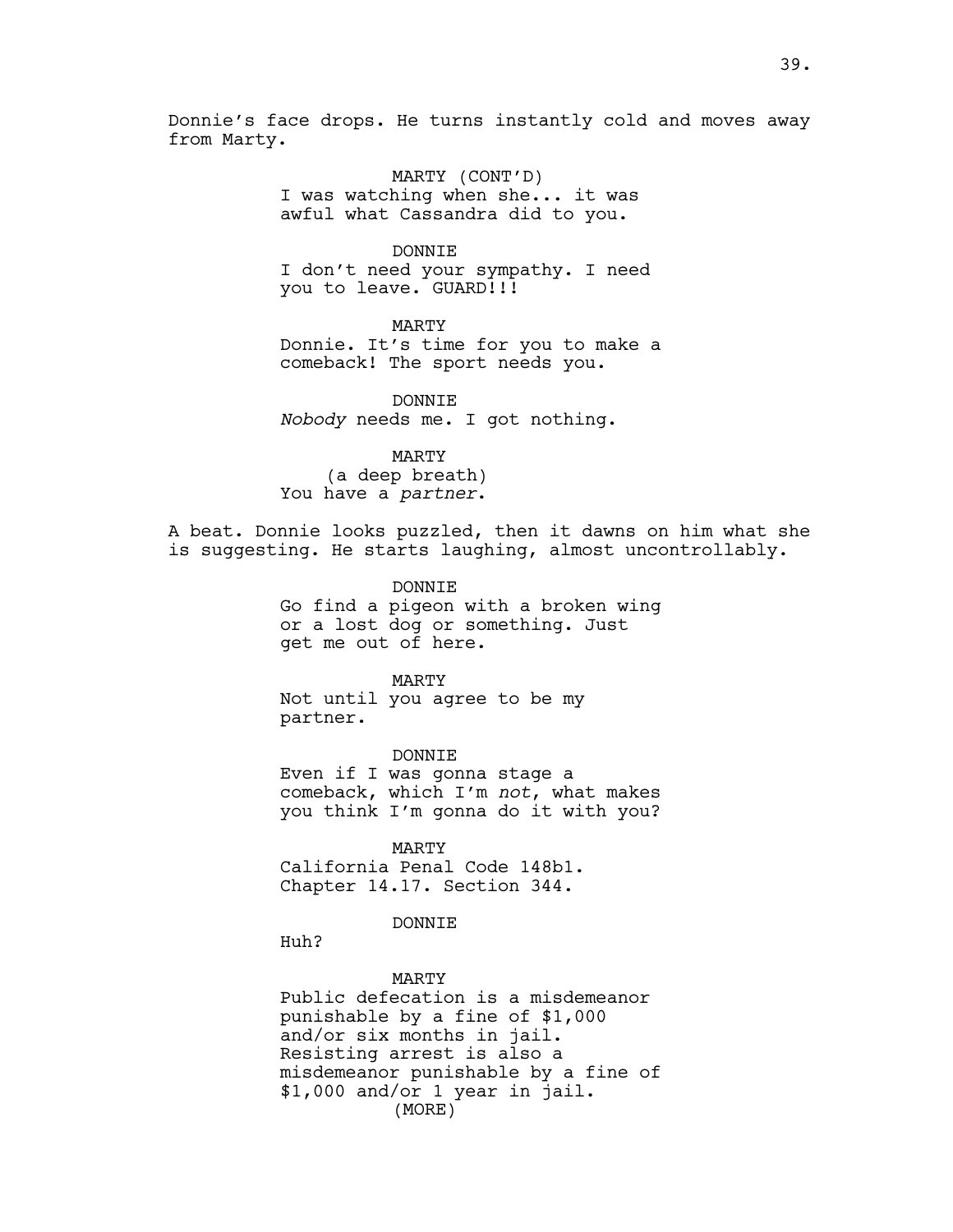Donnie's face drops. He turns instantly cold and moves away from Marty.

> MARTY (CONT'D) I was watching when she... it was awful what Cassandra did to you.

DONNIE I don't need your sympathy. I need you to leave. GUARD!!!

MARTY Donnie. It's time for you to make a comeback! The sport needs you.

DONNTE. *Nobody* needs me. I got nothing.

MARTY (a deep breath) You have a *partner*.

A beat. Donnie looks puzzled, then it dawns on him what she is suggesting. He starts laughing, almost uncontrollably.

> DONNIE Go find a pigeon with a broken wing or a lost dog or something. Just get me out of here.

MARTY Not until you agree to be my partner.

DONNIE Even if I was gonna stage a comeback, which I'm *not*, what makes you think I'm gonna do it with you?

MARTY California Penal Code 148b1. Chapter 14.17. Section 344.

DONNIE

Huh?

MARTY Public defecation is a misdemeanor punishable by a fine of \$1,000 and/or six months in jail. Resisting arrest is also a misdemeanor punishable by a fine of \$1,000 and/or 1 year in jail. (MORE)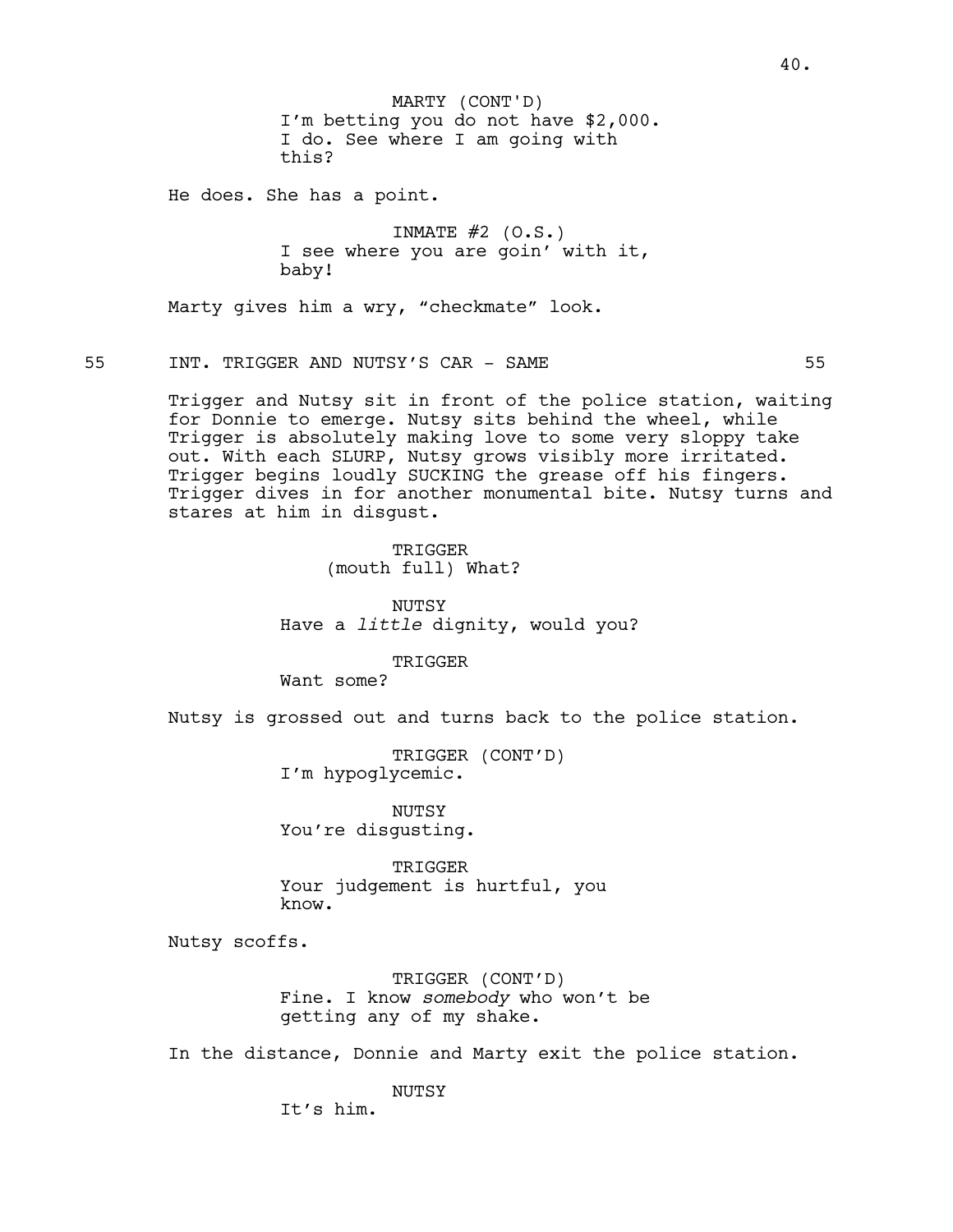I'm betting you do not have \$2,000. I do. See where I am going with this? MARTY (CONT'D)

He does. She has a point.

INMATE  $#2$  (O.S.) I see where you are goin' with it, baby!

Marty gives him a wry, "checkmate" look.

55 INT. TRIGGER AND NUTSY'S CAR - SAME 55

Trigger and Nutsy sit in front of the police station, waiting for Donnie to emerge. Nutsy sits behind the wheel, while Trigger is absolutely making love to some very sloppy take out. With each SLURP, Nutsy grows visibly more irritated. Trigger begins loudly SUCKING the grease off his fingers. Trigger dives in for another monumental bite. Nutsy turns and stares at him in disgust.

> TRIGGER (mouth full) What?

NUTSY Have a *little* dignity, would you?

TRIGGER

Want some?

Nutsy is grossed out and turns back to the police station.

TRIGGER (CONT'D) I'm hypoglycemic.

NUTSY You're disgusting.

TRIGGER Your judgement is hurtful, you know.

Nutsy scoffs.

TRIGGER (CONT'D) Fine. I know *somebody* who won't be getting any of my shake.

In the distance, Donnie and Marty exit the police station.

NUTSY

It's him.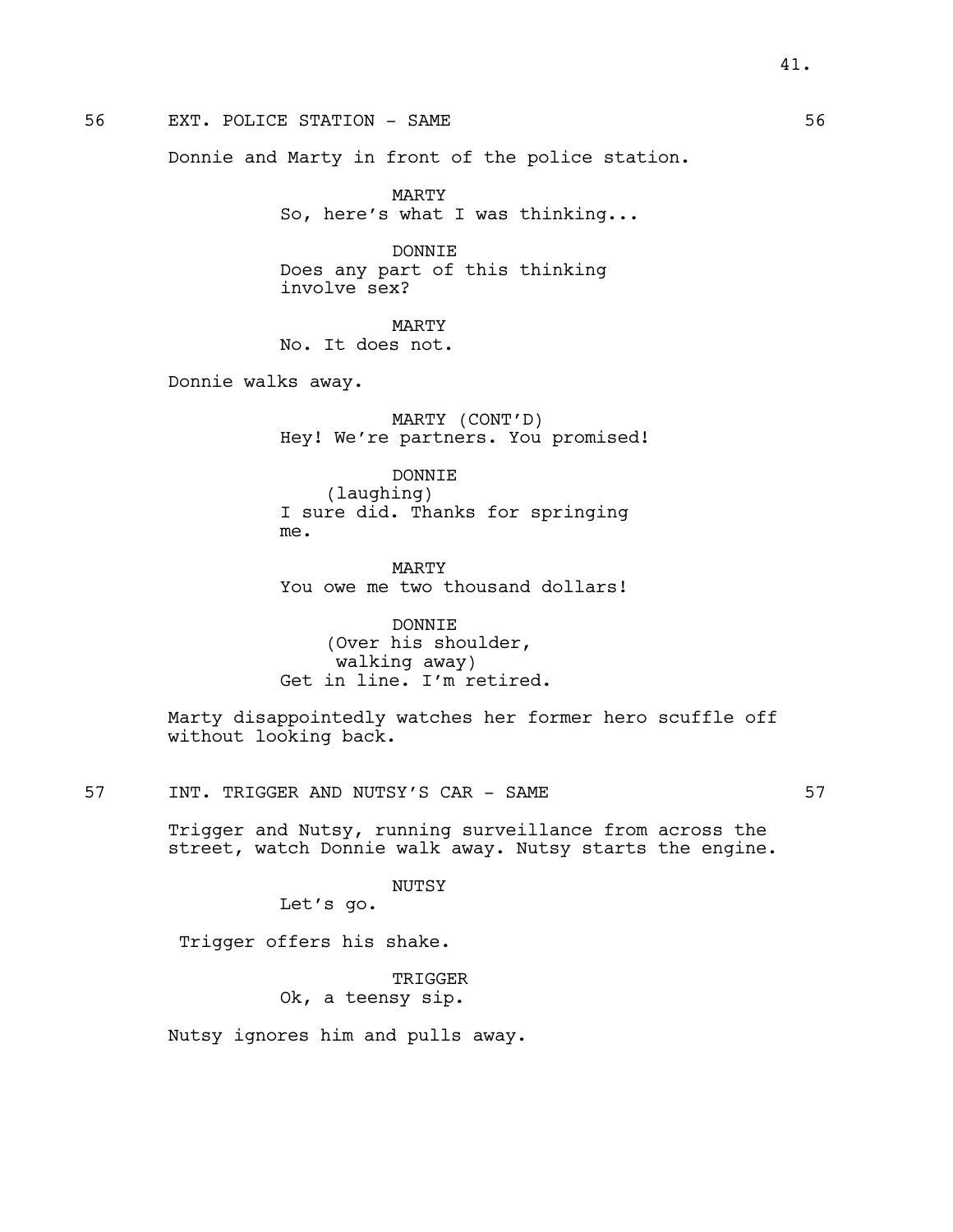# 56 EXT. POLICE STATION - SAME 56 SERVICE STATION - SAME

Donnie and Marty in front of the police station.

MARTY So, here's what I was thinking...

DONNIE Does any part of this thinking involve sex?

MARTY No. It does not.

Donnie walks away.

MARTY (CONT'D) Hey! We're partners. You promised!

DONNIE (laughing) I sure did. Thanks for springing me.

MARTY You owe me two thousand dollars!

DONNIE (Over his shoulder, walking away) Get in line. I'm retired.

Marty disappointedly watches her former hero scuffle off without looking back.

57 INT. TRIGGER AND NUTSY'S CAR - SAME 57

Trigger and Nutsy, running surveillance from across the street, watch Donnie walk away. Nutsy starts the engine.

NUTSY

Let's go.

Trigger offers his shake.

TRIGGER Ok, a teensy sip.

Nutsy ignores him and pulls away.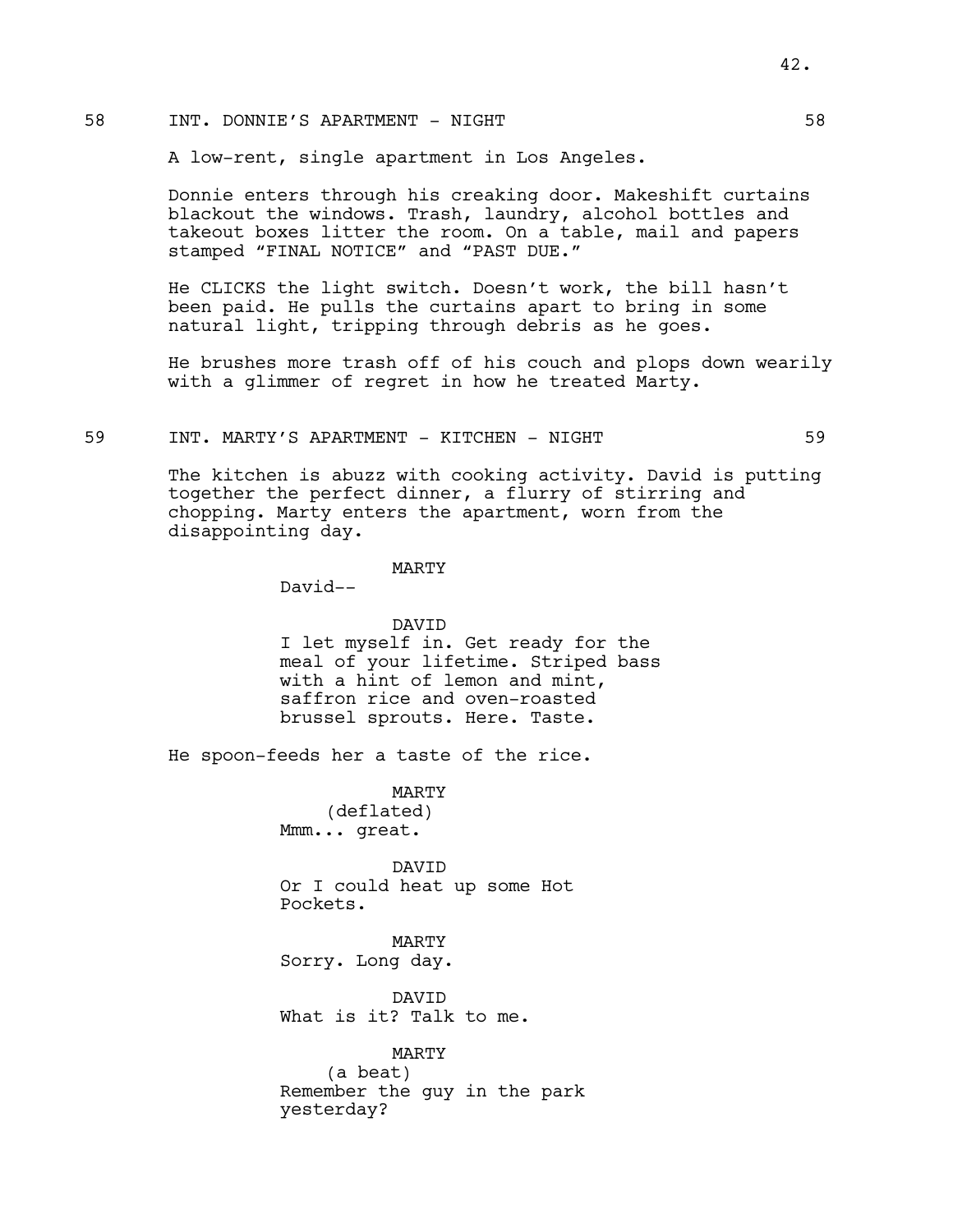## 58 INT. DONNIE'S APARTMENT - NIGHT 58

A low-rent, single apartment in Los Angeles.

Donnie enters through his creaking door. Makeshift curtains blackout the windows. Trash, laundry, alcohol bottles and takeout boxes litter the room. On a table, mail and papers stamped "FINAL NOTICE" and "PAST DUE."

He CLICKS the light switch. Doesn't work, the bill hasn't been paid. He pulls the curtains apart to bring in some natural light, tripping through debris as he goes.

He brushes more trash off of his couch and plops down wearily with a glimmer of regret in how he treated Marty.

## 59 INT. MARTY'S APARTMENT - KITCHEN - NIGHT 59

The kitchen is abuzz with cooking activity. David is putting together the perfect dinner, a flurry of stirring and chopping. Marty enters the apartment, worn from the disappointing day.

## MARTY

David--

### DAVID

I let myself in. Get ready for the meal of your lifetime. Striped bass with a hint of lemon and mint, saffron rice and oven-roasted brussel sprouts. Here. Taste.

He spoon-feeds her a taste of the rice.

MARTY (deflated) Mmm... great.

DAVID Or I could heat up some Hot Pockets.

MARTY Sorry. Long day.

DAVID What is it? Talk to me.

MARTY (a beat) Remember the guy in the park yesterday?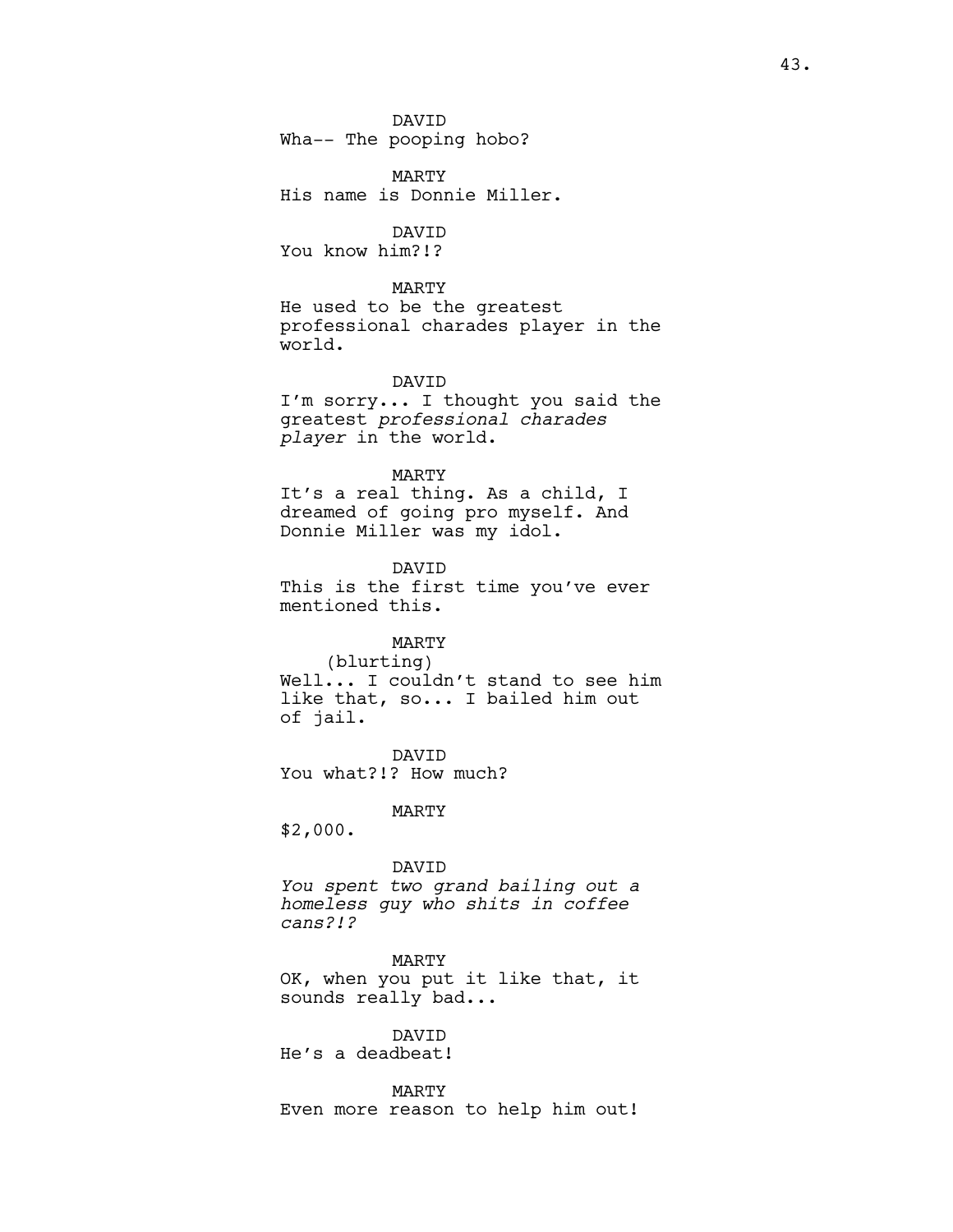DAVID Wha-- The pooping hobo?

MARTY His name is Donnie Miller.

DAVID You know him?!?

MARTY

He used to be the greatest professional charades player in the world.

DAVID

I'm sorry... I thought you said the greatest *professional charades player* in the world.

MARTY

It's a real thing. As a child, I dreamed of going pro myself. And Donnie Miller was my idol.

DAVID This is the first time you've ever mentioned this.

# MARTY

(blurting) Well... I couldn't stand to see him like that, so... I bailed him out of jail.

DAVID You what?!? How much?

MARTY

\$2,000.

#### DAVID

*You spent two grand bailing out a homeless guy who shits in coffee cans?!?* 

MARTY

OK, when you put it like that, it sounds really bad...

## DAVID

He's a deadbeat!

MARTY Even more reason to help him out!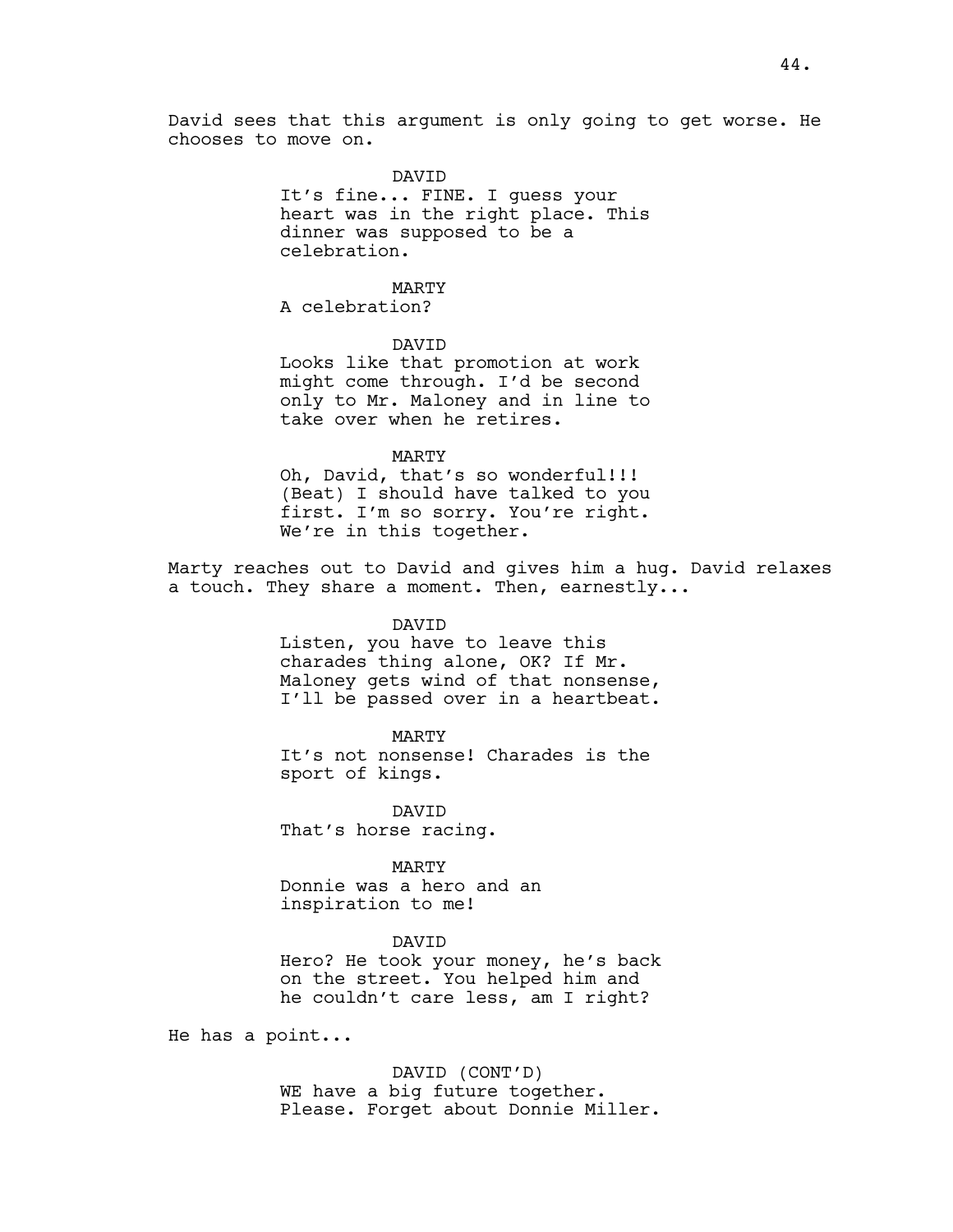David sees that this argument is only going to get worse. He chooses to move on.

## DAVID

It's fine... FINE. I guess your heart was in the right place. This dinner was supposed to be a celebration.

## MARTY

A celebration?

## DAVID

Looks like that promotion at work might come through. I'd be second only to Mr. Maloney and in line to take over when he retires.

### MARTY

Oh, David, that's so wonderful!!! (Beat) I should have talked to you first. I'm so sorry. You're right. We're in this together.

Marty reaches out to David and gives him a hug. David relaxes a touch. They share a moment. Then, earnestly...

### DAVID

Listen, you have to leave this charades thing alone, OK? If Mr. Maloney gets wind of that nonsense, I'll be passed over in a heartbeat.

## MARTY

It's not nonsense! Charades is the sport of kings.

DAVID That's horse racing.

### MARTY

Donnie was a hero and an inspiration to me!

### DAVID

Hero? He took your money, he's back on the street. You helped him and he couldn't care less, am I right?

He has a point...

DAVID (CONT'D) WE have a big future together. Please. Forget about Donnie Miller.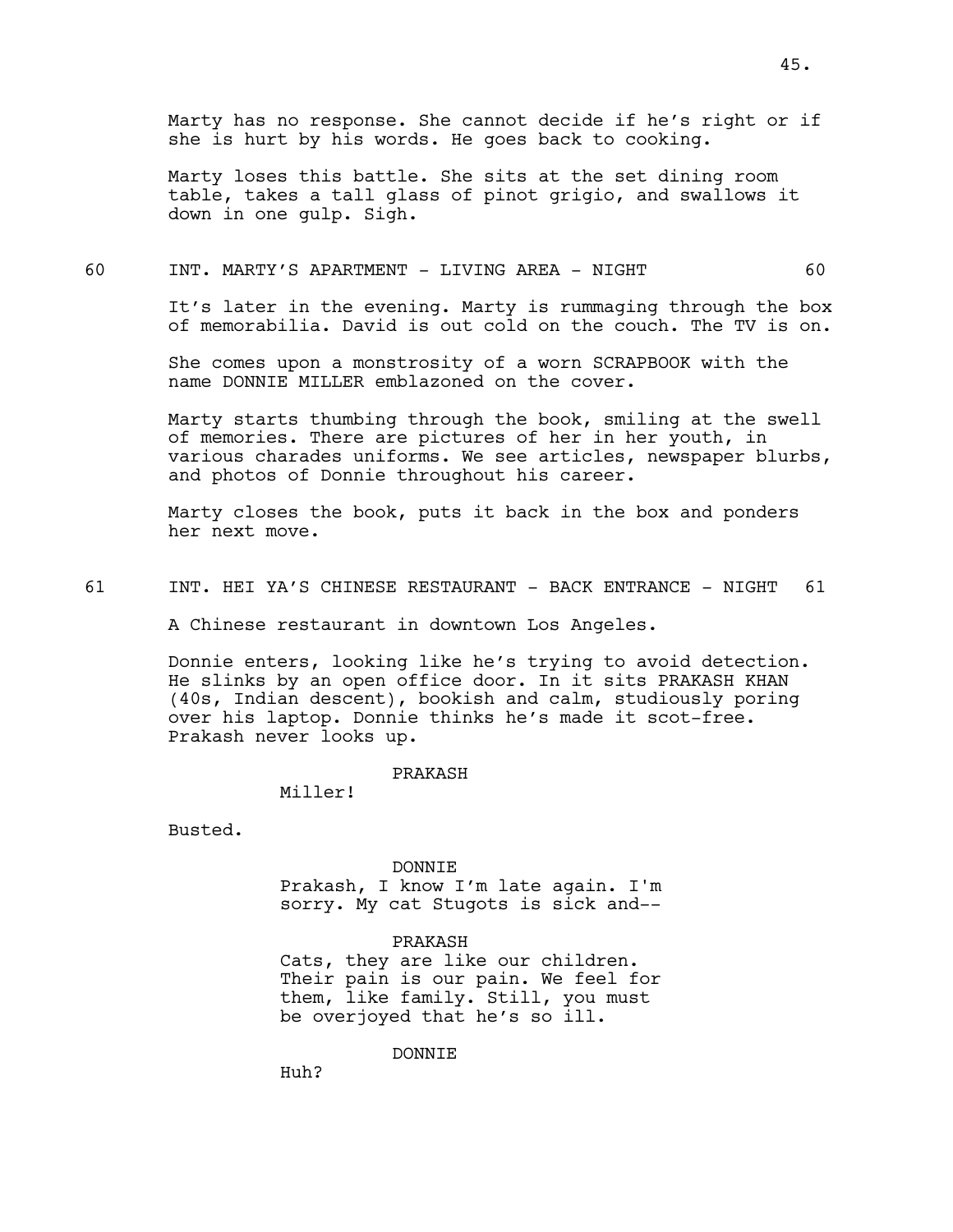Marty has no response. She cannot decide if he's right or if she is hurt by his words. He goes back to cooking.

Marty loses this battle. She sits at the set dining room table, takes a tall glass of pinot grigio, and swallows it down in one gulp. Sigh.

### 60 INT. MARTY'S APARTMENT - LIVING AREA - NIGHT 60

It's later in the evening. Marty is rummaging through the box of memorabilia. David is out cold on the couch. The TV is on.

She comes upon a monstrosity of a worn SCRAPBOOK with the name DONNIE MILLER emblazoned on the cover.

Marty starts thumbing through the book, smiling at the swell of memories. There are pictures of her in her youth, in various charades uniforms. We see articles, newspaper blurbs, and photos of Donnie throughout his career.

Marty closes the book, puts it back in the box and ponders her next move.

61 INT. HEI YA'S CHINESE RESTAURANT - BACK ENTRANCE - NIGHT 61

A Chinese restaurant in downtown Los Angeles.

Donnie enters, looking like he's trying to avoid detection. He slinks by an open office door. In it sits PRAKASH KHAN (40s, Indian descent), bookish and calm, studiously poring over his laptop. Donnie thinks he's made it scot-free. Prakash never looks up.

PRAKASH

Miller!

Busted.

DONNIE Prakash, I know I'm late again. I'm

sorry. My cat Stugots is sick and--

PRAKASH

Cats, they are like our children. Their pain is our pain. We feel for them, like family. Still, you must be overjoyed that he's so ill.

DONNIE

Huh?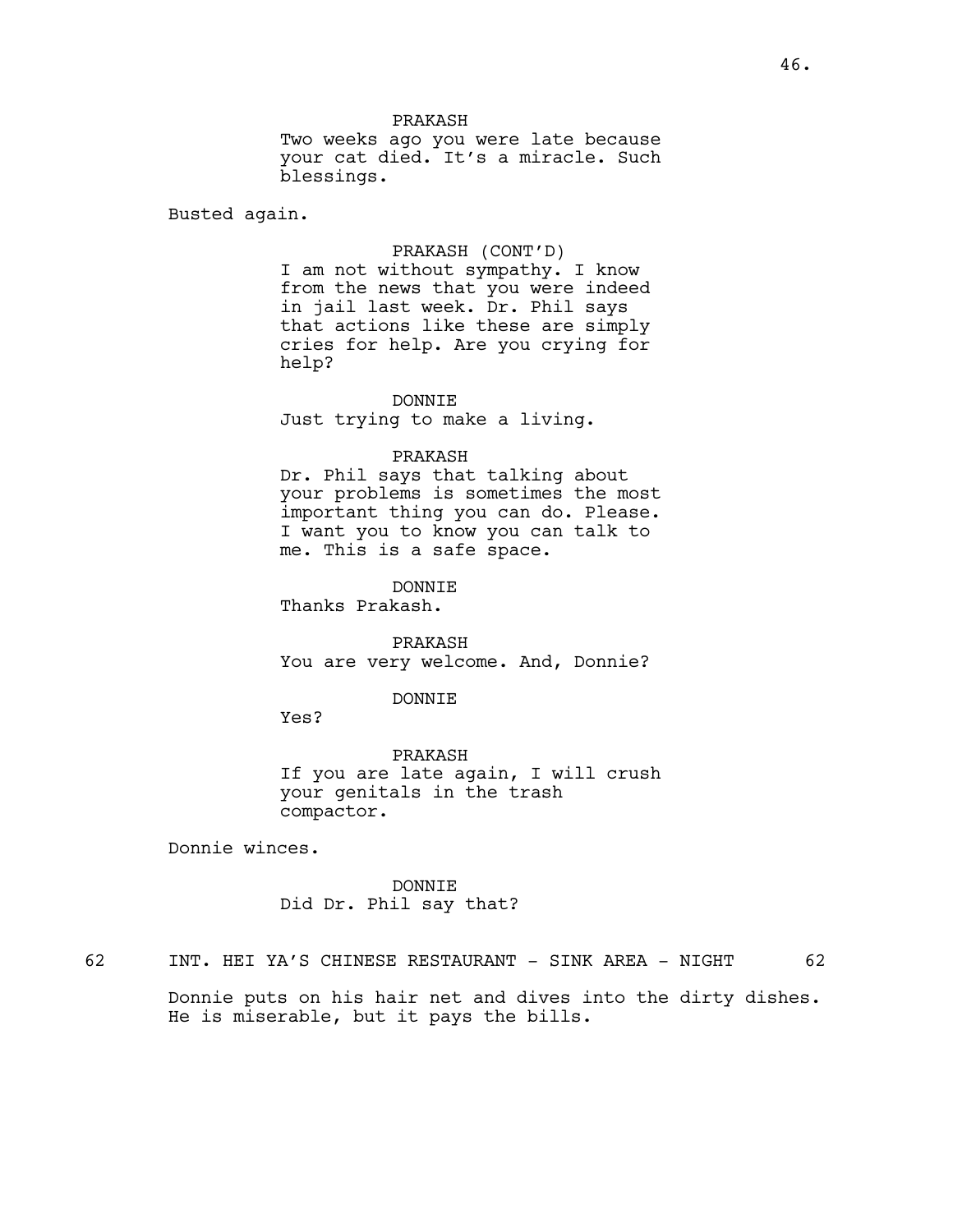Two weeks ago you were late because your cat died. It's a miracle. Such blessings.

Busted again.

## PRAKASH (CONT'D)

I am not without sympathy. I know from the news that you were indeed in jail last week. Dr. Phil says that actions like these are simply cries for help. Are you crying for help?

DONNIE

Just trying to make a living.

### PRAKASH

Dr. Phil says that talking about your problems is sometimes the most important thing you can do. Please. I want you to know you can talk to me. This is a safe space.

DONNIE

Thanks Prakash.

PRAKASH You are very welcome. And, Donnie?

### DONNIE

Yes?

PRAKASH If you are late again, I will crush your genitals in the trash compactor.

Donnie winces.

# DONNIE Did Dr. Phil say that?

62 INT. HEI YA'S CHINESE RESTAURANT - SINK AREA - NIGHT 62

Donnie puts on his hair net and dives into the dirty dishes. He is miserable, but it pays the bills.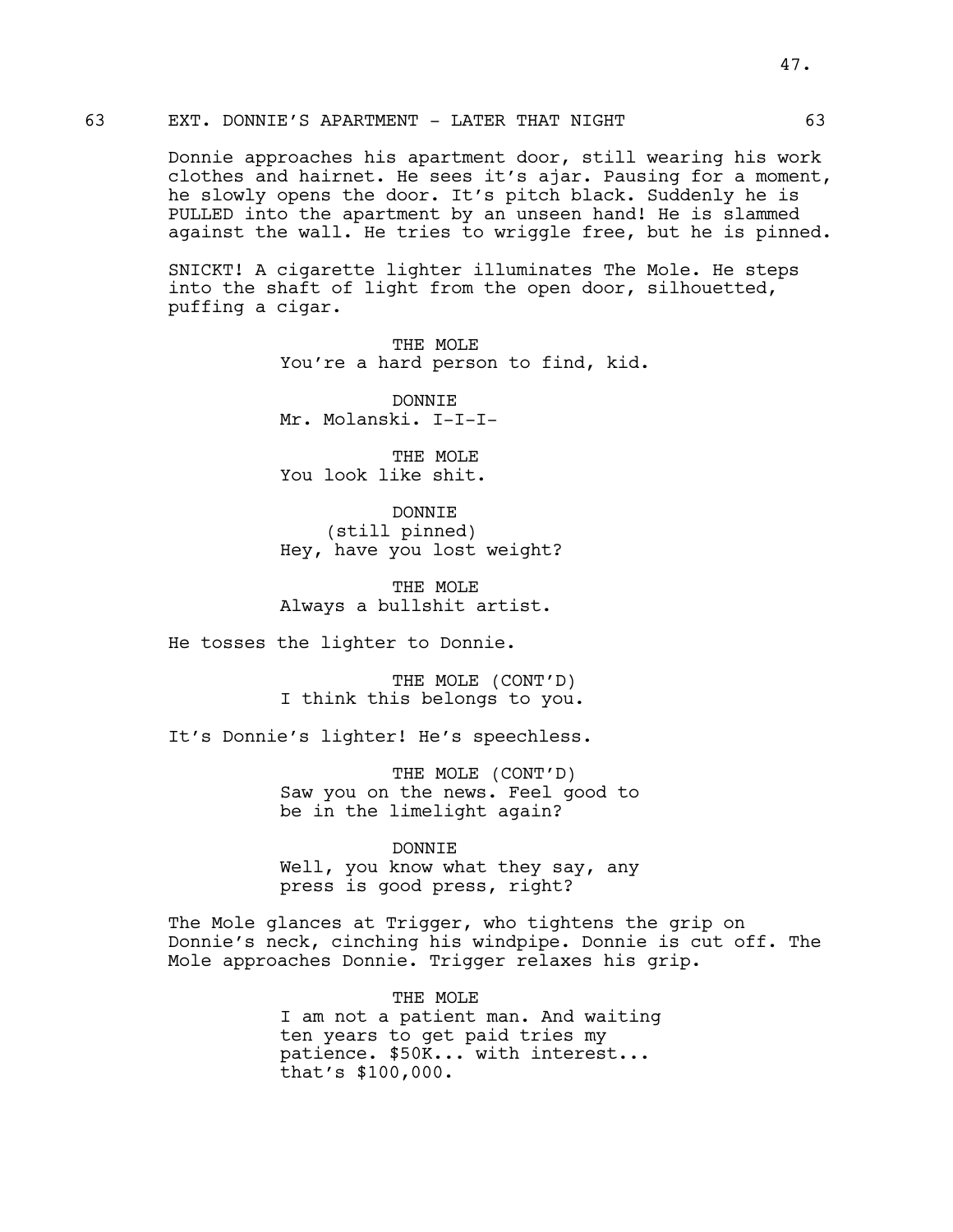# 63 EXT. DONNIE'S APARTMENT - LATER THAT NIGHT 63

Donnie approaches his apartment door, still wearing his work clothes and hairnet. He sees it's ajar. Pausing for a moment, he slowly opens the door. It's pitch black. Suddenly he is PULLED into the apartment by an unseen hand! He is slammed against the wall. He tries to wriggle free, but he is pinned.

SNICKT! A cigarette lighter illuminates The Mole. He steps into the shaft of light from the open door, silhouetted, puffing a cigar.

> THE MOLE You're a hard person to find, kid.

DONNIE Mr. Molanski. I-I-I-

THE MOLE You look like shit.

DONNIE (still pinned) Hey, have you lost weight?

THE MOLE Always a bullshit artist.

He tosses the lighter to Donnie.

THE MOLE (CONT'D) I think this belongs to you.

It's Donnie's lighter! He's speechless.

THE MOLE (CONT'D) Saw you on the news. Feel good to be in the limelight again?

DONNIE

Well, you know what they say, any press is good press, right?

The Mole glances at Trigger, who tightens the grip on Donnie's neck, cinching his windpipe. Donnie is cut off. The Mole approaches Donnie. Trigger relaxes his grip.

> THE MOLE I am not a patient man. And waiting ten years to get paid tries my patience. \$50K... with interest... that's \$100,000.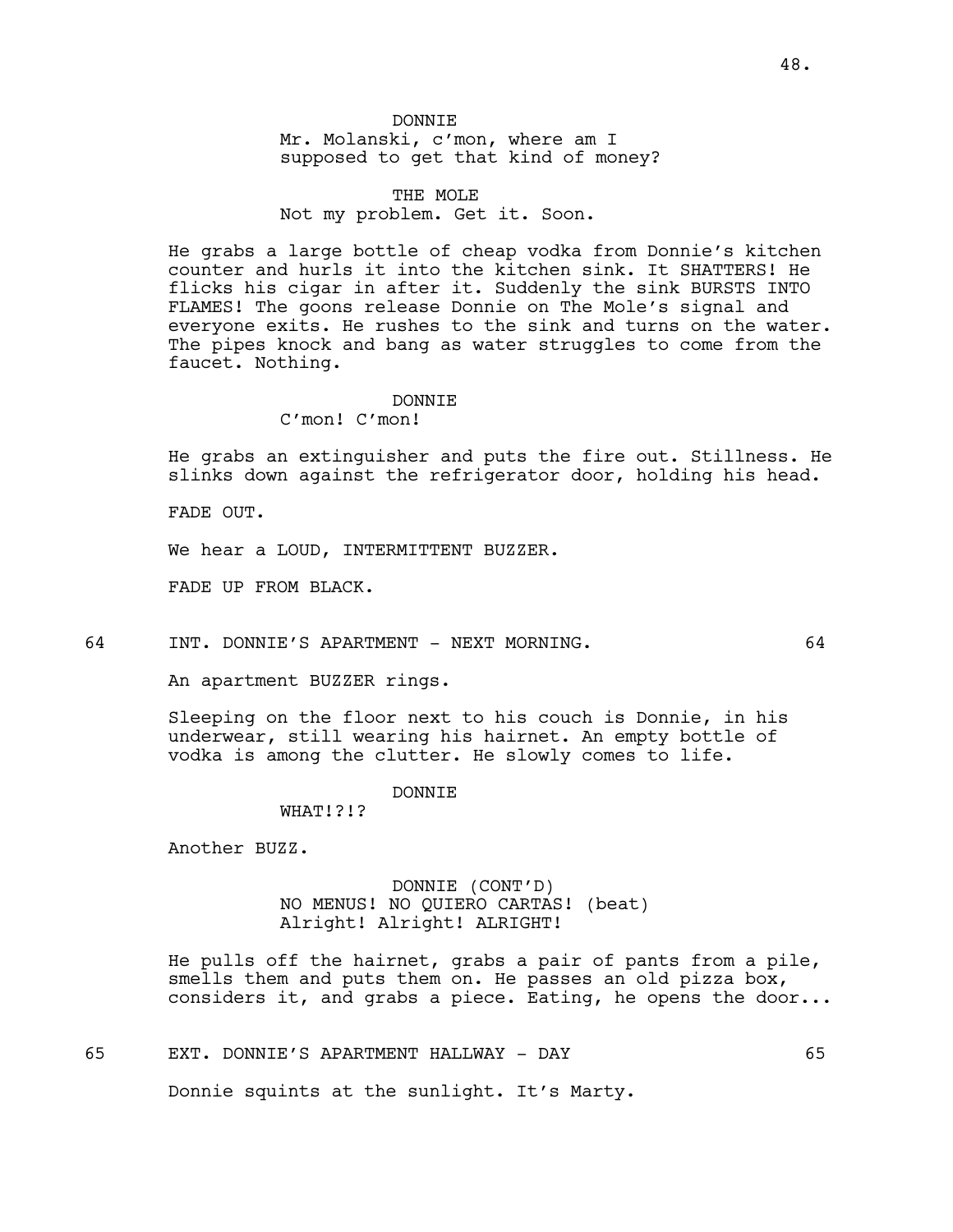# THE MOLE Not my problem. Get it. Soon.

He grabs a large bottle of cheap vodka from Donnie's kitchen counter and hurls it into the kitchen sink. It SHATTERS! He flicks his cigar in after it. Suddenly the sink BURSTS INTO FLAMES! The goons release Donnie on The Mole's signal and everyone exits. He rushes to the sink and turns on the water. The pipes knock and bang as water struggles to come from the faucet. Nothing.

### DONNTE.

C'mon! C'mon!

He grabs an extinguisher and puts the fire out. Stillness. He slinks down against the refrigerator door, holding his head.

FADE OUT.

We hear a LOUD, INTERMITTENT BUZZER.

FADE UP FROM BLACK.

64 INT. DONNIE'S APARTMENT - NEXT MORNING. 64

An apartment BUZZER rings.

Sleeping on the floor next to his couch is Donnie, in his underwear, still wearing his hairnet. An empty bottle of vodka is among the clutter. He slowly comes to life.

### **DONNTE**

WHAT!?!?

Another BUZZ.

DONNIE (CONT'D) NO MENUS! NO QUIERO CARTAS! (beat) Alright! Alright! ALRIGHT!

He pulls off the hairnet, grabs a pair of pants from a pile, smells them and puts them on. He passes an old pizza box, considers it, and grabs a piece. Eating, he opens the door...

65 EXT. DONNIE'S APARTMENT HALLWAY - DAY 65

Donnie squints at the sunlight. It's Marty.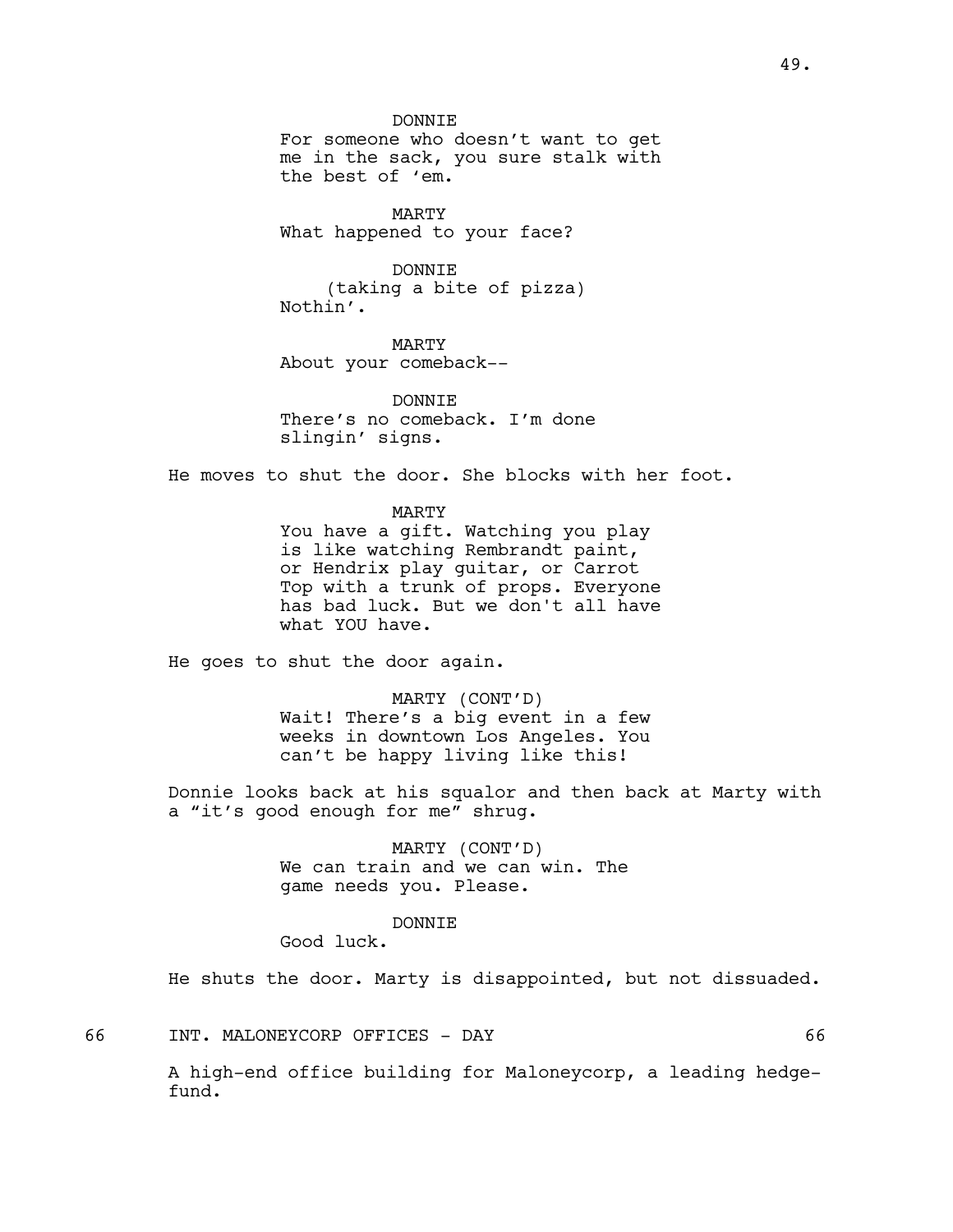DONNIE For someone who doesn't want to get me in the sack, you sure stalk with the best of 'em.

MARTY What happened to your face?

DONNIE (taking a bite of pizza) Nothin'.

MARTY About your comeback--

DONNTE. There's no comeback. I'm done slingin' signs.

He moves to shut the door. She blocks with her foot.

MARTY You have a gift. Watching you play is like watching Rembrandt paint, or Hendrix play guitar, or Carrot Top with a trunk of props. Everyone has bad luck. But we don't all have what YOU have.

He goes to shut the door again.

MARTY (CONT'D) Wait! There's a big event in a few weeks in downtown Los Angeles. You can't be happy living like this!

Donnie looks back at his squalor and then back at Marty with a "it's good enough for me" shrug.

> MARTY (CONT'D) We can train and we can win. The game needs you. Please.

#### DONNIE

Good luck.

He shuts the door. Marty is disappointed, but not dissuaded.

66 INT. MALONEYCORP OFFICES - DAY 66

A high-end office building for Maloneycorp, a leading hedgefund.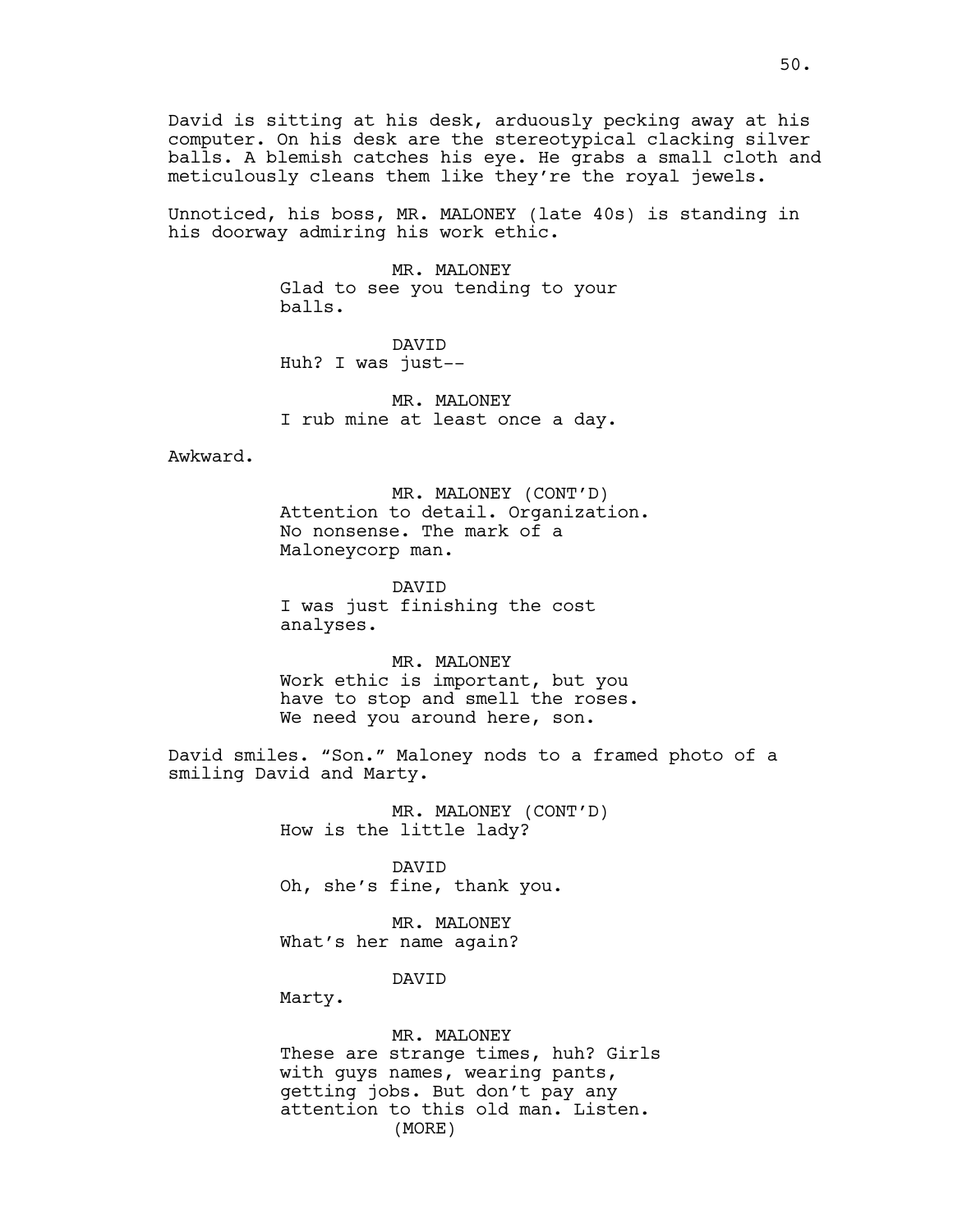David is sitting at his desk, arduously pecking away at his computer. On his desk are the stereotypical clacking silver balls. A blemish catches his eye. He grabs a small cloth and meticulously cleans them like they're the royal jewels.

Unnoticed, his boss, MR. MALONEY (late 40s) is standing in his doorway admiring his work ethic.

> MR. MALONEY Glad to see you tending to your balls.

DAVID Huh? I was just--

MR. MALONEY I rub mine at least once a day.

Awkward.

MR. MALONEY (CONT'D) Attention to detail. Organization. No nonsense. The mark of a Maloneycorp man.

DAVID I was just finishing the cost analyses.

MR. MALONEY Work ethic is important, but you have to stop and smell the roses. We need you around here, son.

David smiles. "Son." Maloney nods to a framed photo of a smiling David and Marty.

> MR. MALONEY (CONT'D) How is the little lady?

DAVID Oh, she's fine, thank you.

MR. MALONEY What's her name again?

DAVID

Marty.

MR. MALONEY These are strange times, huh? Girls with guys names, wearing pants, getting jobs. But don't pay any attention to this old man. Listen. (MORE)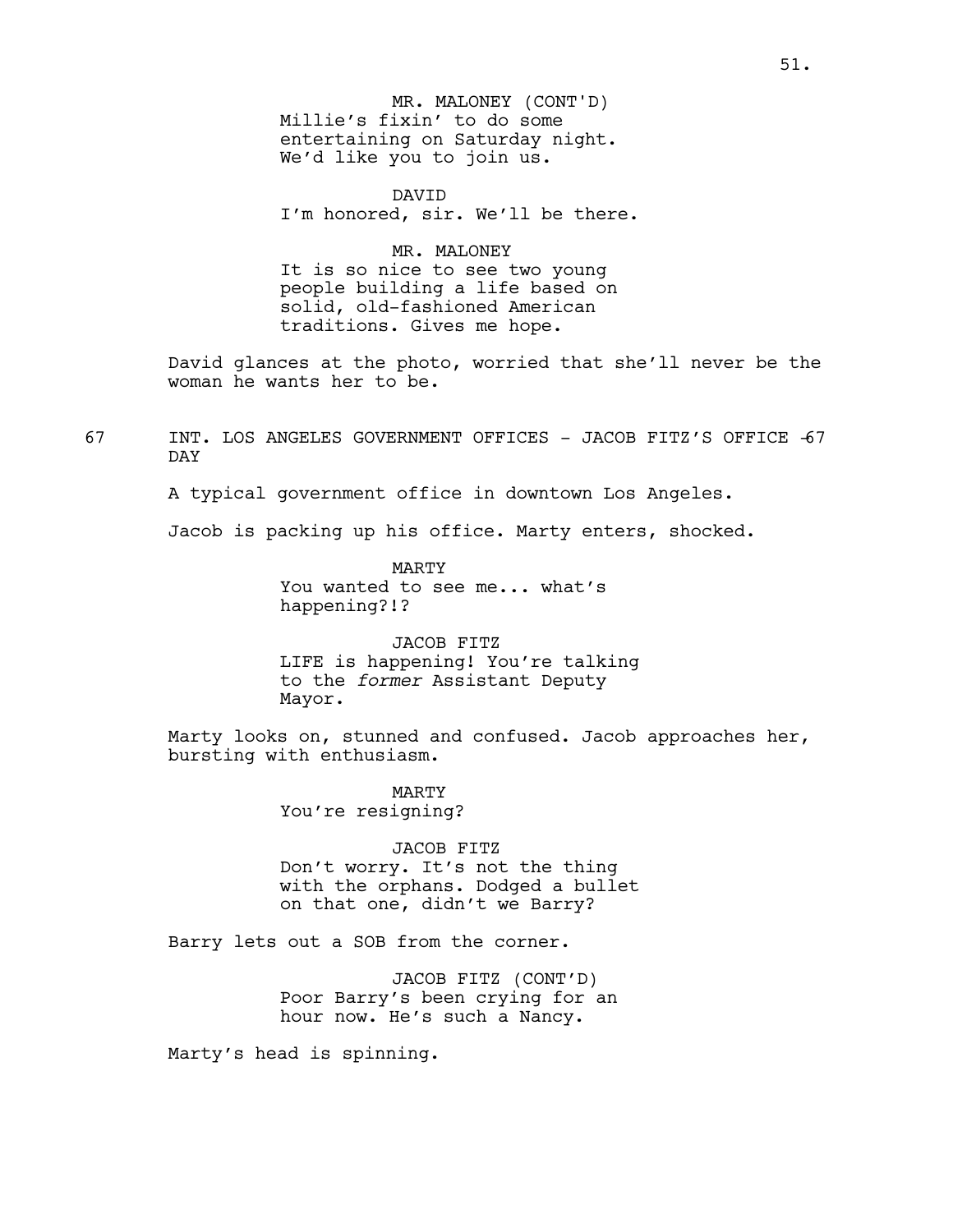Millie's fixin' to do some entertaining on Saturday night. We'd like you to join us. MR. MALONEY (CONT'D)

DAVID I'm honored, sir. We'll be there.

MR. MALONEY It is so nice to see two young people building a life based on solid, old-fashioned American traditions. Gives me hope.

David glances at the photo, worried that she'll never be the woman he wants her to be.

67 INT. LOS ANGELES GOVERNMENT OFFICES - JACOB FITZ'S OFFICE -67 DAY

A typical government office in downtown Los Angeles.

Jacob is packing up his office. Marty enters, shocked.

MARTY You wanted to see me... what's happening?!?

JACOB FITZ LIFE is happening! You're talking to the *former* Assistant Deputy Mayor.

Marty looks on, stunned and confused. Jacob approaches her, bursting with enthusiasm.

> MARTY You're resigning?

JACOB FITZ Don't worry. It's not the thing with the orphans. Dodged a bullet on that one, didn't we Barry?

Barry lets out a SOB from the corner.

JACOB FITZ (CONT'D) Poor Barry's been crying for an hour now. He's such a Nancy.

Marty's head is spinning.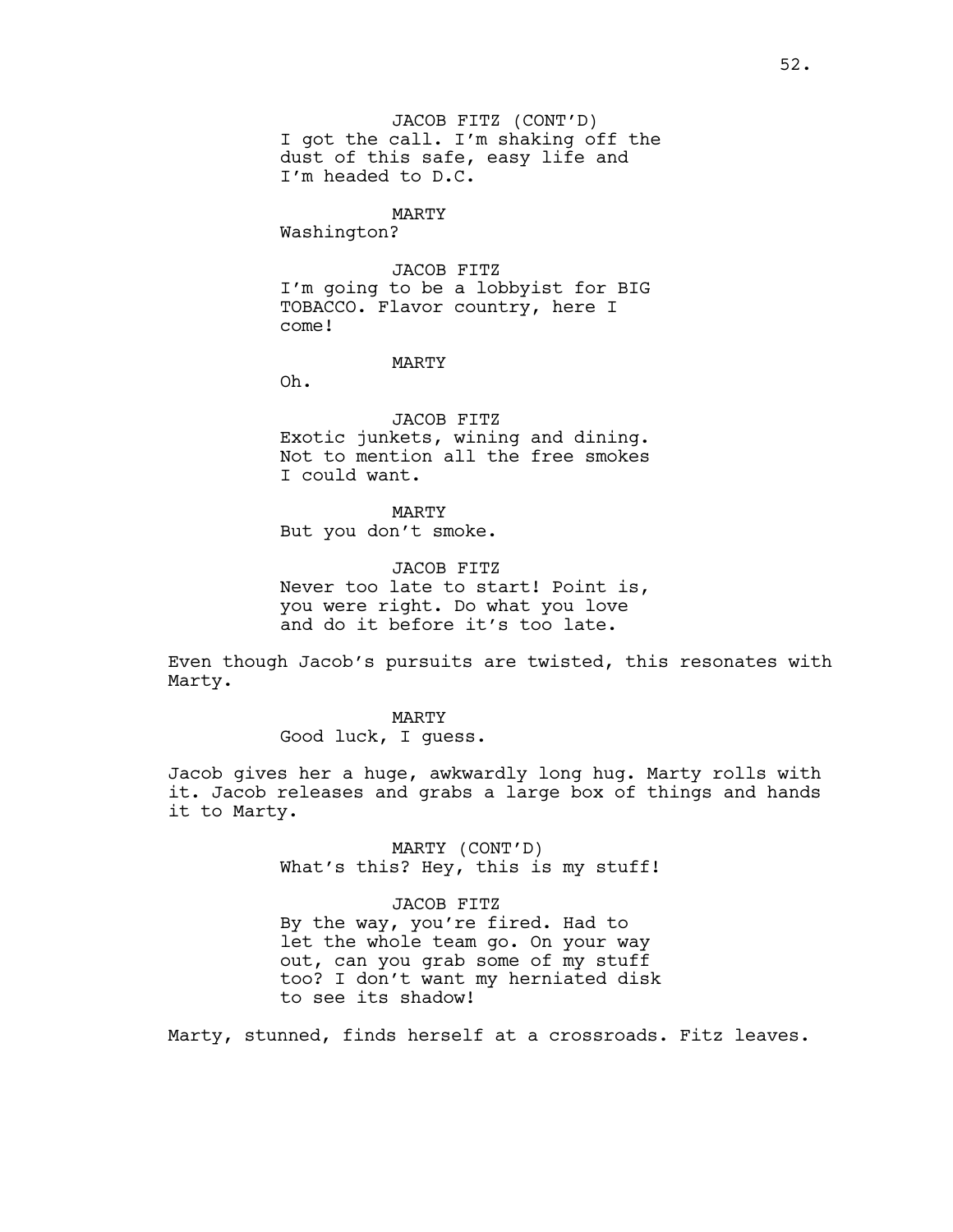JACOB FITZ (CONT'D) I got the call. I'm shaking off the dust of this safe, easy life and I'm headed to D.C.

## MARTY

Washington?

JACOB FITZ I'm going to be a lobbyist for BIG TOBACCO. Flavor country, here I come!

## MARTY

Oh.

JACOB FITZ Exotic junkets, wining and dining. Not to mention all the free smokes I could want.

MARTY But you don't smoke.

JACOB FITZ Never too late to start! Point is, you were right. Do what you love and do it before it's too late.

Even though Jacob's pursuits are twisted, this resonates with Marty.

> MARTY Good luck, I guess.

Jacob gives her a huge, awkwardly long hug. Marty rolls with it. Jacob releases and grabs a large box of things and hands it to Marty.

> MARTY (CONT'D) What's this? Hey, this is my stuff!

> JACOB FITZ By the way, you're fired. Had to let the whole team go. On your way out, can you grab some of my stuff too? I don't want my herniated disk to see its shadow!

Marty, stunned, finds herself at a crossroads. Fitz leaves.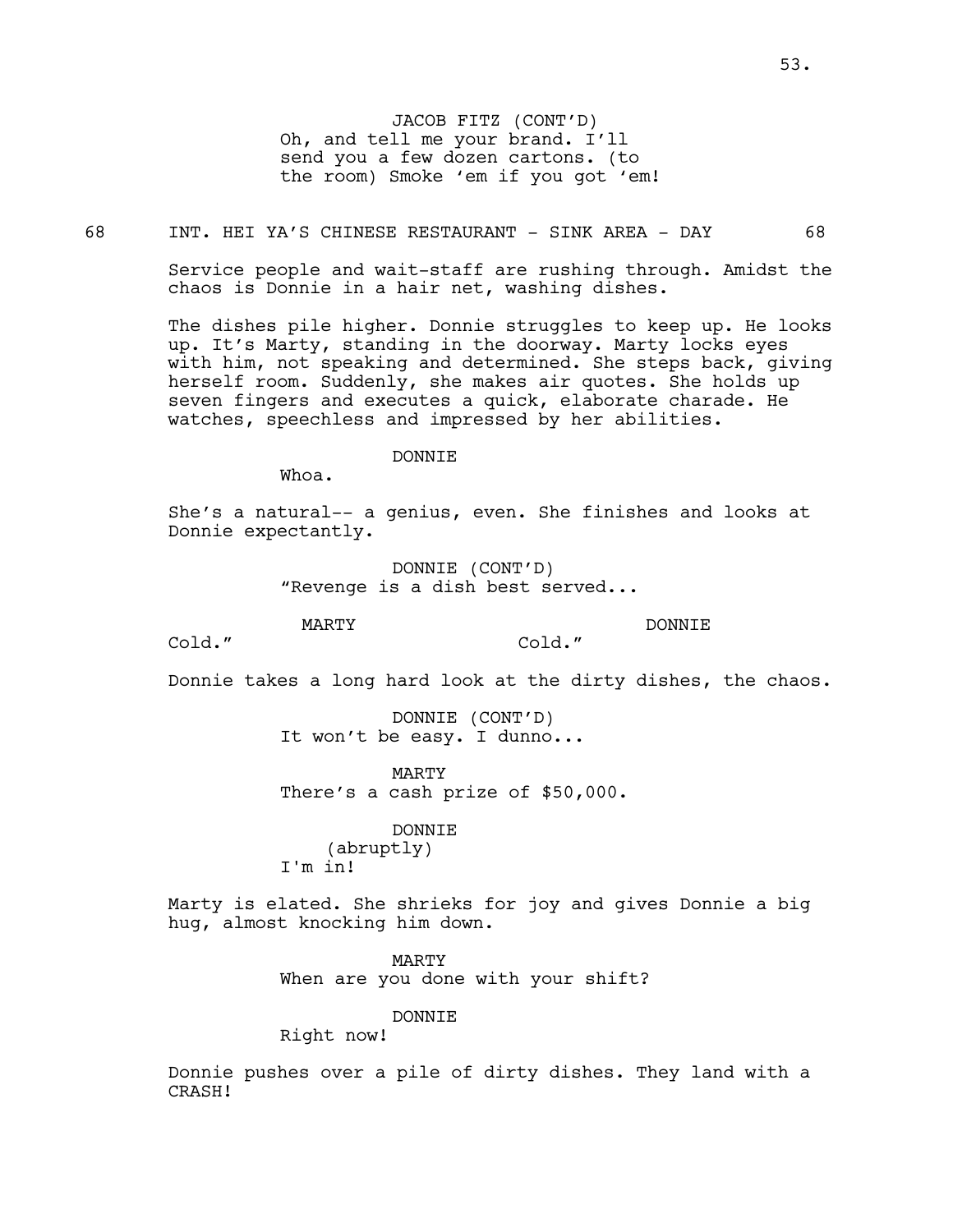JACOB FITZ (CONT'D) Oh, and tell me your brand. I'll send you a few dozen cartons. (to the room) Smoke 'em if you got 'em!

## 68 INT. HEI YA'S CHINESE RESTAURANT - SINK AREA - DAY 68

Service people and wait-staff are rushing through. Amidst the chaos is Donnie in a hair net, washing dishes.

The dishes pile higher. Donnie struggles to keep up. He looks up. It's Marty, standing in the doorway. Marty locks eyes with him, not speaking and determined. She steps back, giving herself room. Suddenly, she makes air quotes. She holds up seven fingers and executes a quick, elaborate charade. He watches, speechless and impressed by her abilities.

### DONNIE

Whoa.

She's a natural-- a genius, even. She finishes and looks at Donnie expectantly.

> DONNIE (CONT'D) "Revenge is a dish best served...

MARTY

DONNIE

Cold."

Donnie takes a long hard look at the dirty dishes, the chaos.

Cold."

DONNIE (CONT'D) It won't be easy. I dunno...

MARTY There's a cash prize of \$50,000.

DONNIE (abruptly) I'm in!

Marty is elated. She shrieks for joy and gives Donnie a big hug, almost knocking him down.

> MARTY When are you done with your shift?

> > DONNIE

Right now!

Donnie pushes over a pile of dirty dishes. They land with a CRASH!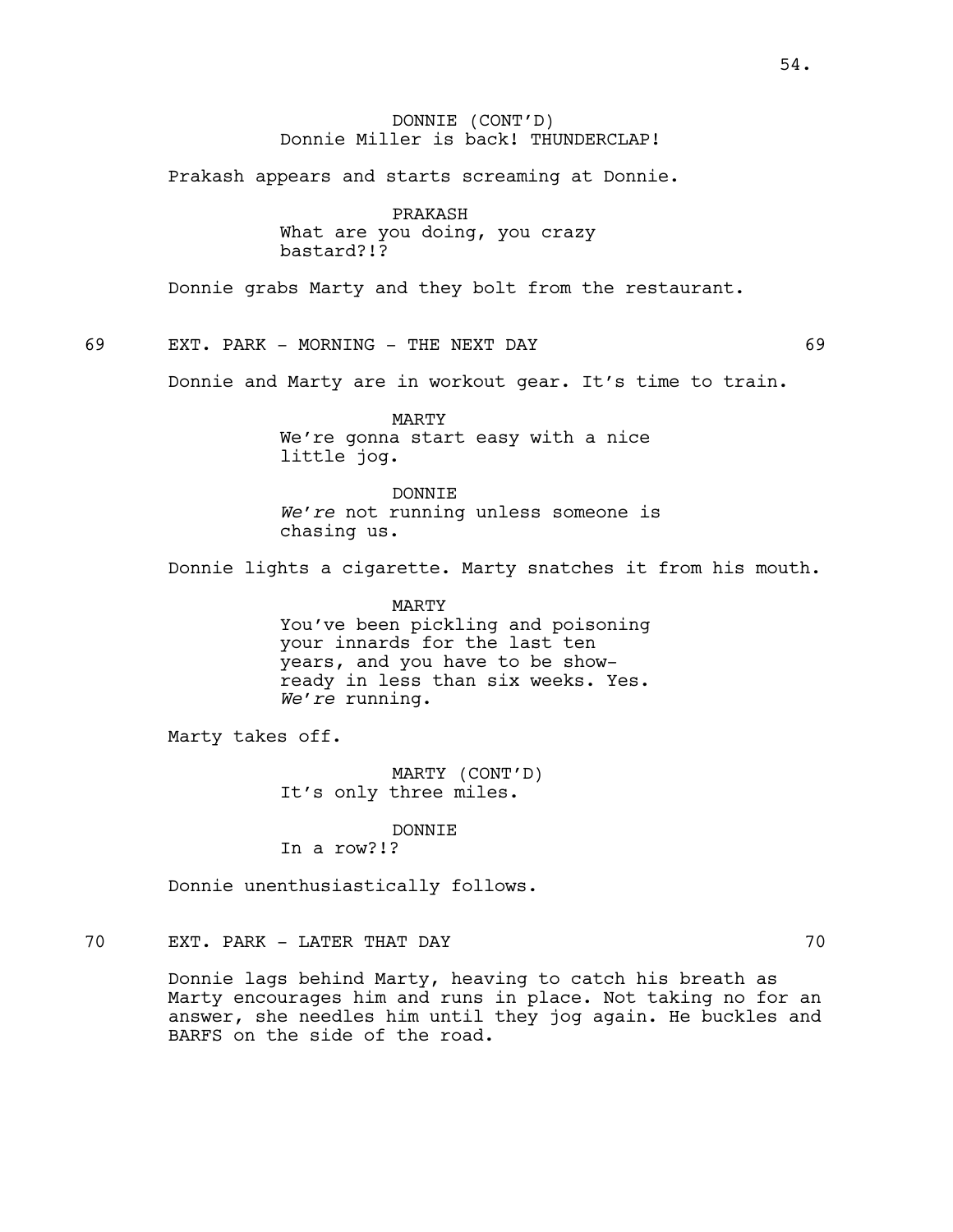54.

# DONNIE (CONT'D) Donnie Miller is back! THUNDERCLAP!

Prakash appears and starts screaming at Donnie.

PRAKASH What are you doing, you crazy bastard?!?

Donnie grabs Marty and they bolt from the restaurant.

69 EXT. PARK - MORNING - THE NEXT DAY 69

Donnie and Marty are in workout gear. It's time to train.

MARTY We're gonna start easy with a nice little jog.

DONNIE *We're* not running unless someone is chasing us.

Donnie lights a cigarette. Marty snatches it from his mouth.

MARTY You've been pickling and poisoning your innards for the last ten years, and you have to be showready in less than six weeks. Yes. *We're* running.

Marty takes off.

MARTY (CONT'D) It's only three miles.

DONNIE In a row?!?

Donnie unenthusiastically follows.

# 70 EXT. PARK - LATER THAT DAY 70

Donnie lags behind Marty, heaving to catch his breath as Marty encourages him and runs in place. Not taking no for an answer, she needles him until they jog again. He buckles and BARFS on the side of the road.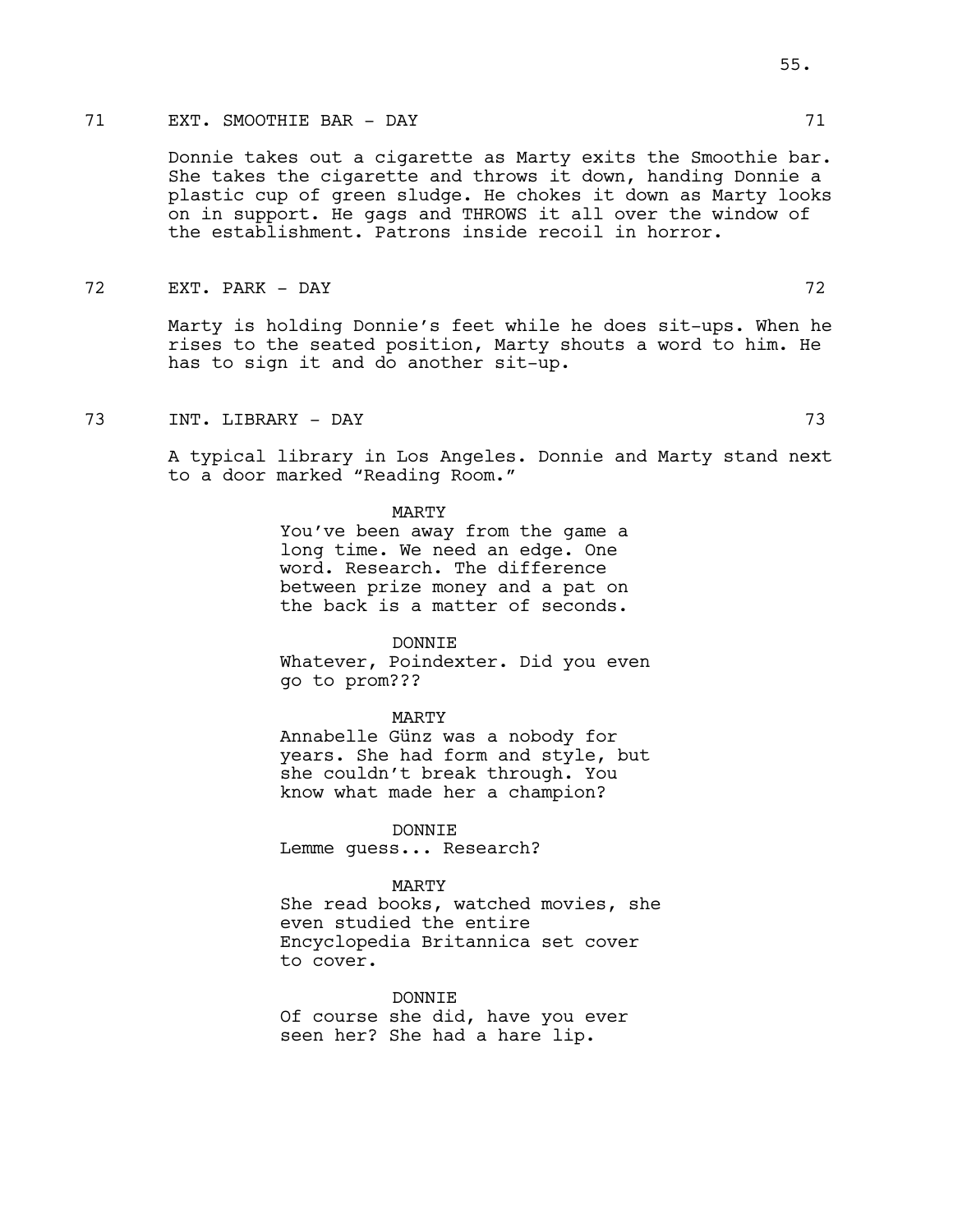# 71 EXT. SMOOTHIE BAR - DAY 71

Donnie takes out a cigarette as Marty exits the Smoothie bar. She takes the cigarette and throws it down, handing Donnie a plastic cup of green sludge. He chokes it down as Marty looks on in support. He gags and THROWS it all over the window of the establishment. Patrons inside recoil in horror.

## 72 EXT. PARK - DAY 72

Marty is holding Donnie's feet while he does sit-ups. When he rises to the seated position, Marty shouts a word to him. He has to sign it and do another sit-up.

73 INT. LIBRARY - DAY 73

A typical library in Los Angeles. Donnie and Marty stand next to a door marked "Reading Room."

#### MARTY

You've been away from the game a long time. We need an edge. One word. Research. The difference between prize money and a pat on the back is a matter of seconds.

#### DONNIE

Whatever, Poindexter. Did you even go to prom???

#### MARTY

Annabelle Günz was a nobody for years. She had form and style, but she couldn't break through. You know what made her a champion?

DONNIE Lemme guess... Research?

### MARTY

She read books, watched movies, she even studied the entire Encyclopedia Britannica set cover to cover.

DONNIE

Of course she did, have you ever seen her? She had a hare lip.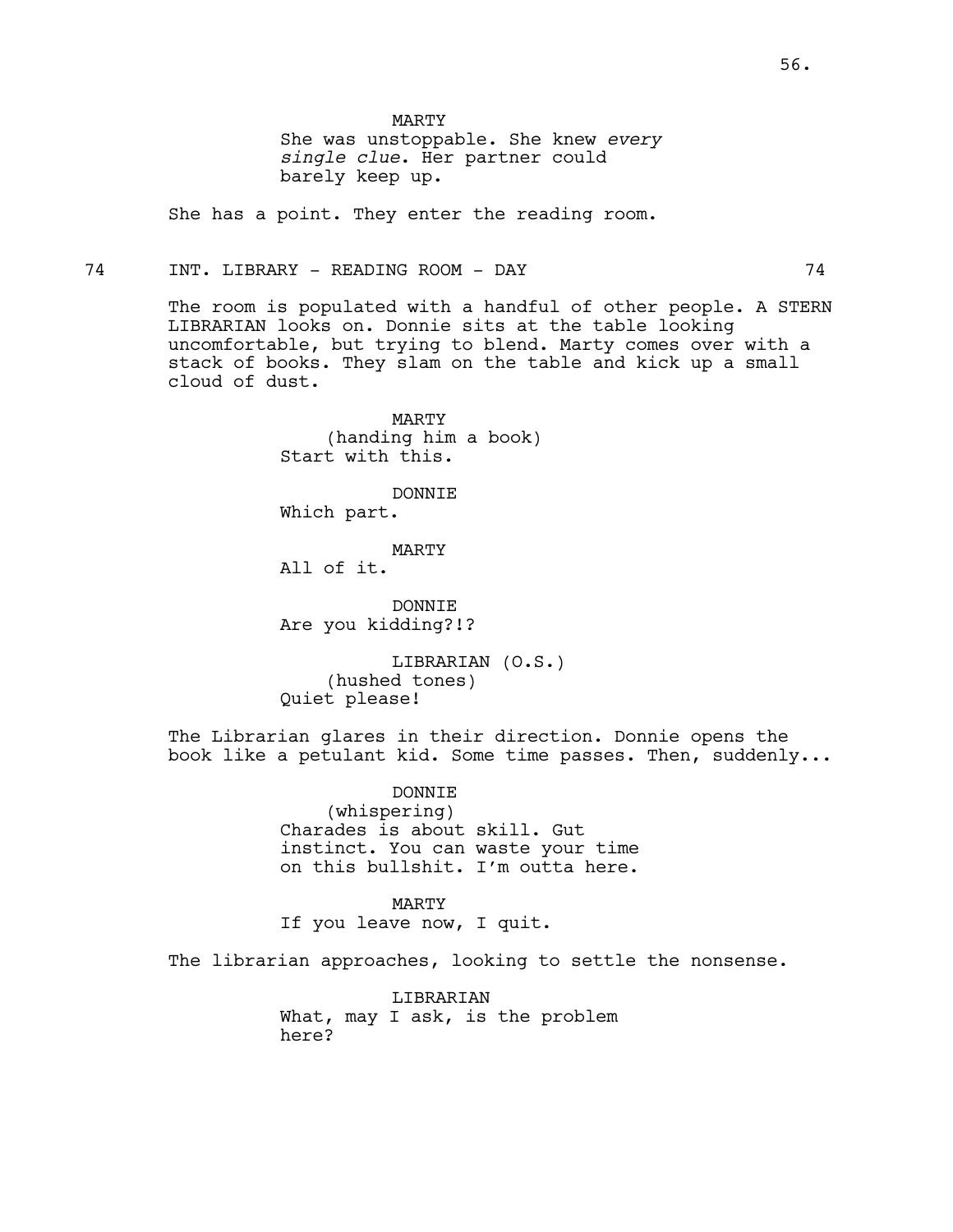MARTY

She was unstoppable. She knew *every single clue*. Her partner could barely keep up.

She has a point. They enter the reading room.

## 74 INT. LIBRARY - READING ROOM - DAY 74

The room is populated with a handful of other people. A STERN LIBRARIAN looks on. Donnie sits at the table looking uncomfortable, but trying to blend. Marty comes over with a stack of books. They slam on the table and kick up a small cloud of dust.

> MARTY (handing him a book) Start with this.

> > DONNIE

Which part.

MARTY All of it.

DONNIE Are you kidding?!?

LIBRARIAN (O.S.) (hushed tones) Quiet please!

The Librarian glares in their direction. Donnie opens the book like a petulant kid. Some time passes. Then, suddenly...

> DONNIE (whispering) Charades is about skill. Gut instinct. You can waste your time on this bullshit. I'm outta here.

MARTY If you leave now, I quit.

The librarian approaches, looking to settle the nonsense.

LIBRARIAN What, may I ask, is the problem here?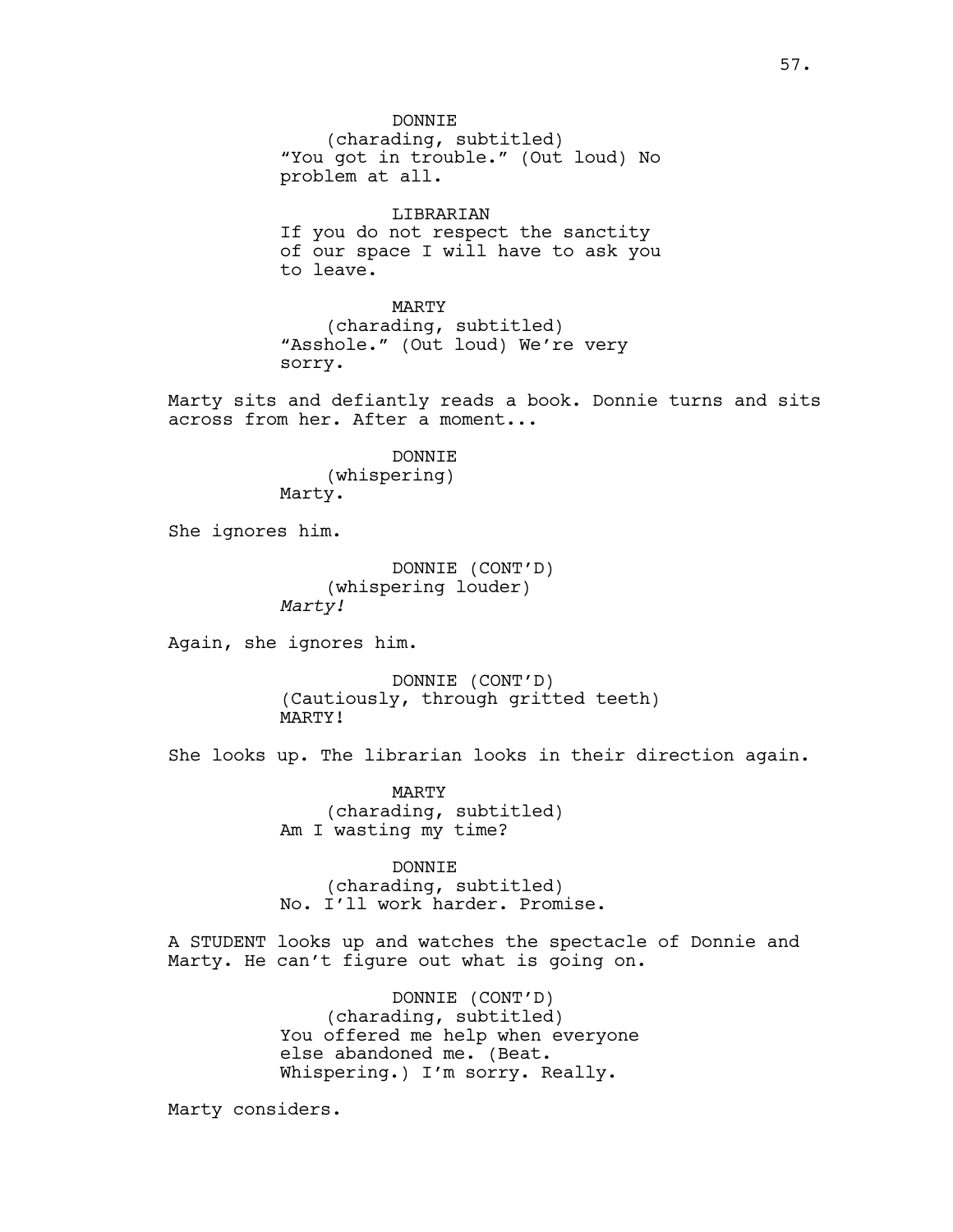DONNTE. (charading, subtitled) "You got in trouble." (Out loud) No problem at all.

LIBRARIAN If you do not respect the sanctity of our space I will have to ask you to leave.

MARTY (charading, subtitled) "Asshole." (Out loud) We're very sorry.

Marty sits and defiantly reads a book. Donnie turns and sits across from her. After a moment...

> DONNIE (whispering) Marty.

She ignores him.

DONNIE (CONT'D) (whispering louder) *Marty!*

Again, she ignores him.

DONNIE (CONT'D) (Cautiously, through gritted teeth) MARTY!

She looks up. The librarian looks in their direction again.

MARTY (charading, subtitled) Am I wasting my time?

DONNIE (charading, subtitled) No. I'll work harder. Promise.

A STUDENT looks up and watches the spectacle of Donnie and Marty. He can't figure out what is going on.

> DONNIE (CONT'D) (charading, subtitled) You offered me help when everyone else abandoned me. (Beat. Whispering.) I'm sorry. Really.

Marty considers.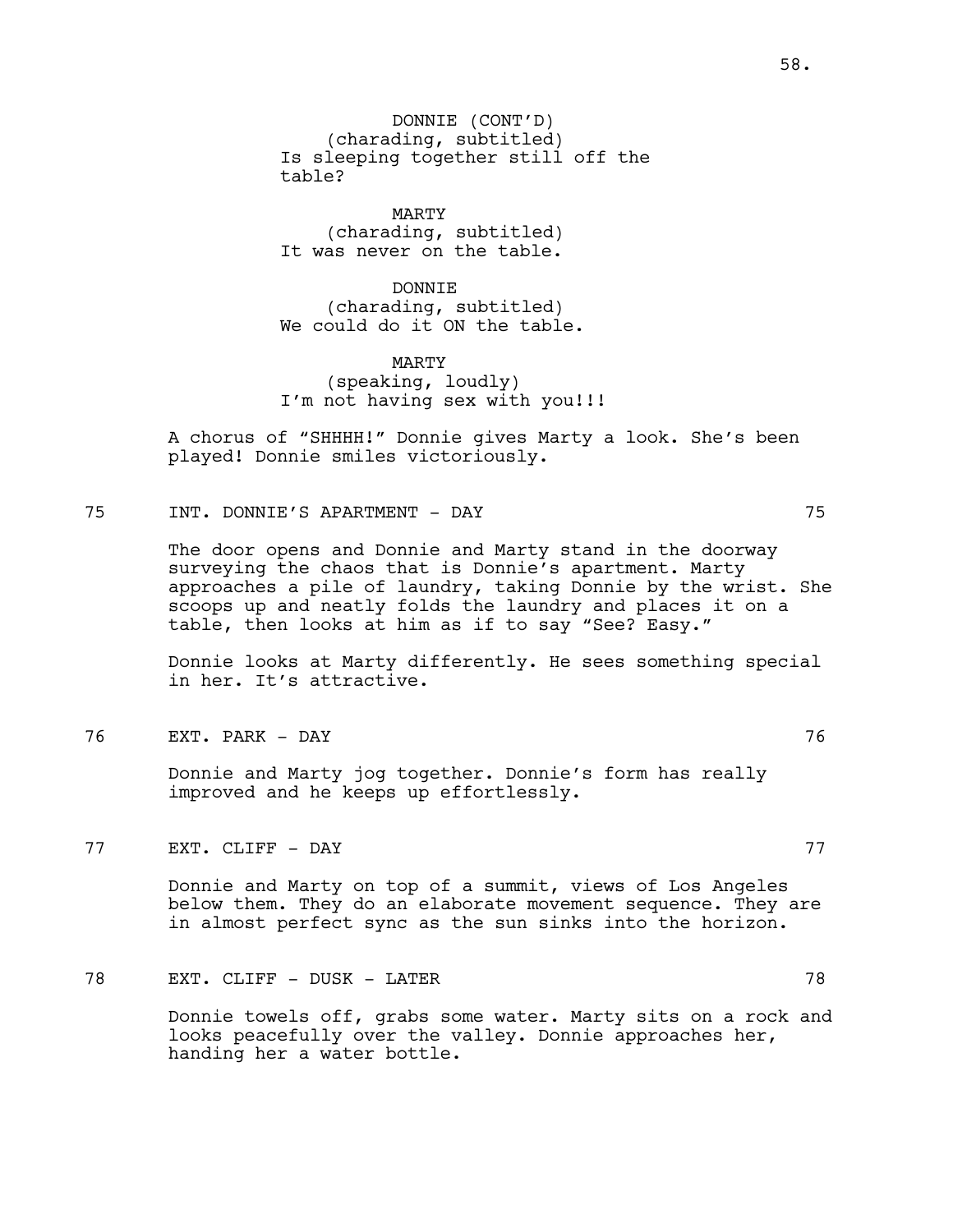DONNIE (CONT'D) (charading, subtitled) Is sleeping together still off the table?

MARTY (charading, subtitled) It was never on the table.

DONNIE (charading, subtitled) We could do it ON the table.

MARTY (speaking, loudly) I'm not having sex with you!!!

A chorus of "SHHHH!" Donnie gives Marty a look. She's been played! Donnie smiles victoriously.

75 INT. DONNIE'S APARTMENT - DAY 75

The door opens and Donnie and Marty stand in the doorway surveying the chaos that is Donnie's apartment. Marty approaches a pile of laundry, taking Donnie by the wrist. She scoops up and neatly folds the laundry and places it on a table, then looks at him as if to say "See? Easy."

Donnie looks at Marty differently. He sees something special in her. It's attractive.

76 EXT. PARK - DAY 76

Donnie and Marty jog together. Donnie's form has really improved and he keeps up effortlessly.

77 EXT. CLIFF - DAY 77

Donnie and Marty on top of a summit, views of Los Angeles below them. They do an elaborate movement sequence. They are in almost perfect sync as the sun sinks into the horizon.

# 78 EXT. CLIFF – DUSK – LATER 78

Donnie towels off, grabs some water. Marty sits on a rock and looks peacefully over the valley. Donnie approaches her, handing her a water bottle.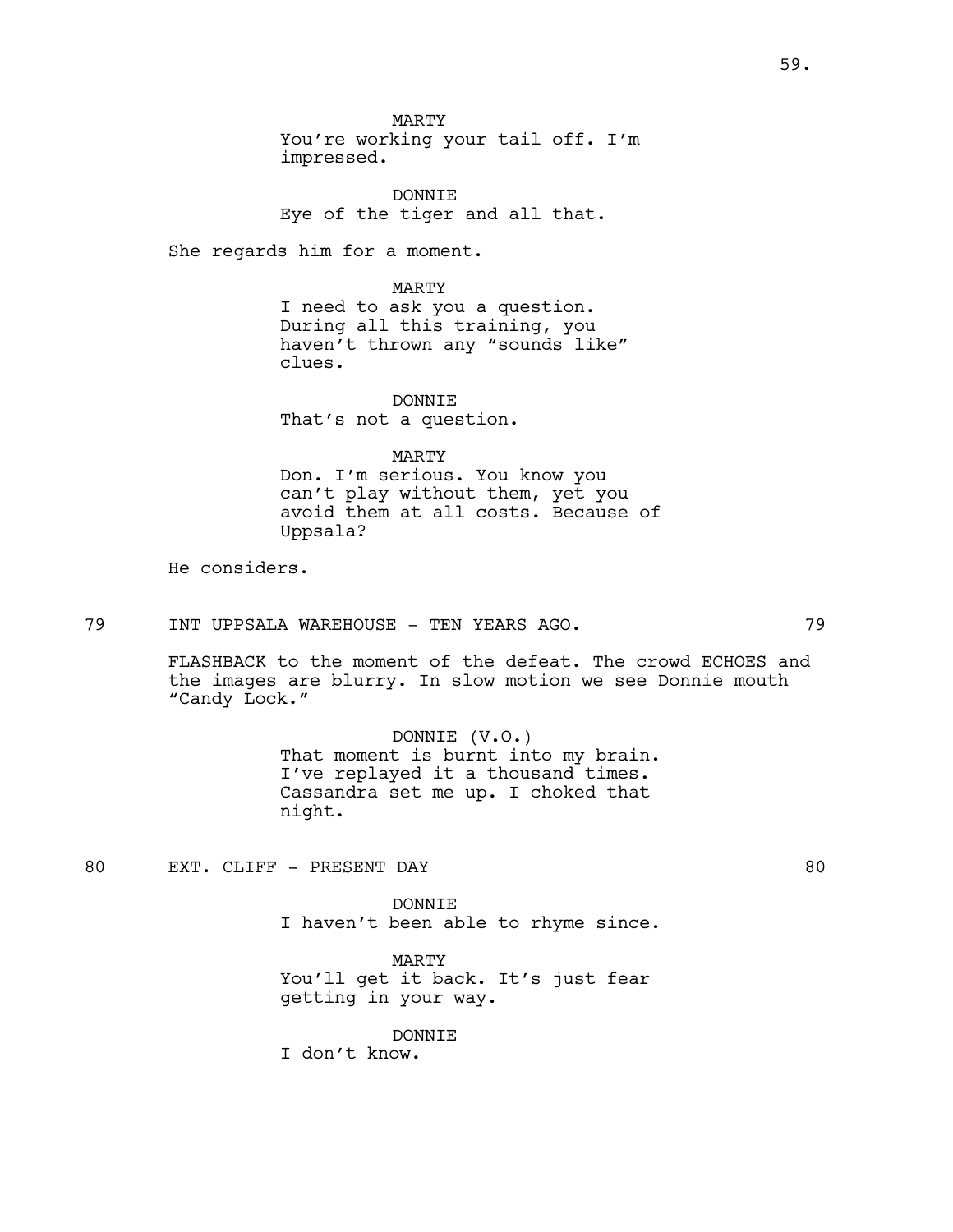MARTY

You're working your tail off. I'm impressed.

DONNIE Eye of the tiger and all that.

She regards him for a moment.

MARTY I need to ask you a question. During all this training, you haven't thrown any "sounds like" clues.

DONNIE That's not a question.

MARTY

Don. I'm serious. You know you can't play without them, yet you avoid them at all costs. Because of Uppsala?

He considers.

# 79 INT UPPSALA WAREHOUSE - TEN YEARS AGO. 29

FLASHBACK to the moment of the defeat. The crowd ECHOES and the images are blurry. In slow motion we see Donnie mouth "Candy Lock."

> DONNIE (V.O.) That moment is burnt into my brain. I've replayed it a thousand times. Cassandra set me up. I choked that night.

80 EXT. CLIFF - PRESENT DAY 80

DONNIE I haven't been able to rhyme since.

MARTY You'll get it back. It's just fear getting in your way.

## DONNIE

I don't know.

59.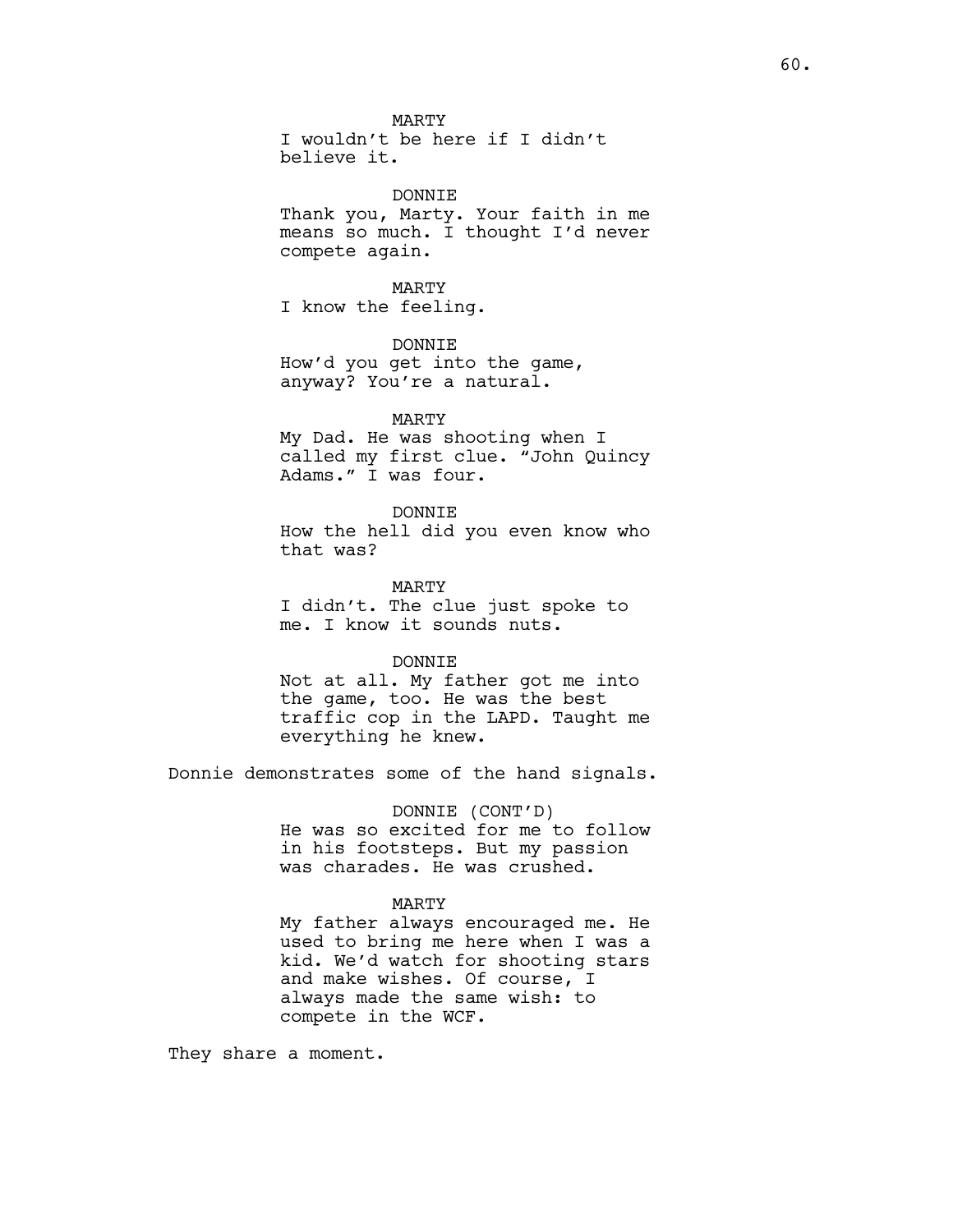MARTY

I wouldn't be here if I didn't believe it.

#### DONNIE

Thank you, Marty. Your faith in me means so much. I thought I'd never compete again.

# MARTY

I know the feeling.

# DONNIE

How'd you get into the game, anyway? You're a natural.

## MARTY

My Dad. He was shooting when I called my first clue. "John Quincy Adams." I was four.

### DONNIE

How the hell did you even know who that was?

MARTY I didn't. The clue just spoke to me. I know it sounds nuts.

## DONNTE.

Not at all. My father got me into the game, too. He was the best traffic cop in the LAPD. Taught me everything he knew.

Donnie demonstrates some of the hand signals.

# DONNIE (CONT'D) He was so excited for me to follow in his footsteps. But my passion was charades. He was crushed.

## MARTY

My father always encouraged me. He used to bring me here when I was a kid. We'd watch for shooting stars and make wishes. Of course, I always made the same wish: to compete in the WCF.

They share a moment.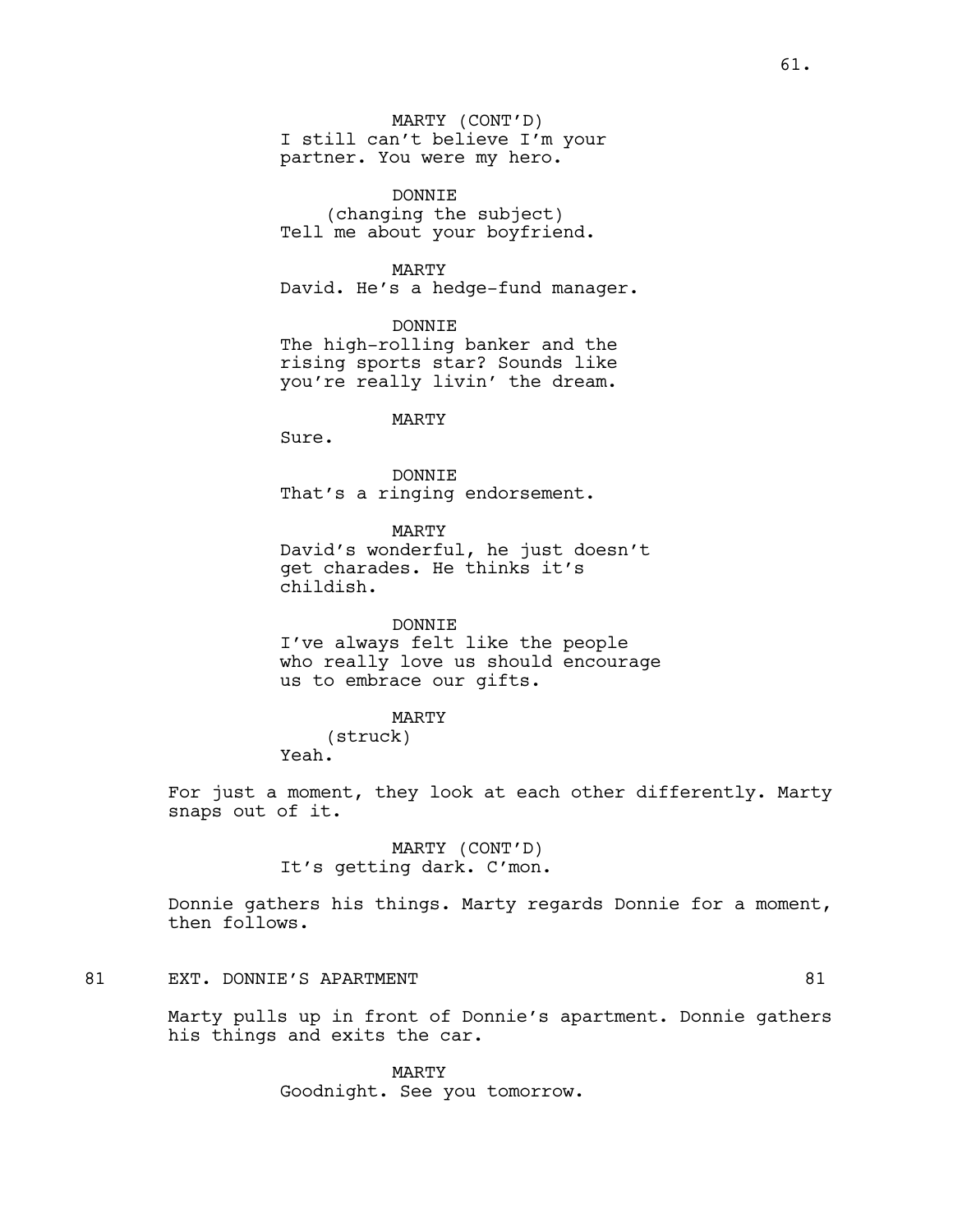MARTY (CONT'D) I still can't believe I'm your partner. You were my hero.

DONNIE (changing the subject) Tell me about your boyfriend.

MARTY

David. He's a hedge-fund manager.

DONNIE

The high-rolling banker and the rising sports star? Sounds like you're really livin' the dream.

MARTY

Sure.

DONNIE That's a ringing endorsement.

MARTY

David's wonderful, he just doesn't get charades. He thinks it's childish.

DONNIE

I've always felt like the people who really love us should encourage us to embrace our gifts.

MARTY

(struck) Yeah.

For just a moment, they look at each other differently. Marty snaps out of it.

> MARTY (CONT'D) It's getting dark. C'mon.

Donnie gathers his things. Marty regards Donnie for a moment, then follows.

# 81 EXT. DONNIE'S APARTMENT **81** and 81

Marty pulls up in front of Donnie's apartment. Donnie gathers his things and exits the car.

> MARTY Goodnight. See you tomorrow.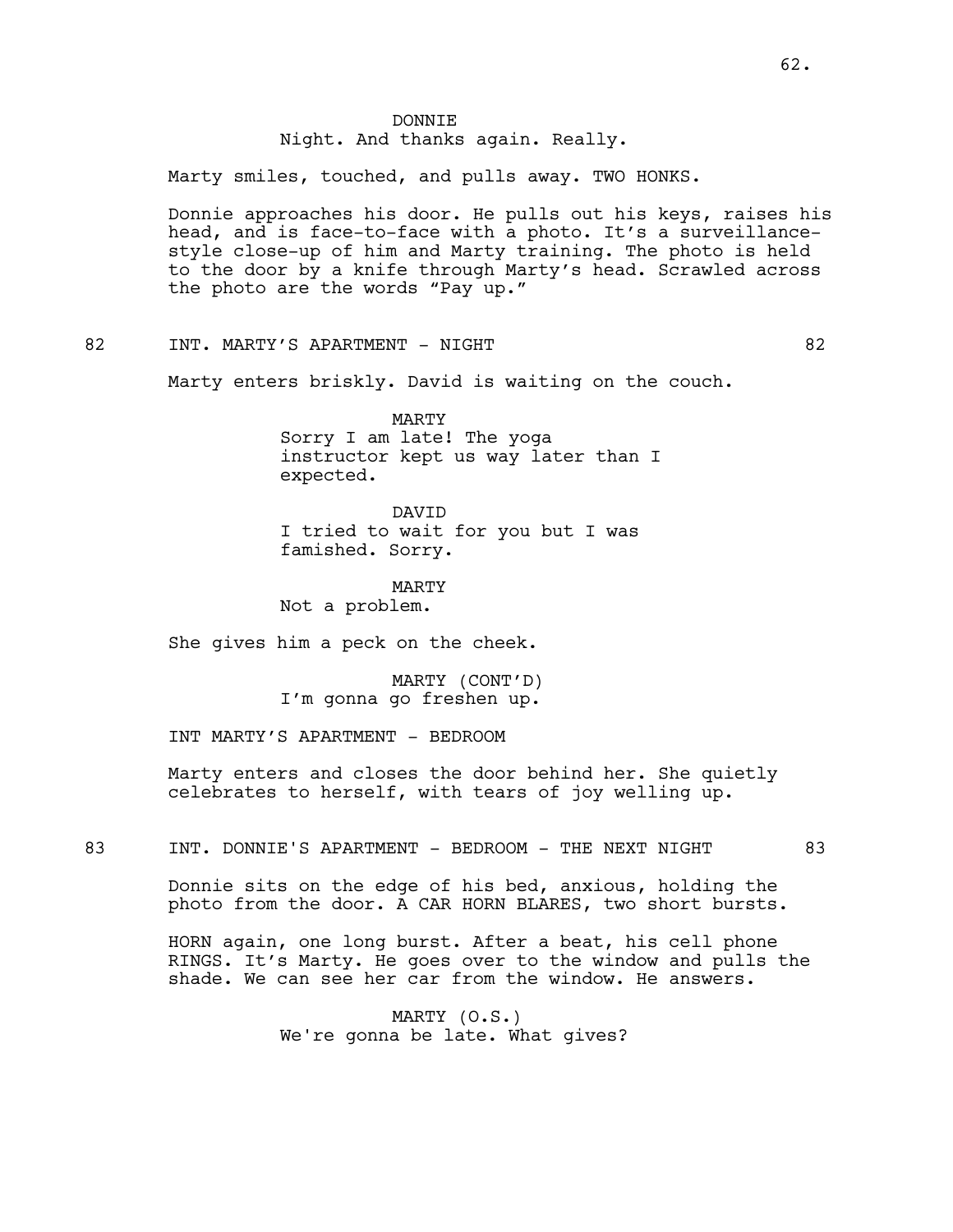## DONNIE Night. And thanks again. Really.

Marty smiles, touched, and pulls away. TWO HONKS.

Donnie approaches his door. He pulls out his keys, raises his head, and is face-to-face with a photo. It's a surveillancestyle close-up of him and Marty training. The photo is held to the door by a knife through Marty's head. Scrawled across the photo are the words "Pay up."

82 INT. MARTY'S APARTMENT - NIGHT 82

Marty enters briskly. David is waiting on the couch.

MARTY Sorry I am late! The yoga instructor kept us way later than I expected.

DAVID I tried to wait for you but I was famished. Sorry.

MARTY Not a problem.

She gives him a peck on the cheek.

MARTY (CONT'D) I'm gonna go freshen up.

INT MARTY'S APARTMENT - BEDROOM

Marty enters and closes the door behind her. She quietly celebrates to herself, with tears of joy welling up.

83 INT. DONNIE'S APARTMENT - BEDROOM - THE NEXT NIGHT 83

Donnie sits on the edge of his bed, anxious, holding the photo from the door. A CAR HORN BLARES, two short bursts.

HORN again, one long burst. After a beat, his cell phone RINGS. It's Marty. He goes over to the window and pulls the shade. We can see her car from the window. He answers.

> MARTY (O.S.) We're gonna be late. What gives?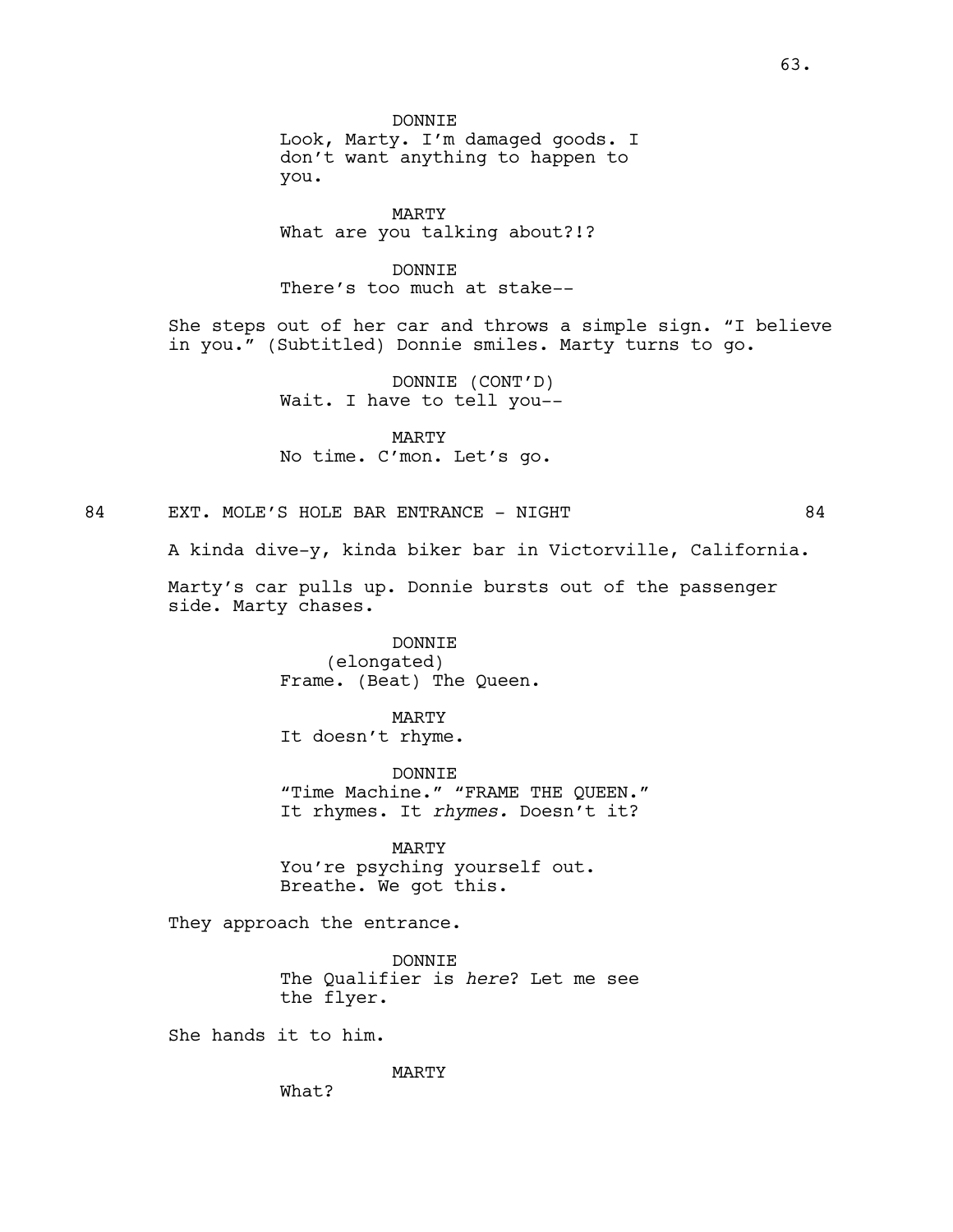**DONNTE** 

Look, Marty. I'm damaged goods. I don't want anything to happen to you.

MARTY What are you talking about?!?

DONNIE

There's too much at stake--

She steps out of her car and throws a simple sign. "I believe in you." (Subtitled) Donnie smiles. Marty turns to go.

> DONNIE (CONT'D) Wait. I have to tell you--

MARTY No time. C'mon. Let's go.

84 EXT. MOLE'S HOLE BAR ENTRANCE - NIGHT 84

A kinda dive-y, kinda biker bar in Victorville, California.

Marty's car pulls up. Donnie bursts out of the passenger side. Marty chases.

> DONNIE (elongated) Frame. (Beat) The Queen.

MARTY It doesn't rhyme.

DONNIE "Time Machine." "FRAME THE QUEEN." It rhymes. It *rhymes.* Doesn't it?

MARTY You're psyching yourself out. Breathe. We got this.

They approach the entrance.

DONNIE The Qualifier is *here*? Let me see the flyer.

She hands it to him.

MARTY

What?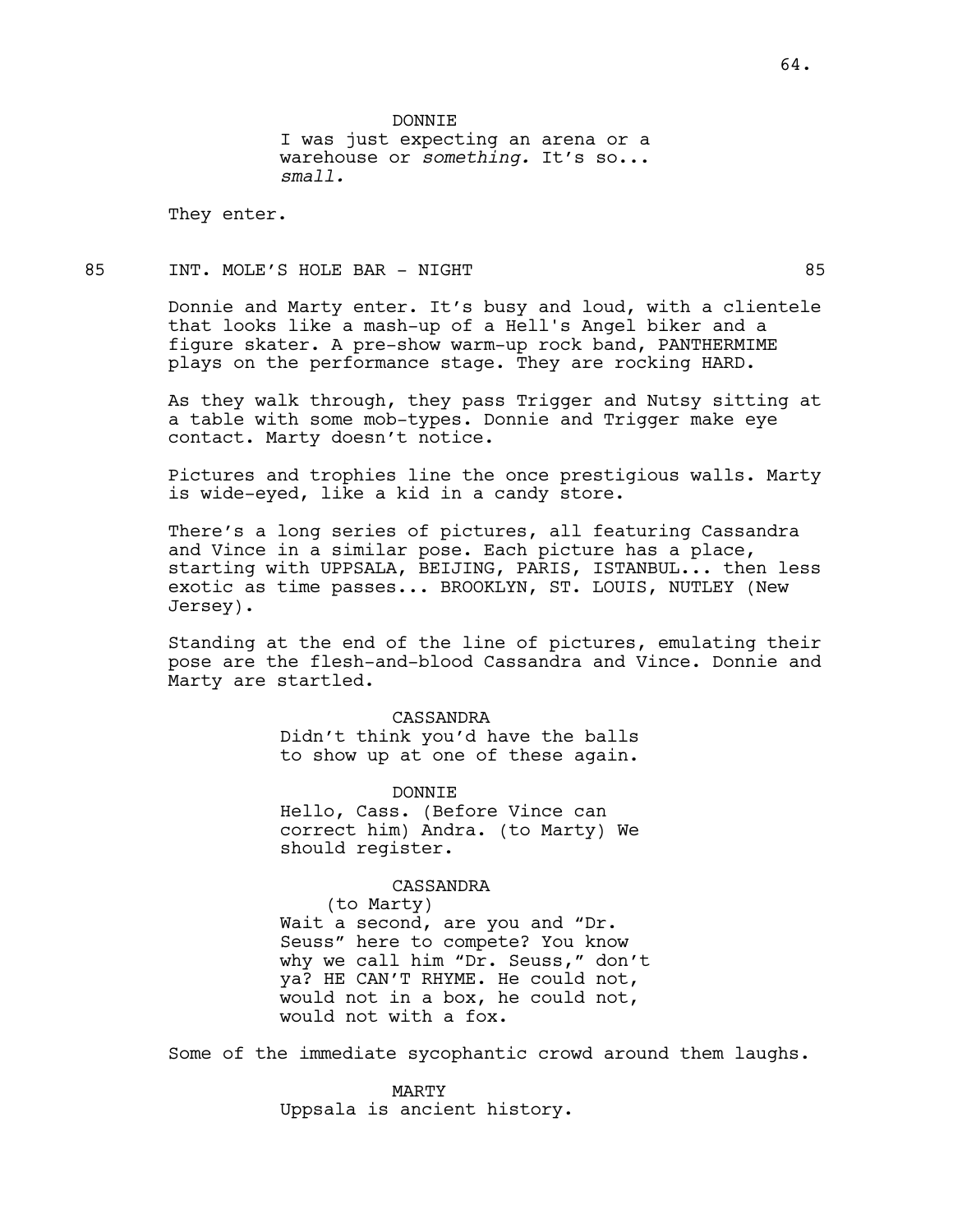DONNIE I was just expecting an arena or a warehouse or *something.* It's so... *small.*

They enter.

# 85 INT. MOLE'S HOLE BAR - NIGHT 85

Donnie and Marty enter. It's busy and loud, with a clientele that looks like a mash-up of a Hell's Angel biker and a figure skater. A pre-show warm-up rock band, PANTHERMIME plays on the performance stage. They are rocking HARD.

As they walk through, they pass Trigger and Nutsy sitting at a table with some mob-types. Donnie and Trigger make eye contact. Marty doesn't notice.

Pictures and trophies line the once prestigious walls. Marty is wide-eyed, like a kid in a candy store.

There's a long series of pictures, all featuring Cassandra and Vince in a similar pose. Each picture has a place, starting with UPPSALA, BEIJING, PARIS, ISTANBUL... then less exotic as time passes... BROOKLYN, ST. LOUIS, NUTLEY (New Jersey).

Standing at the end of the line of pictures, emulating their pose are the flesh-and-blood Cassandra and Vince. Donnie and Marty are startled.

### CASSANDRA

Didn't think you'd have the balls to show up at one of these again.

**DONNTE** Hello, Cass. (Before Vince can correct him) Andra. (to Marty) We should register.

### CASSANDRA

(to Marty) Wait a second, are you and "Dr. Seuss" here to compete? You know why we call him "Dr. Seuss," don't ya? HE CAN'T RHYME. He could not, would not in a box, he could not, would not with a fox.

Some of the immediate sycophantic crowd around them laughs.

MARTY Uppsala is ancient history.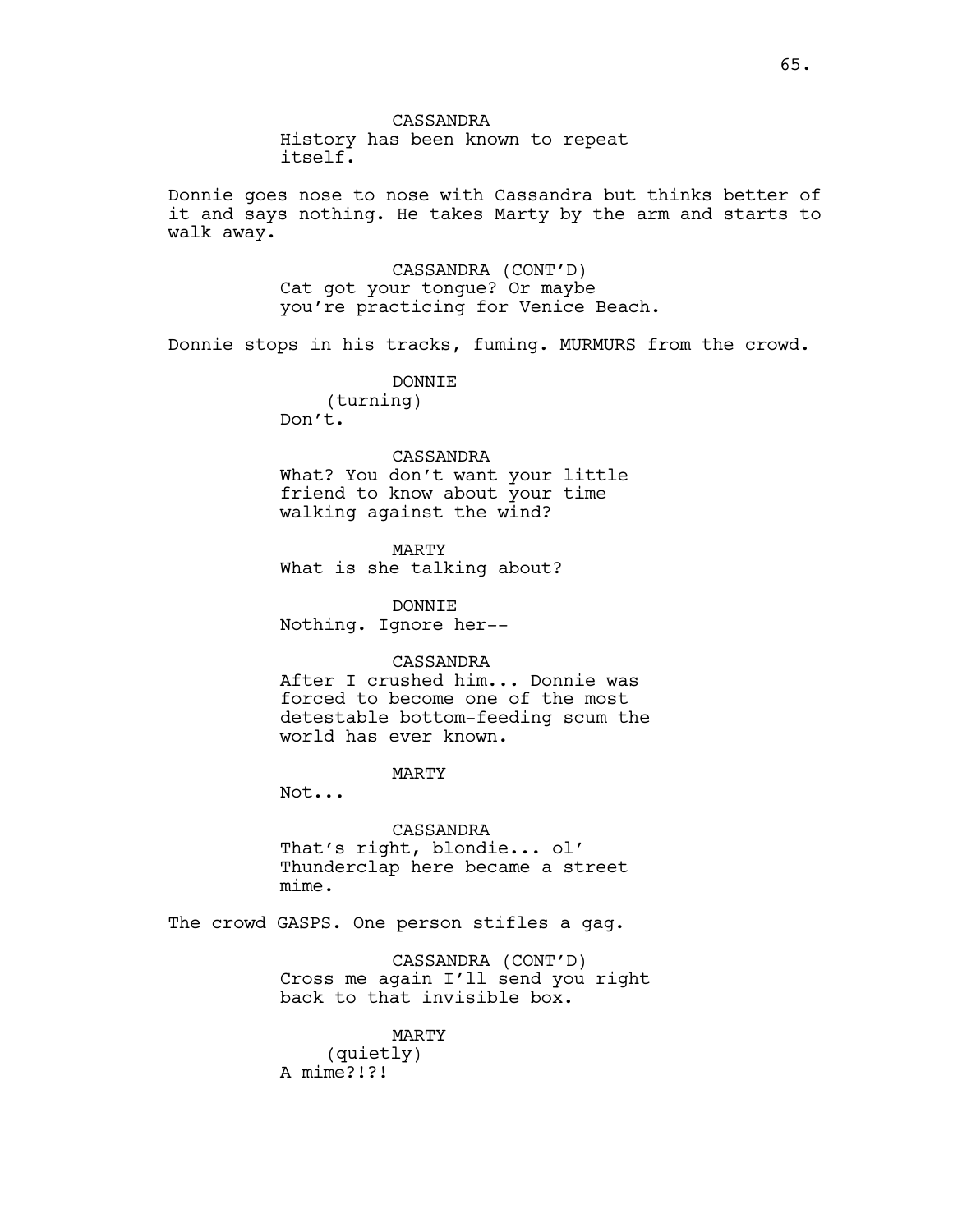Donnie goes nose to nose with Cassandra but thinks better of it and says nothing. He takes Marty by the arm and starts to walk away.

> CASSANDRA (CONT'D) Cat got your tongue? Or maybe you're practicing for Venice Beach.

Donnie stops in his tracks, fuming. MURMURS from the crowd.

DONNIE (turning) Don't.

### CASSANDRA

What? You don't want your little friend to know about your time walking against the wind?

MARTY What is she talking about?

DONNIE Nothing. Ignore her--

### CASSANDRA

After I crushed him... Donnie was forced to become one of the most detestable bottom-feeding scum the world has ever known.

MARTY

Not...

CASSANDRA That's right, blondie... ol' Thunderclap here became a street mime.

The crowd GASPS. One person stifles a gag.

CASSANDRA (CONT'D) Cross me again I'll send you right back to that invisible box.

MARTY (quietly) A mime?!?!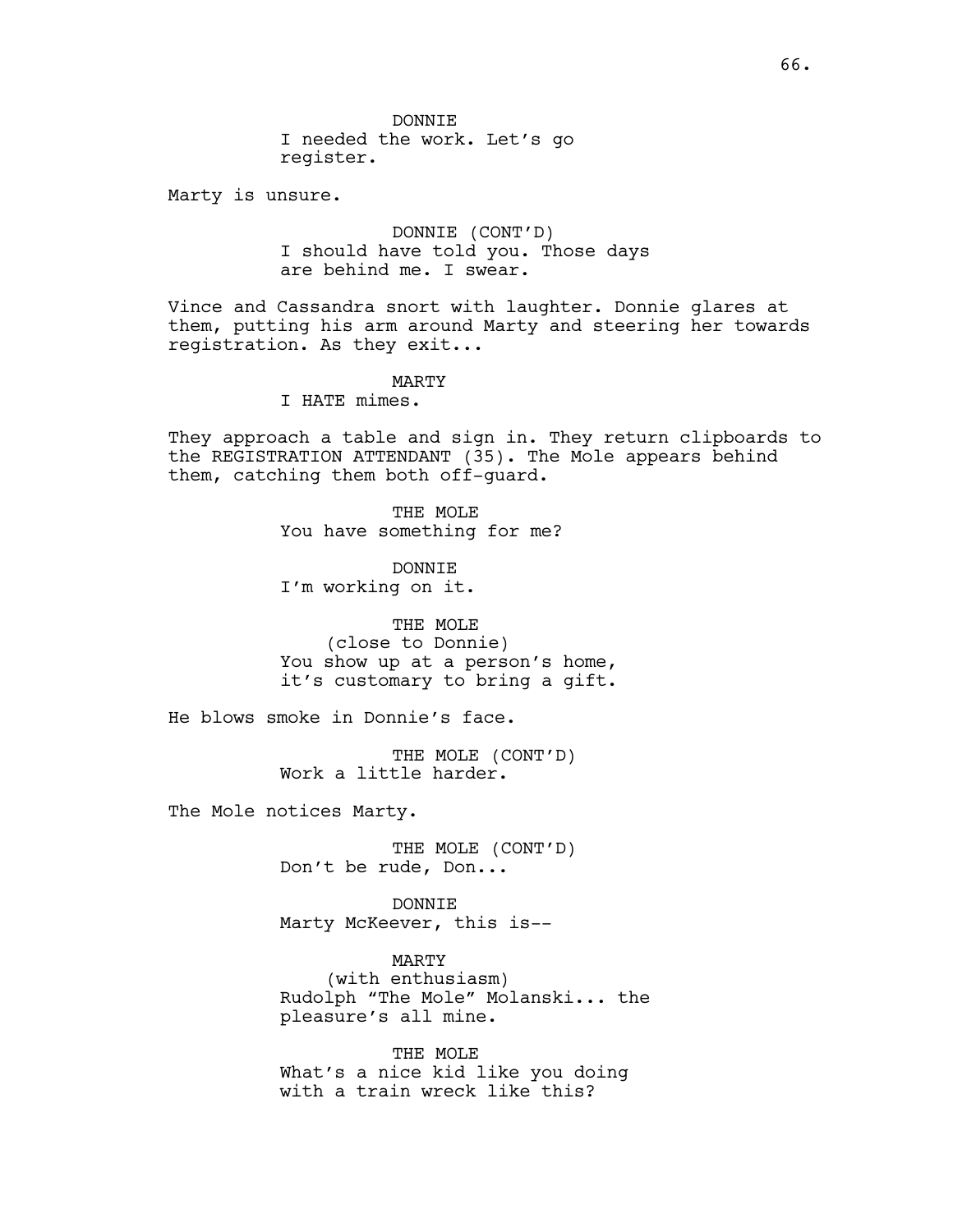DONNIE I needed the work. Let's go register.

Marty is unsure.

DONNIE (CONT'D) I should have told you. Those days are behind me. I swear.

Vince and Cassandra snort with laughter. Donnie glares at them, putting his arm around Marty and steering her towards registration. As they exit...

MARTY

I HATE mimes.

They approach a table and sign in. They return clipboards to the REGISTRATION ATTENDANT (35). The Mole appears behind them, catching them both off-guard.

> THE MOLE You have something for me?

DONNIE I'm working on it.

THE MOLE (close to Donnie) You show up at a person's home, it's customary to bring a gift.

He blows smoke in Donnie's face.

THE MOLE (CONT'D) Work a little harder.

The Mole notices Marty.

THE MOLE (CONT'D) Don't be rude, Don...

DONNIE Marty McKeever, this is--

MARTY (with enthusiasm) Rudolph "The Mole" Molanski... the pleasure's all mine.

THE MOLE What's a nice kid like you doing with a train wreck like this?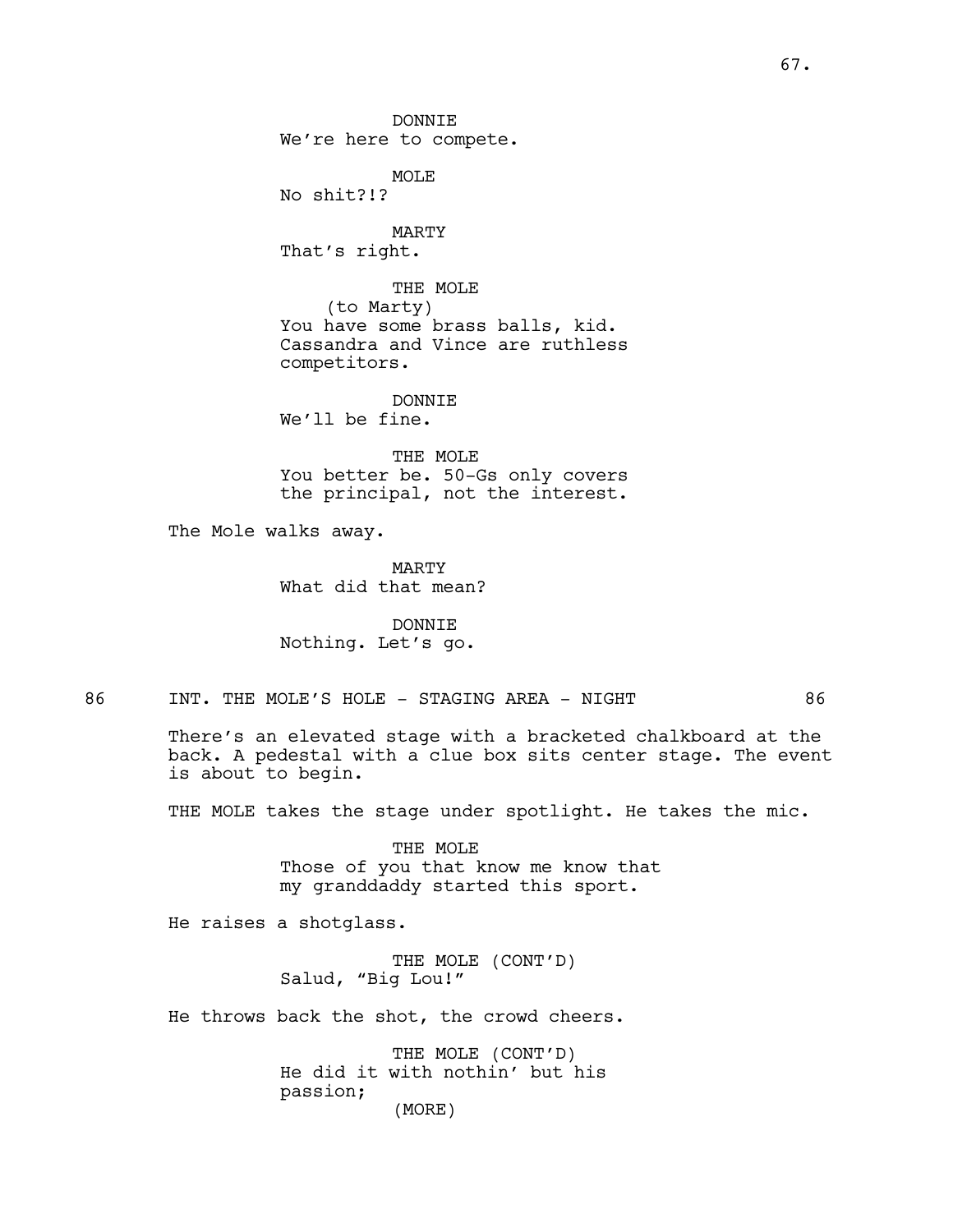DONNIE We're here to compete.

MOLE No shit?!?

MARTY That's right.

THE MOLE (to Marty) You have some brass balls, kid. Cassandra and Vince are ruthless competitors.

DONNTE. We'll be fine.

THE MOLE You better be. 50-Gs only covers the principal, not the interest.

The Mole walks away.

MARTY What did that mean?

DONNIE Nothing. Let's go.

86 INT. THE MOLE'S HOLE - STAGING AREA - NIGHT 86

There's an elevated stage with a bracketed chalkboard at the back. A pedestal with a clue box sits center stage. The event is about to begin.

THE MOLE takes the stage under spotlight. He takes the mic.

THE MOLE Those of you that know me know that my granddaddy started this sport.

He raises a shotglass.

THE MOLE (CONT'D) Salud, "Big Lou!"

He throws back the shot, the crowd cheers.

THE MOLE (CONT'D) He did it with nothin' but his passion; (MORE)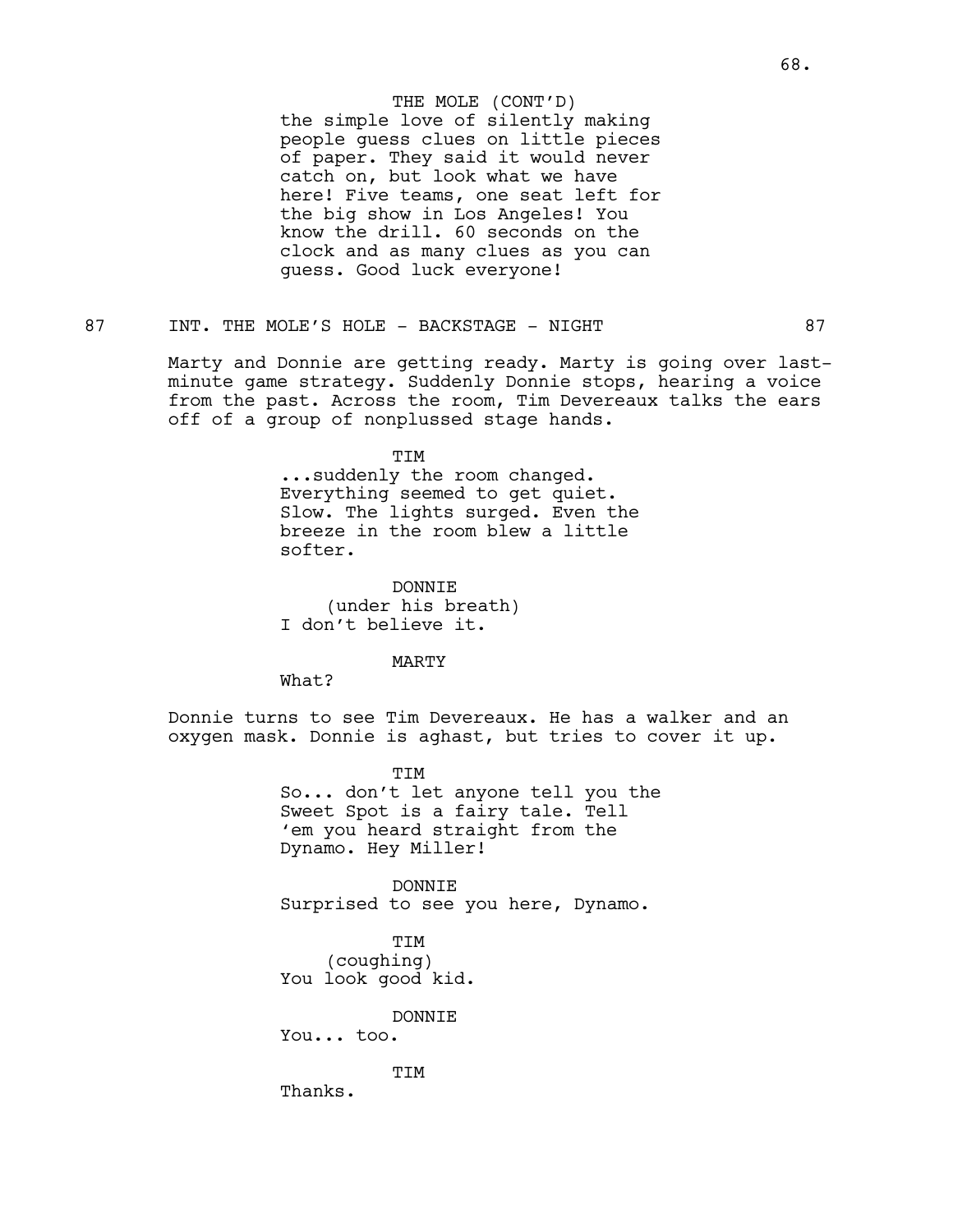## THE MOLE (CONT'D)

the simple love of silently making people guess clues on little pieces of paper. They said it would never catch on, but look what we have here! Five teams, one seat left for the big show in Los Angeles! You know the drill. 60 seconds on the clock and as many clues as you can guess. Good luck everyone!

# 87 INT. THE MOLE'S HOLE - BACKSTAGE - NIGHT 87

Marty and Donnie are getting ready. Marty is going over lastminute game strategy. Suddenly Donnie stops, hearing a voice from the past. Across the room, Tim Devereaux talks the ears off of a group of nonplussed stage hands.

TIM

...suddenly the room changed. Everything seemed to get quiet. Slow. The lights surged. Even the breeze in the room blew a little softer.

DONNIE (under his breath) I don't believe it.

MARTY

What?

Donnie turns to see Tim Devereaux. He has a walker and an oxygen mask. Donnie is aghast, but tries to cover it up.

> TIM So... don't let anyone tell you the Sweet Spot is a fairy tale. Tell 'em you heard straight from the Dynamo. Hey Miller!

DONNIE Surprised to see you here, Dynamo.

TIM (coughing) You look good kid.

DONNIE

You... too.

TIM

Thanks.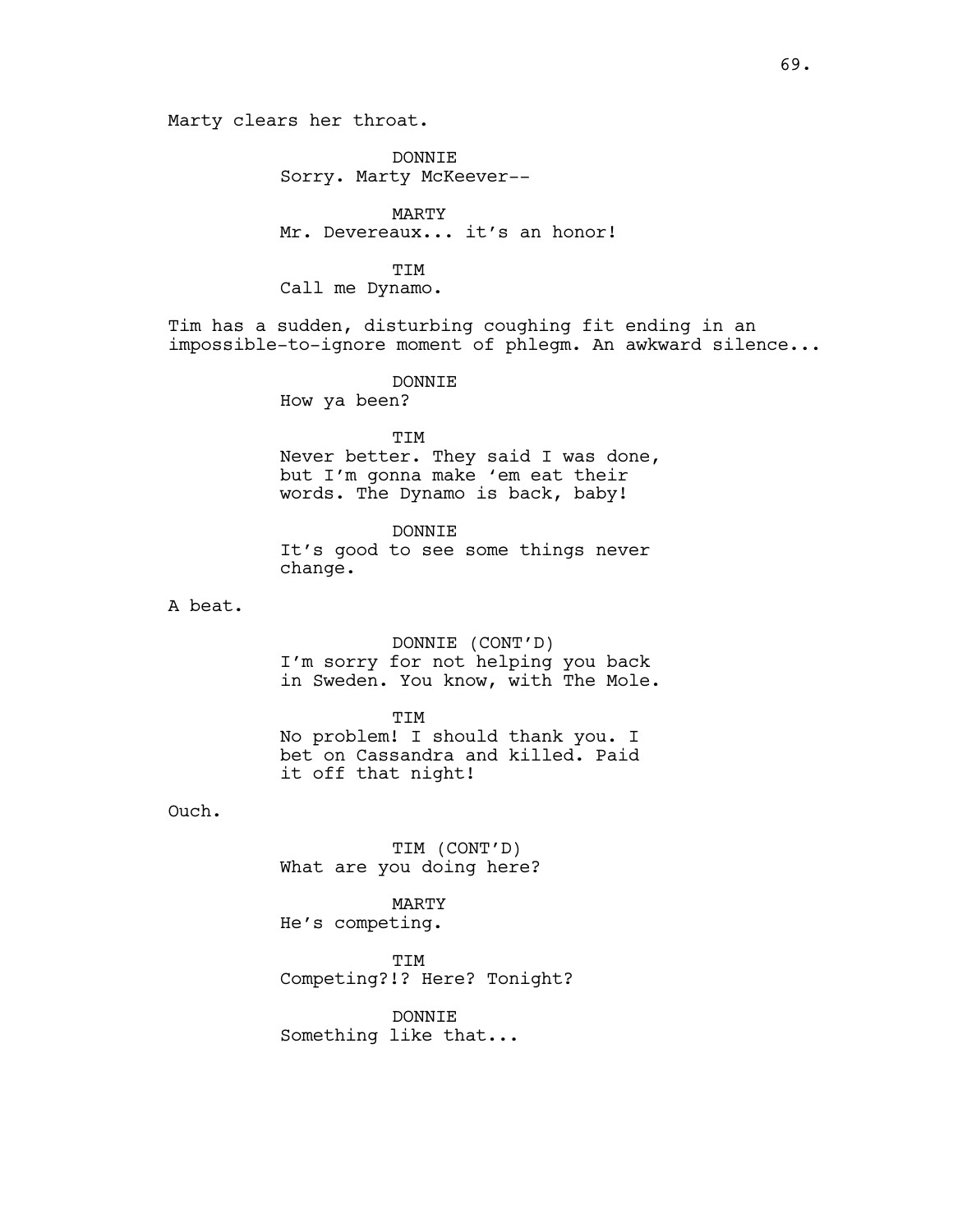DONNIE Sorry. Marty McKeever--

MARTY Mr. Devereaux... it's an honor!

### TIM

Call me Dynamo.

Tim has a sudden, disturbing coughing fit ending in an impossible-to-ignore moment of phlegm. An awkward silence...

### DONNIE

How ya been?

TIM Never better. They said I was done, but I'm gonna make 'em eat their words. The Dynamo is back, baby!

# DONNTE.

It's good to see some things never change.

A beat.

DONNIE (CONT'D) I'm sorry for not helping you back in Sweden. You know, with The Mole.

### TIM

No problem! I should thank you. I bet on Cassandra and killed. Paid it off that night!

Ouch.

TIM (CONT'D) What are you doing here?

# MARTY

He's competing.

TIM

Competing?!? Here? Tonight?

DONNIE Something like that...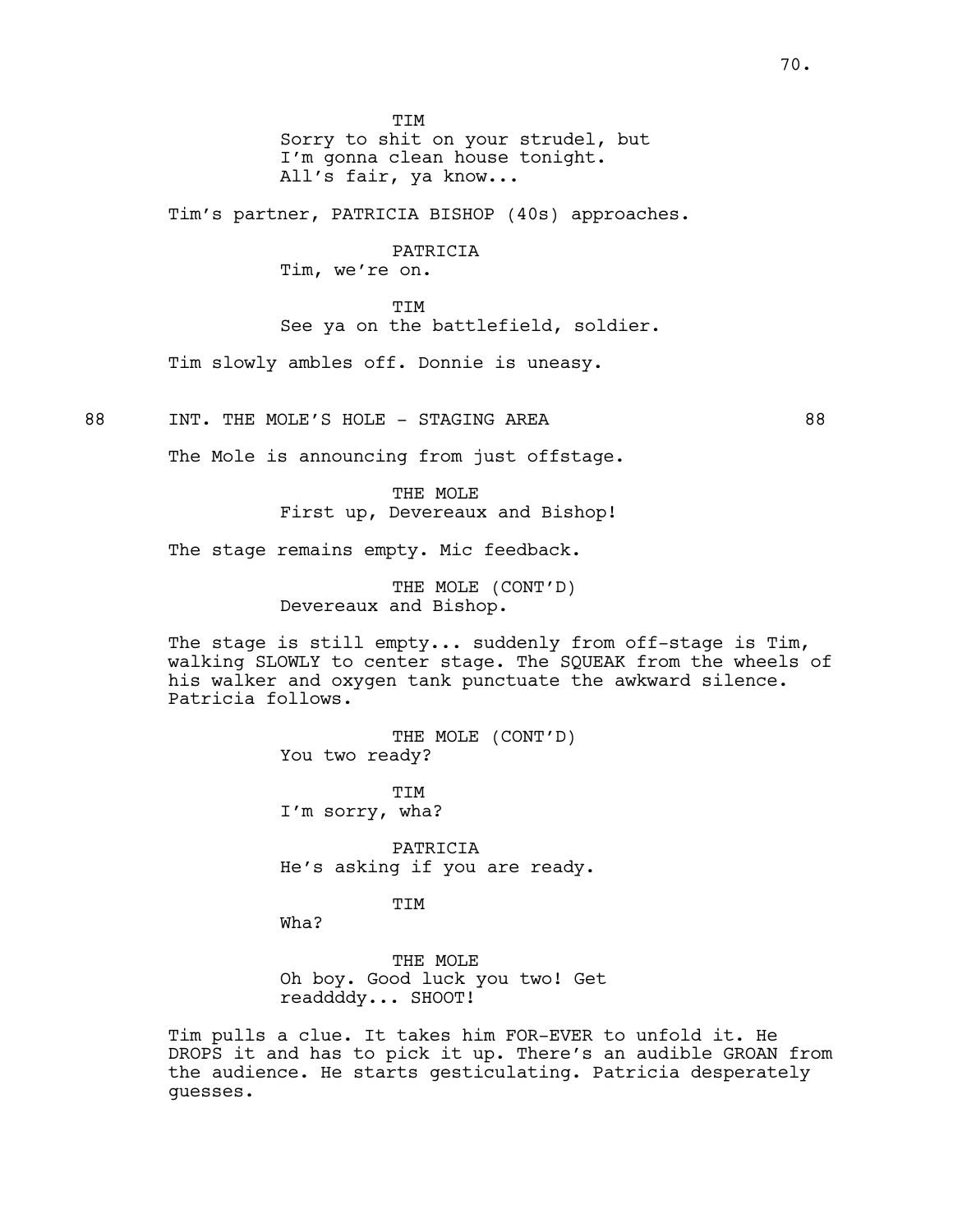**TTM** 

Sorry to shit on your strudel, but I'm gonna clean house tonight. All's fair, ya know...

Tim's partner, PATRICIA BISHOP (40s) approaches.

PATRICIA Tim, we're on.

TIM See ya on the battlefield, soldier.

Tim slowly ambles off. Donnie is uneasy.

88 INT. THE MOLE'S HOLE - STAGING AREA

The Mole is announcing from just offstage.

THE MOLE First up, Devereaux and Bishop!

The stage remains empty. Mic feedback.

THE MOLE (CONT'D) Devereaux and Bishop.

The stage is still empty... suddenly from off-stage is Tim, walking SLOWLY to center stage. The SQUEAK from the wheels of his walker and oxygen tank punctuate the awkward silence. Patricia follows.

> THE MOLE (CONT'D) You two ready?

TIM I'm sorry, wha?

PATRICIA He's asking if you are ready.

TIM

Wha?

THE MOLE Oh boy. Good luck you two! Get readdddy... SHOOT!

Tim pulls a clue. It takes him FOR-EVER to unfold it. He DROPS it and has to pick it up. There's an audible GROAN from the audience. He starts gesticulating. Patricia desperately guesses.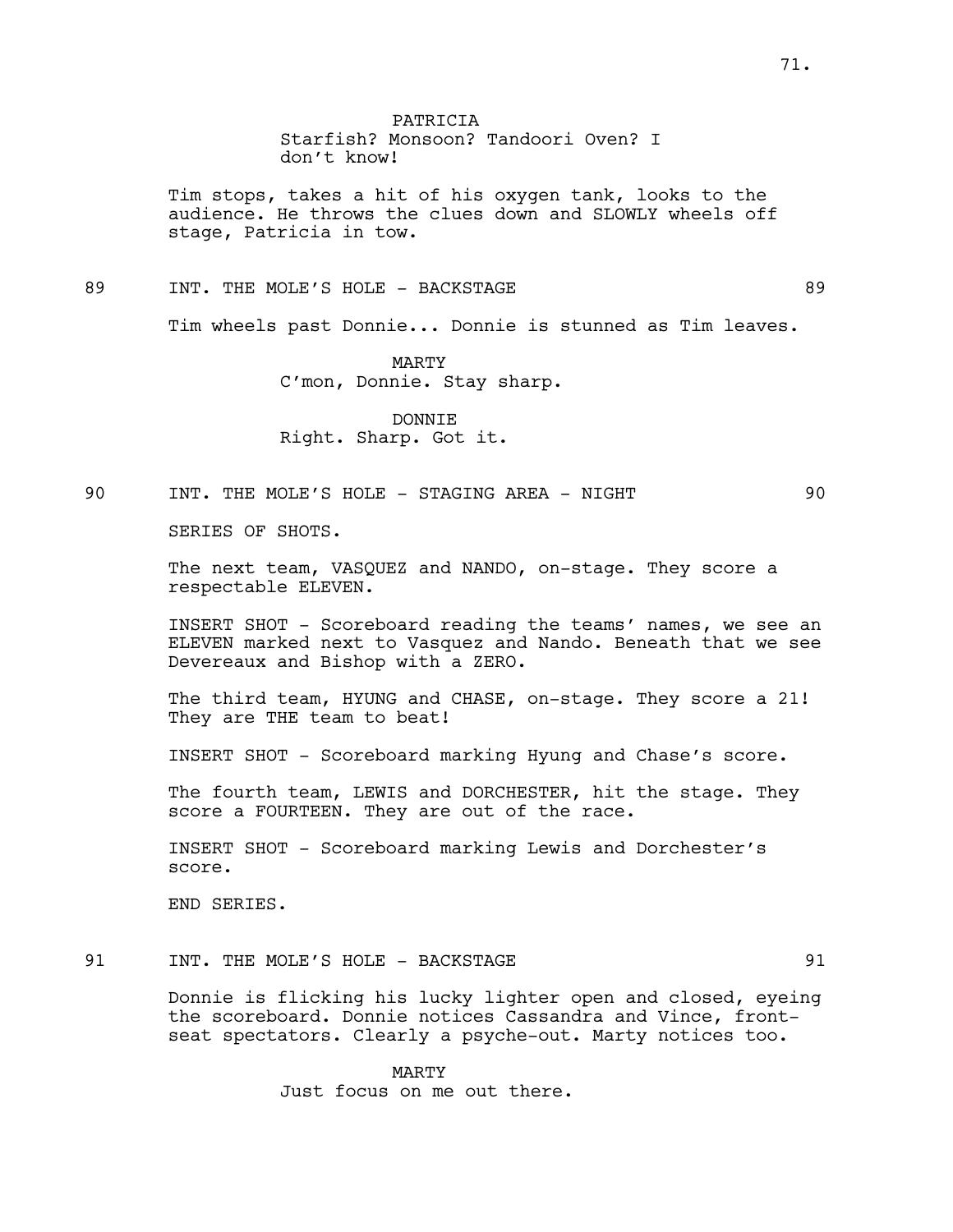71.

PATRICIA Starfish? Monsoon? Tandoori Oven? I don't know!

Tim stops, takes a hit of his oxygen tank, looks to the audience. He throws the clues down and SLOWLY wheels off stage, Patricia in tow.

89 INT. THE MOLE'S HOLE - BACKSTAGE 89

Tim wheels past Donnie... Donnie is stunned as Tim leaves.

MARTY C'mon, Donnie. Stay sharp.

DONNIE Right. Sharp. Got it.

# 90 INT. THE MOLE'S HOLE - STAGING AREA - NIGHT 90

SERIES OF SHOTS.

The next team, VASQUEZ and NANDO, on-stage. They score a respectable ELEVEN.

INSERT SHOT - Scoreboard reading the teams' names, we see an ELEVEN marked next to Vasquez and Nando. Beneath that we see Devereaux and Bishop with a ZERO.

The third team, HYUNG and CHASE, on-stage. They score a 21! They are THE team to beat!

INSERT SHOT - Scoreboard marking Hyung and Chase's score.

The fourth team, LEWIS and DORCHESTER, hit the stage. They score a FOURTEEN. They are out of the race.

INSERT SHOT - Scoreboard marking Lewis and Dorchester's score.

END SERIES.

## 91 INT. THE MOLE'S HOLE - BACKSTAGE 91

Donnie is flicking his lucky lighter open and closed, eyeing the scoreboard. Donnie notices Cassandra and Vince, frontseat spectators. Clearly a psyche-out. Marty notices too.

> MARTY Just focus on me out there.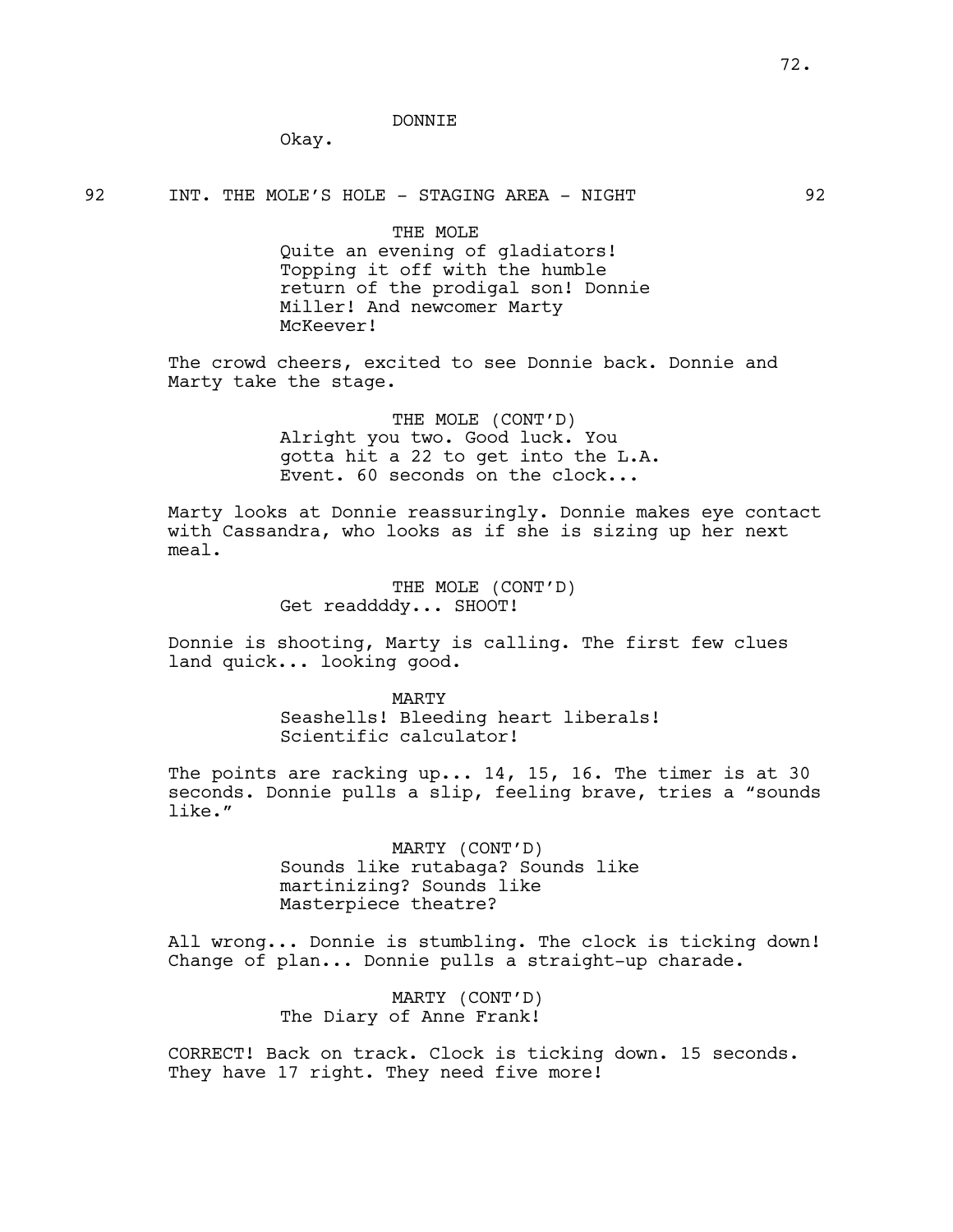#### DONNIE

Okay.

92 INT. THE MOLE'S HOLE - STAGING AREA - NIGHT 92

THE MOLE Quite an evening of gladiators! Topping it off with the humble return of the prodigal son! Donnie Miller! And newcomer Marty McKeever!

The crowd cheers, excited to see Donnie back. Donnie and Marty take the stage.

> THE MOLE (CONT'D) Alright you two. Good luck. You gotta hit a 22 to get into the L.A. Event. 60 seconds on the clock...

Marty looks at Donnie reassuringly. Donnie makes eye contact with Cassandra, who looks as if she is sizing up her next meal.

> THE MOLE (CONT'D) Get readdddy... SHOOT!

Donnie is shooting, Marty is calling. The first few clues land quick... looking good.

> MARTY Seashells! Bleeding heart liberals! Scientific calculator!

The points are racking up... 14, 15, 16. The timer is at 30 seconds. Donnie pulls a slip, feeling brave, tries a "sounds like."

> MARTY (CONT'D) Sounds like rutabaga? Sounds like martinizing? Sounds like Masterpiece theatre?

All wrong... Donnie is stumbling. The clock is ticking down! Change of plan... Donnie pulls a straight-up charade.

> MARTY (CONT'D) The Diary of Anne Frank!

CORRECT! Back on track. Clock is ticking down. 15 seconds. They have 17 right. They need five more!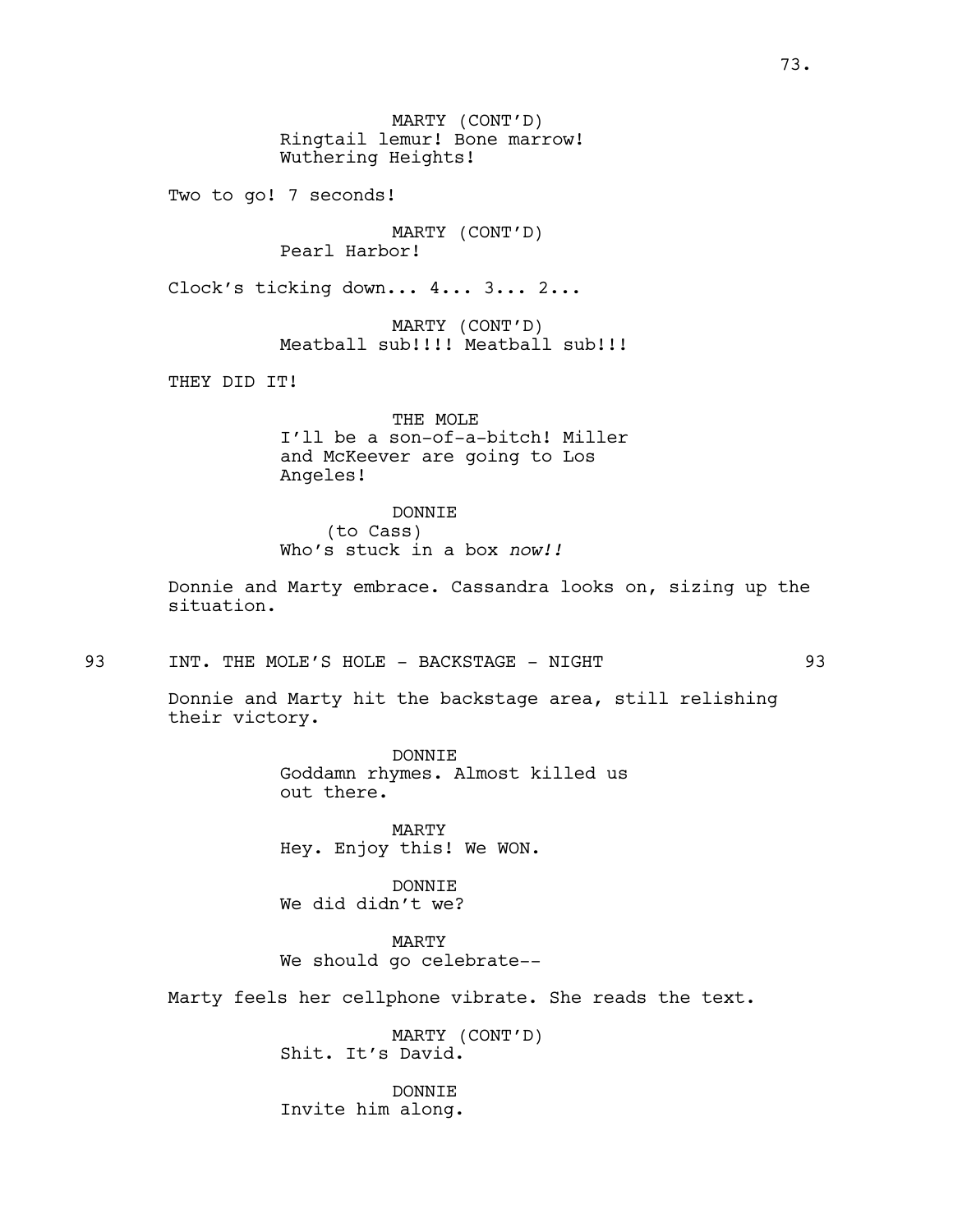MARTY (CONT'D) Ringtail lemur! Bone marrow! Wuthering Heights!

Two to go! 7 seconds!

MARTY (CONT'D) Pearl Harbor!

Clock's ticking down... 4... 3... 2...

MARTY (CONT'D) Meatball sub!!!! Meatball sub!!!

THEY DID IT!

THE MOLE I'll be a son-of-a-bitch! Miller and McKeever are going to Los Angeles!

DONNIE (to Cass) Who's stuck in a box *now!!*

Donnie and Marty embrace. Cassandra looks on, sizing up the situation.

93 INT. THE MOLE'S HOLE - BACKSTAGE - NIGHT 93

Donnie and Marty hit the backstage area, still relishing their victory.

> DONNIE Goddamn rhymes. Almost killed us out there.

MARTY Hey. Enjoy this! We WON.

DONNIE We did didn't we?

MARTY We should go celebrate--

Marty feels her cellphone vibrate. She reads the text.

MARTY (CONT'D) Shit. It's David.

DONNIE Invite him along.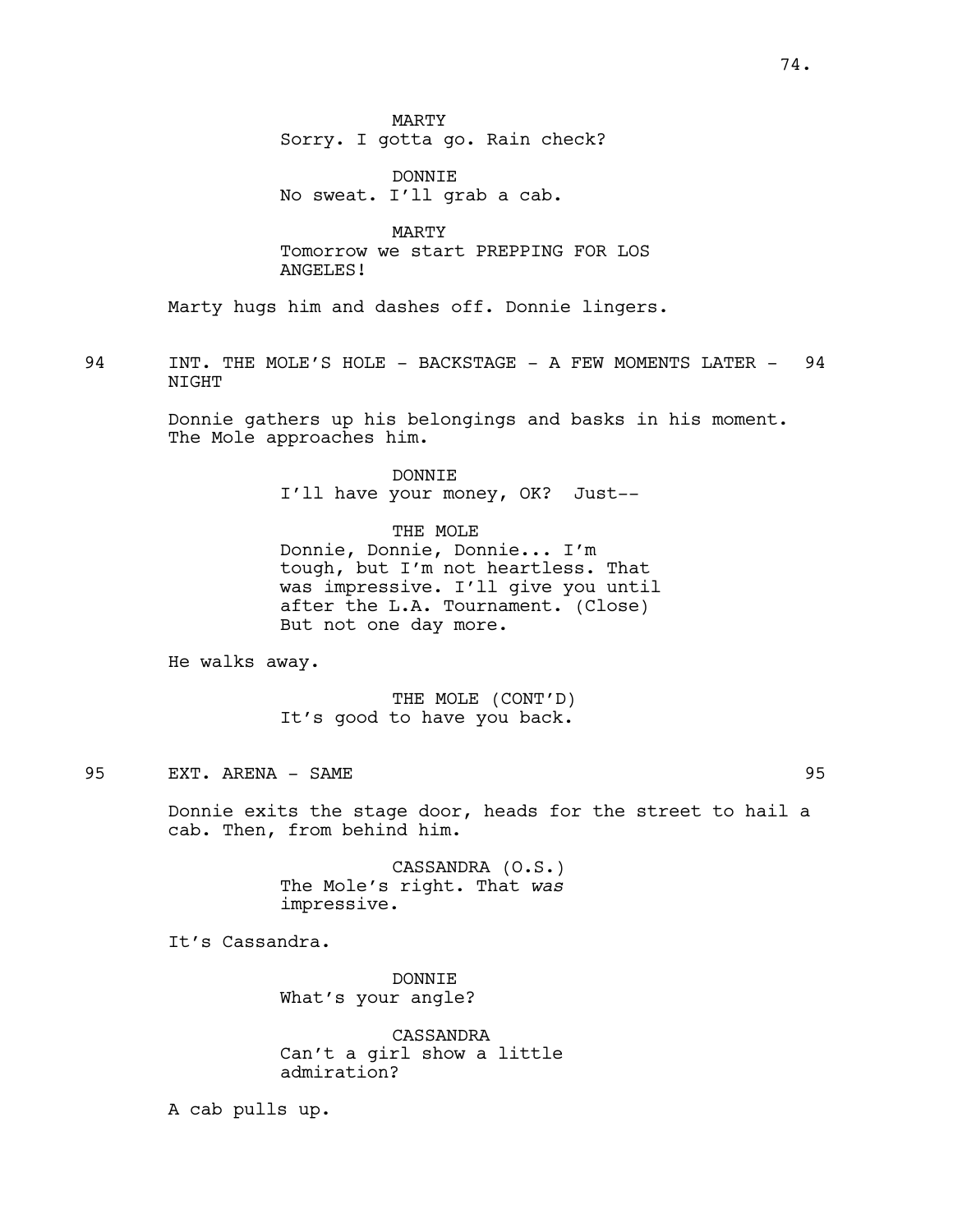MARTY Sorry. I gotta go. Rain check?

DONNIE No sweat. I'll grab a cab.

MARTY Tomorrow we start PREPPING FOR LOS ANGELES!

Marty hugs him and dashes off. Donnie lingers.

94 INT. THE MOLE'S HOLE - BACKSTAGE - A FEW MOMENTS LATER - 94 **NTGHT** 

> Donnie gathers up his belongings and basks in his moment. The Mole approaches him.

> > DONNIE I'll have your money, OK? Just--

THE MOLE Donnie, Donnie, Donnie... I'm tough, but I'm not heartless. That was impressive. I'll give you until after the L.A. Tournament. (Close) But not one day more.

He walks away.

THE MOLE (CONT'D) It's good to have you back.

95 EXT. ARENA - SAME 95

Donnie exits the stage door, heads for the street to hail a cab. Then, from behind him.

> CASSANDRA (O.S.) The Mole's right. That *was* impressive.

It's Cassandra.

DONNIE What's your angle?

CASSANDRA Can't a girl show a little admiration?

A cab pulls up.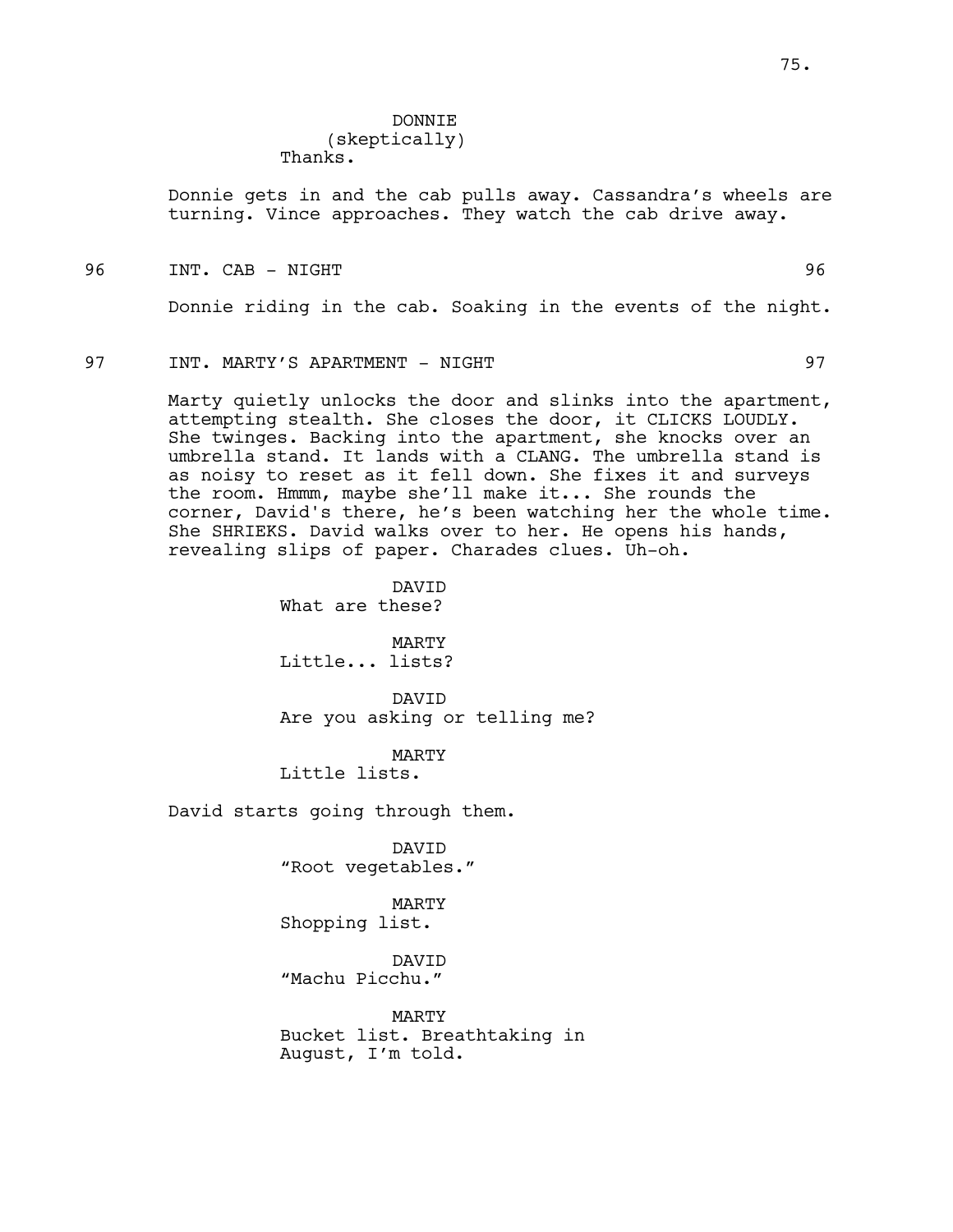### DONNIE (skeptically)

Thanks.

Donnie gets in and the cab pulls away. Cassandra's wheels are turning. Vince approaches. They watch the cab drive away.

96 INT. CAB - NIGHT 96

Donnie riding in the cab. Soaking in the events of the night.

### 97 INT. MARTY'S APARTMENT - NIGHT 97

Marty quietly unlocks the door and slinks into the apartment, attempting stealth. She closes the door, it CLICKS LOUDLY. She twinges. Backing into the apartment, she knocks over an umbrella stand. It lands with a CLANG. The umbrella stand is as noisy to reset as it fell down. She fixes it and surveys the room. Hmmm, maybe she'll make it... She rounds the corner, David's there, he's been watching her the whole time. She SHRIEKS. David walks over to her. He opens his hands, revealing slips of paper. Charades clues. Uh-oh.

> DAVID What are these?

MARTY Little... lists?

DAVID Are you asking or telling me?

MARTY Little lists.

David starts going through them.

DAVID "Root vegetables."

MARTY Shopping list.

DAVID "Machu Picchu."

MARTY Bucket list. Breathtaking in August, I'm told.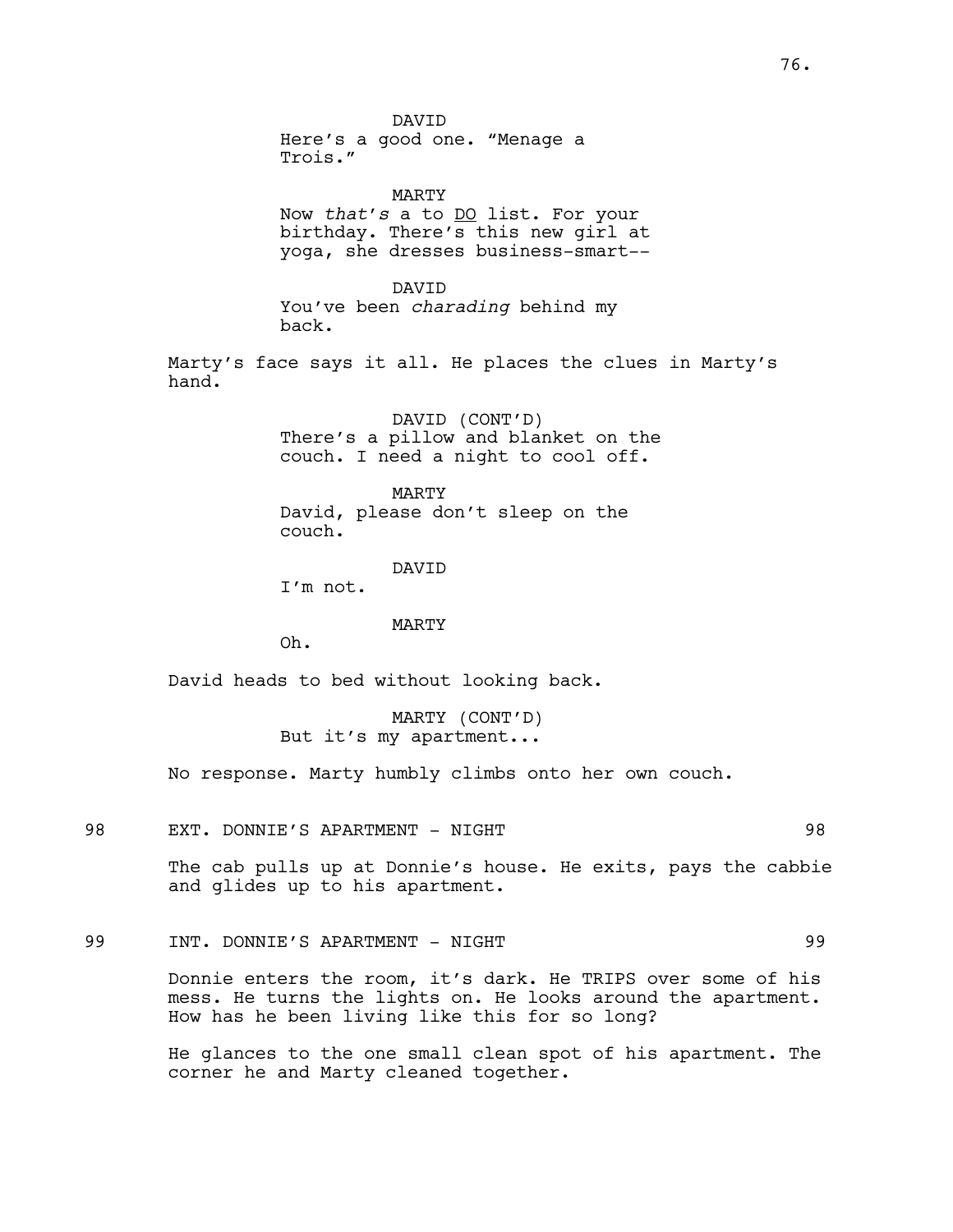DAVID Here's a good one. "Menage a Trois." MARTY Now *that's* a to DO list. For your birthday. There's this new girl at yoga, she dresses business-smart-- DAVID You've been *charading* behind my back. Marty's face says it all. He places the clues in Marty's hand. DAVID (CONT'D) There's a pillow and blanket on the couch. I need a night to cool off. MARTY David, please don't sleep on the couch. DAVID I'm not. MARTY Oh. David heads to bed without looking back. MARTY (CONT'D) But it's my apartment... No response. Marty humbly climbs onto her own couch. 98 EXT. DONNIE'S APARTMENT - NIGHT 98

> The cab pulls up at Donnie's house. He exits, pays the cabbie and glides up to his apartment.

# 99 INT. DONNIE'S APARTMENT - NIGHT 99

Donnie enters the room, it's dark. He TRIPS over some of his mess. He turns the lights on. He looks around the apartment. How has he been living like this for so long?

He glances to the one small clean spot of his apartment. The corner he and Marty cleaned together.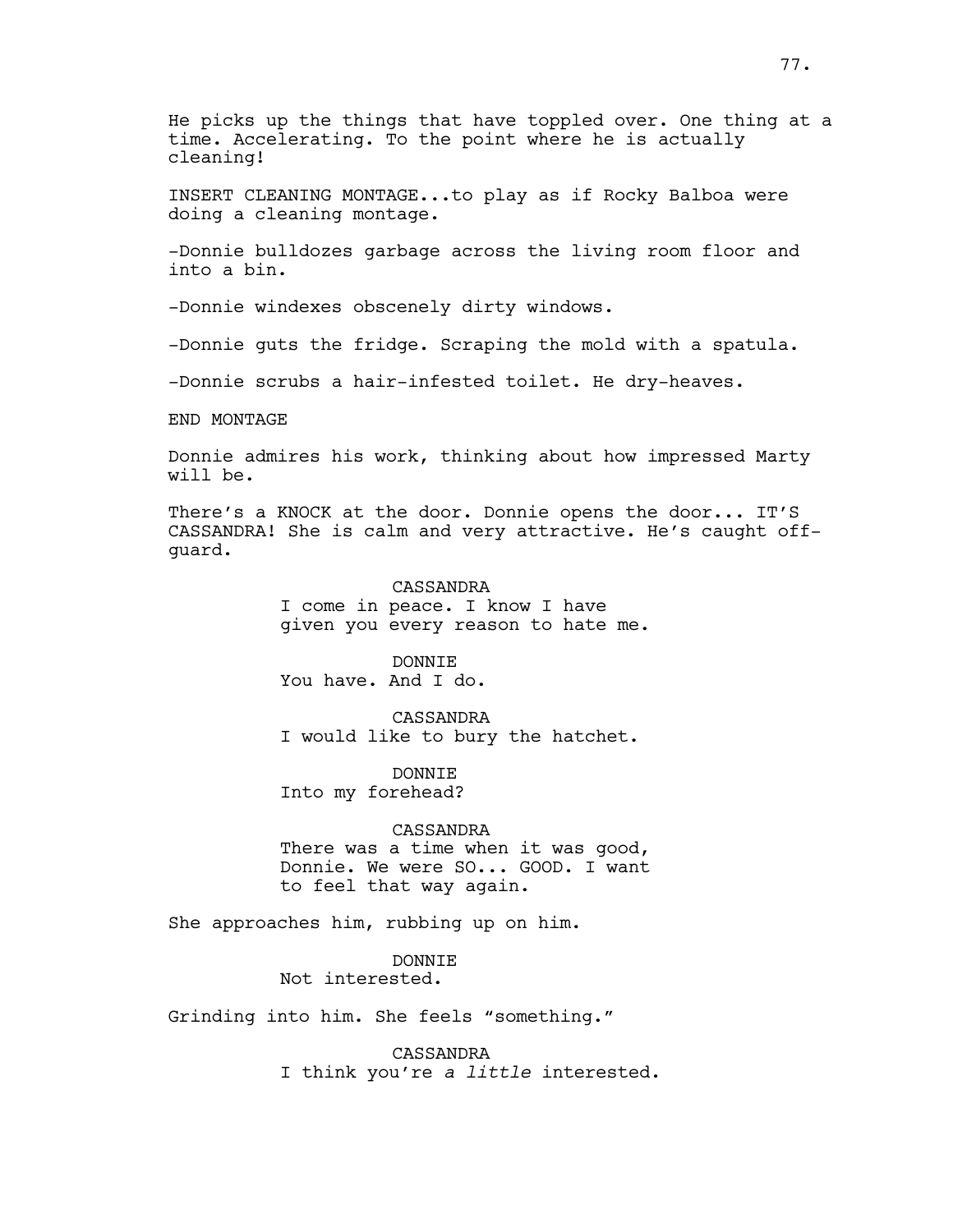He picks up the things that have toppled over. One thing at a time. Accelerating. To the point where he is actually cleaning!

INSERT CLEANING MONTAGE...to play as if Rocky Balboa were doing a cleaning montage.

-Donnie bulldozes garbage across the living room floor and into a bin.

-Donnie windexes obscenely dirty windows.

-Donnie guts the fridge. Scraping the mold with a spatula.

-Donnie scrubs a hair-infested toilet. He dry-heaves.

END MONTAGE

Donnie admires his work, thinking about how impressed Marty will be.

There's a KNOCK at the door. Donnie opens the door... IT'S CASSANDRA! She is calm and very attractive. He's caught offguard.

> CASSANDRA I come in peace. I know I have given you every reason to hate me.

DONNIE You have. And I do.

CASSANDRA I would like to bury the hatchet.

DONNIE Into my forehead?

CASSANDRA

There was a time when it was good, Donnie. We were SO... GOOD. I want to feel that way again.

She approaches him, rubbing up on him.

DONNIE

Not interested.

Grinding into him. She feels "something."

CASSANDRA I think you're *a little* interested.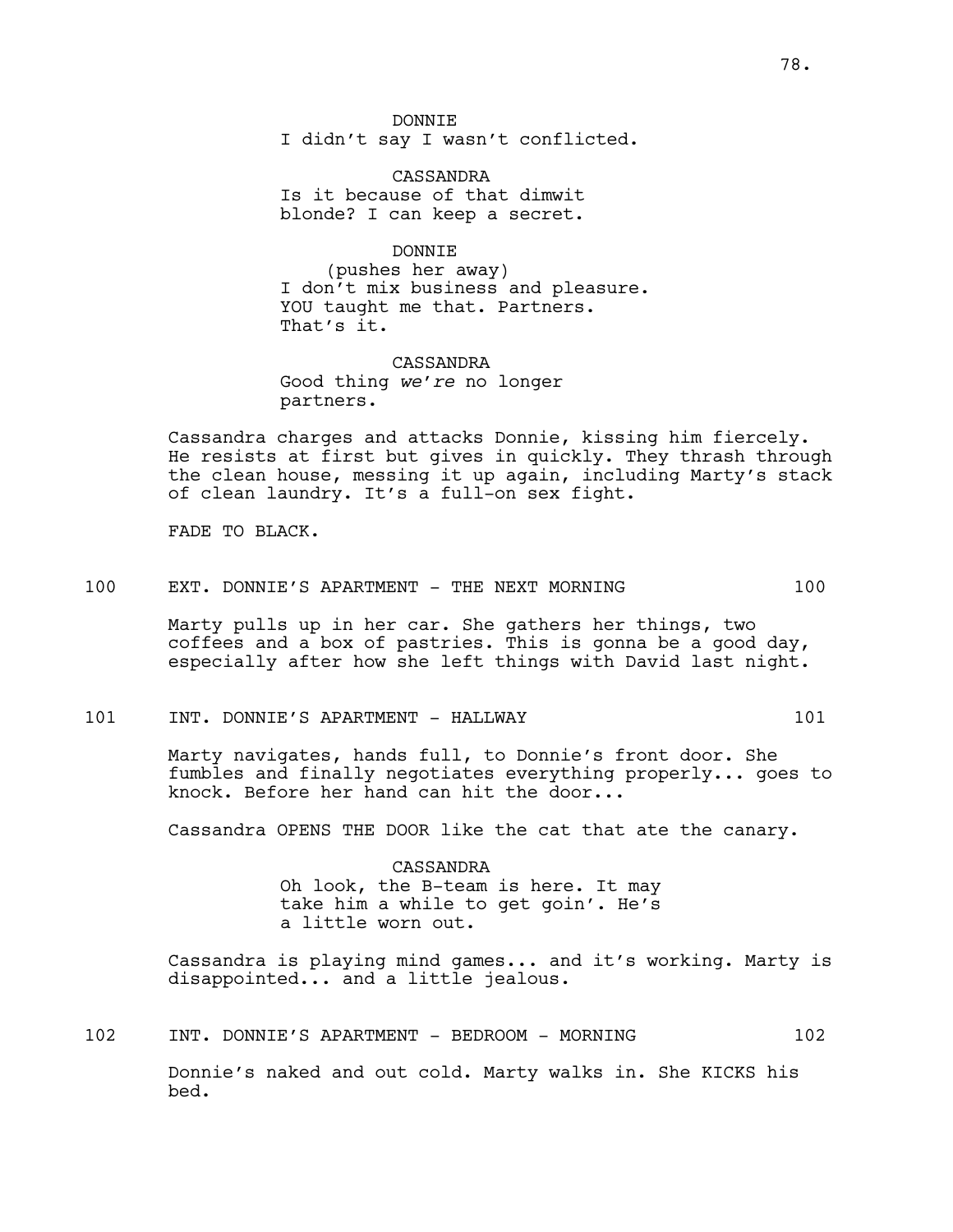DONNIE I didn't say I wasn't conflicted.

CASSANDRA Is it because of that dimwit blonde? I can keep a secret.

DONNIE (pushes her away) I don't mix business and pleasure. YOU taught me that. Partners. That's it.

CASSANDRA Good thing *we're* no longer partners.

Cassandra charges and attacks Donnie, kissing him fiercely. He resists at first but gives in quickly. They thrash through the clean house, messing it up again, including Marty's stack of clean laundry. It's a full-on sex fight.

FADE TO BLACK.

100 EXT. DONNIE'S APARTMENT - THE NEXT MORNING 100

Marty pulls up in her car. She gathers her things, two coffees and a box of pastries. This is gonna be a good day, especially after how she left things with David last night.

# 101 INT. DONNIE'S APARTMENT - HALLWAY 101

Marty navigates, hands full, to Donnie's front door. She fumbles and finally negotiates everything properly... goes to knock. Before her hand can hit the door...

Cassandra OPENS THE DOOR like the cat that ate the canary.

CASSANDRA Oh look, the B-team is here. It may take him a while to get goin'. He's a little worn out.

Cassandra is playing mind games... and it's working. Marty is disappointed... and a little jealous.

102 INT. DONNIE'S APARTMENT - BEDROOM - MORNING 102

Donnie's naked and out cold. Marty walks in. She KICKS his bed.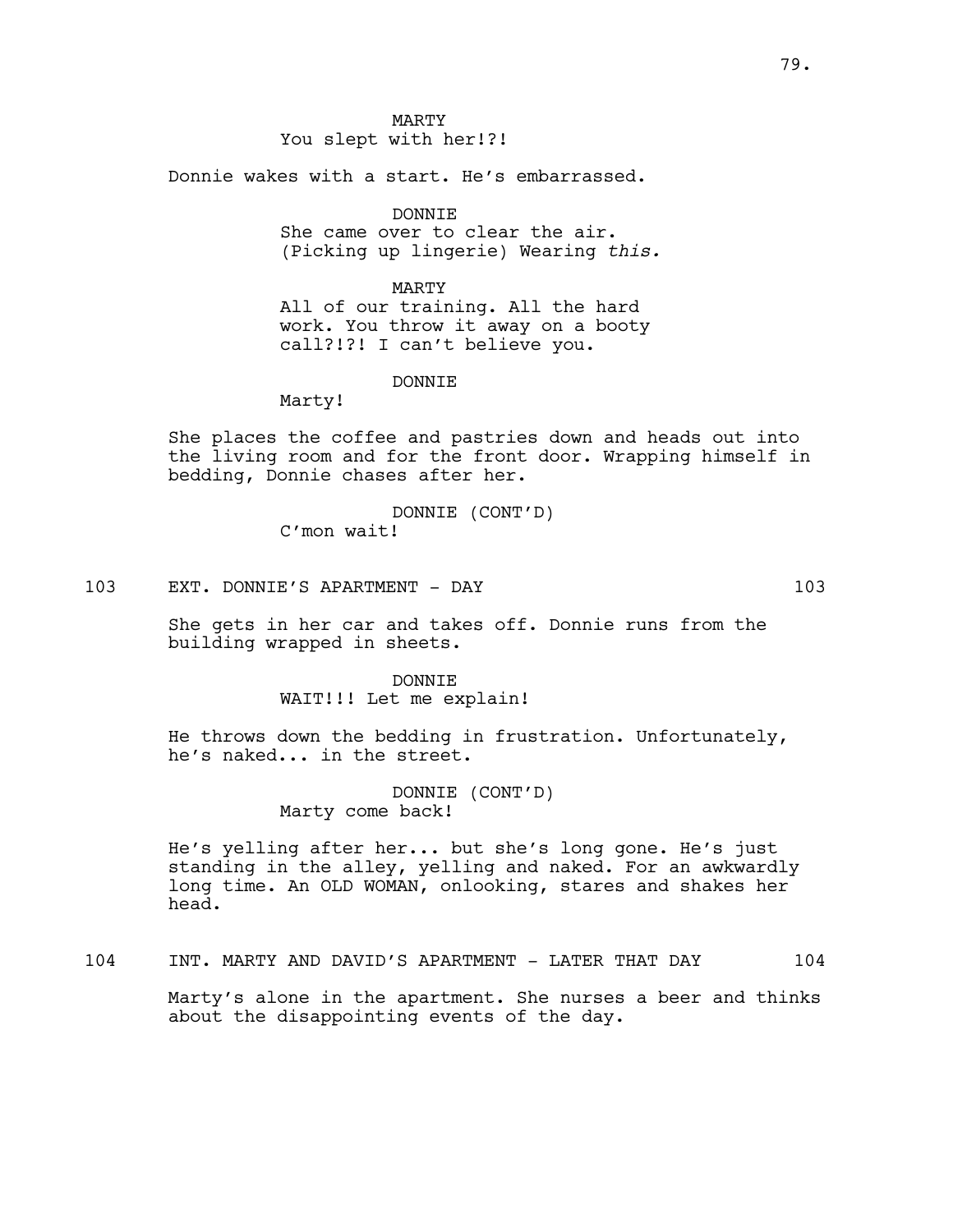MARTY You slept with her!?!

Donnie wakes with a start. He's embarrassed.

DONNIE

She came over to clear the air. (Picking up lingerie) Wearing *this.*

MARTY All of our training. All the hard work. You throw it away on a booty call?!?! I can't believe you.

DONNIE

Marty!

She places the coffee and pastries down and heads out into the living room and for the front door. Wrapping himself in bedding, Donnie chases after her.

> DONNIE (CONT'D) C'mon wait!

103 EXT. DONNIE'S APARTMENT - DAY 103

She gets in her car and takes off. Donnie runs from the building wrapped in sheets.

> DONNIE WAIT!!! Let me explain!

He throws down the bedding in frustration. Unfortunately, he's naked... in the street.

> DONNIE (CONT'D) Marty come back!

He's yelling after her... but she's long gone. He's just standing in the alley, yelling and naked. For an awkwardly long time. An OLD WOMAN, onlooking, stares and shakes her head.

104 INT. MARTY AND DAVID'S APARTMENT - LATER THAT DAY 104

Marty's alone in the apartment. She nurses a beer and thinks about the disappointing events of the day.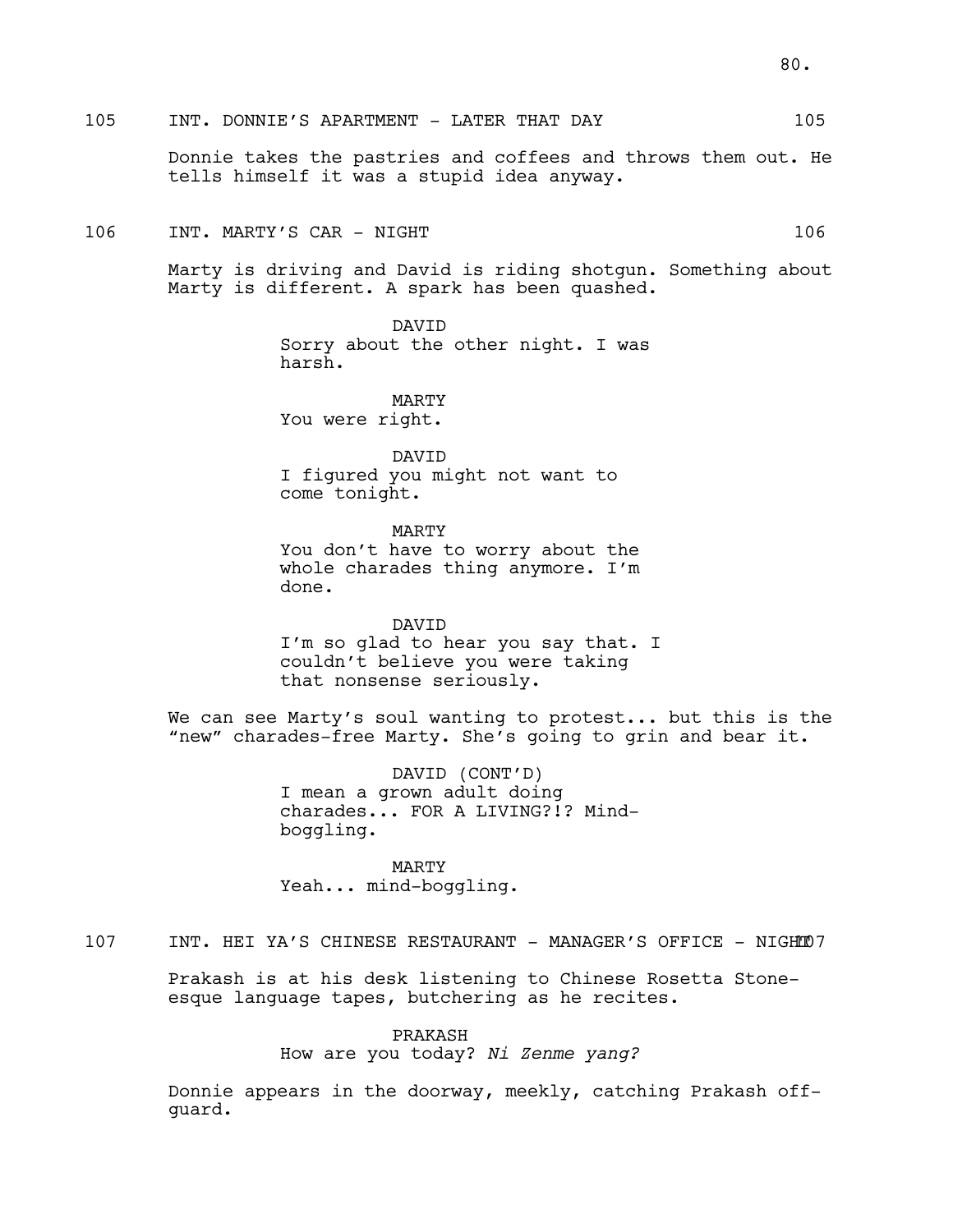# 105 INT. DONNIE'S APARTMENT - LATER THAT DAY 105

Donnie takes the pastries and coffees and throws them out. He tells himself it was a stupid idea anyway.

# 106 INT. MARTY'S CAR - NIGHT 106

Marty is driving and David is riding shotgun. Something about Marty is different. A spark has been quashed.

> DAVID Sorry about the other night. I was harsh.

MARTY You were right.

DAVID I figured you might not want to come tonight.

MARTY You don't have to worry about the whole charades thing anymore. I'm done.

DAVID I'm so glad to hear you say that. I couldn't believe you were taking that nonsense seriously.

We can see Marty's soul wanting to protest... but this is the "new" charades-free Marty. She's going to grin and bear it.

> DAVID (CONT'D) I mean a grown adult doing charades... FOR A LIVING?!? Mindboggling.

MARTY Yeah... mind-boggling.

# 107 INT. HEI YA'S CHINESE RESTAURANT - MANAGER'S OFFICE - NIGHT07

Prakash is at his desk listening to Chinese Rosetta Stoneesque language tapes, butchering as he recites.

## PRAKASH

How are you today? *Ni Zenme yang?*

Donnie appears in the doorway, meekly, catching Prakash offguard.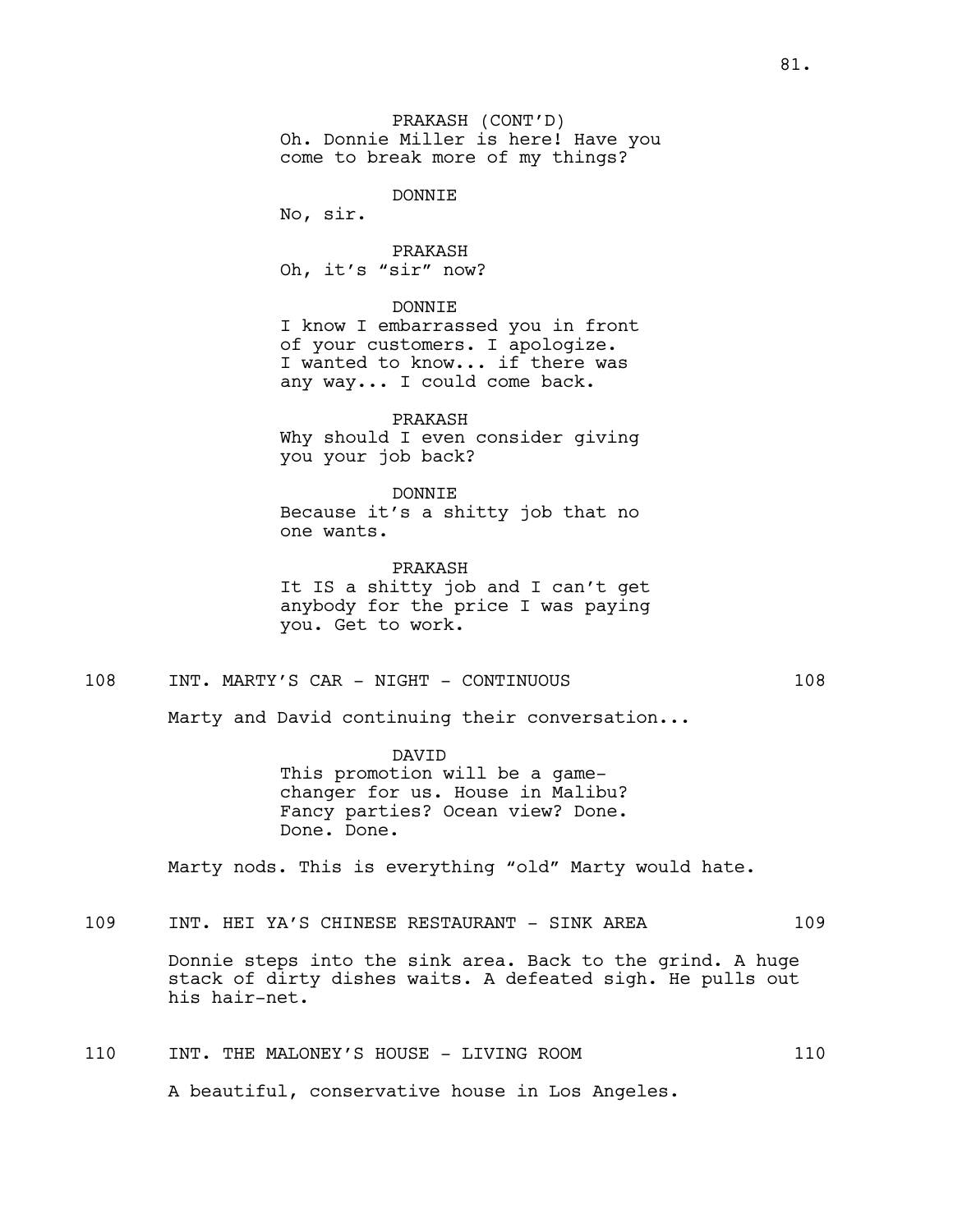PRAKASH (CONT'D) Oh. Donnie Miller is here! Have you come to break more of my things?

DONNIE

No, sir.

PRAKASH Oh, it's "sir" now?

DONNIE

I know I embarrassed you in front of your customers. I apologize. I wanted to know... if there was any way... I could come back.

PRAKASH Why should I even consider giving you your job back?

DONNIE Because it's a shitty job that no one wants.

PRAKASH It IS a shitty job and I can't get anybody for the price I was paying you. Get to work.

# 108 INT. MARTY'S CAR - NIGHT - CONTINUOUS 108

Marty and David continuing their conversation...

DAVID This promotion will be a gamechanger for us. House in Malibu? Fancy parties? Ocean view? Done. Done. Done.

Marty nods. This is everything "old" Marty would hate.

## 109 INT. HEI YA'S CHINESE RESTAURANT - SINK AREA 109

Donnie steps into the sink area. Back to the grind. A huge stack of dirty dishes waits. A defeated sigh. He pulls out his hair-net.

| 110 | INT. THE MALONEY'S HOUSE - LIVING ROOM          |  | 110 |  |
|-----|-------------------------------------------------|--|-----|--|
|     | A beautiful, conservative house in Los Angeles. |  |     |  |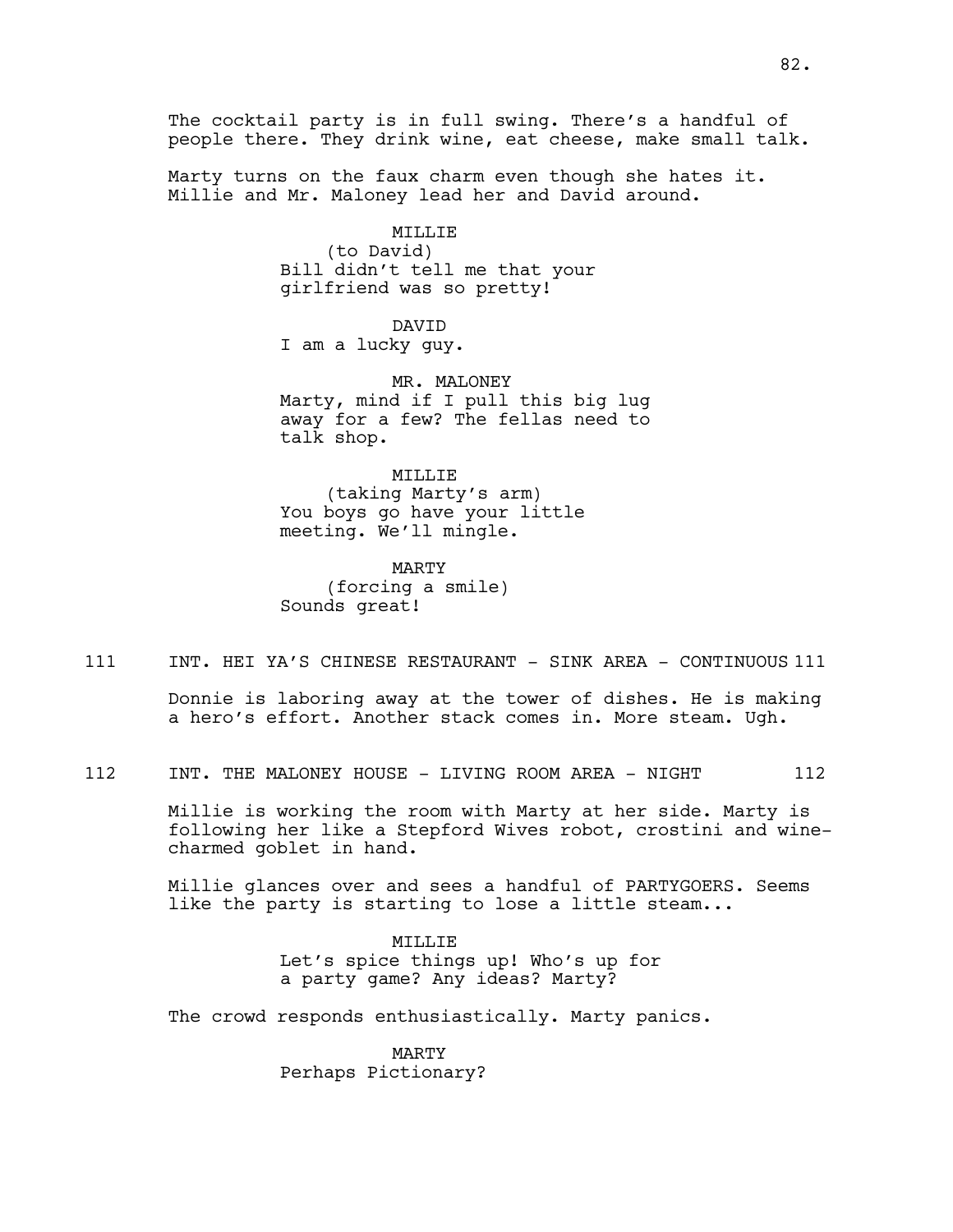The cocktail party is in full swing. There's a handful of people there. They drink wine, eat cheese, make small talk.

Marty turns on the faux charm even though she hates it. Millie and Mr. Maloney lead her and David around.

> MILLIE (to David) Bill didn't tell me that your girlfriend was so pretty!

DAVID I am a lucky guy.

MR. MALONEY Marty, mind if I pull this big lug away for a few? The fellas need to talk shop.

MILLIE (taking Marty's arm) You boys go have your little

MARTY (forcing a smile) Sounds great!

meeting. We'll mingle.

111 INT. HEI YA'S CHINESE RESTAURANT - SINK AREA - CONTINUOUS 111

Donnie is laboring away at the tower of dishes. He is making a hero's effort. Another stack comes in. More steam. Ugh.

112 INT. THE MALONEY HOUSE - LIVING ROOM AREA - NIGHT 112

Millie is working the room with Marty at her side. Marty is following her like a Stepford Wives robot, crostini and winecharmed goblet in hand.

Millie glances over and sees a handful of PARTYGOERS. Seems like the party is starting to lose a little steam...

> MILLIE Let's spice things up! Who's up for a party game? Any ideas? Marty?

The crowd responds enthusiastically. Marty panics.

MARTY Perhaps Pictionary?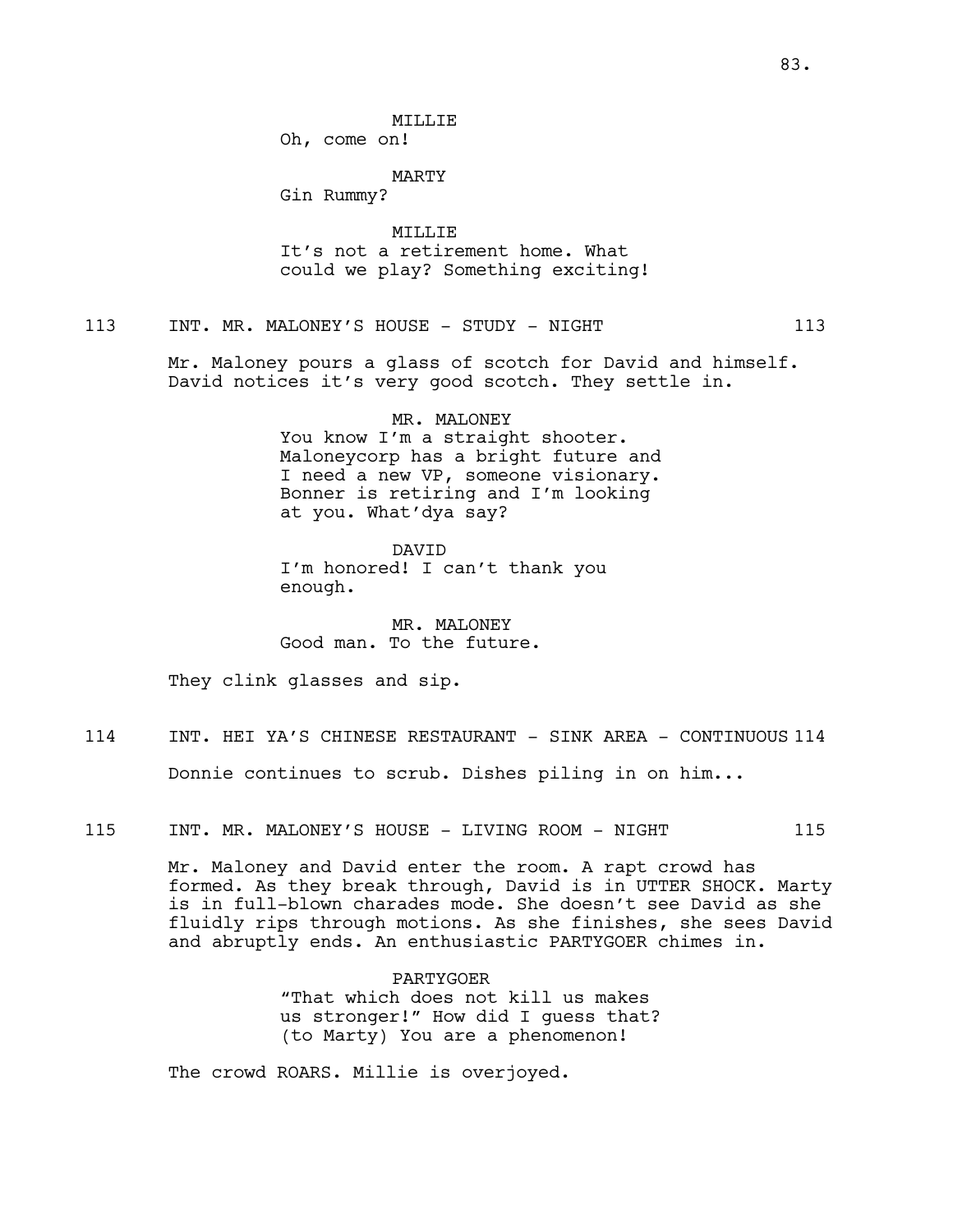**MTT.T.TE** 

Oh, come on!

MARTY

Gin Rummy?

MILLIE It's not a retirement home. What could we play? Something exciting!

113 INT. MR. MALONEY'S HOUSE - STUDY - NIGHT 113

Mr. Maloney pours a glass of scotch for David and himself. David notices it's very good scotch. They settle in.

> MR. MALONEY You know I'm a straight shooter. Maloneycorp has a bright future and I need a new VP, someone visionary. Bonner is retiring and I'm looking at you. What'dya say?

DAVID I'm honored! I can't thank you enough.

MR. MALONEY Good man. To the future.

They clink glasses and sip.

114 INT. HEI YA'S CHINESE RESTAURANT - SINK AREA - CONTINUOUS 114

Donnie continues to scrub. Dishes piling in on him...

115 INT. MR. MALONEY'S HOUSE - LIVING ROOM - NIGHT 115

Mr. Maloney and David enter the room. A rapt crowd has formed. As they break through, David is in UTTER SHOCK. Marty is in full-blown charades mode. She doesn't see David as she fluidly rips through motions. As she finishes, she sees David and abruptly ends. An enthusiastic PARTYGOER chimes in.

> PARTYGOER "That which does not kill us makes us stronger!" How did I guess that? (to Marty) You are a phenomenon!

The crowd ROARS. Millie is overjoyed.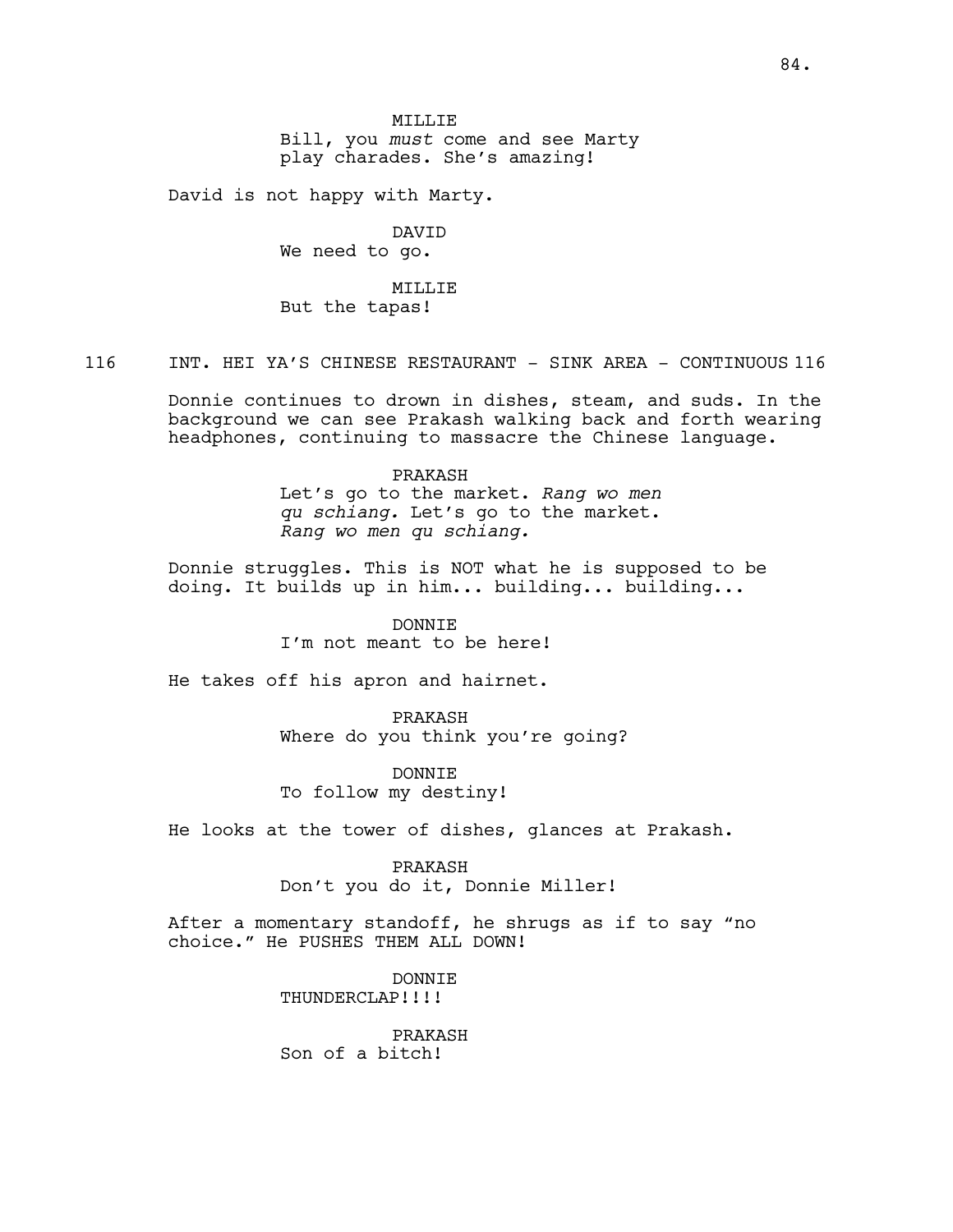Bill, you *must* come and see Marty play charades. She's amazing!

David is not happy with Marty.

DAVID We need to go.

MILLIE But the tapas!

116 INT. HEI YA'S CHINESE RESTAURANT - SINK AREA - CONTINUOUS 116

Donnie continues to drown in dishes, steam, and suds. In the background we can see Prakash walking back and forth wearing headphones, continuing to massacre the Chinese language.

# PRAKASH

Let's go to the market. *Rang wo men qu schiang.* Let's go to the market. *Rang wo men qu schiang.*

Donnie struggles. This is NOT what he is supposed to be doing. It builds up in him... building... building...

> DONNIE I'm not meant to be here!

He takes off his apron and hairnet.

PRAKASH Where do you think you're going?

DONNIE To follow my destiny!

He looks at the tower of dishes, glances at Prakash.

PRAKASH Don't you do it, Donnie Miller!

After a momentary standoff, he shrugs as if to say "no choice." He PUSHES THEM ALL DOWN!

> DONNIE THUNDERCLAP!!!!

PRAKASH Son of a bitch!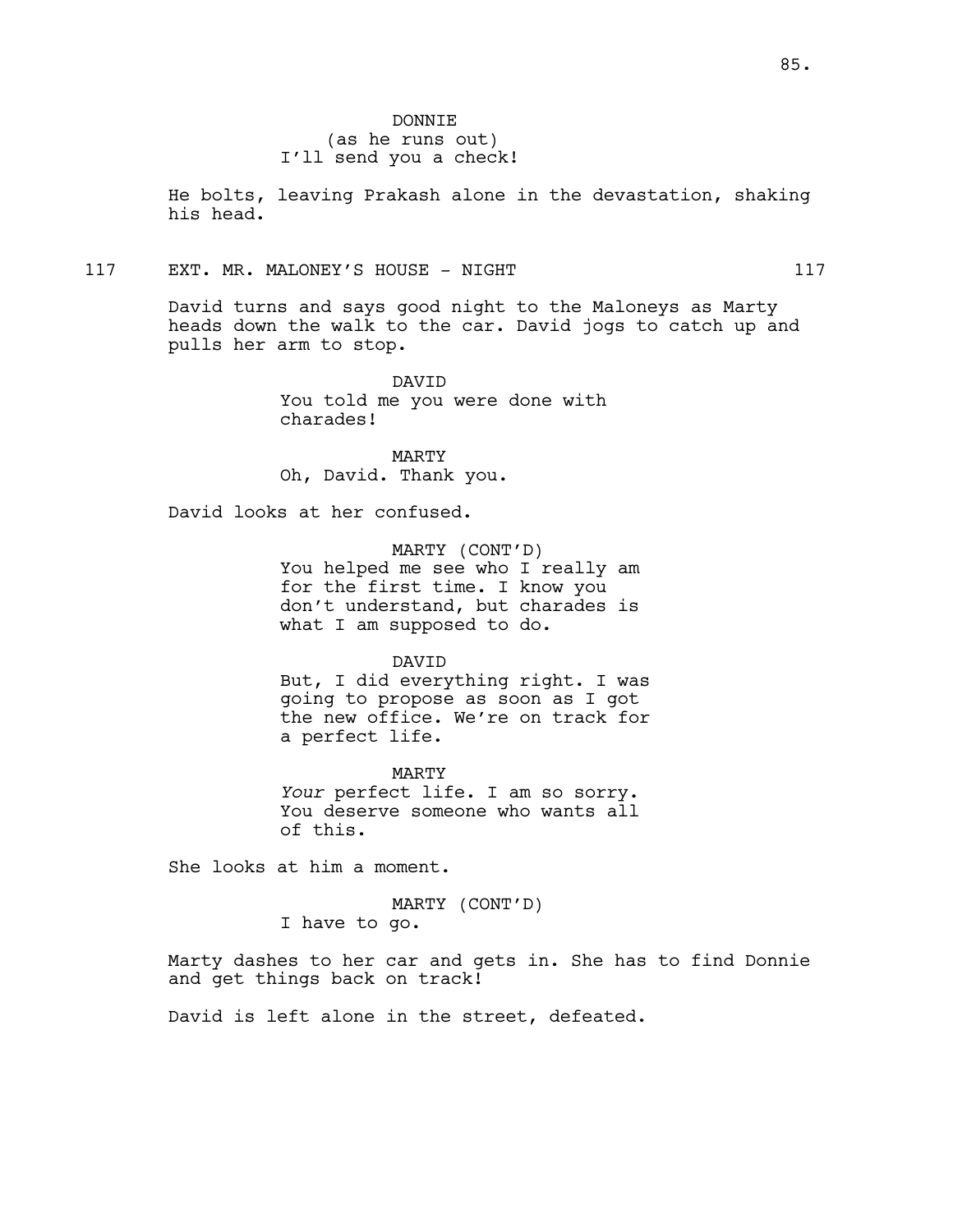He bolts, leaving Prakash alone in the devastation, shaking his head.

117 EXT. MR. MALONEY'S HOUSE - NIGHT 117

David turns and says good night to the Maloneys as Marty heads down the walk to the car. David jogs to catch up and pulls her arm to stop.

> DAVID You told me you were done with charades!

MARTY Oh, David. Thank you.

David looks at her confused.

MARTY (CONT'D) You helped me see who I really am for the first time. I know you don't understand, but charades is what I am supposed to do.

DAVID

But, I did everything right. I was going to propose as soon as I got the new office. We're on track for a perfect life.

MARTY *Your* perfect life. I am so sorry. You deserve someone who wants all of this.

She looks at him a moment.

MARTY (CONT'D) I have to go.

Marty dashes to her car and gets in. She has to find Donnie and get things back on track!

David is left alone in the street, defeated.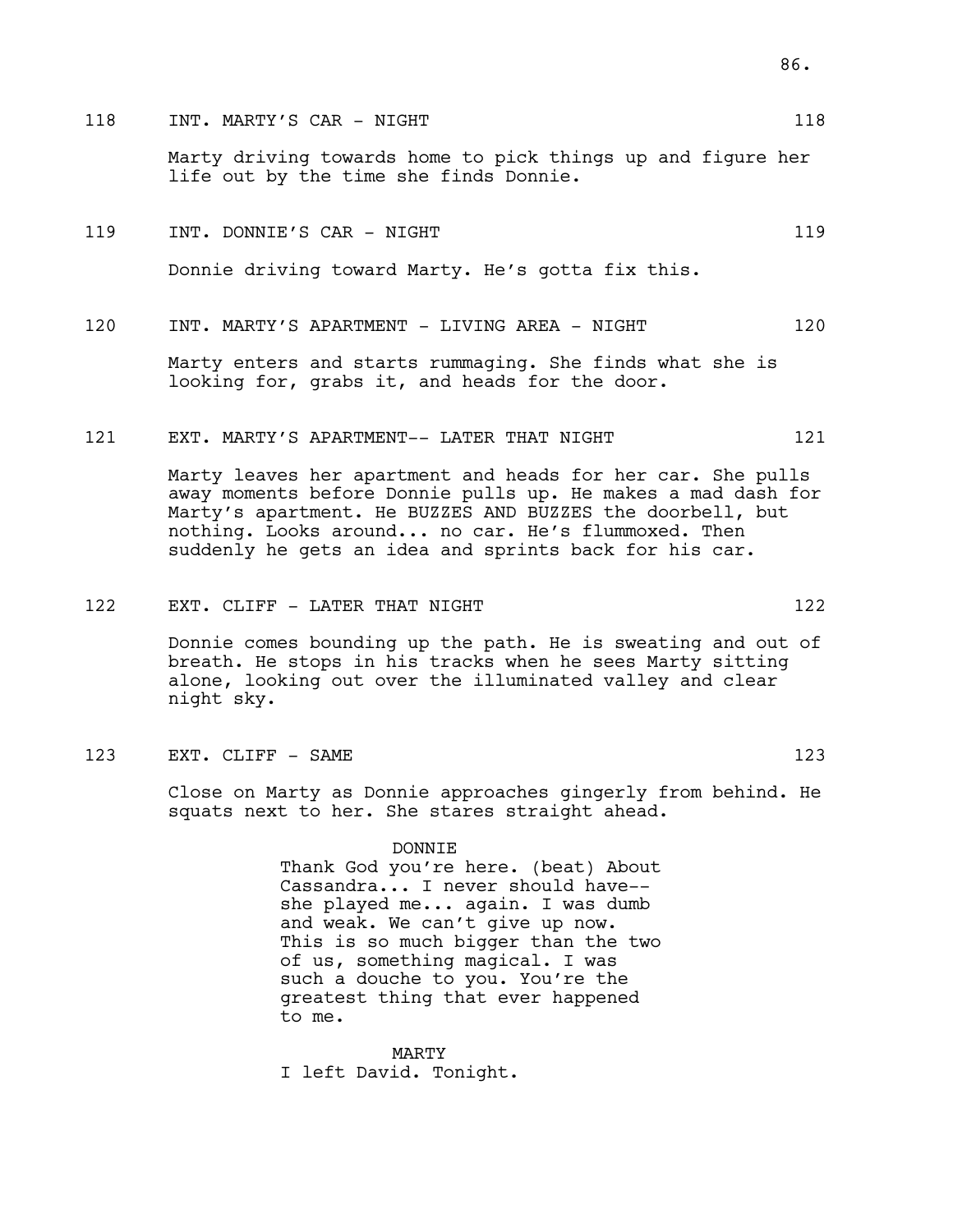## 118 INT. MARTY'S CAR - NIGHT 118 118

Marty driving towards home to pick things up and figure her life out by the time she finds Donnie.

# 119 INT. DONNIE'S CAR - NIGHT 119 119

Donnie driving toward Marty. He's gotta fix this.

## 120 INT. MARTY'S APARTMENT - LIVING AREA - NIGHT 120

Marty enters and starts rummaging. She finds what she is looking for, grabs it, and heads for the door.

### 121 EXT. MARTY'S APARTMENT-- LATER THAT NIGHT 121

Marty leaves her apartment and heads for her car. She pulls away moments before Donnie pulls up. He makes a mad dash for Marty's apartment. He BUZZES AND BUZZES the doorbell, but nothing. Looks around... no car. He's flummoxed. Then suddenly he gets an idea and sprints back for his car.

### 122 EXT. CLIFF - LATER THAT NIGHT 122

Donnie comes bounding up the path. He is sweating and out of breath. He stops in his tracks when he sees Marty sitting alone, looking out over the illuminated valley and clear night sky.

#### 123 EXT. CLIFF - SAME 123

Close on Marty as Donnie approaches gingerly from behind. He squats next to her. She stares straight ahead.

> DONNIE Thank God you're here. (beat) About Cassandra... I never should have- she played me... again. I was dumb

> and weak. We can't give up now. This is so much bigger than the two of us, something magical. I was such a douche to you. You're the greatest thing that ever happened to me.

MARTY I left David. Tonight.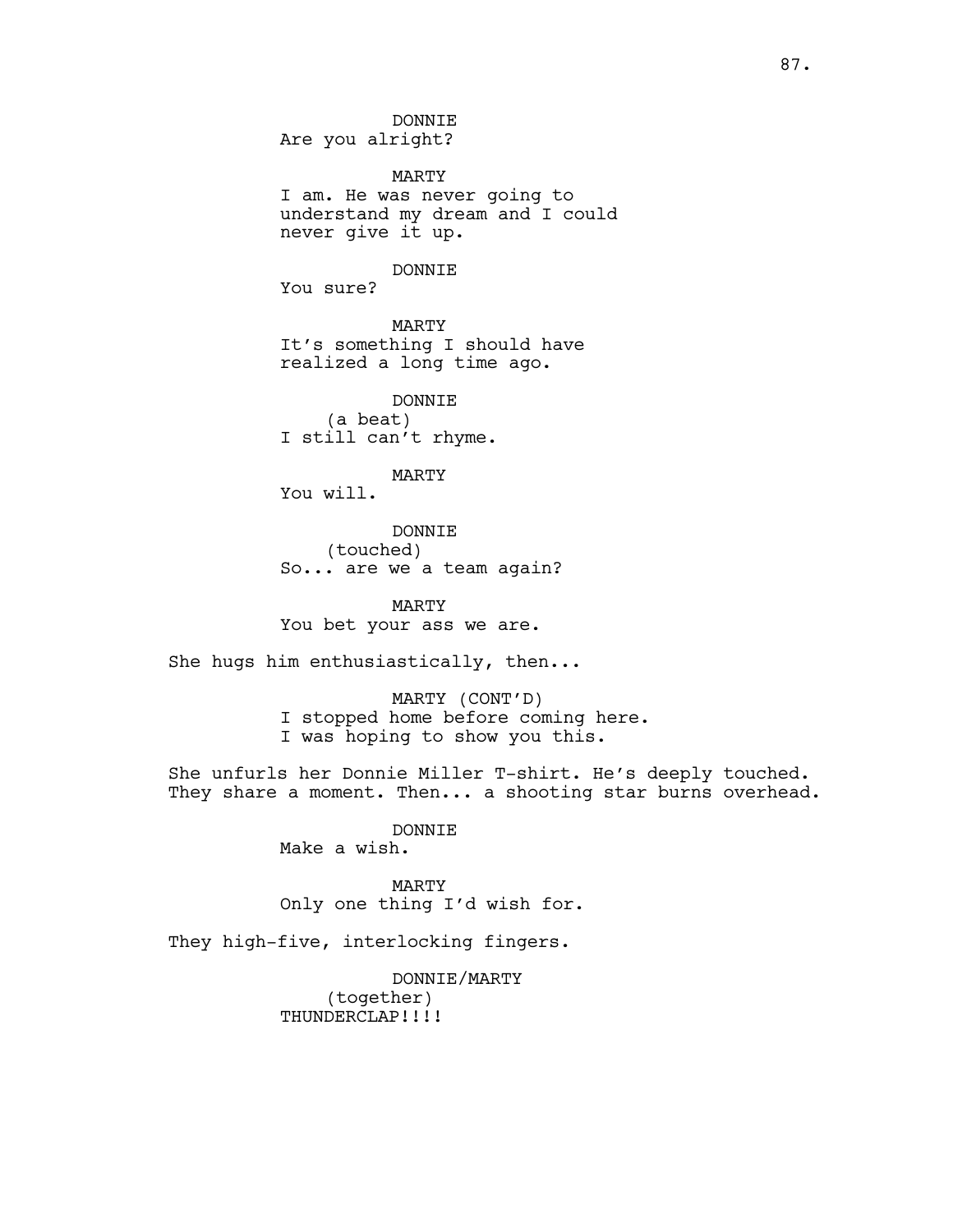DONNIE Are you alright?

MARTY I am. He was never going to understand my dream and I could never give it up.

DONNIE

You sure?

MARTY It's something I should have realized a long time ago.

DONNIE (a beat) I still can't rhyme.

MARTY

You will.

DONNIE (touched) So... are we a team again?

MARTY You bet your ass we are.

She hugs him enthusiastically, then...

MARTY (CONT'D) I stopped home before coming here. I was hoping to show you this.

She unfurls her Donnie Miller T-shirt. He's deeply touched. They share a moment. Then... a shooting star burns overhead.

> DONNIE Make a wish.

MARTY Only one thing I'd wish for.

They high-five, interlocking fingers.

DONNIE/MARTY (together) THUNDERCLAP!!!!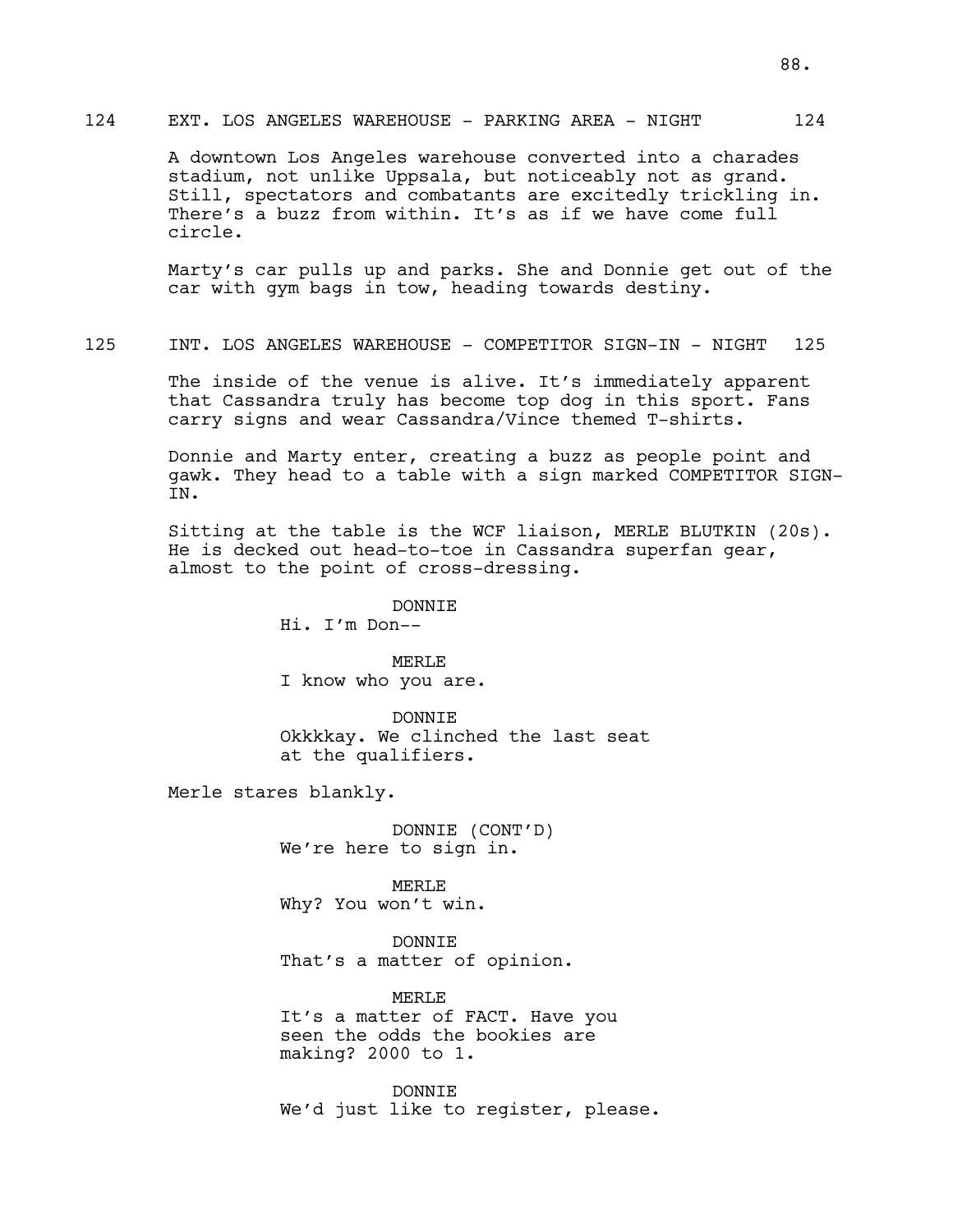## 124 EXT. LOS ANGELES WAREHOUSE - PARKING AREA - NIGHT 124

A downtown Los Angeles warehouse converted into a charades stadium, not unlike Uppsala, but noticeably not as grand. Still, spectators and combatants are excitedly trickling in. There's a buzz from within. It's as if we have come full circle.

Marty's car pulls up and parks. She and Donnie get out of the car with gym bags in tow, heading towards destiny.

125 INT. LOS ANGELES WAREHOUSE - COMPETITOR SIGN-IN - NIGHT 125

The inside of the venue is alive. It's immediately apparent that Cassandra truly has become top dog in this sport. Fans carry signs and wear Cassandra/Vince themed T-shirts.

Donnie and Marty enter, creating a buzz as people point and gawk. They head to a table with a sign marked COMPETITOR SIGN-IN.

Sitting at the table is the WCF liaison, MERLE BLUTKIN (20s). He is decked out head-to-toe in Cassandra superfan gear, almost to the point of cross-dressing.

DONNIE

Hi. I'm Don--

MERLE

I know who you are.

DONNIE Okkkkay. We clinched the last seat at the qualifiers.

Merle stares blankly.

DONNIE (CONT'D) We're here to sign in.

MERLE Why? You won't win.

DONNIE That's a matter of opinion.

MERL<sub>E</sub> It's a matter of FACT. Have you seen the odds the bookies are making? 2000 to 1.

DONNIE We'd just like to register, please.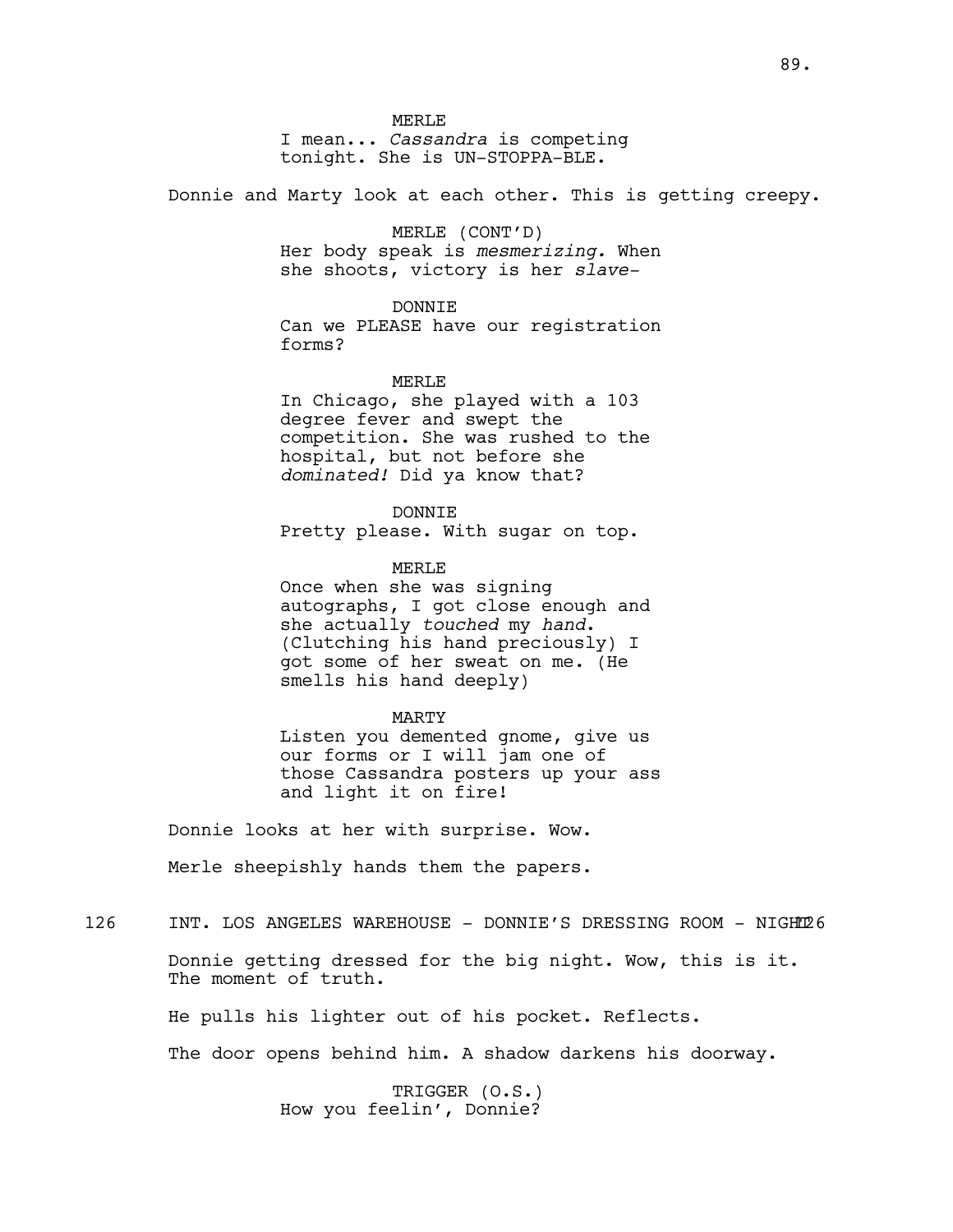MERLE.

I mean... *Cassandra* is competing tonight. She is UN-STOPPA-BLE.

Donnie and Marty look at each other. This is getting creepy.

### MERLE (CONT'D)

Her body speak is *mesmerizing.* When she shoots, victory is her *slave-*

#### DONNIE

Can we PLEASE have our registration forms?

#### MERL<sub>E</sub>

In Chicago, she played with a 103 degree fever and swept the competition. She was rushed to the hospital, but not before she *dominated!* Did ya know that?

DONNIE Pretty please. With sugar on top.

MERLE.

Once when she was signing autographs, I got close enough and she actually *touched* my *hand*. (Clutching his hand preciously) I got some of her sweat on me. (He smells his hand deeply)

#### MARTY

Listen you demented gnome, give us our forms or I will jam one of those Cassandra posters up your ass and light it on fire!

Donnie looks at her with surprise. Wow.

Merle sheepishly hands them the papers.

# 126 INT. LOS ANGELES WAREHOUSE - DONNIE'S DRESSING ROOM - NIGHT126

Donnie getting dressed for the big night. Wow, this is it. The moment of truth.

He pulls his lighter out of his pocket. Reflects.

The door opens behind him. A shadow darkens his doorway.

TRIGGER (O.S.) How you feelin', Donnie?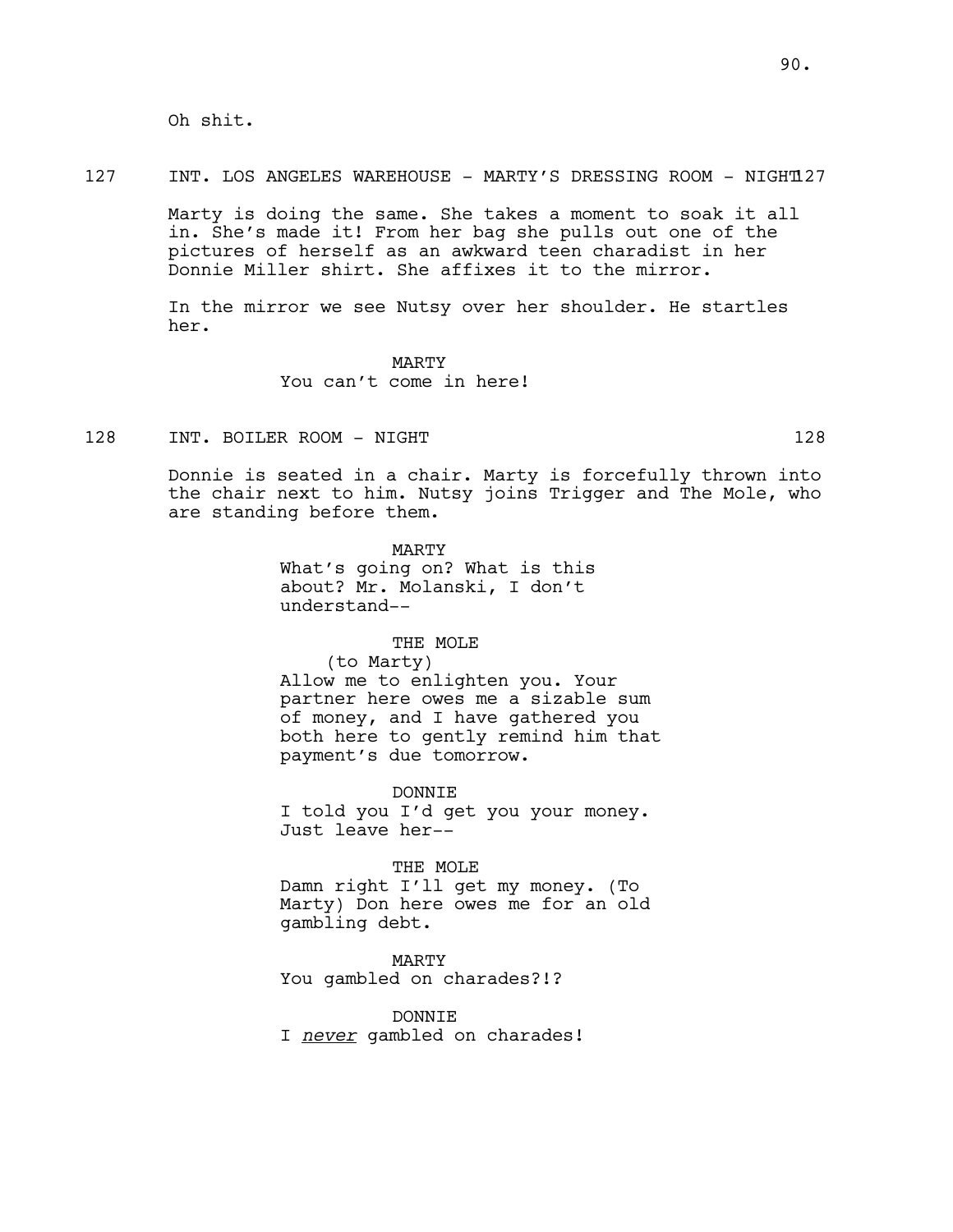Oh shit.

#### 127 INT. LOS ANGELES WAREHOUSE - MARTY'S DRESSING ROOM - NIGHT127

Marty is doing the same. She takes a moment to soak it all in. She's made it! From her bag she pulls out one of the pictures of herself as an awkward teen charadist in her Donnie Miller shirt. She affixes it to the mirror.

In the mirror we see Nutsy over her shoulder. He startles her.

> MARTY You can't come in here!

128 INT. BOILER ROOM - NIGHT 128 128

Donnie is seated in a chair. Marty is forcefully thrown into the chair next to him. Nutsy joins Trigger and The Mole, who are standing before them.

> MARTY What's going on? What is this about? Mr. Molanski, I don't understand--

## THE MOLE

(to Marty) Allow me to enlighten you. Your partner here owes me a sizable sum of money, and I have gathered you

both here to gently remind him that payment's due tomorrow.

DONNIE I told you I'd get you your money. Just leave her--

THE MOLE Damn right I'll get my money. (To Marty) Don here owes me for an old gambling debt.

MARTY You gambled on charades?!?

DONNIE I *never* gambled on charades!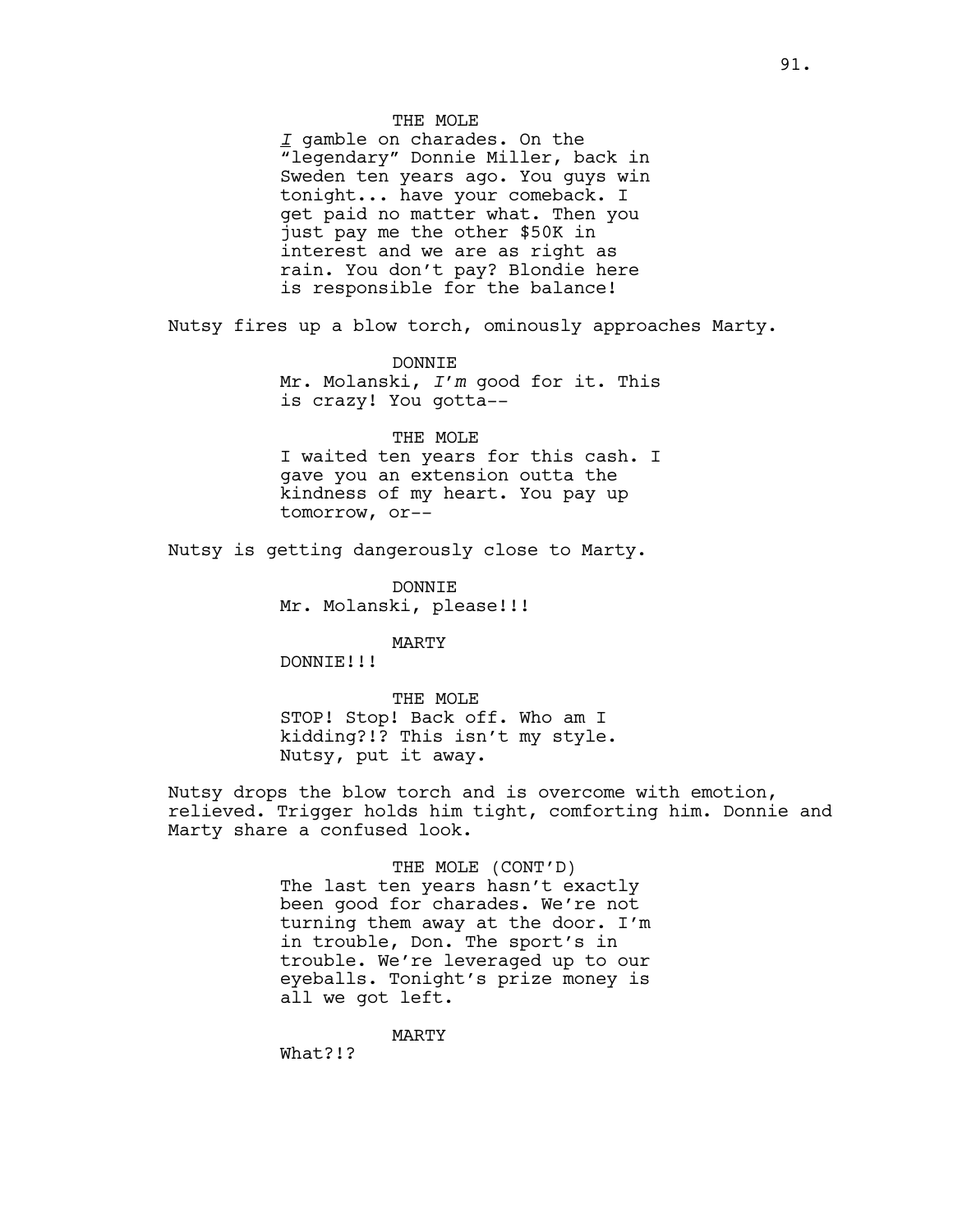### THE MOLE

*I* gamble on charades. On the "legendary" Donnie Miller, back in Sweden ten years ago. You guys win tonight... have your comeback. I get paid no matter what. Then you just pay me the other \$50K in interest and we are as right as rain. You don't pay? Blondie here is responsible for the balance!

Nutsy fires up a blow torch, ominously approaches Marty.

DONNIE

Mr. Molanski, *I'm* good for it. This is crazy! You gotta--

### THE MOLE

I waited ten years for this cash. I gave you an extension outta the kindness of my heart. You pay up tomorrow, or--

Nutsy is getting dangerously close to Marty.

DONNIE Mr. Molanski, please!!!

MARTY

DONNIE!!!

THE MOLE STOP! Stop! Back off. Who am I kidding?!? This isn't my style. Nutsy, put it away.

Nutsy drops the blow torch and is overcome with emotion, relieved. Trigger holds him tight, comforting him. Donnie and Marty share a confused look.

> THE MOLE (CONT'D) The last ten years hasn't exactly been good for charades. We're not turning them away at the door. I'm in trouble, Don. The sport's in trouble. We're leveraged up to our eyeballs. Tonight's prize money is all we got left.

> > MARTY

What?!?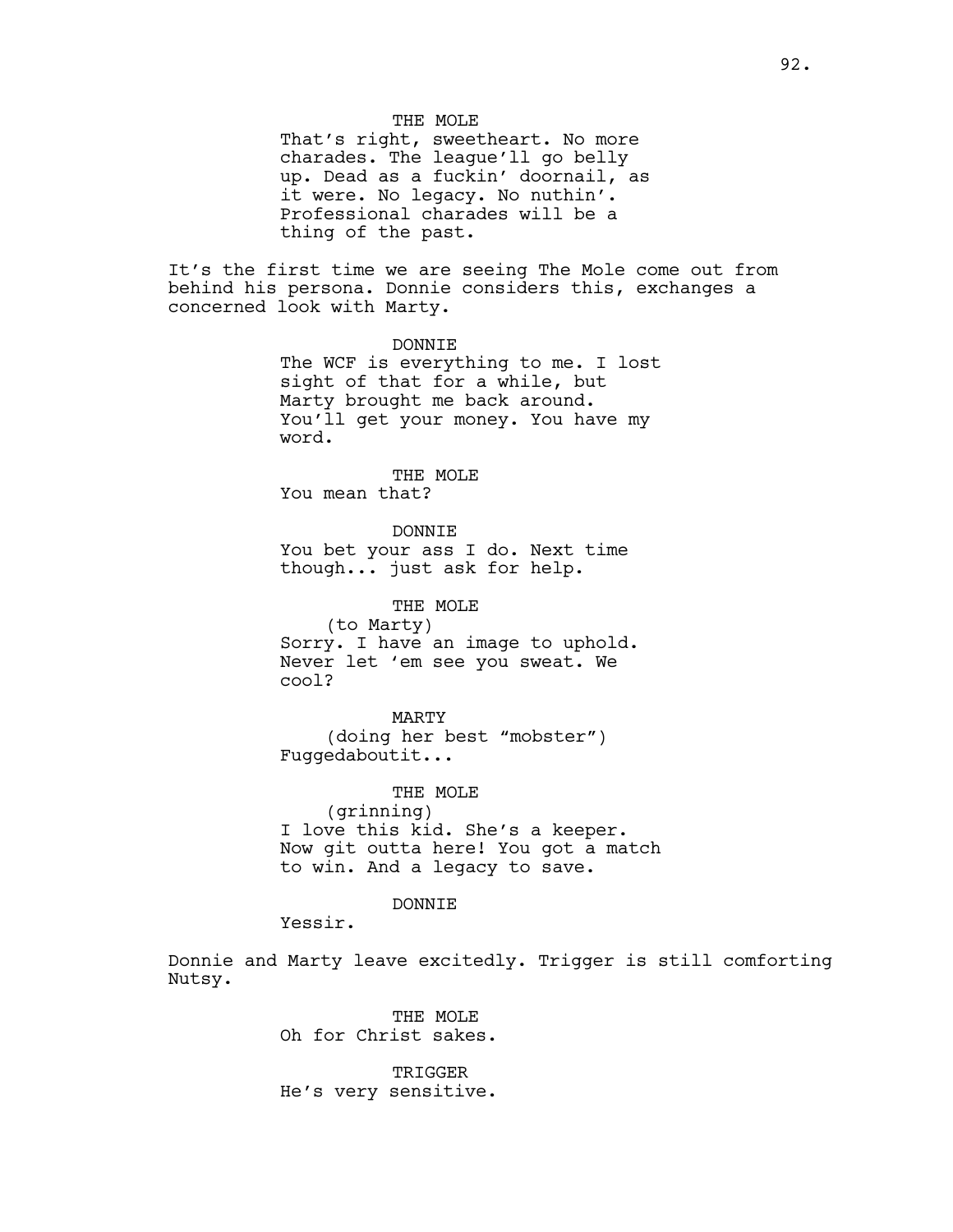THE MOLE

That's right, sweetheart. No more charades. The league'll go belly up. Dead as a fuckin' doornail, as it were. No legacy. No nuthin'. Professional charades will be a thing of the past.

It's the first time we are seeing The Mole come out from behind his persona. Donnie considers this, exchanges a concerned look with Marty.

> DONNIE The WCF is everything to me. I lost sight of that for a while, but Marty brought me back around. You'll get your money. You have my word.

THE MOLE You mean that?

DONNIE You bet your ass I do. Next time though... just ask for help.

THE MOLE (to Marty) Sorry. I have an image to uphold. Never let 'em see you sweat. We cool?

MARTY (doing her best "mobster") Fuggedaboutit...

THE MOLE (grinning) I love this kid. She's a keeper. Now git outta here! You got a match to win. And a legacy to save.

DONNTE.

Yessir.

Donnie and Marty leave excitedly. Trigger is still comforting Nutsy.

> THE MOLE Oh for Christ sakes.

TRIGGER He's very sensitive.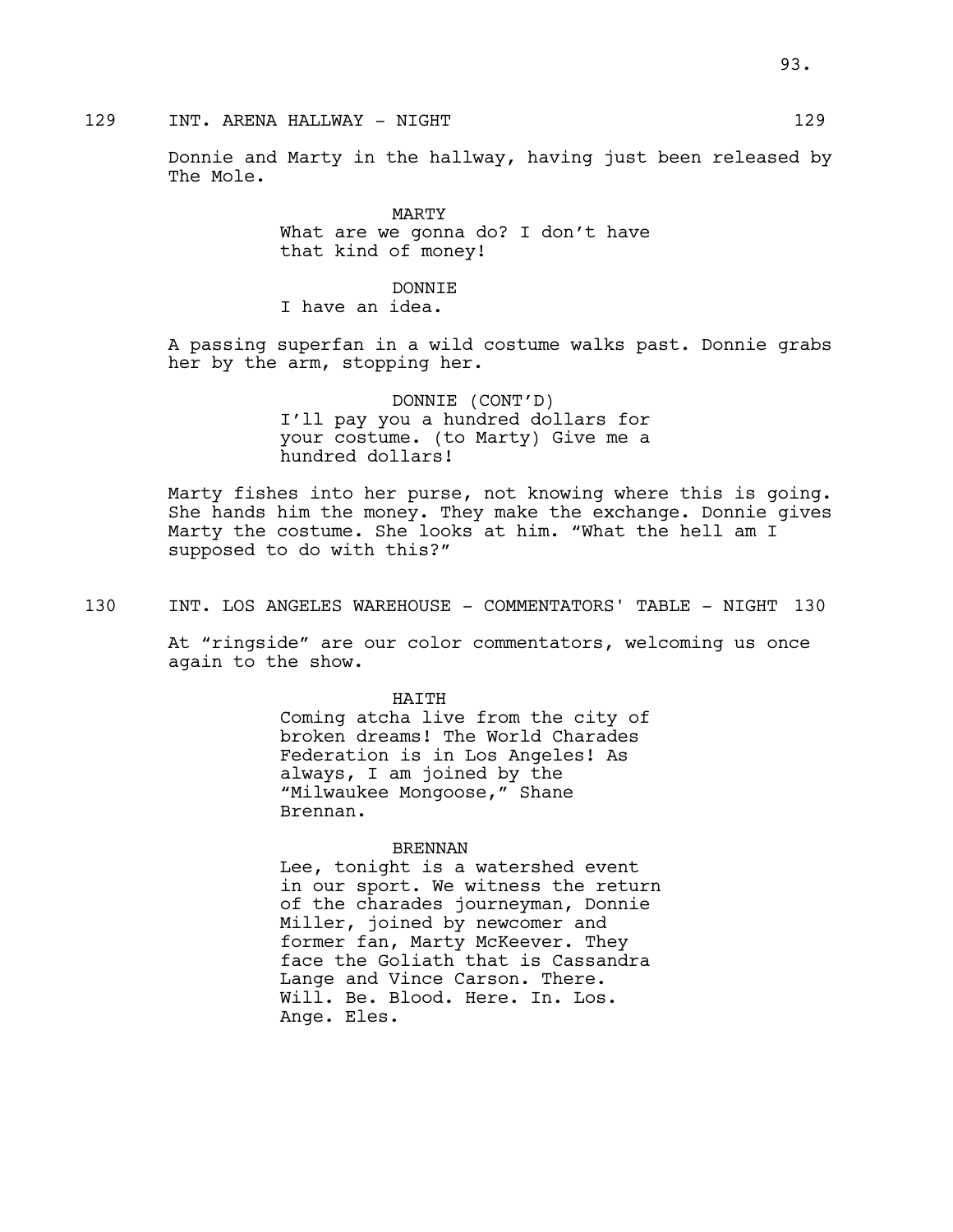# 129 INT. ARENA HALLWAY - NIGHT 129

Donnie and Marty in the hallway, having just been released by The Mole.

> MARTY What are we gonna do? I don't have that kind of money!

# DONNTE.

I have an idea.

A passing superfan in a wild costume walks past. Donnie grabs her by the arm, stopping her.

> DONNIE (CONT'D) I'll pay you a hundred dollars for your costume. (to Marty) Give me a hundred dollars!

Marty fishes into her purse, not knowing where this is going. She hands him the money. They make the exchange. Donnie gives Marty the costume. She looks at him. "What the hell am I supposed to do with this?"

130 INT. LOS ANGELES WAREHOUSE - COMMENTATORS' TABLE - NIGHT 130

At "ringside" are our color commentators, welcoming us once again to the show.

> HATTH Coming atcha live from the city of broken dreams! The World Charades Federation is in Los Angeles! As always, I am joined by the "Milwaukee Mongoose," Shane Brennan.

#### BRENNAN

Lee, tonight is a watershed event in our sport. We witness the return of the charades journeyman, Donnie Miller, joined by newcomer and former fan, Marty McKeever. They face the Goliath that is Cassandra Lange and Vince Carson. There. Will. Be. Blood. Here. In. Los. Ange. Eles.

93.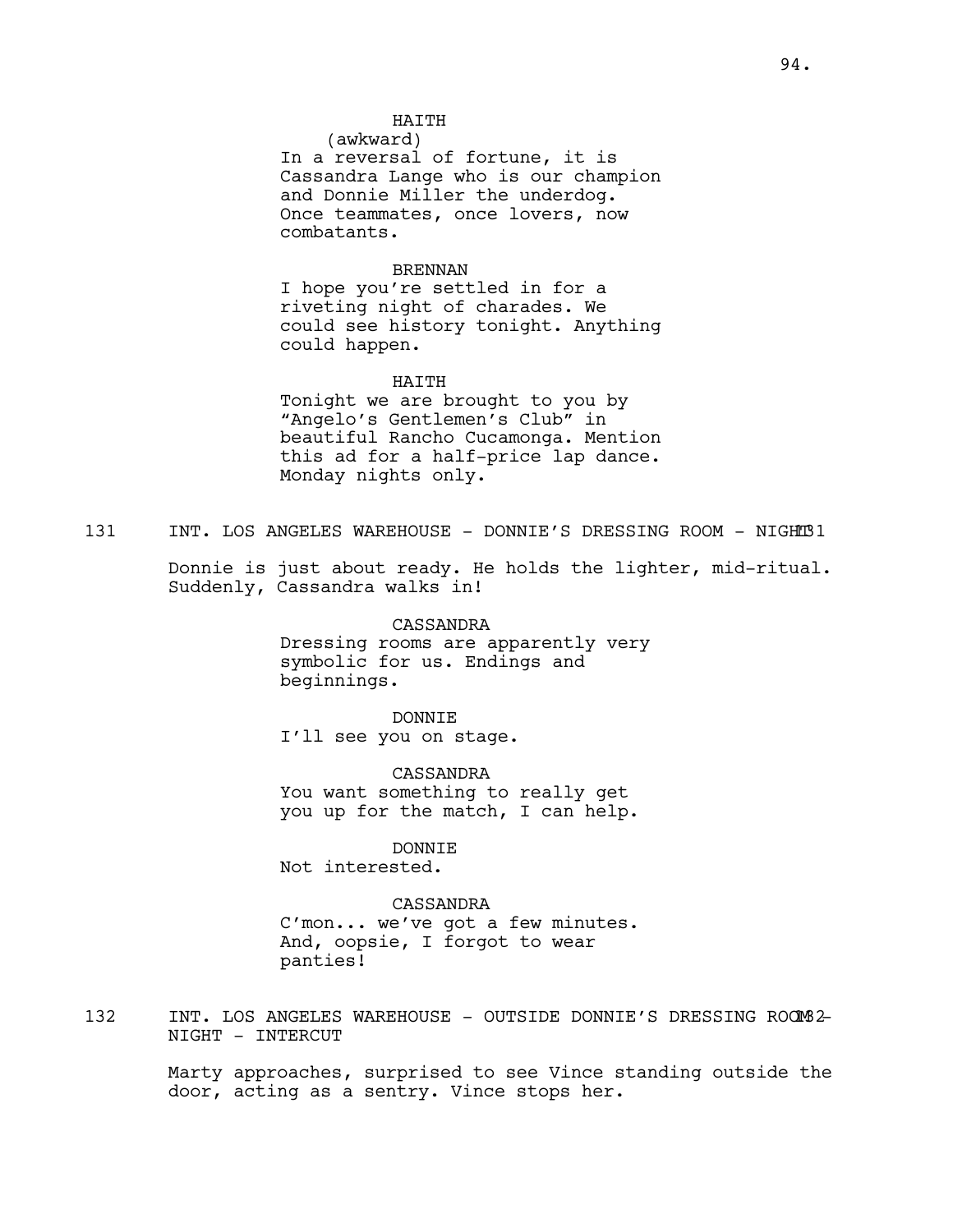## HATTH

(awkward) In a reversal of fortune, it is Cassandra Lange who is our champion and Donnie Miller the underdog. Once teammates, once lovers, now combatants.

### BRENNAN

I hope you're settled in for a riveting night of charades. We could see history tonight. Anything could happen.

#### HAITH

Tonight we are brought to you by "Angelo's Gentlemen's Club" in beautiful Rancho Cucamonga. Mention this ad for a half-price lap dance. Monday nights only.

131 INT. LOS ANGELES WAREHOUSE - DONNIE'S DRESSING ROOM - NIGHT131

Donnie is just about ready. He holds the lighter, mid-ritual. Suddenly, Cassandra walks in!

> CASSANDRA Dressing rooms are apparently very symbolic for us. Endings and beginnings.

DONNIE I'll see you on stage.

CASSANDRA You want something to really get you up for the match, I can help.

DONNIE Not interested.

CASSANDRA C'mon... we've got a few minutes. And, oopsie, I forgot to wear panties!

132 INT. LOS ANGELES WAREHOUSE - OUTSIDE DONNIE'S DRESSING ROOM2-NIGHT - INTERCUT

> Marty approaches, surprised to see Vince standing outside the door, acting as a sentry. Vince stops her.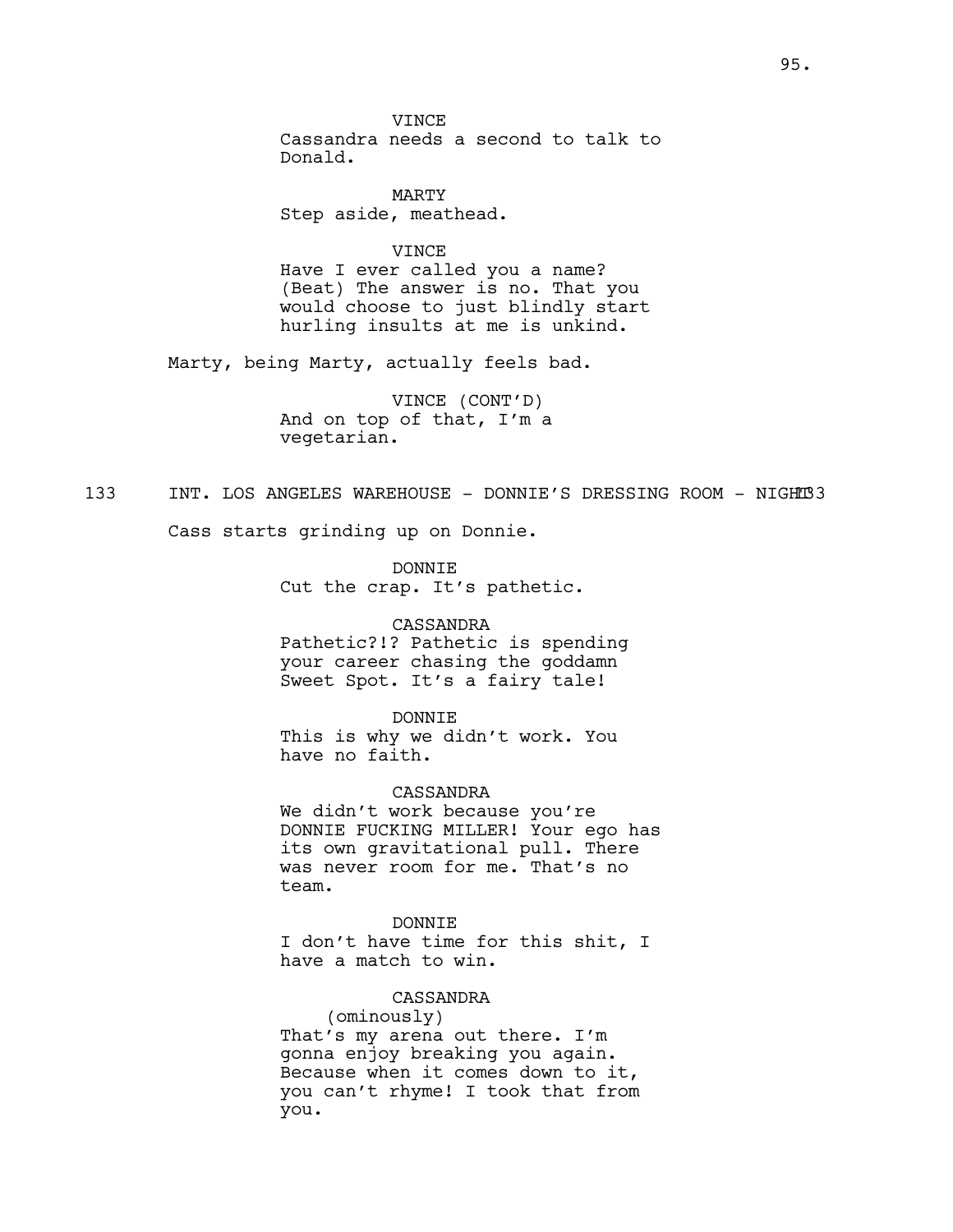**VINCE** Cassandra needs a second to talk to Donald.

MARTY Step aside, meathead.

VINCE Have I ever called you a name? (Beat) The answer is no. That you would choose to just blindly start hurling insults at me is unkind.

Marty, being Marty, actually feels bad.

VINCE (CONT'D) And on top of that, I'm a vegetarian.

133 INT. LOS ANGELES WAREHOUSE - DONNIE'S DRESSING ROOM - NIGHT33

Cass starts grinding up on Donnie.

DONNIE Cut the crap. It's pathetic.

### CASSANDRA

Pathetic?!? Pathetic is spending your career chasing the goddamn Sweet Spot. It's a fairy tale!

#### DONNIE

This is why we didn't work. You have no faith.

### CASSANDRA

We didn't work because you're DONNIE FUCKING MILLER! Your ego has its own gravitational pull. There was never room for me. That's no team.

## DONNIE

I don't have time for this shit, I have a match to win.

### CASSANDRA

(ominously) That's my arena out there. I'm gonna enjoy breaking you again. Because when it comes down to it, you can't rhyme! I took that from you.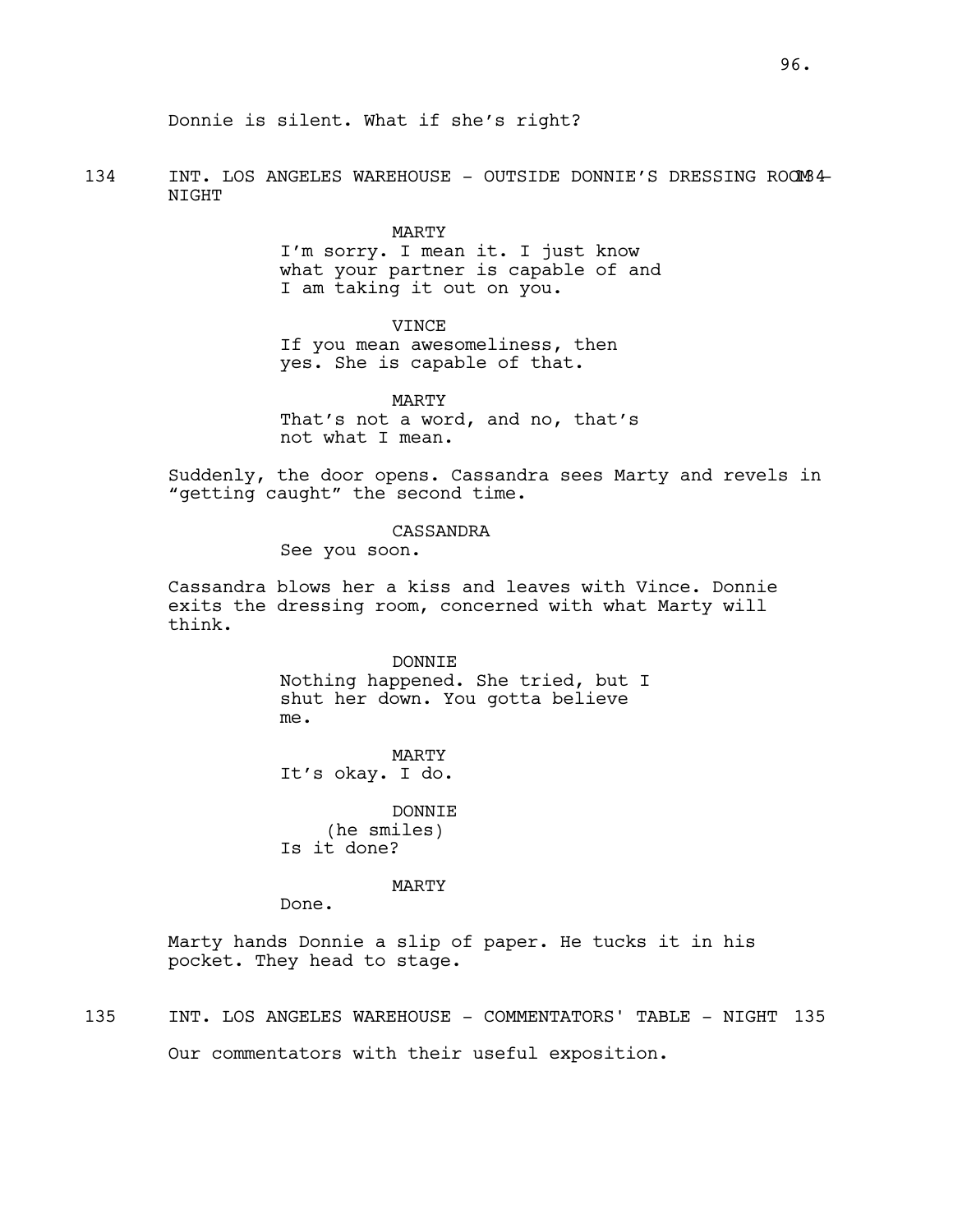Donnie is silent. What if she's right?

134 INT. LOS ANGELES WAREHOUSE - OUTSIDE DONNIE'S DRESSING ROOM 4-NIGHT

> MARTY I'm sorry. I mean it. I just know what your partner is capable of and I am taking it out on you.

> > VINCE

If you mean awesomeliness, then yes. She is capable of that.

MARTY That's not a word, and no, that's not what I mean.

Suddenly, the door opens. Cassandra sees Marty and revels in "getting caught" the second time.

## CASSANDRA

See you soon.

Cassandra blows her a kiss and leaves with Vince. Donnie exits the dressing room, concerned with what Marty will think.

> DONNIE Nothing happened. She tried, but I shut her down. You gotta believe me.

MARTY It's okay. I do.

DONNIE (he smiles) Is it done?

### MARTY

Done.

Marty hands Donnie a slip of paper. He tucks it in his pocket. They head to stage.

135 INT. LOS ANGELES WAREHOUSE - COMMENTATORS' TABLE - NIGHT 135 Our commentators with their useful exposition.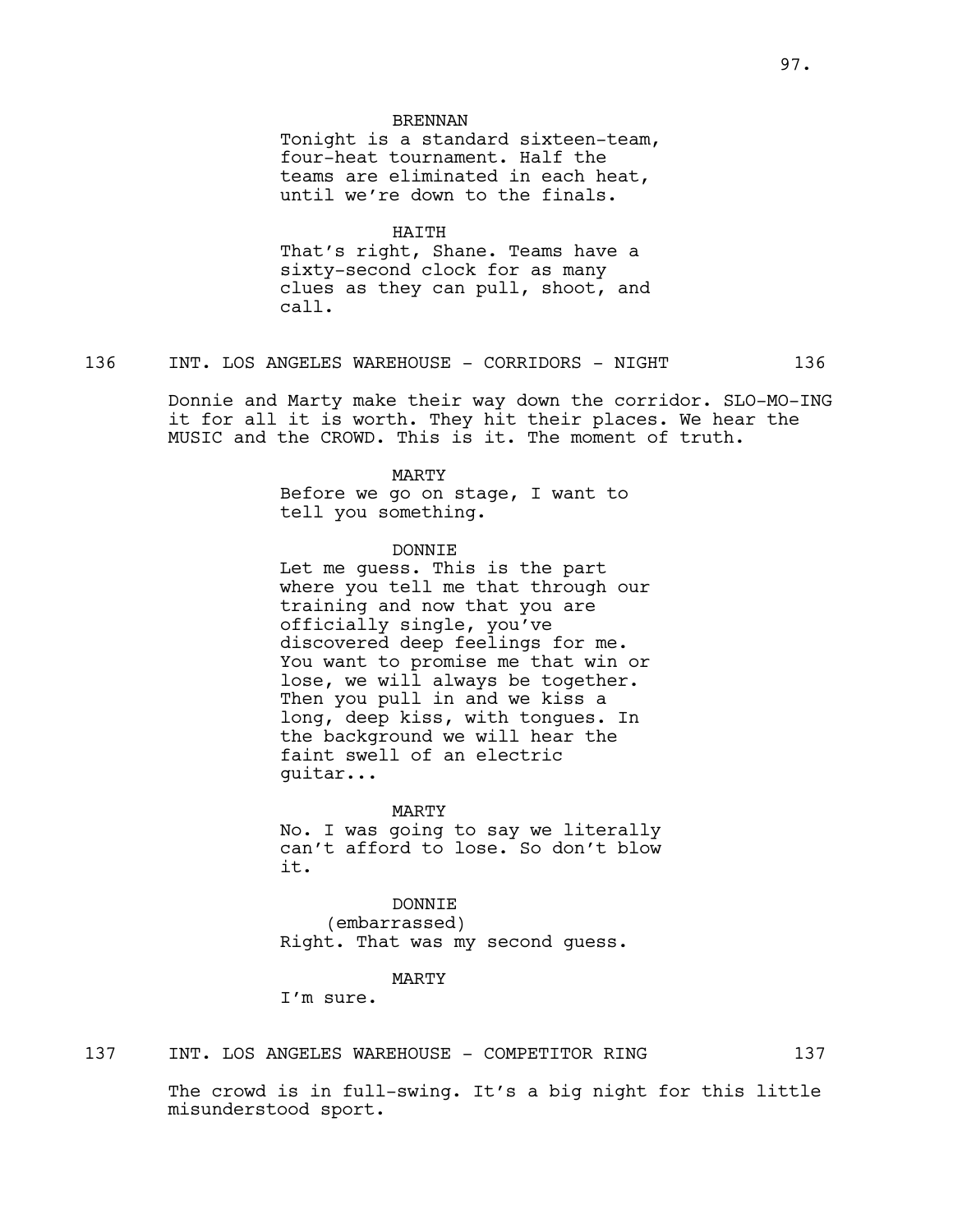#### BRENNAN

Tonight is a standard sixteen-team, four-heat tournament. Half the teams are eliminated in each heat, until we're down to the finals.

HAITH

That's right, Shane. Teams have a sixty-second clock for as many clues as they can pull, shoot, and call.

136 INT. LOS ANGELES WAREHOUSE - CORRIDORS - NIGHT 136

Donnie and Marty make their way down the corridor. SLO-MO-ING it for all it is worth. They hit their places. We hear the MUSIC and the CROWD. This is it. The moment of truth.

#### MARTY

Before we go on stage, I want to tell you something.

### DONNIE

Let me guess. This is the part where you tell me that through our training and now that you are officially single, you've discovered deep feelings for me. You want to promise me that win or lose, we will always be together. Then you pull in and we kiss a long, deep kiss, with tongues. In the background we will hear the faint swell of an electric guitar...

MARTY No. I was going to say we literally

can't afford to lose. So don't blow it.

DONNIE (embarrassed) Right. That was my second guess.

#### MARTY

I'm sure.

## 137 INT. LOS ANGELES WAREHOUSE - COMPETITOR RING 137

The crowd is in full-swing. It's a big night for this little misunderstood sport.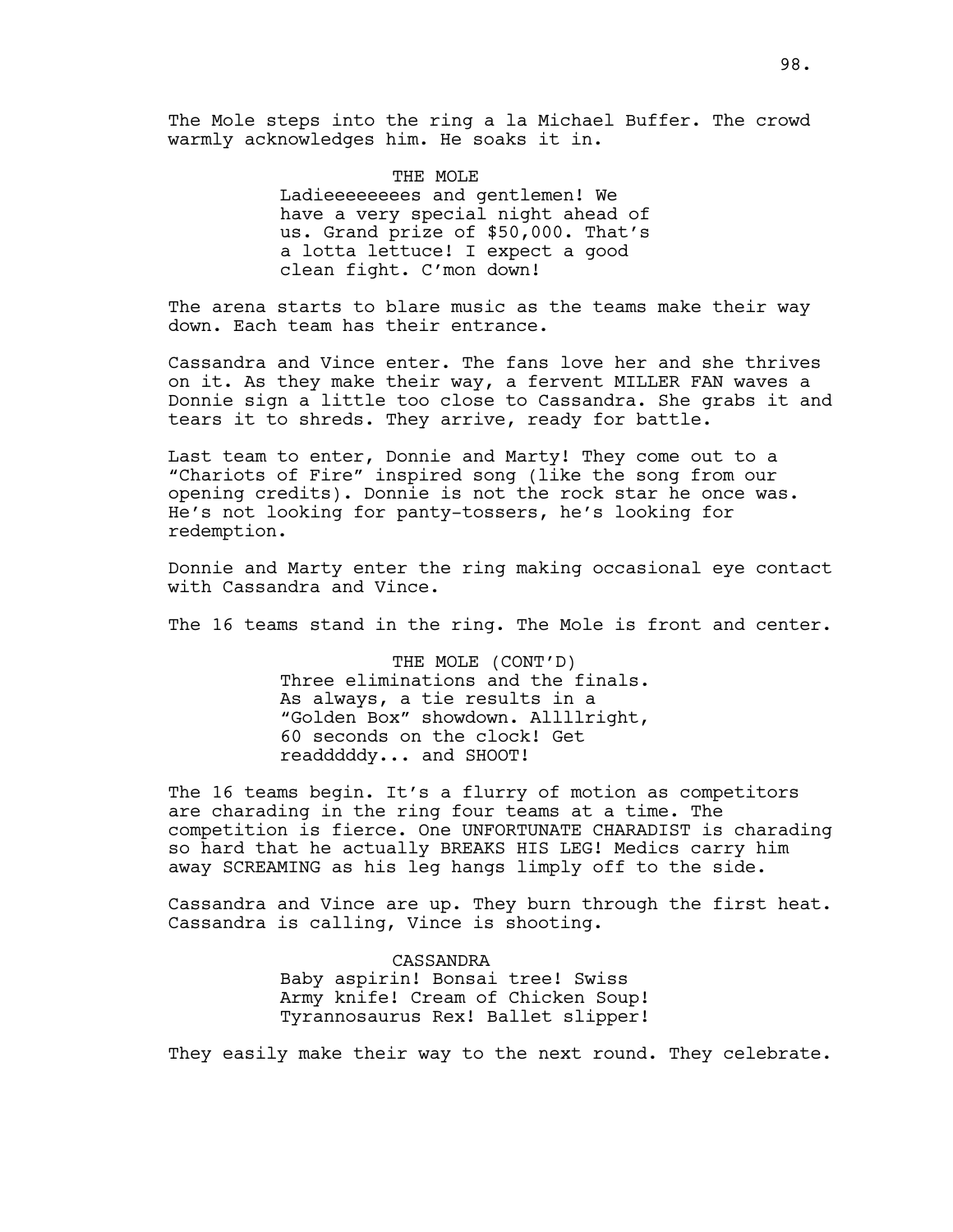The Mole steps into the ring a la Michael Buffer. The crowd warmly acknowledges him. He soaks it in.

> THE MOLE Ladieeeeeeees and gentlemen! We have a very special night ahead of us. Grand prize of \$50,000. That's a lotta lettuce! I expect a good clean fight. C'mon down!

The arena starts to blare music as the teams make their way down. Each team has their entrance.

Cassandra and Vince enter. The fans love her and she thrives on it. As they make their way, a fervent MILLER FAN waves a Donnie sign a little too close to Cassandra. She grabs it and tears it to shreds. They arrive, ready for battle.

Last team to enter, Donnie and Marty! They come out to a "Chariots of Fire" inspired song (like the song from our opening credits). Donnie is not the rock star he once was. He's not looking for panty-tossers, he's looking for redemption.

Donnie and Marty enter the ring making occasional eye contact with Cassandra and Vince.

The 16 teams stand in the ring. The Mole is front and center.

THE MOLE (CONT'D) Three eliminations and the finals. As always, a tie results in a "Golden Box" showdown. Allllright, 60 seconds on the clock! Get readddddy... and SHOOT!

The 16 teams begin. It's a flurry of motion as competitors are charading in the ring four teams at a time. The competition is fierce. One UNFORTUNATE CHARADIST is charading so hard that he actually BREAKS HIS LEG! Medics carry him away SCREAMING as his leg hangs limply off to the side.

Cassandra and Vince are up. They burn through the first heat. Cassandra is calling, Vince is shooting.

> CASSANDRA Baby aspirin! Bonsai tree! Swiss Army knife! Cream of Chicken Soup! Tyrannosaurus Rex! Ballet slipper!

They easily make their way to the next round. They celebrate.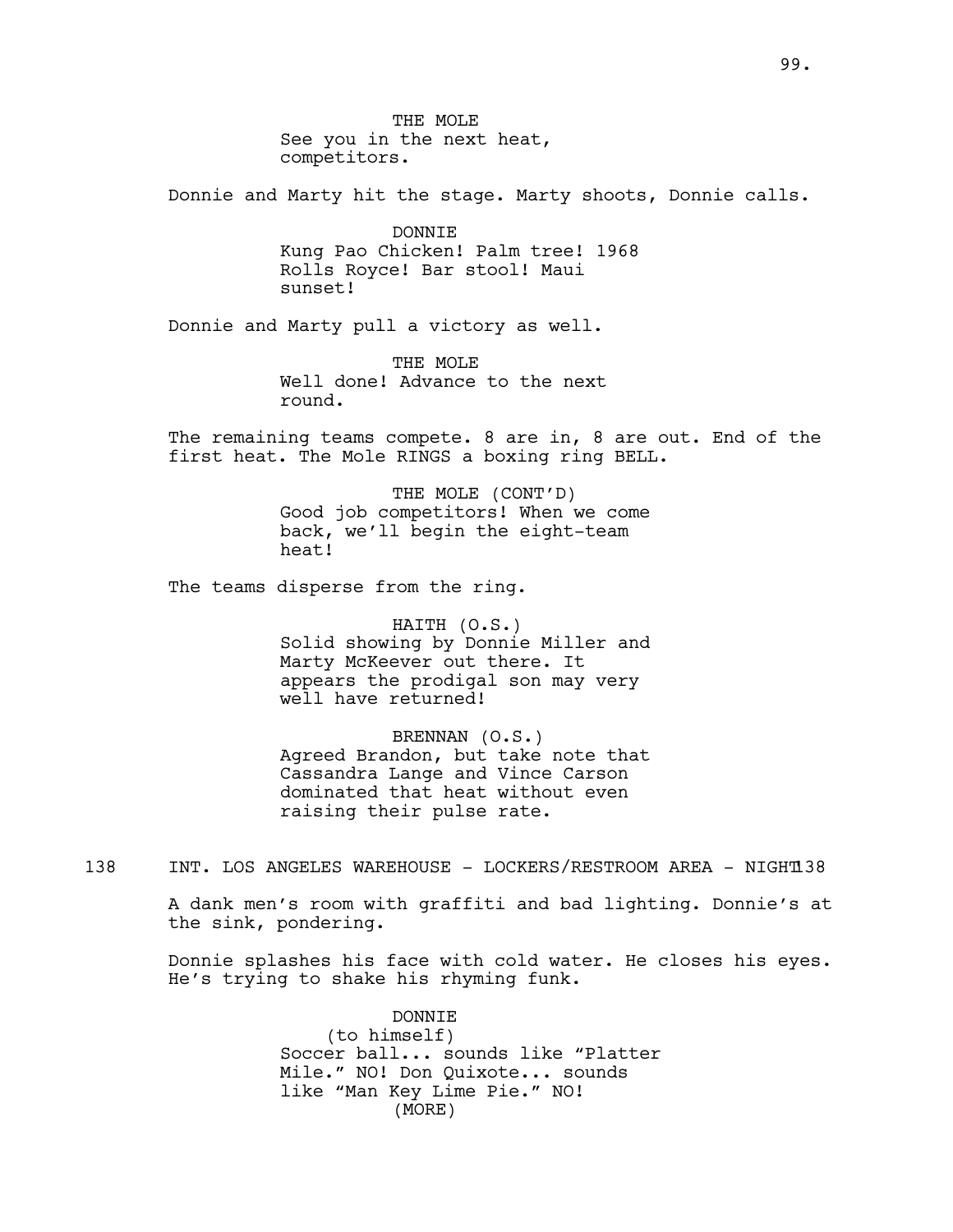THE MOLE See you in the next heat, competitors.

Donnie and Marty hit the stage. Marty shoots, Donnie calls.

DONNIE Kung Pao Chicken! Palm tree! 1968 Rolls Royce! Bar stool! Maui sunset!

Donnie and Marty pull a victory as well.

THE MOLE Well done! Advance to the next round.

The remaining teams compete. 8 are in, 8 are out. End of the first heat. The Mole RINGS a boxing ring BELL.

> THE MOLE (CONT'D) Good job competitors! When we come back, we'll begin the eight-team heat!

The teams disperse from the ring.

HAITH (O.S.) Solid showing by Donnie Miller and Marty McKeever out there. It appears the prodigal son may very well have returned!

BRENNAN (O.S.) Agreed Brandon, but take note that Cassandra Lange and Vince Carson dominated that heat without even raising their pulse rate.

138 INT. LOS ANGELES WAREHOUSE - LOCKERS/RESTROOM AREA - NIGHT138

A dank men's room with graffiti and bad lighting. Donnie's at the sink, pondering.

Donnie splashes his face with cold water. He closes his eyes. He's trying to shake his rhyming funk.

> DONNIE (to himself) Soccer ball... sounds like "Platter Mile." NO! Don Quixote... sounds like "Man Key Lime Pie." NO! (MORE)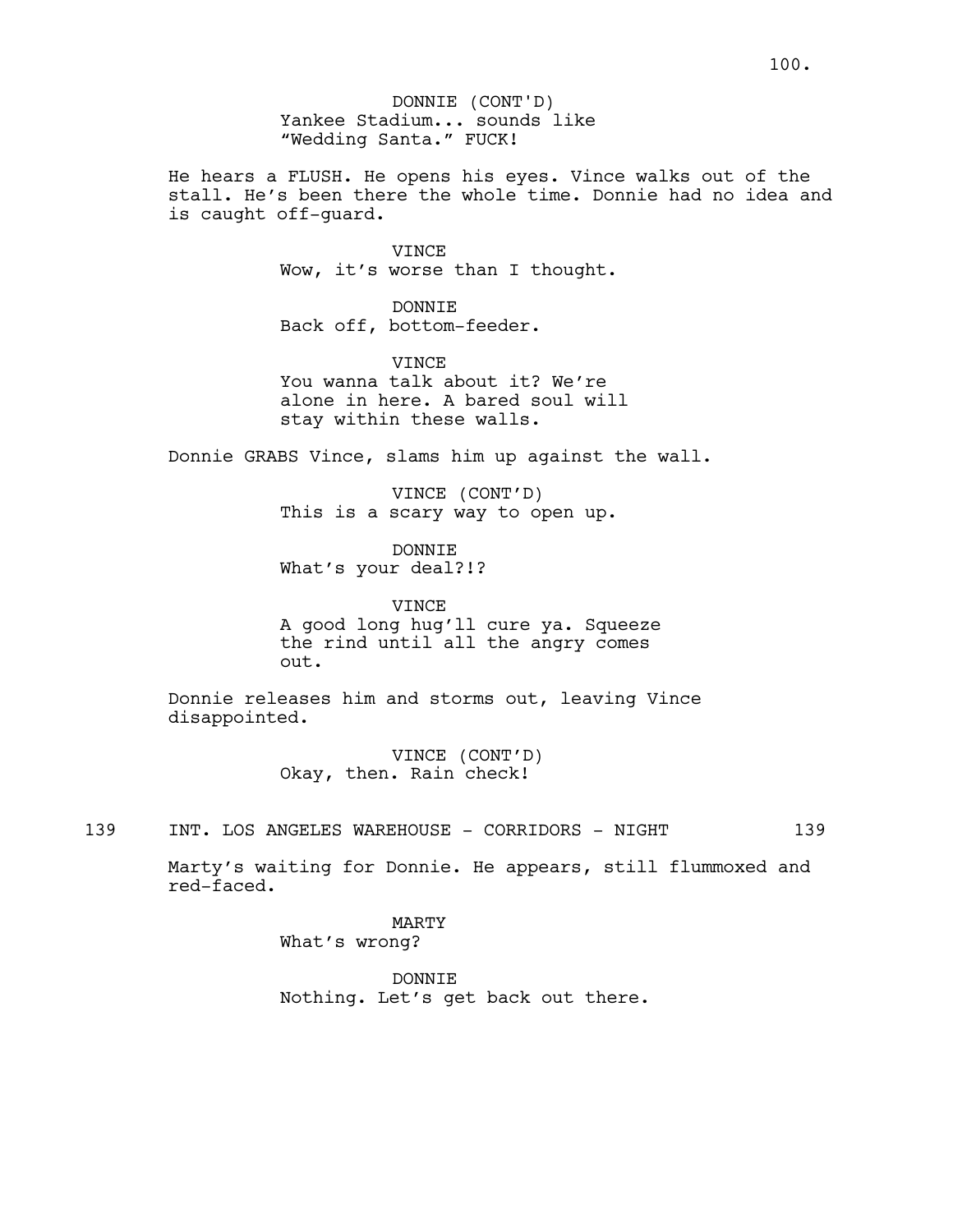Yankee Stadium... sounds like "Wedding Santa." FUCK! DONNIE (CONT'D)

He hears a FLUSH. He opens his eyes. Vince walks out of the stall. He's been there the whole time. Donnie had no idea and is caught off-guard.

> VINCE Wow, it's worse than I thought.

DONNIE Back off, bottom-feeder.

**VINCE** You wanna talk about it? We're alone in here. A bared soul will stay within these walls.

Donnie GRABS Vince, slams him up against the wall.

VINCE (CONT'D) This is a scary way to open up.

DONNIE What's your deal?!?

VINCE A good long hug'll cure ya. Squeeze the rind until all the angry comes out.

Donnie releases him and storms out, leaving Vince disappointed.

> VINCE (CONT'D) Okay, then. Rain check!

139 INT. LOS ANGELES WAREHOUSE - CORRIDORS - NIGHT 139

Marty's waiting for Donnie. He appears, still flummoxed and red-faced.

> MARTY What's wrong?

DONNIE Nothing. Let's get back out there.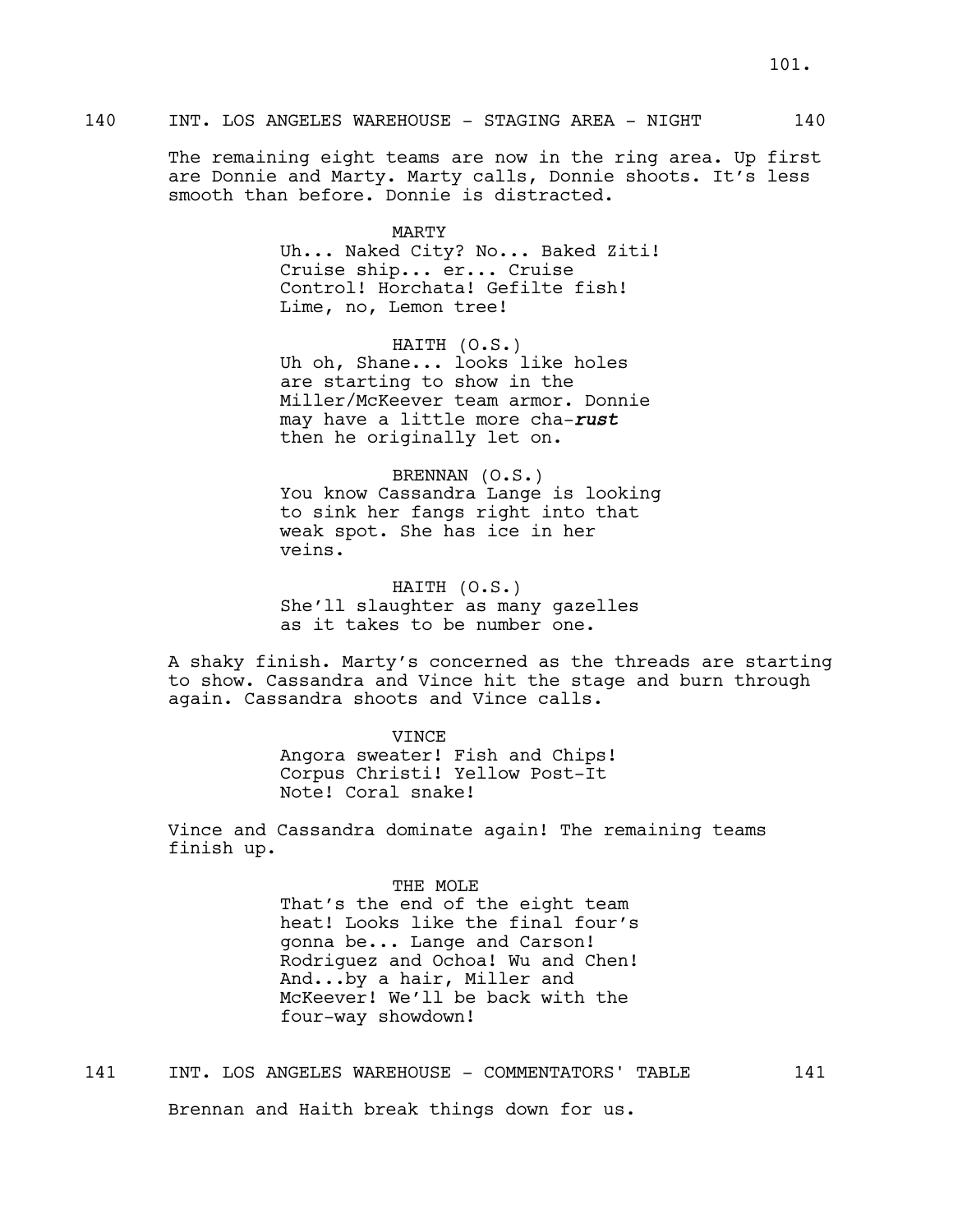# 140 INT. LOS ANGELES WAREHOUSE - STAGING AREA - NIGHT 140

The remaining eight teams are now in the ring area. Up first are Donnie and Marty. Marty calls, Donnie shoots. It's less smooth than before. Donnie is distracted.

> MARTY Uh... Naked City? No... Baked Ziti! Cruise ship... er... Cruise Control! Horchata! Gefilte fish! Lime, no, Lemon tree!

HAITH (O.S.) Uh oh, Shane... looks like holes are starting to show in the Miller/McKeever team armor. Donnie may have a little more cha-*rust* then he originally let on.

BRENNAN (O.S.) You know Cassandra Lange is looking to sink her fangs right into that weak spot. She has ice in her veins.

HAITH (O.S.) She'll slaughter as many gazelles as it takes to be number one.

A shaky finish. Marty's concerned as the threads are starting to show. Cassandra and Vince hit the stage and burn through again. Cassandra shoots and Vince calls.

VINCE

Angora sweater! Fish and Chips! Corpus Christi! Yellow Post-It Note! Coral snake!

Vince and Cassandra dominate again! The remaining teams finish up.

> THE MOLE That's the end of the eight team heat! Looks like the final four's gonna be... Lange and Carson! Rodriguez and Ochoa! Wu and Chen! And...by a hair, Miller and McKeever! We'll be back with the four-way showdown!

141 INT. LOS ANGELES WAREHOUSE - COMMENTATORS' TABLE 141 Brennan and Haith break things down for us.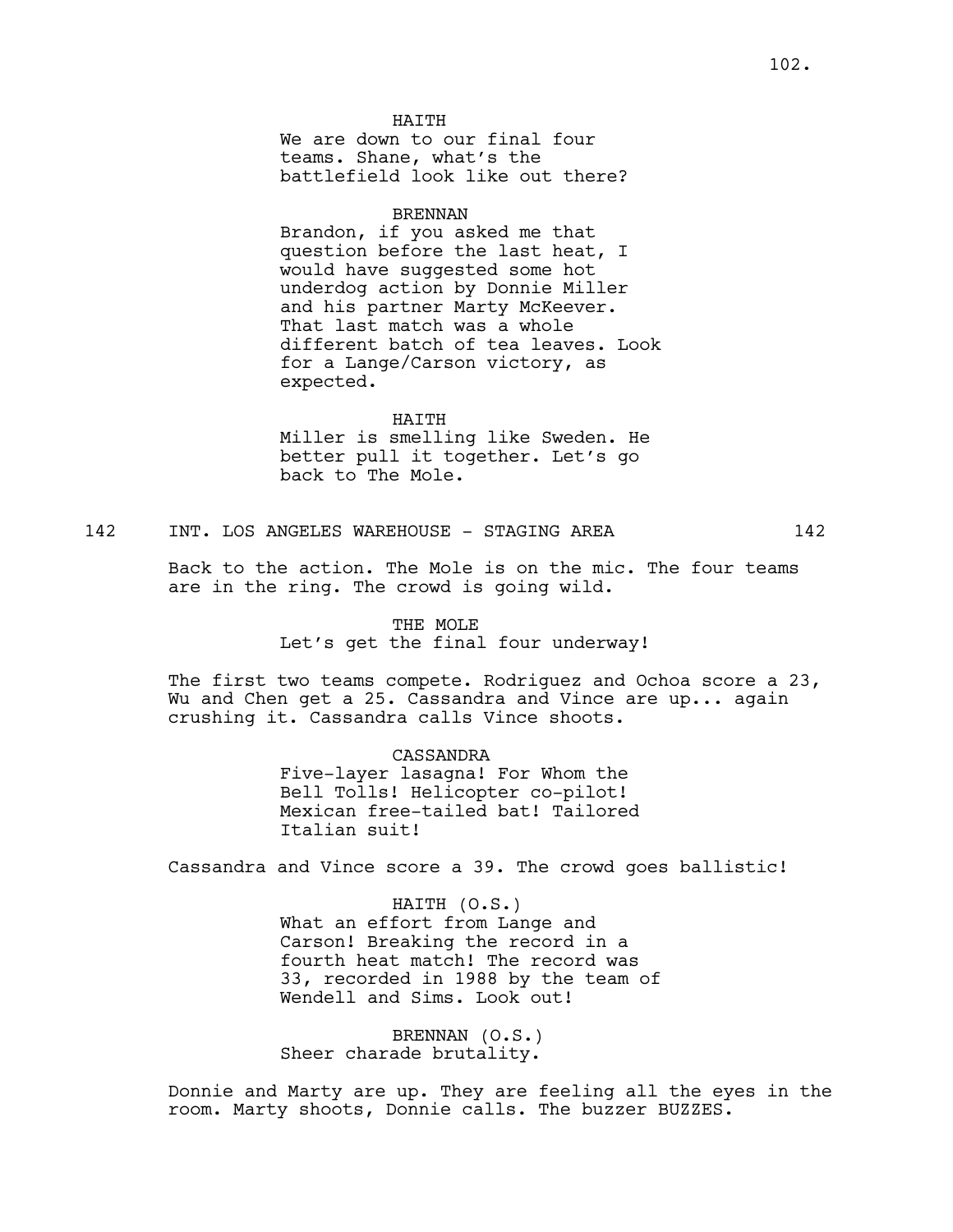We are down to our final four teams. Shane, what's the battlefield look like out there?

#### BRENNAN

Brandon, if you asked me that question before the last heat, I would have suggested some hot underdog action by Donnie Miller and his partner Marty McKeever. That last match was a whole different batch of tea leaves. Look for a Lange/Carson victory, as expected.

#### HAITH

Miller is smelling like Sweden. He better pull it together. Let's go back to The Mole.

142 INT. LOS ANGELES WAREHOUSE - STAGING AREA 142

Back to the action. The Mole is on the mic. The four teams are in the ring. The crowd is going wild.

### THE MOLE

Let's get the final four underway!

The first two teams compete. Rodriguez and Ochoa score a 23, Wu and Chen get a 25. Cassandra and Vince are up... again crushing it. Cassandra calls Vince shoots.

> CASSANDRA Five-layer lasagna! For Whom the Bell Tolls! Helicopter co-pilot! Mexican free-tailed bat! Tailored Italian suit!

Cassandra and Vince score a 39. The crowd goes ballistic!

HAITH (O.S.) What an effort from Lange and Carson! Breaking the record in a fourth heat match! The record was 33, recorded in 1988 by the team of Wendell and Sims. Look out!

BRENNAN (O.S.) Sheer charade brutality.

Donnie and Marty are up. They are feeling all the eyes in the room. Marty shoots, Donnie calls. The buzzer BUZZES.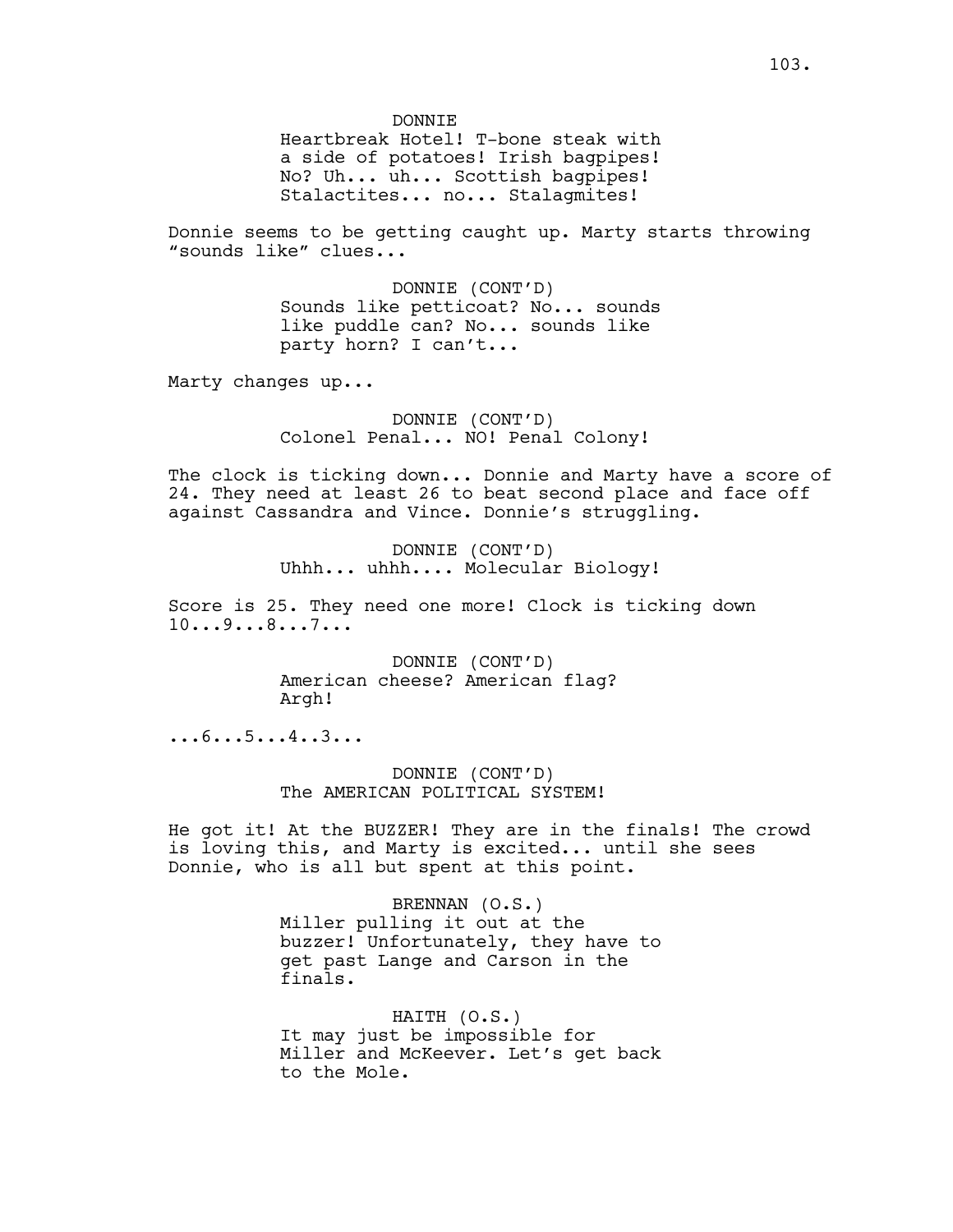DONNIE

Heartbreak Hotel! T-bone steak with a side of potatoes! Irish bagpipes! No? Uh... uh... Scottish bagpipes! Stalactites... no... Stalagmites!

Donnie seems to be getting caught up. Marty starts throwing "sounds like" clues...

> DONNIE (CONT'D) Sounds like petticoat? No... sounds like puddle can? No... sounds like party horn? I can't...

Marty changes up...

DONNIE (CONT'D) Colonel Penal... NO! Penal Colony!

The clock is ticking down... Donnie and Marty have a score of 24. They need at least 26 to beat second place and face off against Cassandra and Vince. Donnie's struggling.

> DONNIE (CONT'D) Uhhh... uhhh.... Molecular Biology!

Score is 25. They need one more! Clock is ticking down 10...9...8...7...

> DONNIE (CONT'D) American cheese? American flag? Argh!

...6...5...4..3...

DONNIE (CONT'D) The AMERICAN POLITICAL SYSTEM!

He got it! At the BUZZER! They are in the finals! The crowd is loving this, and Marty is excited... until she sees Donnie, who is all but spent at this point.

> BRENNAN (O.S.) Miller pulling it out at the buzzer! Unfortunately, they have to get past Lange and Carson in the finals.

> HAITH (O.S.) It may just be impossible for Miller and McKeever. Let's get back to the Mole.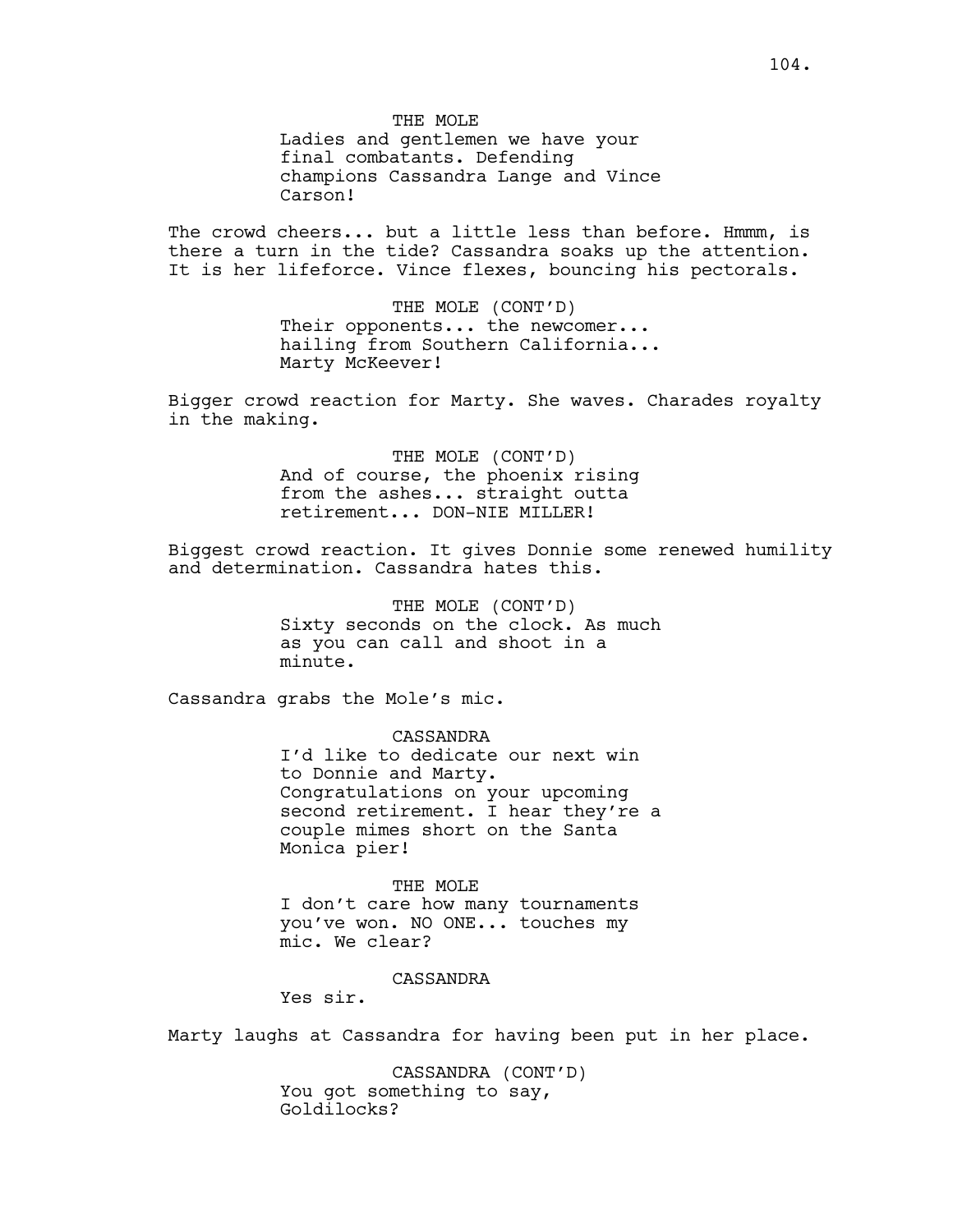THE MOLE Ladies and gentlemen we have your final combatants. Defending champions Cassandra Lange and Vince Carson!

The crowd cheers... but a little less than before. Hmmm, is there a turn in the tide? Cassandra soaks up the attention. It is her lifeforce. Vince flexes, bouncing his pectorals.

> THE MOLE (CONT'D) Their opponents... the newcomer... hailing from Southern California... Marty McKeever!

Bigger crowd reaction for Marty. She waves. Charades royalty in the making.

> THE MOLE (CONT'D) And of course, the phoenix rising from the ashes... straight outta retirement... DON-NIE MILLER!

Biggest crowd reaction. It gives Donnie some renewed humility and determination. Cassandra hates this.

> THE MOLE (CONT'D) Sixty seconds on the clock. As much as you can call and shoot in a minute.

Cassandra grabs the Mole's mic.

CASSANDRA I'd like to dedicate our next win to Donnie and Marty. Congratulations on your upcoming second retirement. I hear they're a couple mimes short on the Santa Monica pier!

THE MOLE I don't care how many tournaments you've won. NO ONE... touches my mic. We clear?

## CASSANDRA

Yes sir.

Marty laughs at Cassandra for having been put in her place.

CASSANDRA (CONT'D) You got something to say, Goldilocks?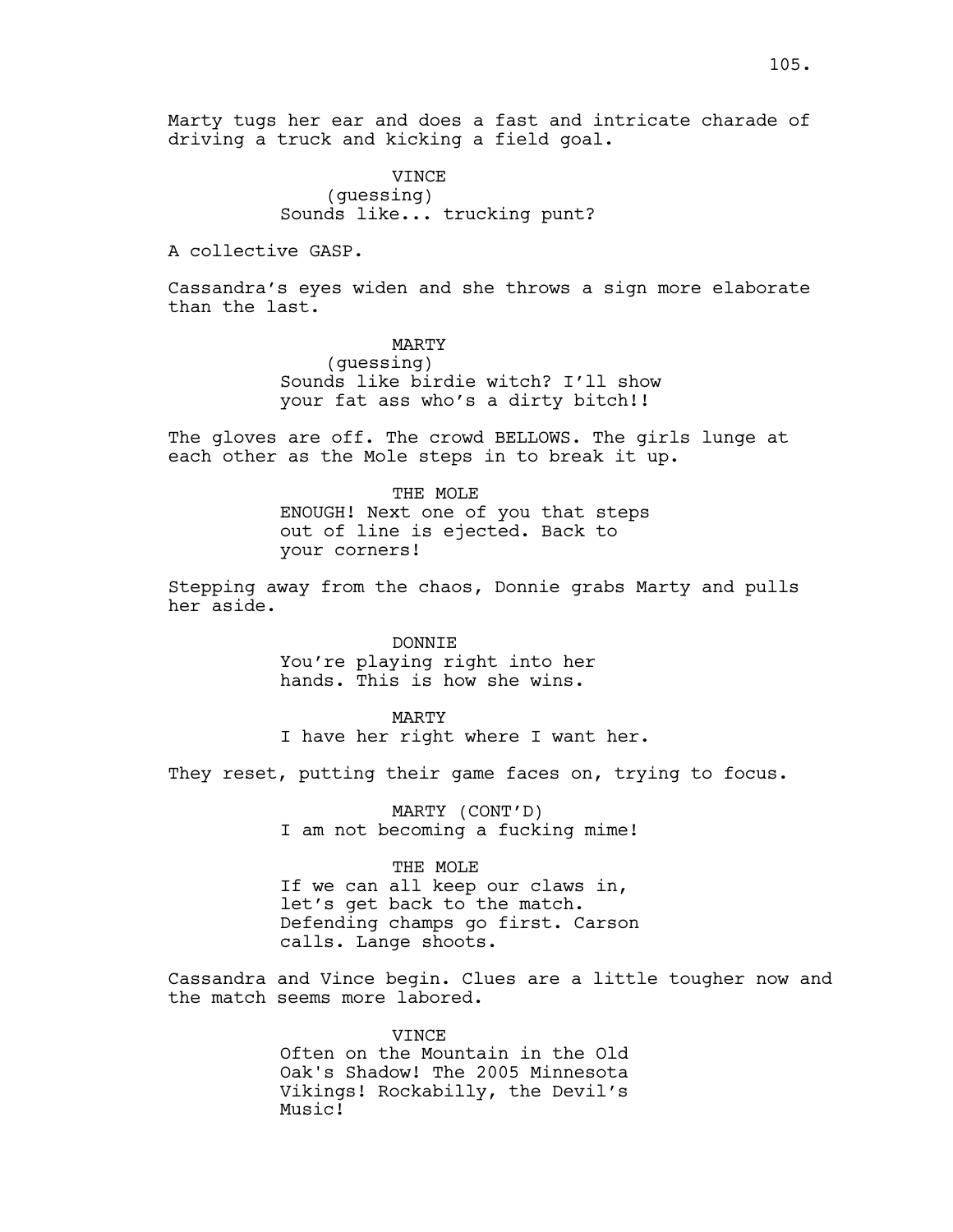Marty tugs her ear and does a fast and intricate charade of driving a truck and kicking a field goal.

> VINCE (guessing) Sounds like... trucking punt?

A collective GASP.

Cassandra's eyes widen and she throws a sign more elaborate than the last.

> MARTY (guessing) Sounds like birdie witch? I'll show your fat ass who's a dirty bitch!!

The gloves are off. The crowd BELLOWS. The girls lunge at each other as the Mole steps in to break it up.

> THE MOLE ENOUGH! Next one of you that steps out of line is ejected. Back to your corners!

Stepping away from the chaos, Donnie grabs Marty and pulls her aside.

> DONNIE You're playing right into her hands. This is how she wins.

MARTY I have her right where I want her.

They reset, putting their game faces on, trying to focus.

MARTY (CONT'D) I am not becoming a fucking mime!

THE MOLE If we can all keep our claws in, let's get back to the match. Defending champs go first. Carson calls. Lange shoots.

Cassandra and Vince begin. Clues are a little tougher now and the match seems more labored.

> VINCE Often on the Mountain in the Old Oak's Shadow! The 2005 Minnesota Vikings! Rockabilly, the Devil's Music!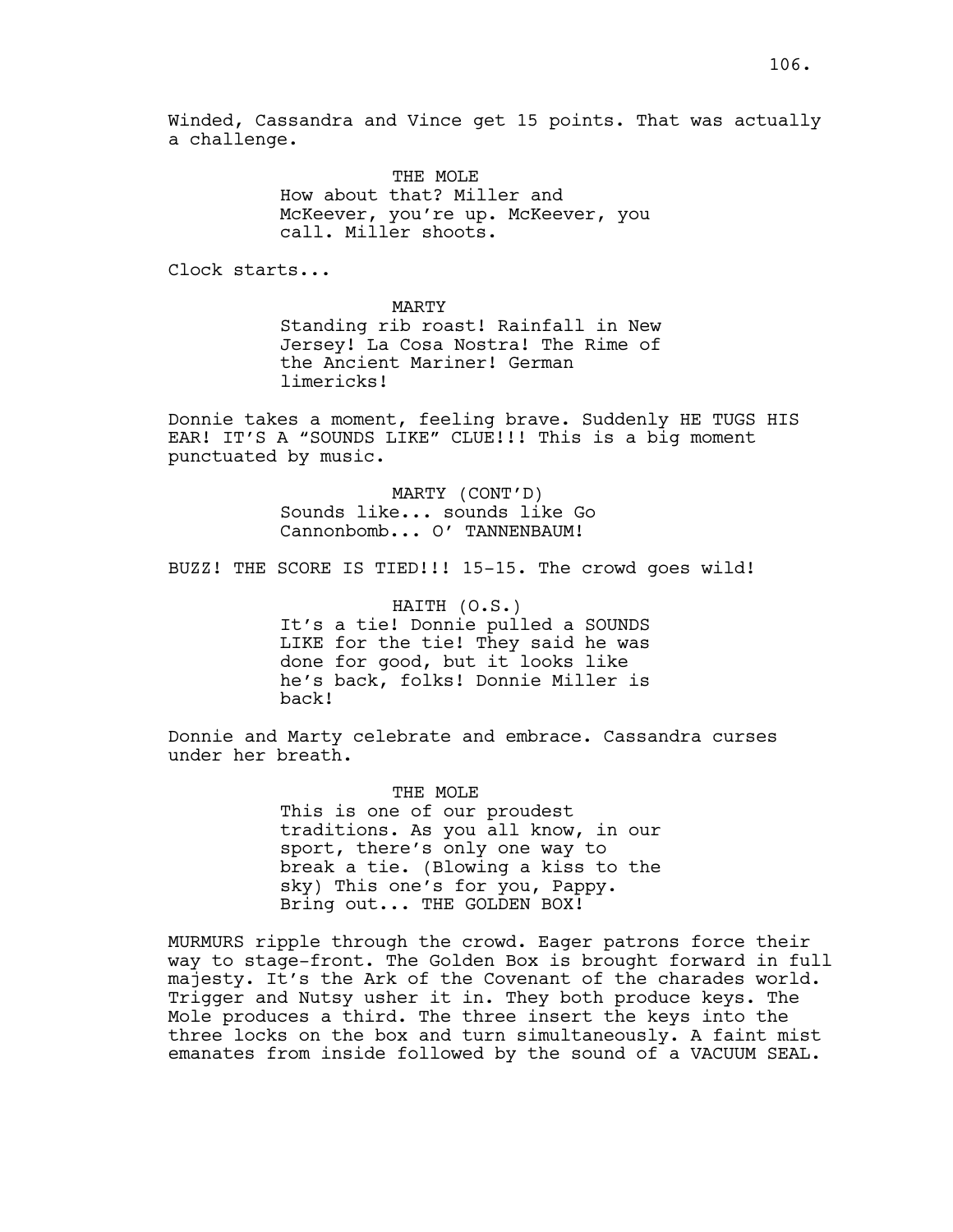Winded, Cassandra and Vince get 15 points. That was actually a challenge.

> THE MOLE How about that? Miller and McKeever, you're up. McKeever, you call. Miller shoots.

Clock starts...

MARTY Standing rib roast! Rainfall in New Jersey! La Cosa Nostra! The Rime of the Ancient Mariner! German limericks!

Donnie takes a moment, feeling brave. Suddenly HE TUGS HIS EAR! IT'S A "SOUNDS LIKE" CLUE!!! This is a big moment punctuated by music.

> MARTY (CONT'D) Sounds like... sounds like Go Cannonbomb... O' TANNENBAUM!

BUZZ! THE SCORE IS TIED!!! 15-15. The crowd goes wild!

HAITH (O.S.) It's a tie! Donnie pulled a SOUNDS LIKE for the tie! They said he was done for good, but it looks like he's back, folks! Donnie Miller is back!

Donnie and Marty celebrate and embrace. Cassandra curses under her breath.

> THE MOLE This is one of our proudest traditions. As you all know, in our sport, there's only one way to break a tie. (Blowing a kiss to the sky) This one's for you, Pappy. Bring out... THE GOLDEN BOX!

MURMURS ripple through the crowd. Eager patrons force their way to stage-front. The Golden Box is brought forward in full majesty. It's the Ark of the Covenant of the charades world. Trigger and Nutsy usher it in. They both produce keys. The Mole produces a third. The three insert the keys into the three locks on the box and turn simultaneously. A faint mist emanates from inside followed by the sound of a VACUUM SEAL.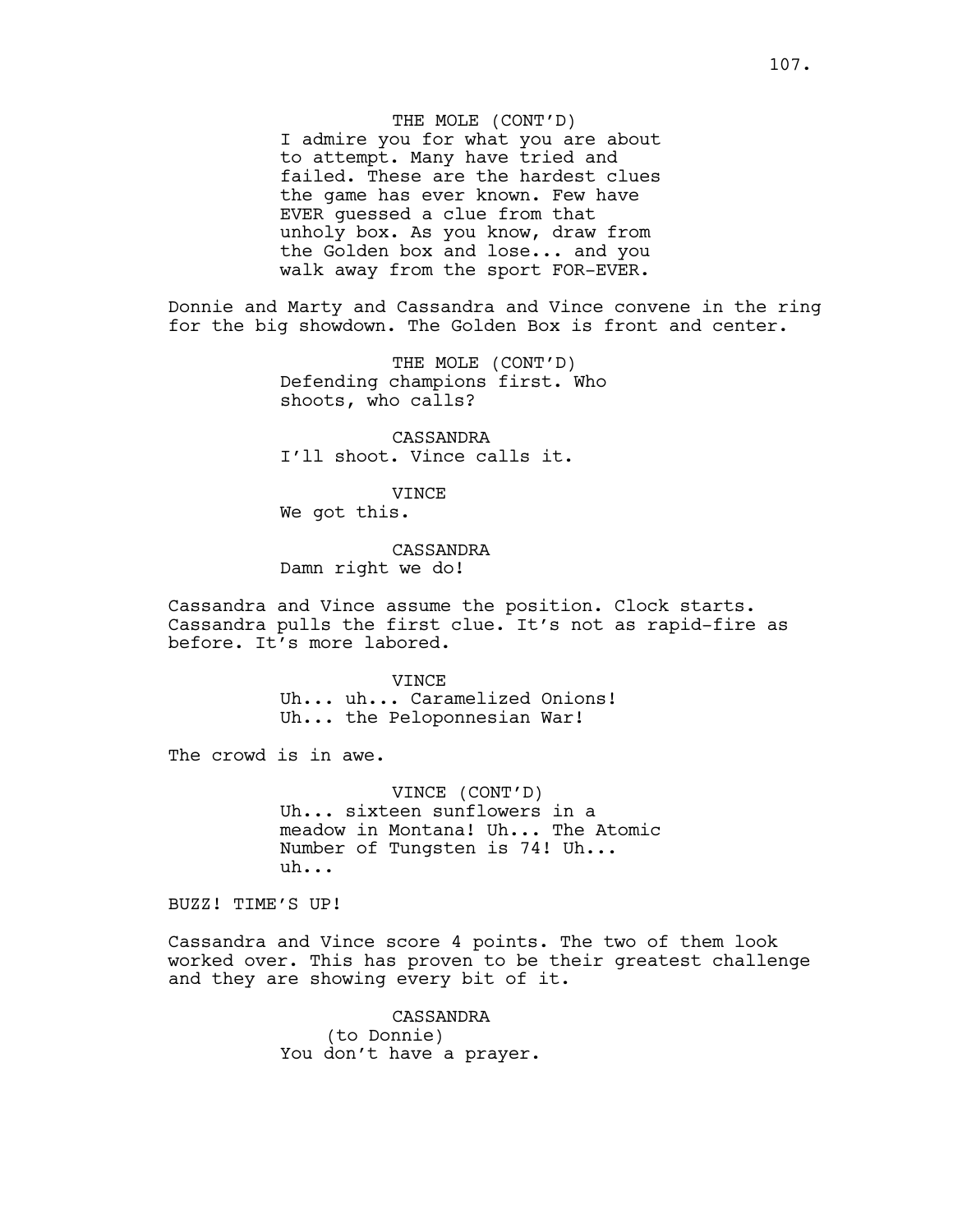THE MOLE (CONT'D) I admire you for what you are about to attempt. Many have tried and failed. These are the hardest clues the game has ever known. Few have EVER guessed a clue from that unholy box. As you know, draw from the Golden box and lose... and you walk away from the sport FOR-EVER.

Donnie and Marty and Cassandra and Vince convene in the ring for the big showdown. The Golden Box is front and center.

> THE MOLE (CONT'D) Defending champions first. Who shoots, who calls?

CASSANDRA I'll shoot. Vince calls it.

VINCE

We got this.

CASSANDRA Damn right we do!

Cassandra and Vince assume the position. Clock starts. Cassandra pulls the first clue. It's not as rapid-fire as before. It's more labored.

> **VINCE** Uh... uh... Caramelized Onions! Uh... the Peloponnesian War!

The crowd is in awe.

VINCE (CONT'D) Uh... sixteen sunflowers in a meadow in Montana! Uh... The Atomic Number of Tungsten is 74! Uh... uh...

BUZZ! TIME'S UP!

Cassandra and Vince score 4 points. The two of them look worked over. This has proven to be their greatest challenge and they are showing every bit of it.

> CASSANDRA (to Donnie) You don't have a prayer.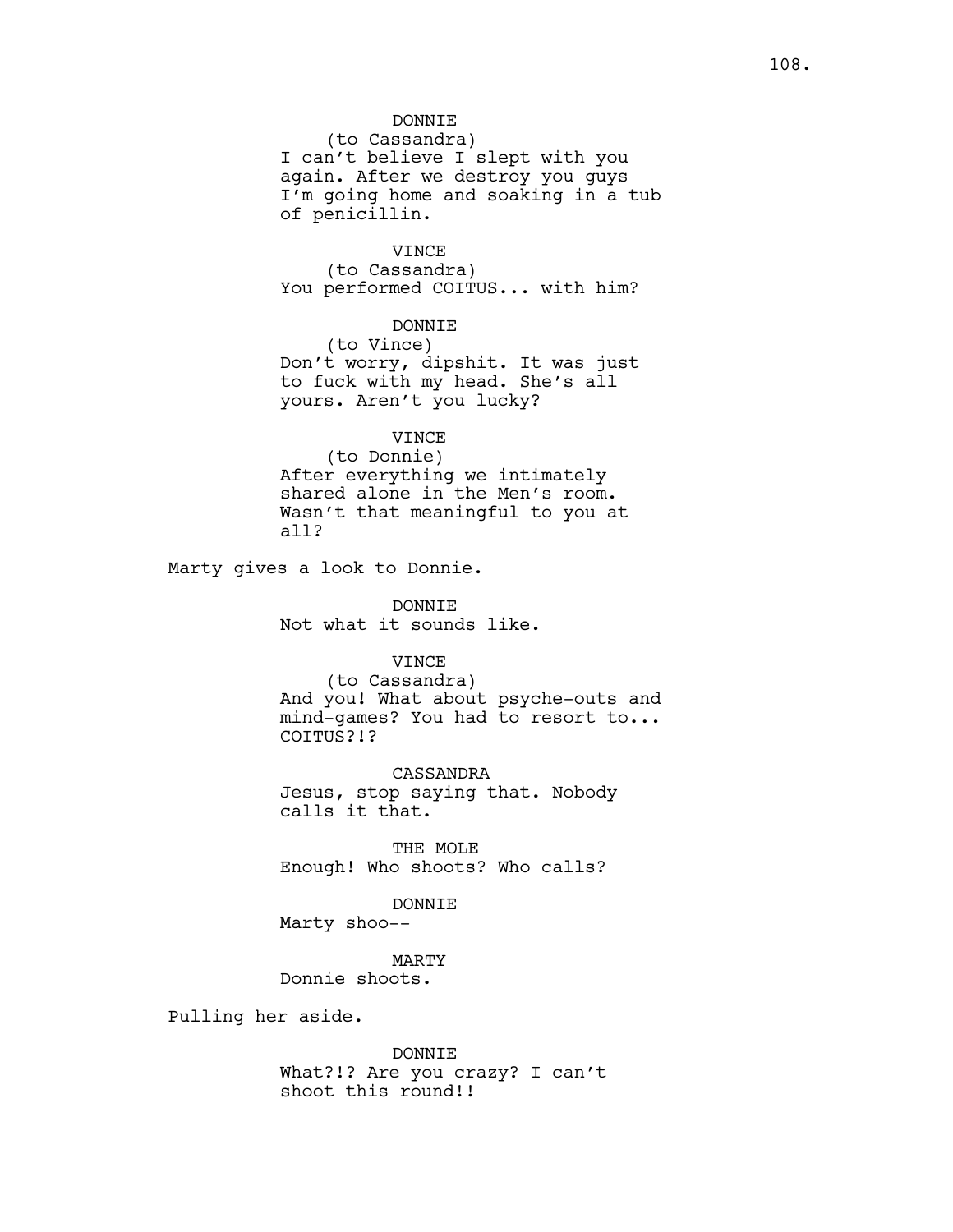108.

DONNIE

(to Cassandra) I can't believe I slept with you again. After we destroy you guys I'm going home and soaking in a tub of penicillin.

VINCE

(to Cassandra) You performed COITUS... with him?

DONNIE (to Vince) Don't worry, dipshit. It was just to fuck with my head. She's all yours. Aren't you lucky?

VINCE (to Donnie) After everything we intimately shared alone in the Men's room. Wasn't that meaningful to you at all?

Marty gives a look to Donnie.

DONNIE Not what it sounds like.

VINCE

(to Cassandra) And you! What about psyche-outs and mind-games? You had to resort to... COITUS?!?

CASSANDRA Jesus, stop saying that. Nobody calls it that.

THE MOLE Enough! Who shoots? Who calls?

DONNIE

Marty shoo--

MARTY Donnie shoots.

Pulling her aside.

DONNIE What?!? Are you crazy? I can't shoot this round!!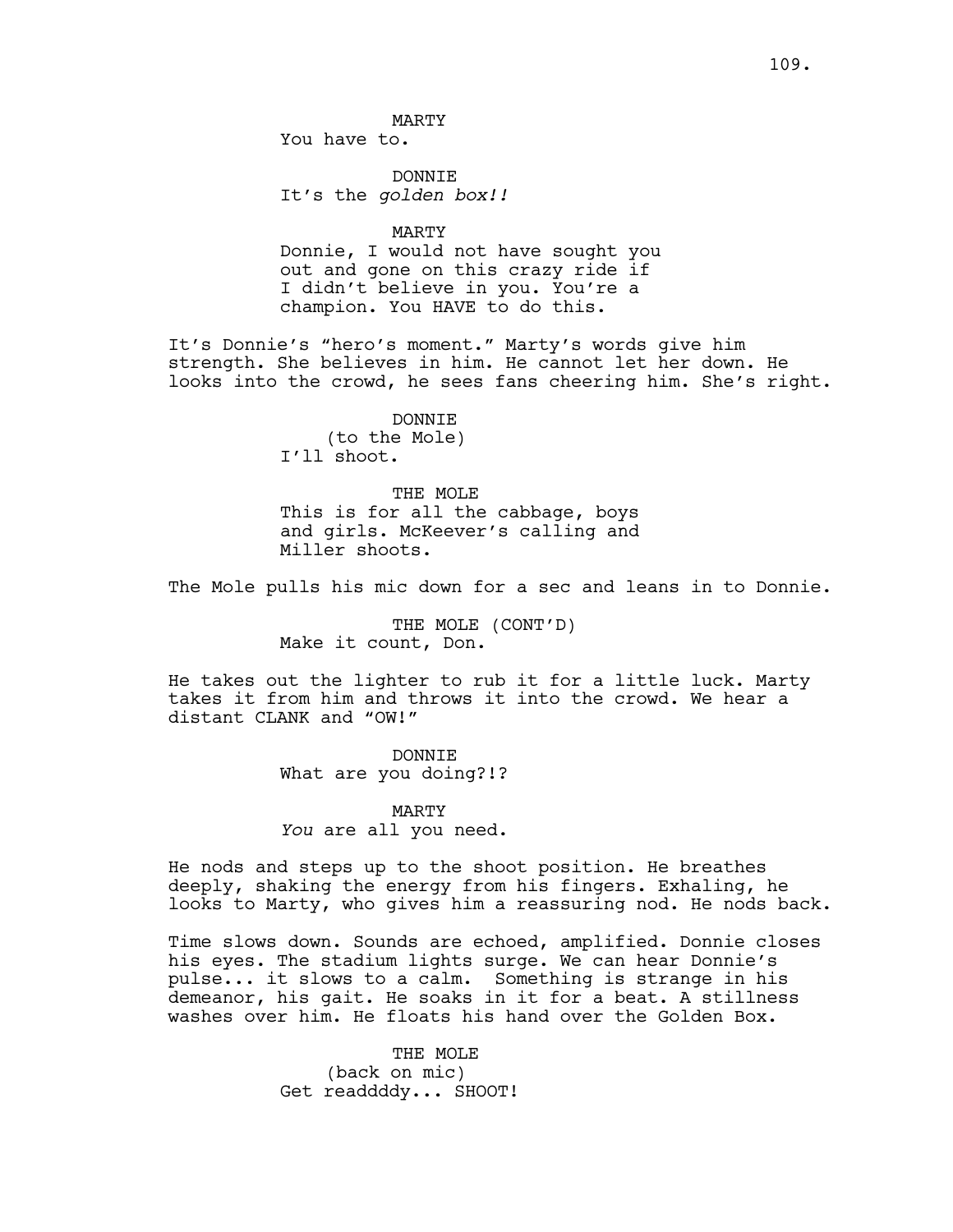MARTY

You have to.

DONNIE It's the *golden box!!*

MARTY

Donnie, I would not have sought you out and gone on this crazy ride if I didn't believe in you. You're a champion. You HAVE to do this.

It's Donnie's "hero's moment." Marty's words give him strength. She believes in him. He cannot let her down. He looks into the crowd, he sees fans cheering him. She's right.

> DONNIE (to the Mole) I'll shoot.

THE MOLE This is for all the cabbage, boys and girls. McKeever's calling and Miller shoots.

The Mole pulls his mic down for a sec and leans in to Donnie.

THE MOLE (CONT'D) Make it count, Don.

He takes out the lighter to rub it for a little luck. Marty takes it from him and throws it into the crowd. We hear a distant CLANK and "OW!"

> DONNIE What are you doing?!?

MARTY *You* are all you need.

He nods and steps up to the shoot position. He breathes deeply, shaking the energy from his fingers. Exhaling, he looks to Marty, who gives him a reassuring nod. He nods back.

Time slows down. Sounds are echoed, amplified. Donnie closes his eyes. The stadium lights surge. We can hear Donnie's pulse... it slows to a calm. Something is strange in his demeanor, his gait. He soaks in it for a beat. A stillness washes over him. He floats his hand over the Golden Box.

> THE MOLE (back on mic) Get readdddy... SHOOT!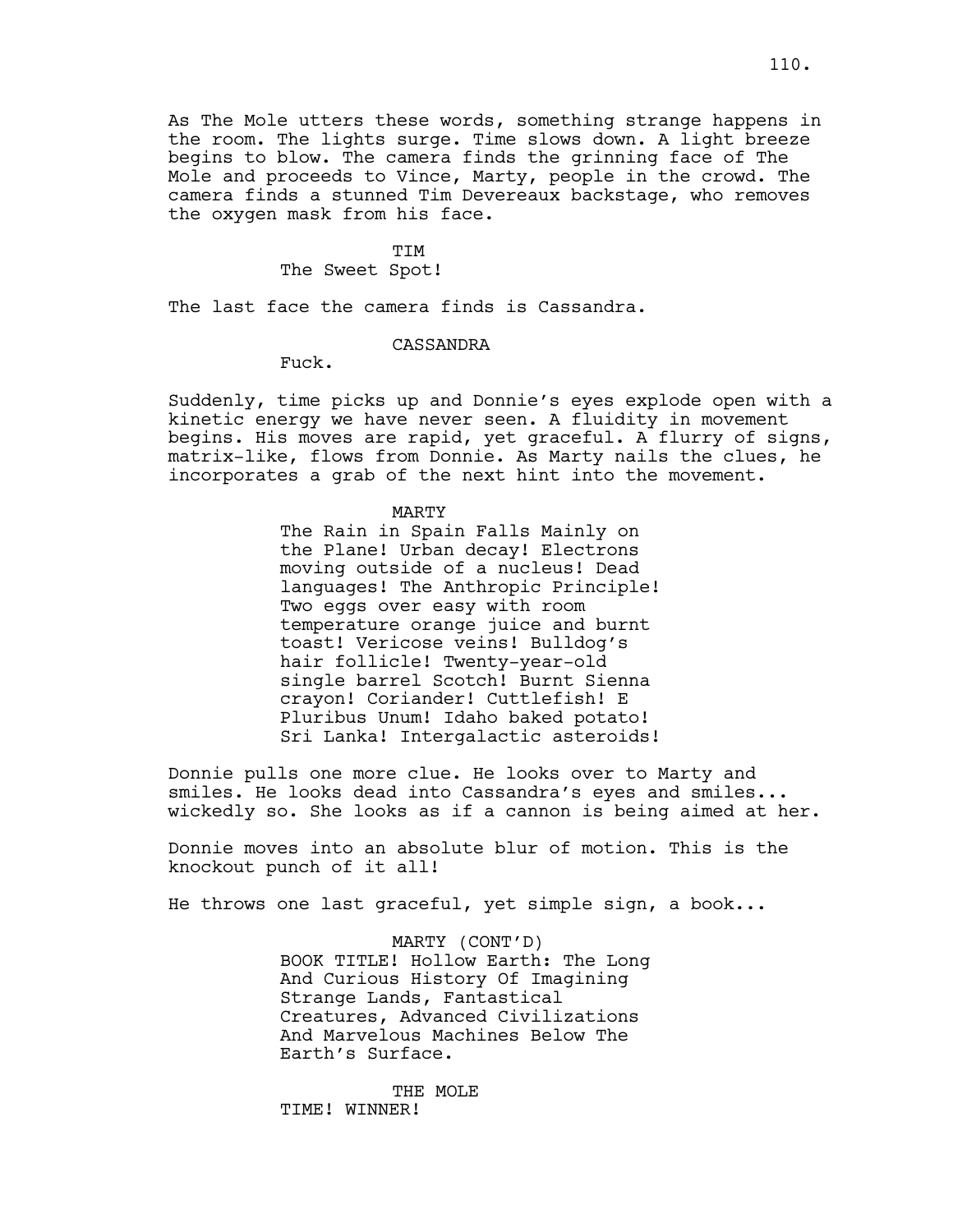As The Mole utters these words, something strange happens in the room. The lights surge. Time slows down. A light breeze begins to blow. The camera finds the grinning face of The Mole and proceeds to Vince, Marty, people in the crowd. The camera finds a stunned Tim Devereaux backstage, who removes the oxygen mask from his face.

#### TTM

## The Sweet Spot!

The last face the camera finds is Cassandra.

## CASSANDRA

Fuck.

Suddenly, time picks up and Donnie's eyes explode open with a kinetic energy we have never seen. A fluidity in movement begins. His moves are rapid, yet graceful. A flurry of signs, matrix-like, flows from Donnie. As Marty nails the clues, he incorporates a grab of the next hint into the movement.

#### MARTY

The Rain in Spain Falls Mainly on the Plane! Urban decay! Electrons moving outside of a nucleus! Dead languages! The Anthropic Principle! Two eggs over easy with room temperature orange juice and burnt toast! Vericose veins! Bulldog's hair follicle! Twenty-year-old single barrel Scotch! Burnt Sienna crayon! Coriander! Cuttlefish! E Pluribus Unum! Idaho baked potato! Sri Lanka! Intergalactic asteroids!

Donnie pulls one more clue. He looks over to Marty and smiles. He looks dead into Cassandra's eyes and smiles... wickedly so. She looks as if a cannon is being aimed at her.

Donnie moves into an absolute blur of motion. This is the knockout punch of it all!

He throws one last graceful, yet simple sign, a book...

MARTY (CONT'D) BOOK TITLE! Hollow Earth: The Long And Curious History Of Imagining Strange Lands, Fantastical Creatures, Advanced Civilizations And Marvelous Machines Below The Earth's Surface.

THE MOLE TIME! WINNER!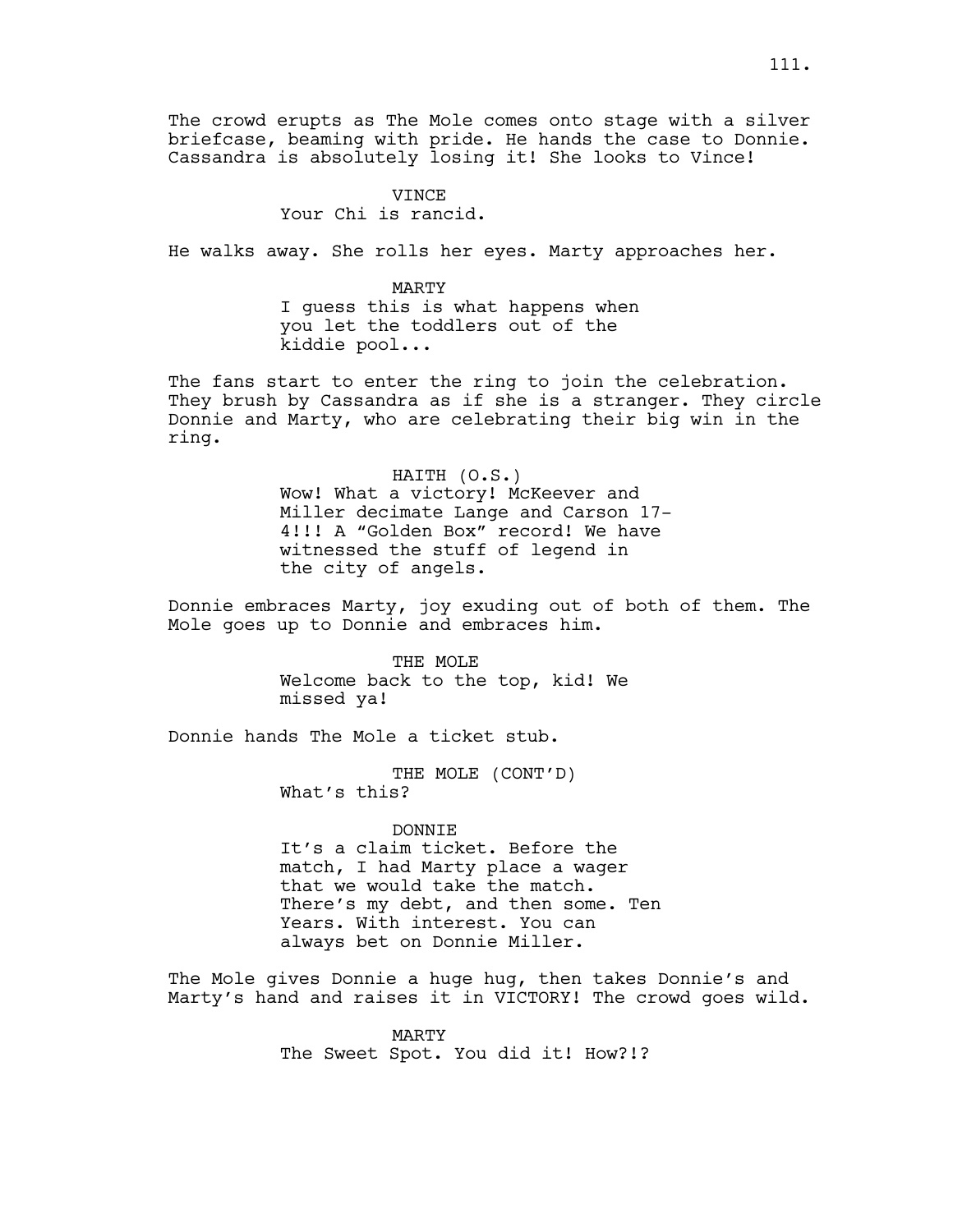The crowd erupts as The Mole comes onto stage with a silver briefcase, beaming with pride. He hands the case to Donnie. Cassandra is absolutely losing it! She looks to Vince!

# VINCE Your Chi is rancid.

He walks away. She rolls her eyes. Marty approaches her.

MARTY I guess this is what happens when you let the toddlers out of the kiddie pool...

The fans start to enter the ring to join the celebration. They brush by Cassandra as if she is a stranger. They circle Donnie and Marty, who are celebrating their big win in the ring.

> HAITH (O.S.) Wow! What a victory! McKeever and Miller decimate Lange and Carson 17- 4!!! A "Golden Box" record! We have witnessed the stuff of legend in the city of angels.

Donnie embraces Marty, joy exuding out of both of them. The Mole goes up to Donnie and embraces him.

> THE MOLE Welcome back to the top, kid! We missed ya!

Donnie hands The Mole a ticket stub.

THE MOLE (CONT'D) What's this?

DONNIE It's a claim ticket. Before the match, I had Marty place a wager that we would take the match. There's my debt, and then some. Ten Years. With interest. You can always bet on Donnie Miller.

The Mole gives Donnie a huge hug, then takes Donnie's and Marty's hand and raises it in VICTORY! The crowd goes wild.

> MARTY The Sweet Spot. You did it! How?!?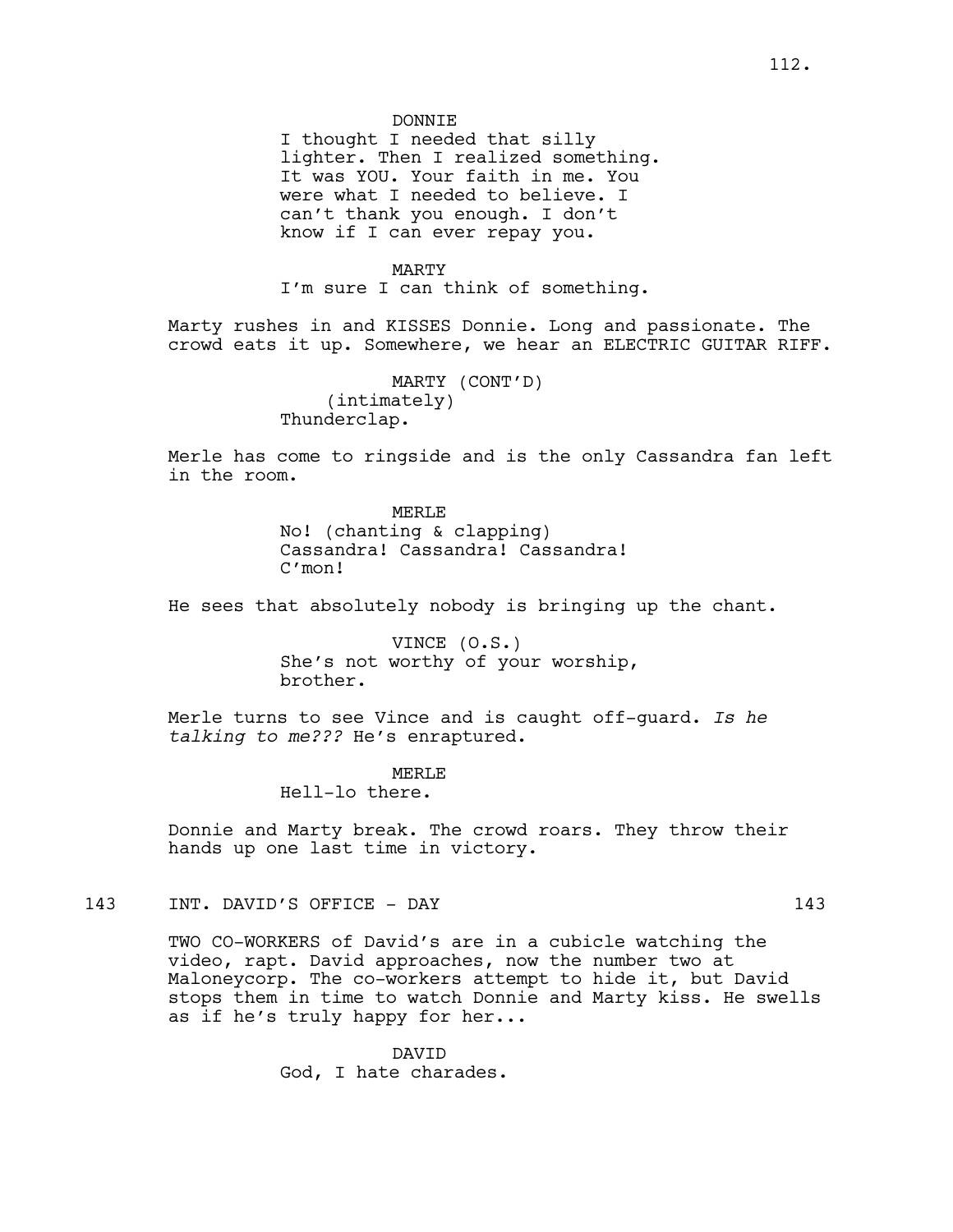#### DONNIE

I thought I needed that silly lighter. Then I realized something. It was YOU. Your faith in me. You were what I needed to believe. I can't thank you enough. I don't know if I can ever repay you.

#### MARTY

I'm sure I can think of something.

Marty rushes in and KISSES Donnie. Long and passionate. The crowd eats it up. Somewhere, we hear an ELECTRIC GUITAR RIFF.

> MARTY (CONT'D) (intimately) Thunderclap.

Merle has come to ringside and is the only Cassandra fan left in the room.

## MERLE. No! (chanting & clapping) Cassandra! Cassandra! Cassandra! C'mon!

He sees that absolutely nobody is bringing up the chant.

VINCE (O.S.) She's not worthy of your worship, brother.

Merle turns to see Vince and is caught off-guard. *Is he talking to me???* He's enraptured.

> MERLE. Hell-lo there.

Donnie and Marty break. The crowd roars. They throw their hands up one last time in victory.

143 INT. DAVID'S OFFICE - DAY 143

TWO CO-WORKERS of David's are in a cubicle watching the video, rapt. David approaches, now the number two at Maloneycorp. The co-workers attempt to hide it, but David stops them in time to watch Donnie and Marty kiss. He swells as if he's truly happy for her...

> DAVID God, I hate charades.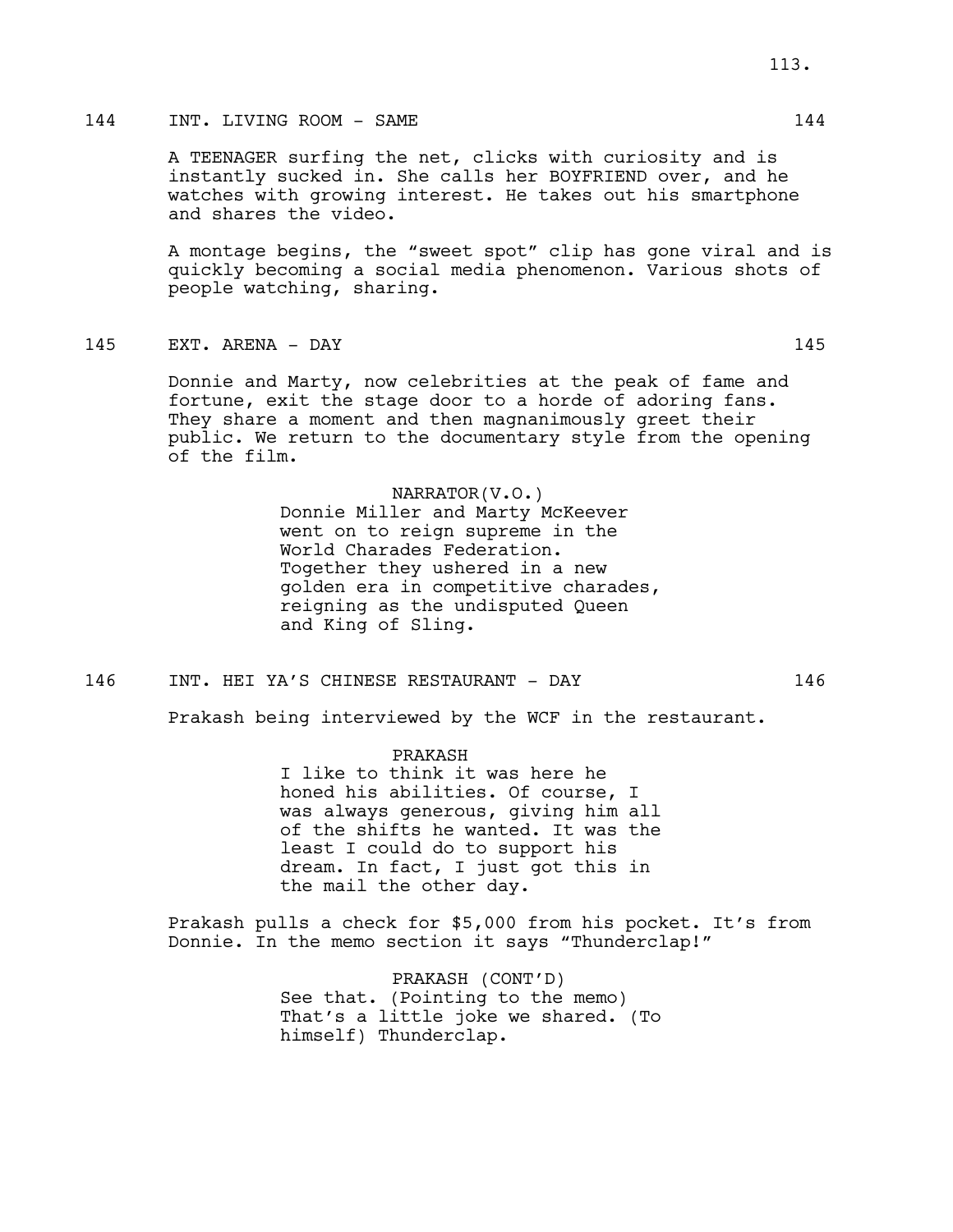## 144 INT. LIVING ROOM – SAME 144

A TEENAGER surfing the net, clicks with curiosity and is instantly sucked in. She calls her BOYFRIEND over, and he watches with growing interest. He takes out his smartphone and shares the video.

A montage begins, the "sweet spot" clip has gone viral and is quickly becoming a social media phenomenon. Various shots of people watching, sharing.

145 EXT. ARENA - DAY 145

Donnie and Marty, now celebrities at the peak of fame and fortune, exit the stage door to a horde of adoring fans. They share a moment and then magnanimously greet their public. We return to the documentary style from the opening of the film.

NARRATOR(V.O.)

Donnie Miller and Marty McKeever went on to reign supreme in the World Charades Federation. Together they ushered in a new golden era in competitive charades, reigning as the undisputed Queen and King of Sling.

146 INT. HEI YA'S CHINESE RESTAURANT - DAY 146

Prakash being interviewed by the WCF in the restaurant.

PRAKASH I like to think it was here he honed his abilities. Of course, I was always generous, giving him all of the shifts he wanted. It was the least I could do to support his dream. In fact, I just got this in the mail the other day.

Prakash pulls a check for \$5,000 from his pocket. It's from Donnie. In the memo section it says "Thunderclap!"

> PRAKASH (CONT'D) See that. (Pointing to the memo) That's a little joke we shared. (To himself) Thunderclap.

113.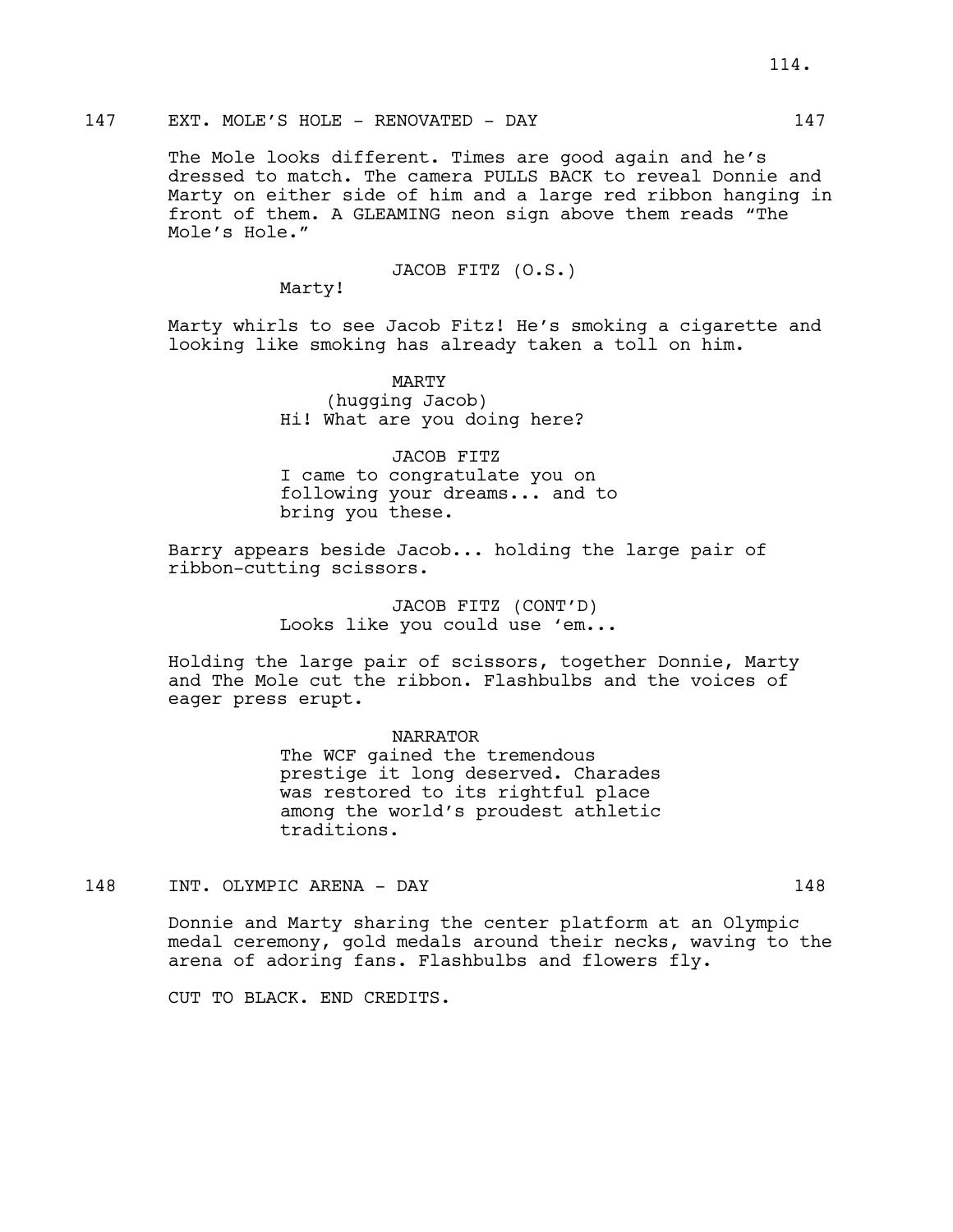## 147 EXT. MOLE'S HOLE - RENOVATED - DAY 147

The Mole looks different. Times are good again and he's dressed to match. The camera PULLS BACK to reveal Donnie and Marty on either side of him and a large red ribbon hanging in front of them. A GLEAMING neon sign above them reads "The Mole's Hole."

JACOB FITZ (O.S.)

Marty!

Marty whirls to see Jacob Fitz! He's smoking a cigarette and looking like smoking has already taken a toll on him.

> MARTY (hugging Jacob) Hi! What are you doing here?

JACOB FITZ I came to congratulate you on following your dreams... and to bring you these.

Barry appears beside Jacob... holding the large pair of ribbon-cutting scissors.

> JACOB FITZ (CONT'D) Looks like you could use 'em...

Holding the large pair of scissors, together Donnie, Marty and The Mole cut the ribbon. Flashbulbs and the voices of eager press erupt.

NARRATOR

The WCF gained the tremendous prestige it long deserved. Charades was restored to its rightful place among the world's proudest athletic traditions.

148 INT. OLYMPIC ARENA - DAY 148

Donnie and Marty sharing the center platform at an Olympic medal ceremony, gold medals around their necks, waving to the arena of adoring fans. Flashbulbs and flowers fly.

CUT TO BLACK. END CREDITS.